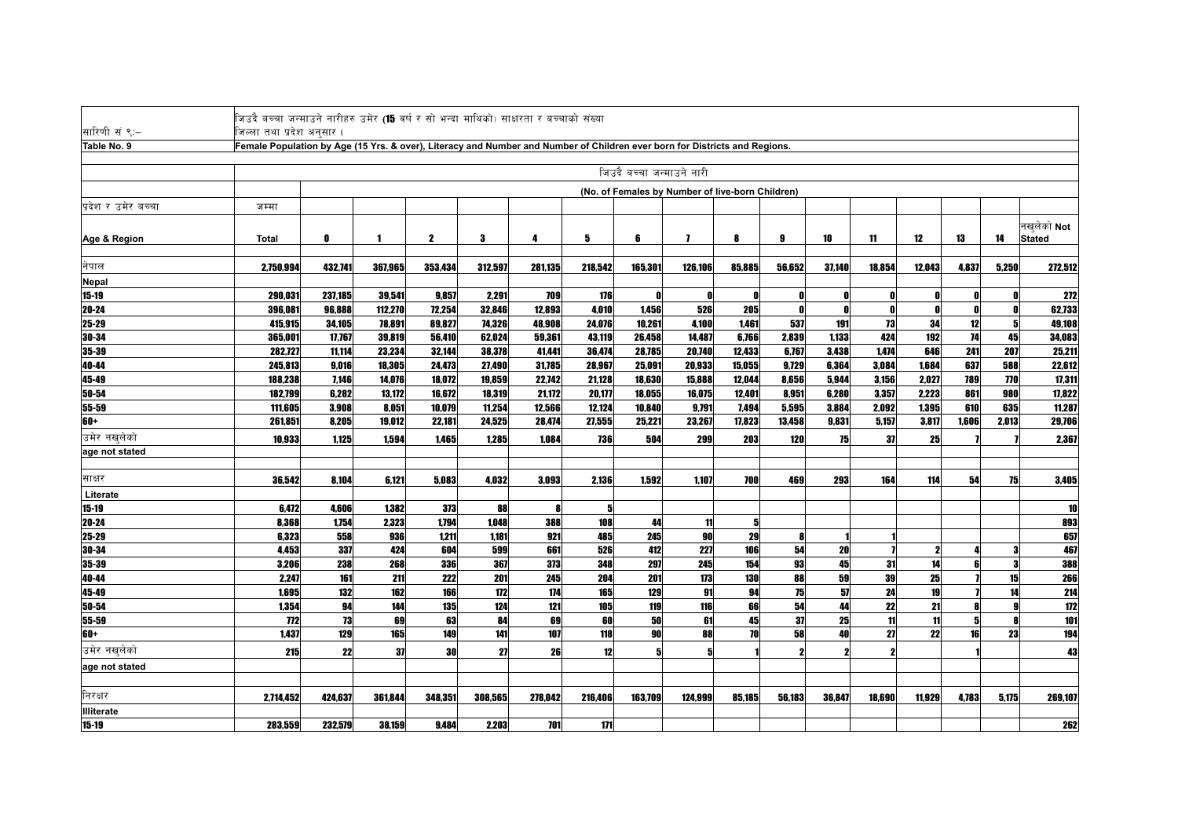| सारिणी सं ९:–       | जिउदै बच्चा जन्माउने नारीहरु उमेर ( <b>15</b> वर्ष र सो भन्दा माथिको) साक्षरता र बच्चाको संख्या                                                        |         |         |             |         |         |         |                           |              |                                                  |        |        |              |        |       |       |                  |
|---------------------|--------------------------------------------------------------------------------------------------------------------------------------------------------|---------|---------|-------------|---------|---------|---------|---------------------------|--------------|--------------------------------------------------|--------|--------|--------------|--------|-------|-------|------------------|
| Table No. 9         | जिल्लातथाप्रदेश अनुसार ।<br>Female Population by Age (15 Yrs. & over), Literacy and Number and Number of Children ever born for Districts and Regions. |         |         |             |         |         |         |                           |              |                                                  |        |        |              |        |       |       |                  |
|                     |                                                                                                                                                        |         |         |             |         |         |         |                           |              |                                                  |        |        |              |        |       |       |                  |
|                     |                                                                                                                                                        |         |         |             |         |         |         | जिउदै बच्चा जन्माउने नारी |              |                                                  |        |        |              |        |       |       |                  |
|                     |                                                                                                                                                        |         |         |             |         |         |         |                           |              | (No. of Females by Number of live-born Children) |        |        |              |        |       |       |                  |
| प्रदेश र उमेर बच्चा | जम्मा                                                                                                                                                  |         |         |             |         |         |         |                           |              |                                                  |        |        |              |        |       |       |                  |
|                     |                                                                                                                                                        |         |         |             |         |         |         |                           |              |                                                  |        |        |              |        |       |       | नखुलेको Not      |
| Age & Region        | Total                                                                                                                                                  | 0       |         | $\mathbf 2$ | 3       | 4       | 5       | 6                         | $\mathbf{z}$ | 8                                                | 9      | 10     | 11           | 12     | 13    | 14    | <b>Stated</b>    |
|                     |                                                                                                                                                        |         |         |             |         |         |         |                           |              |                                                  |        |        |              |        |       |       |                  |
| नेपाल               | 2,750,994                                                                                                                                              | 432.741 | 367.965 | 353,434     | 312,597 | 281,135 | 218,542 | 165,301                   | 126,106      | 85.885                                           | 56.652 | 37.140 | 18.854       | 12.043 | 4.837 | 5.250 | 272,512          |
| <b>Nepal</b>        |                                                                                                                                                        |         |         |             |         |         |         |                           |              |                                                  |        |        |              |        |       |       |                  |
| $15 - 19$           | 290,031                                                                                                                                                | 237,185 | 39,541  | 9,857       | 2,291   | 709     | 176     |                           |              | n                                                |        |        | n            |        |       |       | 272              |
| 20-24               | 396,081                                                                                                                                                | 96,888  | 112,270 | 72,254      | 32,846  | 12,893  | 4,010   | 1,456                     | 526          | 205                                              |        |        | $\mathbf{0}$ |        |       |       | 62,733           |
| 25-29               | 415,915                                                                                                                                                | 34,105  | 78,891  | 89.827      | 74,326  | 48.908  | 24.076  | 10,261                    | 4,100        | 1.461                                            | 537    | 191    | 73           | 34     | 12    |       | 49,108           |
| 30-34               | 365,001                                                                                                                                                | 17,767  | 39,819  | 56,410      | 62,024  | 59,361  | 43,119  | 26,458                    | 14.487       | 6,766                                            | 2,839  | 1,133  | 424          | 192    | 74    | 45    | 34,083           |
| 35-39               | 282,727                                                                                                                                                | 11,114  | 23,234  | 32,144      | 38,378  | 41,441  | 36,474  | 28,785                    | 20,740       | 12,433                                           | 6,767  | 3,438  | 1,474        | 646    | 241   | 207   | 25,211           |
| 40-44               | 245,813                                                                                                                                                | 9,016   | 18,305  | 24,473      | 27,490  | 31,785  | 28,967  | 25,091                    | 20,933       | 15,055                                           | 9.729  | 6,364  | 3,084        | 1,684  | 637   | 588   | 22,612           |
| 45-49               | 188,238                                                                                                                                                | 7,146   | 14,076  | 18,072      | 19,859  | 22,742  | 21,128  | 18,630                    | 15,888       | 12,044                                           | 8,656  | 5,944  | 3,156        | 2,027  | 789   | 770   | 17,311           |
| 50-54               | 182,799                                                                                                                                                | 6,282   | 13,172  | 16,672      | 18,319  | 21,172  | 20,177  | 18,055                    | 16,075       | 12,401                                           | 8,951  | 6,280  | 3,357        | 2,223  | 861   | 980   | 17,822           |
| 55-59               | 111,605                                                                                                                                                | 3.908   | 8.051   | 10,079      | 11.254  | 12.566  | 12.124  | 10.840                    | 9.791        | 7,494                                            | 5,595  | 3,884  | 2,092        | 1.395  | 610   | 635   | 11,287           |
| 60+                 | 261,851                                                                                                                                                | 8,205   | 19,012  | 22,181      | 24,525  | 28,474  | 27,555  | 25,221                    | 23,267       | 17,823                                           | 13,458 | 9,831  | 5,157        | 3,817  | 1,606 | 2,013 | 29,706           |
| उमेर नखलेको         | 10,933                                                                                                                                                 | 1,125   | 1,594   | 1,465       | 1,285   | 1,084   | 736     | 504                       | 299          | 203                                              | 120    | 75     | 37           | 25     |       |       | 2,367            |
| age not stated      |                                                                                                                                                        |         |         |             |         |         |         |                           |              |                                                  |        |        |              |        |       |       |                  |
|                     |                                                                                                                                                        |         |         |             |         |         |         |                           |              |                                                  |        |        |              |        |       |       |                  |
| साक्षर              | 36,542                                                                                                                                                 | 8.104   | 6,121   | 5.083       | 4.032   | 3.093   | 2.136   | 1,592                     | 1,107        | 700                                              | 469    | 293    | 164          | 114    | 54    | 75    | 3,405            |
| Literate            |                                                                                                                                                        |         |         |             |         |         |         |                           |              |                                                  |        |        |              |        |       |       |                  |
| 15-19               | 6,472                                                                                                                                                  | 4,606   | 1,382   | 373         | 88      |         | 5       |                           |              |                                                  |        |        |              |        |       |       | 10               |
| 20-24               | 8.368                                                                                                                                                  | 1.754   | 2.323   | 1.794       | 1.048   | 388     | 108     | 44                        | 11           | 5                                                |        |        |              |        |       |       | 893              |
| 25-29               | 6,323                                                                                                                                                  | 558     | 936     | 1.211       | 1.181   | 921     | 485     | 245                       | <b>90</b>    | 29                                               |        |        |              |        |       |       | 657              |
| 30-34               | 4,453                                                                                                                                                  | 337     | 424     | 604         | 599     | 661     | 526     | 412                       | 227          | 106                                              | 54     | 20     |              |        |       |       | 467              |
| 35-39               | 3,206                                                                                                                                                  | 238     | 268     | 336         | 367     | 373     | 348     | 297                       | 245          | 154                                              | 93     | 45     | 31           | 14     |       |       | 388              |
| 40-44               | 2,247                                                                                                                                                  | 161     | 211     | 222         | 201     | 245     | 204     | 201                       | 173          | 130                                              | 88     | 59     | 39           | 25     |       | 15    | 266              |
| 45-49               | 1.695                                                                                                                                                  | 132     | 162     | 166         | 172     | 174     | 165     | 129                       | 91           | 94                                               | 75     | 57     | 24           | 19     |       | 14    | $\overline{214}$ |
| 50-54               | 1.354                                                                                                                                                  | 94      | 144     | 135         | 124     | 121     | 105     | 119                       | 116          | 66                                               | 54     | 44     | 22           | 21     |       |       | $172$            |
| 55-59               | 772                                                                                                                                                    | 73      | 69      | 63          | 84      | 69      | 60      | 50                        | 61           | 45                                               | 37     | 25     | 11           | 11     | 51    |       | 101              |
| 60+                 | 1,437                                                                                                                                                  | 129     | 165     | 149         | 141     | 107     | 118     | 90                        | 88           | <b>70</b>                                        | 58     | 40     | 27           | 22     | 16    | 23    | 194              |
| उमेर नखलेको         | 215                                                                                                                                                    | 22      | 37      | 30          | 27      | 26      | 12      |                           |              |                                                  |        |        |              |        |       |       | 43               |
| age not stated      |                                                                                                                                                        |         |         |             |         |         |         |                           |              |                                                  |        |        |              |        |       |       |                  |
|                     |                                                                                                                                                        |         |         |             |         |         |         |                           |              |                                                  |        |        |              |        |       |       |                  |
| निरक्षर             | 2,714,452                                                                                                                                              | 424.637 | 361,844 | 348,351     | 308,565 | 278,042 | 216,406 | 163,709                   | 124,999      | 85,185                                           | 56,183 | 36,847 | 18,690       | 11.929 | 4,783 | 5,175 | 269,107          |
| <b>Illiterate</b>   |                                                                                                                                                        |         |         |             |         |         |         |                           |              |                                                  |        |        |              |        |       |       |                  |
| $15 - 19$           | 283,559                                                                                                                                                | 232,579 | 38,159  | 9.484       | 2,203   | 701     | 171     |                           |              |                                                  |        |        |              |        |       |       | 262              |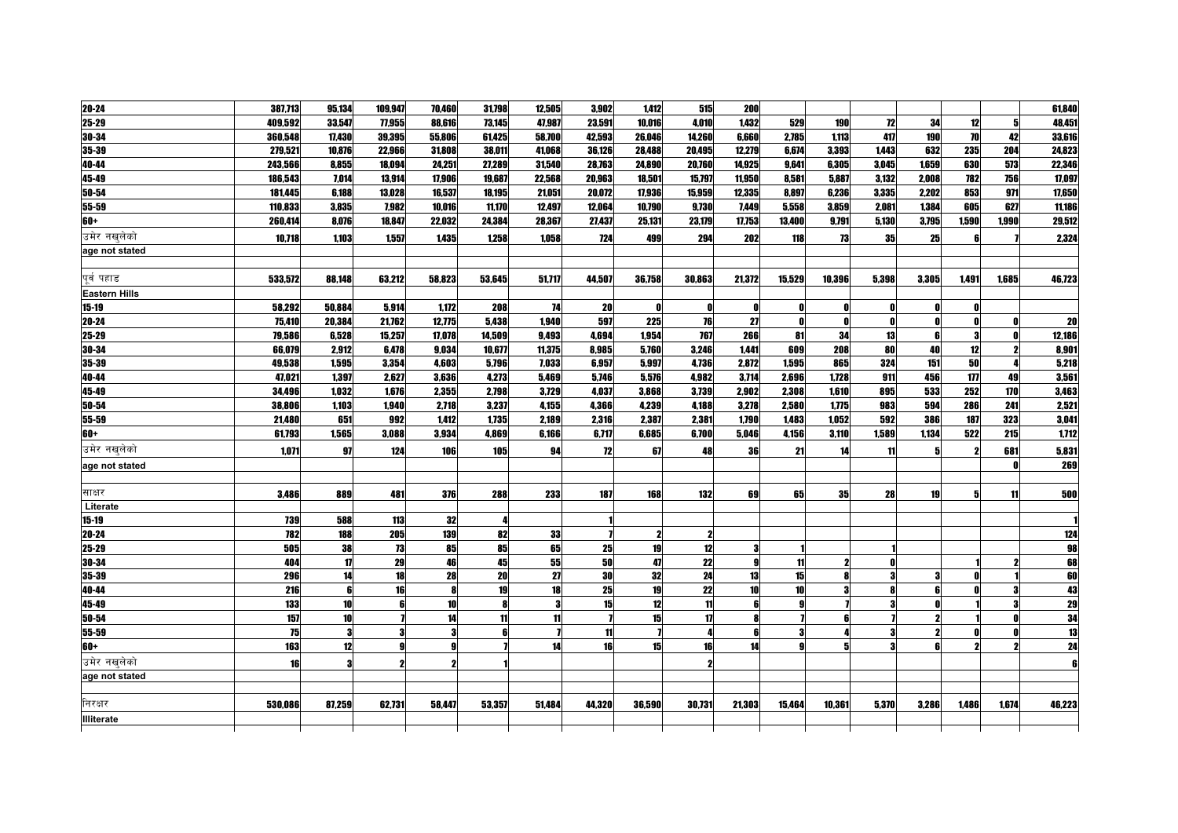| 20-24                | 387,713 | 95,134 | 109,947 | 70,460 | 31,798 | 12,505 | 3,902     | 1,412  | 515    | <b>200</b>      |        |        |       |       |       |       | 61,840          |
|----------------------|---------|--------|---------|--------|--------|--------|-----------|--------|--------|-----------------|--------|--------|-------|-------|-------|-------|-----------------|
| 25-29                | 409,592 | 33,547 | 77,955  | 88,616 | 73,145 | 47,987 | 23,591    | 10,016 | 4,010  | 1,432           | 529    | 190    | 72    | 34    | 12    |       | 48,451          |
| 30-34                | 360,548 | 17,430 | 39,395  | 55,806 | 61,425 | 58,700 | 42,593    | 26,046 | 14,260 | 6,660           | 2,785  | 1,113  | 417   | 190   | 70    | 42    | 33,616          |
| 35-39                | 279,521 | 10,876 | 22,966  | 31,808 | 38,011 | 41,068 | 36,126    | 28,488 | 20,495 | 12,279          | 6.674  | 3,393  | 1.443 | 632   | 235   | 204   | 24,823          |
| 40-44                | 243,566 | 8,855  | 18,094  | 24,251 | 27,289 | 31,540 | 28,763    | 24,890 | 20,760 | 14,925          | 9,641  | 6,305  | 3.045 | 1,659 | 630   | 573   | 22,346          |
| 45-49                | 186,543 | 7,014  | 13,914  | 17,906 | 19,687 | 22,568 | 20,963    | 18,501 | 15,797 | 11,950          | 8,581  | 5,887  | 3,132 | 2,008 | 782   | 756   | 17,097          |
| 50-54                | 181,445 | 6,188  | 13.028  | 16,537 | 18,195 | 21,051 | 20,072    | 17,936 | 15,959 | 12,335          | 8.897  | 6,236  | 3,335 | 2,202 | 853   | 971   | 17,650          |
| 55-59                | 110,833 | 3,835  | 7.982   | 10.016 | 11,170 | 12.497 | 12,064    | 10,790 | 9,730  | 7,449           | 5,558  | 3,859  | 2.081 | 1.384 | 605   | 627   | 11,186          |
| 60+                  | 260,414 | 8,076  | 18,847  | 22,032 | 24,384 | 28,367 | 27,437    | 25,131 | 23,179 | 17,753          | 13,400 | 9,791  | 5,130 | 3,795 | 1,590 | 1.990 | 29,512          |
| उमेर नखलेको          | 10,718  | 1,103  | 1,557   | 1,435  | 1,258  | 1.058  | 724       | 499    | 294    | 202             | 118    | 73     | 35    | 25    |       |       | 2,324           |
| age not stated       |         |        |         |        |        |        |           |        |        |                 |        |        |       |       |       |       |                 |
|                      |         |        |         |        |        |        |           |        |        |                 |        |        |       |       |       |       |                 |
| पर्व पहाड            | 533.572 | 88.148 | 63.212  | 58,823 | 53,645 | 51,717 | 44,507    | 36,758 | 30,863 | 21,372          | 15.529 | 10,396 | 5,398 | 3.305 | 1.491 | 1.685 | 46,723          |
| <b>Eastern Hills</b> |         |        |         |        |        |        |           |        |        |                 |        |        |       |       |       |       |                 |
| $15 - 19$            | 58,292  | 50,884 | 5,914   | 1,172  | 208    | 74     | 20        |        |        | Ω               |        |        |       |       |       |       |                 |
| 20-24                | 75,410  | 20,384 | 21,762  | 12,775 | 5,438  | 1,940  | 597       | 225    | 76     | 27              | n      |        | - 0   |       |       |       | 20              |
| 25-29                | 79,586  | 6,528  | 15,257  | 17,078 | 14,509 | 9,493  | 4,694     | 1,954  | 767    | 266             | 81     | 34     | 13    |       | 3     |       | 12,186          |
| 30-34                | 66,079  | 2,912  | 6,478   | 9,034  | 10,677 | 11,375 | 8,985     | 5,760  | 3,246  | 1,441           | 609    | 208    | 80    | 40    | 12    |       | 8,901           |
| 35-39                | 49,538  | 1,595  | 3,354   | 4,603  | 5,796  | 7,033  | 6,957     | 5,997  | 4,736  | 2,872           | 1,595  | 865    | 324   | 151   | 50    |       | 5,218           |
| 40-44                | 47,021  | 1,397  | 2,627   | 3,636  | 4,273  | 5,469  | 5,746     | 5,576  | 4,982  | 3,714           | 2,696  | 1,728  | 911   | 456   | 177   | 49    | 3,561           |
| 45-49                | 34,496  | 1,032  | 1,676   | 2,355  | 2,798  | 3,729  | 4,037     | 3,868  | 3,739  | 2,902           | 2,308  | 1,610  | 895   | 533   | 252   | 170   | 3,463           |
| 50-54                | 38,806  | 1,103  | 1,940   | 2,718  | 3,237  | 4,155  | 4,366     | 4,239  | 4,188  | 3,278           | 2,580  | 1,775  | 983   | 594   | 286   | 241   | 2,521           |
| 55-59                | 21,480  | 651    | 992     | 1,412  | 1,735  | 2,189  | 2,316     | 2,387  | 2,381  | 1,790           | 1,483  | 1,052  | 592   | 386   | 187   | 323   | 3,041           |
| 60+                  | 61,793  | 1,565  | 3,088   | 3,934  | 4,869  | 6,166  | 6,717     | 6,685  | 6,700  | 5,046           | 4,156  | 3,110  | 1,589 | 1,134 | 522   | 215   | 1,712           |
| उमेर नखलेको          | 1,071   | 97     | 124     | 106    | 105    | 94     | 12        | 67     | 48     | 36              | 21     | 14     | 11    |       |       | 681   | 5,831           |
| age not stated       |         |        |         |        |        |        |           |        |        |                 |        |        |       |       |       |       | 269             |
|                      |         |        |         |        |        |        |           |        |        |                 |        |        |       |       |       |       |                 |
| साक्षर               | 3,486   | 889    | 481     | 376    | 288    | 233    | 187       | 168    | 132    | 69              | 65     | 35     | 28    | 19    |       | 11    | 500             |
| Literate             |         |        |         |        |        |        |           |        |        |                 |        |        |       |       |       |       |                 |
| $15 - 19$            | 739     | 588    | 113     | 32     |        |        |           |        |        |                 |        |        |       |       |       |       |                 |
| 20-24                | 782     | 188    | 205     | 139    | 82     | 33     |           |        |        |                 |        |        |       |       |       |       | 124             |
| 25-29                | 505     | 38     | 73      | 85     | 85     | 65     | 25        | 19     | 12     | З               |        |        |       |       |       |       | 98              |
| 30-34                | 404     | 17     | 29      | 46     | 45     | 55     | <b>50</b> | 47     | 22     | $\mathbf{Q}$    | 11     | 2      | O     |       |       |       | 68              |
| 35-39                | 296     | 14     | 18      | 28     | 20     | 27     | 30        | 32     | 24     | 13              | 15     |        |       |       |       |       | 60              |
| 40-44                | 216     | 6      | 16      |        | 19     | 18     | 25        | 19     | 22     | 10 <sup>1</sup> | 10     |        |       |       |       |       | 43              |
| 45-49                | 133     | 10     |         | 10     |        | 3      | 15        | 12     | 11     |                 |        |        |       |       |       |       | 29              |
| 50-54                | 157     | 10     |         | 14     | 11     | 11     |           | 15     | 17     | 8               |        |        |       |       |       |       | $\frac{34}{13}$ |
| 55-59                | 75      | 3      |         |        | R      |        | 11        |        |        | ĥ               |        |        |       |       |       |       |                 |
| 60+                  | 163     | 12     |         |        |        | 14     | 16        | 15     | 16     | 14              |        |        |       |       |       |       | 24              |
| उमेर नखलेको          | 16      | 3      |         |        |        |        |           |        |        |                 |        |        |       |       |       |       |                 |
| age not stated       |         |        |         |        |        |        |           |        |        |                 |        |        |       |       |       |       |                 |
|                      |         |        |         |        |        |        |           |        |        |                 |        |        |       |       |       |       |                 |
| निरक्षर              |         |        |         |        |        |        |           |        |        |                 |        |        |       |       |       |       |                 |
| <b>Illiterate</b>    | 530,086 | 87,259 | 62,731  | 58,447 | 53,357 | 51,484 | 44,320    | 36,590 | 30,731 | 21,303          | 15,464 | 10,361 | 5,370 | 3,286 | 1,486 | 1.674 | 46,223          |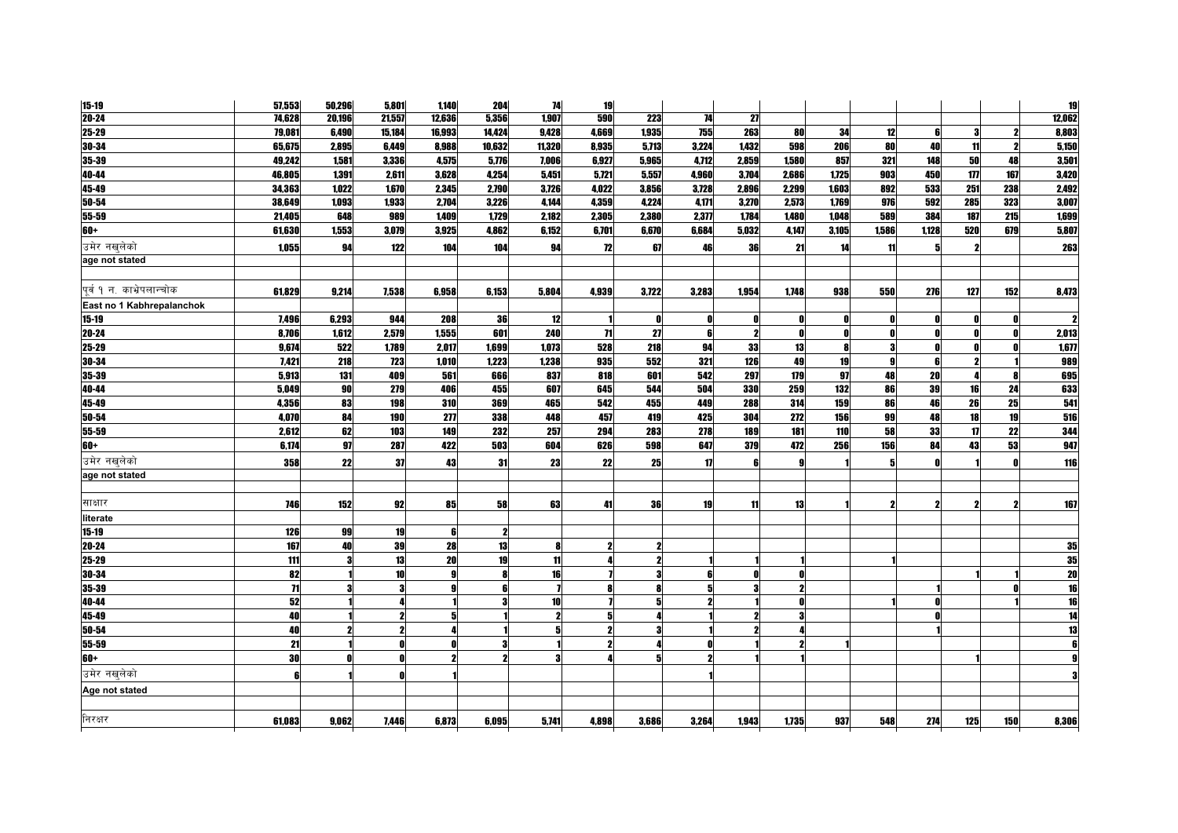| 74,628<br>20,196<br>21,557<br>1,907<br>590<br>223<br>74<br>27<br>1,935<br>755<br>263<br>8,803<br>79,081<br>6,490<br>15,184<br>16,993<br>14.424<br>9.428<br>4,669<br>34<br>12<br>80<br>3<br>3.224<br>1,432<br>80<br>5,150<br>65.675<br>2.895<br>6.449<br>8,988<br>10,632<br>11,320<br>8.935<br>5.713<br>598<br>206<br>40<br>11<br>6,927<br>4.712<br><b>50</b><br>3,501<br>49,242<br>1,581<br>3,336<br>4,575<br>5,776<br>7,006<br>5,965<br>2,859<br>1.580<br>857<br>321<br>148<br>48<br>1,391<br>4.254<br>5.451<br>5,721<br>5.557<br>4.960<br>3.704<br>2.686<br>1.725<br>903<br>450<br>177<br>167<br>3,420<br>46,805<br>2,611<br>3.628<br>2,492<br>34.363<br>1.022<br>1,670<br>2.790<br>3,726<br>4.022<br>3.856<br>3,728<br>2,896<br>1,603<br>892<br>533<br>251<br>2.345<br>2.299<br>238<br>285<br>3,007<br>1,933<br>2,704<br>3,226<br>4,144<br>4,359<br>4,224<br>4,171<br>3,270<br>2,573<br>1,769<br>976<br>592<br>323<br>38,649<br>1,093<br>648<br>989<br>1,409<br>1,729<br>2,182<br>2,305<br>2,380<br>2,377<br>1,784<br>1,480<br>1,048<br>589<br>384<br>187<br>215<br>1,699<br>21,405<br>6,684<br>1,586<br>5,807<br>61,630<br>1,553<br>3,925<br>4,862<br>6,152<br>6,701<br>6,670<br>5,032<br>4,147<br>3,105<br>1,128<br>520<br>679<br>3,079<br>12<br>263<br>1,055<br>94<br>122<br>104<br>104<br>94<br>67<br>46<br>36<br>21<br>14<br>11<br>2<br>276<br>127<br>152<br>8,473<br>61,829<br>9.214<br>7.538<br>6.958<br>6,153<br>5,804<br>4.939<br>3,722<br>3.283<br>1,954<br>1.748<br>938<br>550<br>36<br>12<br>7,496<br>6,293<br>944<br>208<br>n<br>- 0<br>n<br>N<br>П<br>n<br>71<br>27<br>2,579<br>1,555<br>601<br>240<br>2,013<br>8,706<br>1,612<br>,<br>A<br>- 0<br>33<br>1,677<br>9,674<br>522<br>1,789<br>2,017<br>1,699<br>1,073<br>528<br>218<br>94<br>13<br>-3<br>Λ<br>Λ<br>8<br>1,238<br>552<br>321<br>126<br>49<br>989<br>7.421<br>218<br>723<br>1.010<br>1,223<br>935<br>19<br>9<br>97<br>601<br>542<br>297<br>179<br>48<br>695<br>5,913<br>131<br>409<br>561<br>666<br>837<br>818<br>20<br>633<br>90<br>279<br>504<br>330<br>132<br>86<br>39<br>24<br>5.049<br>406<br>455<br>607<br>645<br>544<br>259<br>16<br>541<br>26<br>25<br>4.356<br>83<br>369<br>465<br>542<br>455<br>449<br>288<br>159<br>86<br>46<br>198<br>310<br>314<br>19<br>516<br>84<br>277<br>338<br>457<br>425<br>304<br>156<br>99<br>48<br>18<br>4,070<br>190<br>448<br>419<br>272<br>22<br>344<br>62<br>103<br>232<br>257<br>294<br>283<br>278<br>189<br>181<br>58<br>33<br>17<br>2,612<br>149<br>110<br>947<br>156<br>43<br>53<br>6,174<br>97<br>287<br>422<br>503<br>604<br>626<br>598<br>647<br>379<br>256<br>84<br>472<br>22<br>116<br>358<br>22<br>31<br>23<br>25<br>17<br>37<br>43<br>5<br>R<br>167<br>746<br>152<br>58<br>63<br>92<br>85<br>41<br>36<br>19<br>11<br>13<br>$\overline{\mathbf{z}}$<br>126<br>99<br>19<br>ß<br>13<br>35<br>167<br>40<br>39<br>28<br>2<br>Я<br>35<br>111<br>13<br>20<br>19<br>11<br>$\overline{20}$<br>82<br>10<br>16<br>8<br>Λ<br>$\overline{\mathbf{16}}$<br>35-39<br>$\overline{11}$<br>16<br>52<br>10<br>3<br>$\overline{14}$<br>40<br>5<br>2<br>$50 - 54$<br>$\overline{13}$<br>40<br>$\boldsymbol{\eta}$<br>21<br>2<br>3<br>30<br>3<br>2<br>Д<br>6<br>274<br>125<br>150<br>8,306<br>61.083<br>6,873<br>6,095<br>5,741<br>4.898<br>3.264<br>1.943<br>1,735<br>937<br>9.062<br>7.446<br>3,686<br>548 | $15 - 19$                 | 57,553 | 50,296 | 5,801 | 1,140  | 204   | 74 | 19 |  |  |  |  | <b>19</b> |
|-------------------------------------------------------------------------------------------------------------------------------------------------------------------------------------------------------------------------------------------------------------------------------------------------------------------------------------------------------------------------------------------------------------------------------------------------------------------------------------------------------------------------------------------------------------------------------------------------------------------------------------------------------------------------------------------------------------------------------------------------------------------------------------------------------------------------------------------------------------------------------------------------------------------------------------------------------------------------------------------------------------------------------------------------------------------------------------------------------------------------------------------------------------------------------------------------------------------------------------------------------------------------------------------------------------------------------------------------------------------------------------------------------------------------------------------------------------------------------------------------------------------------------------------------------------------------------------------------------------------------------------------------------------------------------------------------------------------------------------------------------------------------------------------------------------------------------------------------------------------------------------------------------------------------------------------------------------------------------------------------------------------------------------------------------------------------------------------------------------------------------------------------------------------------------------------------------------------------------------------------------------------------------------------------------------------------------------------------------------------------------------------------------------------------------------------------------------------------------------------------------------------------------------------------------------------------------------------------------------------------------------------------------------------------------------------------------------------------------------------------------------------------------------------------------------------------------------------------------------------------------------------------------------------------------------------------------------------------------------------------------------------------------------------------------------------------------------------------------------------------------------------------------------------------------------------------------------------------------------------------------------------------------------------------------------------------|---------------------------|--------|--------|-------|--------|-------|----|----|--|--|--|--|-----------|
|                                                                                                                                                                                                                                                                                                                                                                                                                                                                                                                                                                                                                                                                                                                                                                                                                                                                                                                                                                                                                                                                                                                                                                                                                                                                                                                                                                                                                                                                                                                                                                                                                                                                                                                                                                                                                                                                                                                                                                                                                                                                                                                                                                                                                                                                                                                                                                                                                                                                                                                                                                                                                                                                                                                                                                                                                                                                                                                                                                                                                                                                                                                                                                                                                                                                                                                         | $20 - 24$                 |        |        |       | 12,636 | 5,356 |    |    |  |  |  |  | 12,062    |
|                                                                                                                                                                                                                                                                                                                                                                                                                                                                                                                                                                                                                                                                                                                                                                                                                                                                                                                                                                                                                                                                                                                                                                                                                                                                                                                                                                                                                                                                                                                                                                                                                                                                                                                                                                                                                                                                                                                                                                                                                                                                                                                                                                                                                                                                                                                                                                                                                                                                                                                                                                                                                                                                                                                                                                                                                                                                                                                                                                                                                                                                                                                                                                                                                                                                                                                         | 25-29                     |        |        |       |        |       |    |    |  |  |  |  |           |
|                                                                                                                                                                                                                                                                                                                                                                                                                                                                                                                                                                                                                                                                                                                                                                                                                                                                                                                                                                                                                                                                                                                                                                                                                                                                                                                                                                                                                                                                                                                                                                                                                                                                                                                                                                                                                                                                                                                                                                                                                                                                                                                                                                                                                                                                                                                                                                                                                                                                                                                                                                                                                                                                                                                                                                                                                                                                                                                                                                                                                                                                                                                                                                                                                                                                                                                         | 30-34                     |        |        |       |        |       |    |    |  |  |  |  |           |
|                                                                                                                                                                                                                                                                                                                                                                                                                                                                                                                                                                                                                                                                                                                                                                                                                                                                                                                                                                                                                                                                                                                                                                                                                                                                                                                                                                                                                                                                                                                                                                                                                                                                                                                                                                                                                                                                                                                                                                                                                                                                                                                                                                                                                                                                                                                                                                                                                                                                                                                                                                                                                                                                                                                                                                                                                                                                                                                                                                                                                                                                                                                                                                                                                                                                                                                         | 35-39                     |        |        |       |        |       |    |    |  |  |  |  |           |
|                                                                                                                                                                                                                                                                                                                                                                                                                                                                                                                                                                                                                                                                                                                                                                                                                                                                                                                                                                                                                                                                                                                                                                                                                                                                                                                                                                                                                                                                                                                                                                                                                                                                                                                                                                                                                                                                                                                                                                                                                                                                                                                                                                                                                                                                                                                                                                                                                                                                                                                                                                                                                                                                                                                                                                                                                                                                                                                                                                                                                                                                                                                                                                                                                                                                                                                         | 40-44                     |        |        |       |        |       |    |    |  |  |  |  |           |
|                                                                                                                                                                                                                                                                                                                                                                                                                                                                                                                                                                                                                                                                                                                                                                                                                                                                                                                                                                                                                                                                                                                                                                                                                                                                                                                                                                                                                                                                                                                                                                                                                                                                                                                                                                                                                                                                                                                                                                                                                                                                                                                                                                                                                                                                                                                                                                                                                                                                                                                                                                                                                                                                                                                                                                                                                                                                                                                                                                                                                                                                                                                                                                                                                                                                                                                         | 45-49                     |        |        |       |        |       |    |    |  |  |  |  |           |
|                                                                                                                                                                                                                                                                                                                                                                                                                                                                                                                                                                                                                                                                                                                                                                                                                                                                                                                                                                                                                                                                                                                                                                                                                                                                                                                                                                                                                                                                                                                                                                                                                                                                                                                                                                                                                                                                                                                                                                                                                                                                                                                                                                                                                                                                                                                                                                                                                                                                                                                                                                                                                                                                                                                                                                                                                                                                                                                                                                                                                                                                                                                                                                                                                                                                                                                         | 50-54                     |        |        |       |        |       |    |    |  |  |  |  |           |
|                                                                                                                                                                                                                                                                                                                                                                                                                                                                                                                                                                                                                                                                                                                                                                                                                                                                                                                                                                                                                                                                                                                                                                                                                                                                                                                                                                                                                                                                                                                                                                                                                                                                                                                                                                                                                                                                                                                                                                                                                                                                                                                                                                                                                                                                                                                                                                                                                                                                                                                                                                                                                                                                                                                                                                                                                                                                                                                                                                                                                                                                                                                                                                                                                                                                                                                         | 55-59                     |        |        |       |        |       |    |    |  |  |  |  |           |
|                                                                                                                                                                                                                                                                                                                                                                                                                                                                                                                                                                                                                                                                                                                                                                                                                                                                                                                                                                                                                                                                                                                                                                                                                                                                                                                                                                                                                                                                                                                                                                                                                                                                                                                                                                                                                                                                                                                                                                                                                                                                                                                                                                                                                                                                                                                                                                                                                                                                                                                                                                                                                                                                                                                                                                                                                                                                                                                                                                                                                                                                                                                                                                                                                                                                                                                         | 60+                       |        |        |       |        |       |    |    |  |  |  |  |           |
|                                                                                                                                                                                                                                                                                                                                                                                                                                                                                                                                                                                                                                                                                                                                                                                                                                                                                                                                                                                                                                                                                                                                                                                                                                                                                                                                                                                                                                                                                                                                                                                                                                                                                                                                                                                                                                                                                                                                                                                                                                                                                                                                                                                                                                                                                                                                                                                                                                                                                                                                                                                                                                                                                                                                                                                                                                                                                                                                                                                                                                                                                                                                                                                                                                                                                                                         | उमेर नखलेको               |        |        |       |        |       |    |    |  |  |  |  |           |
|                                                                                                                                                                                                                                                                                                                                                                                                                                                                                                                                                                                                                                                                                                                                                                                                                                                                                                                                                                                                                                                                                                                                                                                                                                                                                                                                                                                                                                                                                                                                                                                                                                                                                                                                                                                                                                                                                                                                                                                                                                                                                                                                                                                                                                                                                                                                                                                                                                                                                                                                                                                                                                                                                                                                                                                                                                                                                                                                                                                                                                                                                                                                                                                                                                                                                                                         | age not stated            |        |        |       |        |       |    |    |  |  |  |  |           |
|                                                                                                                                                                                                                                                                                                                                                                                                                                                                                                                                                                                                                                                                                                                                                                                                                                                                                                                                                                                                                                                                                                                                                                                                                                                                                                                                                                                                                                                                                                                                                                                                                                                                                                                                                                                                                                                                                                                                                                                                                                                                                                                                                                                                                                                                                                                                                                                                                                                                                                                                                                                                                                                                                                                                                                                                                                                                                                                                                                                                                                                                                                                                                                                                                                                                                                                         |                           |        |        |       |        |       |    |    |  |  |  |  |           |
|                                                                                                                                                                                                                                                                                                                                                                                                                                                                                                                                                                                                                                                                                                                                                                                                                                                                                                                                                                                                                                                                                                                                                                                                                                                                                                                                                                                                                                                                                                                                                                                                                                                                                                                                                                                                                                                                                                                                                                                                                                                                                                                                                                                                                                                                                                                                                                                                                                                                                                                                                                                                                                                                                                                                                                                                                                                                                                                                                                                                                                                                                                                                                                                                                                                                                                                         | पर्व १ न. काभ्रेपलान्चोक  |        |        |       |        |       |    |    |  |  |  |  |           |
|                                                                                                                                                                                                                                                                                                                                                                                                                                                                                                                                                                                                                                                                                                                                                                                                                                                                                                                                                                                                                                                                                                                                                                                                                                                                                                                                                                                                                                                                                                                                                                                                                                                                                                                                                                                                                                                                                                                                                                                                                                                                                                                                                                                                                                                                                                                                                                                                                                                                                                                                                                                                                                                                                                                                                                                                                                                                                                                                                                                                                                                                                                                                                                                                                                                                                                                         | East no 1 Kabhrepalanchok |        |        |       |        |       |    |    |  |  |  |  |           |
|                                                                                                                                                                                                                                                                                                                                                                                                                                                                                                                                                                                                                                                                                                                                                                                                                                                                                                                                                                                                                                                                                                                                                                                                                                                                                                                                                                                                                                                                                                                                                                                                                                                                                                                                                                                                                                                                                                                                                                                                                                                                                                                                                                                                                                                                                                                                                                                                                                                                                                                                                                                                                                                                                                                                                                                                                                                                                                                                                                                                                                                                                                                                                                                                                                                                                                                         | $15 - 19$                 |        |        |       |        |       |    |    |  |  |  |  |           |
|                                                                                                                                                                                                                                                                                                                                                                                                                                                                                                                                                                                                                                                                                                                                                                                                                                                                                                                                                                                                                                                                                                                                                                                                                                                                                                                                                                                                                                                                                                                                                                                                                                                                                                                                                                                                                                                                                                                                                                                                                                                                                                                                                                                                                                                                                                                                                                                                                                                                                                                                                                                                                                                                                                                                                                                                                                                                                                                                                                                                                                                                                                                                                                                                                                                                                                                         | 20-24                     |        |        |       |        |       |    |    |  |  |  |  |           |
|                                                                                                                                                                                                                                                                                                                                                                                                                                                                                                                                                                                                                                                                                                                                                                                                                                                                                                                                                                                                                                                                                                                                                                                                                                                                                                                                                                                                                                                                                                                                                                                                                                                                                                                                                                                                                                                                                                                                                                                                                                                                                                                                                                                                                                                                                                                                                                                                                                                                                                                                                                                                                                                                                                                                                                                                                                                                                                                                                                                                                                                                                                                                                                                                                                                                                                                         | 25-29                     |        |        |       |        |       |    |    |  |  |  |  |           |
|                                                                                                                                                                                                                                                                                                                                                                                                                                                                                                                                                                                                                                                                                                                                                                                                                                                                                                                                                                                                                                                                                                                                                                                                                                                                                                                                                                                                                                                                                                                                                                                                                                                                                                                                                                                                                                                                                                                                                                                                                                                                                                                                                                                                                                                                                                                                                                                                                                                                                                                                                                                                                                                                                                                                                                                                                                                                                                                                                                                                                                                                                                                                                                                                                                                                                                                         | 30-34                     |        |        |       |        |       |    |    |  |  |  |  |           |
|                                                                                                                                                                                                                                                                                                                                                                                                                                                                                                                                                                                                                                                                                                                                                                                                                                                                                                                                                                                                                                                                                                                                                                                                                                                                                                                                                                                                                                                                                                                                                                                                                                                                                                                                                                                                                                                                                                                                                                                                                                                                                                                                                                                                                                                                                                                                                                                                                                                                                                                                                                                                                                                                                                                                                                                                                                                                                                                                                                                                                                                                                                                                                                                                                                                                                                                         | 35-39                     |        |        |       |        |       |    |    |  |  |  |  |           |
|                                                                                                                                                                                                                                                                                                                                                                                                                                                                                                                                                                                                                                                                                                                                                                                                                                                                                                                                                                                                                                                                                                                                                                                                                                                                                                                                                                                                                                                                                                                                                                                                                                                                                                                                                                                                                                                                                                                                                                                                                                                                                                                                                                                                                                                                                                                                                                                                                                                                                                                                                                                                                                                                                                                                                                                                                                                                                                                                                                                                                                                                                                                                                                                                                                                                                                                         | 40-44                     |        |        |       |        |       |    |    |  |  |  |  |           |
|                                                                                                                                                                                                                                                                                                                                                                                                                                                                                                                                                                                                                                                                                                                                                                                                                                                                                                                                                                                                                                                                                                                                                                                                                                                                                                                                                                                                                                                                                                                                                                                                                                                                                                                                                                                                                                                                                                                                                                                                                                                                                                                                                                                                                                                                                                                                                                                                                                                                                                                                                                                                                                                                                                                                                                                                                                                                                                                                                                                                                                                                                                                                                                                                                                                                                                                         | 45-49                     |        |        |       |        |       |    |    |  |  |  |  |           |
|                                                                                                                                                                                                                                                                                                                                                                                                                                                                                                                                                                                                                                                                                                                                                                                                                                                                                                                                                                                                                                                                                                                                                                                                                                                                                                                                                                                                                                                                                                                                                                                                                                                                                                                                                                                                                                                                                                                                                                                                                                                                                                                                                                                                                                                                                                                                                                                                                                                                                                                                                                                                                                                                                                                                                                                                                                                                                                                                                                                                                                                                                                                                                                                                                                                                                                                         | 50-54                     |        |        |       |        |       |    |    |  |  |  |  |           |
|                                                                                                                                                                                                                                                                                                                                                                                                                                                                                                                                                                                                                                                                                                                                                                                                                                                                                                                                                                                                                                                                                                                                                                                                                                                                                                                                                                                                                                                                                                                                                                                                                                                                                                                                                                                                                                                                                                                                                                                                                                                                                                                                                                                                                                                                                                                                                                                                                                                                                                                                                                                                                                                                                                                                                                                                                                                                                                                                                                                                                                                                                                                                                                                                                                                                                                                         | 55-59                     |        |        |       |        |       |    |    |  |  |  |  |           |
|                                                                                                                                                                                                                                                                                                                                                                                                                                                                                                                                                                                                                                                                                                                                                                                                                                                                                                                                                                                                                                                                                                                                                                                                                                                                                                                                                                                                                                                                                                                                                                                                                                                                                                                                                                                                                                                                                                                                                                                                                                                                                                                                                                                                                                                                                                                                                                                                                                                                                                                                                                                                                                                                                                                                                                                                                                                                                                                                                                                                                                                                                                                                                                                                                                                                                                                         | 60+                       |        |        |       |        |       |    |    |  |  |  |  |           |
|                                                                                                                                                                                                                                                                                                                                                                                                                                                                                                                                                                                                                                                                                                                                                                                                                                                                                                                                                                                                                                                                                                                                                                                                                                                                                                                                                                                                                                                                                                                                                                                                                                                                                                                                                                                                                                                                                                                                                                                                                                                                                                                                                                                                                                                                                                                                                                                                                                                                                                                                                                                                                                                                                                                                                                                                                                                                                                                                                                                                                                                                                                                                                                                                                                                                                                                         | उमेर नखलेको               |        |        |       |        |       |    |    |  |  |  |  |           |
|                                                                                                                                                                                                                                                                                                                                                                                                                                                                                                                                                                                                                                                                                                                                                                                                                                                                                                                                                                                                                                                                                                                                                                                                                                                                                                                                                                                                                                                                                                                                                                                                                                                                                                                                                                                                                                                                                                                                                                                                                                                                                                                                                                                                                                                                                                                                                                                                                                                                                                                                                                                                                                                                                                                                                                                                                                                                                                                                                                                                                                                                                                                                                                                                                                                                                                                         | age not stated            |        |        |       |        |       |    |    |  |  |  |  |           |
|                                                                                                                                                                                                                                                                                                                                                                                                                                                                                                                                                                                                                                                                                                                                                                                                                                                                                                                                                                                                                                                                                                                                                                                                                                                                                                                                                                                                                                                                                                                                                                                                                                                                                                                                                                                                                                                                                                                                                                                                                                                                                                                                                                                                                                                                                                                                                                                                                                                                                                                                                                                                                                                                                                                                                                                                                                                                                                                                                                                                                                                                                                                                                                                                                                                                                                                         |                           |        |        |       |        |       |    |    |  |  |  |  |           |
|                                                                                                                                                                                                                                                                                                                                                                                                                                                                                                                                                                                                                                                                                                                                                                                                                                                                                                                                                                                                                                                                                                                                                                                                                                                                                                                                                                                                                                                                                                                                                                                                                                                                                                                                                                                                                                                                                                                                                                                                                                                                                                                                                                                                                                                                                                                                                                                                                                                                                                                                                                                                                                                                                                                                                                                                                                                                                                                                                                                                                                                                                                                                                                                                                                                                                                                         | साक्षार                   |        |        |       |        |       |    |    |  |  |  |  |           |
|                                                                                                                                                                                                                                                                                                                                                                                                                                                                                                                                                                                                                                                                                                                                                                                                                                                                                                                                                                                                                                                                                                                                                                                                                                                                                                                                                                                                                                                                                                                                                                                                                                                                                                                                                                                                                                                                                                                                                                                                                                                                                                                                                                                                                                                                                                                                                                                                                                                                                                                                                                                                                                                                                                                                                                                                                                                                                                                                                                                                                                                                                                                                                                                                                                                                                                                         | literate                  |        |        |       |        |       |    |    |  |  |  |  |           |
|                                                                                                                                                                                                                                                                                                                                                                                                                                                                                                                                                                                                                                                                                                                                                                                                                                                                                                                                                                                                                                                                                                                                                                                                                                                                                                                                                                                                                                                                                                                                                                                                                                                                                                                                                                                                                                                                                                                                                                                                                                                                                                                                                                                                                                                                                                                                                                                                                                                                                                                                                                                                                                                                                                                                                                                                                                                                                                                                                                                                                                                                                                                                                                                                                                                                                                                         | $15-19$                   |        |        |       |        |       |    |    |  |  |  |  |           |
|                                                                                                                                                                                                                                                                                                                                                                                                                                                                                                                                                                                                                                                                                                                                                                                                                                                                                                                                                                                                                                                                                                                                                                                                                                                                                                                                                                                                                                                                                                                                                                                                                                                                                                                                                                                                                                                                                                                                                                                                                                                                                                                                                                                                                                                                                                                                                                                                                                                                                                                                                                                                                                                                                                                                                                                                                                                                                                                                                                                                                                                                                                                                                                                                                                                                                                                         | $20 - 24$                 |        |        |       |        |       |    |    |  |  |  |  |           |
|                                                                                                                                                                                                                                                                                                                                                                                                                                                                                                                                                                                                                                                                                                                                                                                                                                                                                                                                                                                                                                                                                                                                                                                                                                                                                                                                                                                                                                                                                                                                                                                                                                                                                                                                                                                                                                                                                                                                                                                                                                                                                                                                                                                                                                                                                                                                                                                                                                                                                                                                                                                                                                                                                                                                                                                                                                                                                                                                                                                                                                                                                                                                                                                                                                                                                                                         | 25-29                     |        |        |       |        |       |    |    |  |  |  |  |           |
|                                                                                                                                                                                                                                                                                                                                                                                                                                                                                                                                                                                                                                                                                                                                                                                                                                                                                                                                                                                                                                                                                                                                                                                                                                                                                                                                                                                                                                                                                                                                                                                                                                                                                                                                                                                                                                                                                                                                                                                                                                                                                                                                                                                                                                                                                                                                                                                                                                                                                                                                                                                                                                                                                                                                                                                                                                                                                                                                                                                                                                                                                                                                                                                                                                                                                                                         | 30-34                     |        |        |       |        |       |    |    |  |  |  |  |           |
|                                                                                                                                                                                                                                                                                                                                                                                                                                                                                                                                                                                                                                                                                                                                                                                                                                                                                                                                                                                                                                                                                                                                                                                                                                                                                                                                                                                                                                                                                                                                                                                                                                                                                                                                                                                                                                                                                                                                                                                                                                                                                                                                                                                                                                                                                                                                                                                                                                                                                                                                                                                                                                                                                                                                                                                                                                                                                                                                                                                                                                                                                                                                                                                                                                                                                                                         |                           |        |        |       |        |       |    |    |  |  |  |  |           |
|                                                                                                                                                                                                                                                                                                                                                                                                                                                                                                                                                                                                                                                                                                                                                                                                                                                                                                                                                                                                                                                                                                                                                                                                                                                                                                                                                                                                                                                                                                                                                                                                                                                                                                                                                                                                                                                                                                                                                                                                                                                                                                                                                                                                                                                                                                                                                                                                                                                                                                                                                                                                                                                                                                                                                                                                                                                                                                                                                                                                                                                                                                                                                                                                                                                                                                                         | 40-44                     |        |        |       |        |       |    |    |  |  |  |  |           |
|                                                                                                                                                                                                                                                                                                                                                                                                                                                                                                                                                                                                                                                                                                                                                                                                                                                                                                                                                                                                                                                                                                                                                                                                                                                                                                                                                                                                                                                                                                                                                                                                                                                                                                                                                                                                                                                                                                                                                                                                                                                                                                                                                                                                                                                                                                                                                                                                                                                                                                                                                                                                                                                                                                                                                                                                                                                                                                                                                                                                                                                                                                                                                                                                                                                                                                                         | 45-49                     |        |        |       |        |       |    |    |  |  |  |  |           |
|                                                                                                                                                                                                                                                                                                                                                                                                                                                                                                                                                                                                                                                                                                                                                                                                                                                                                                                                                                                                                                                                                                                                                                                                                                                                                                                                                                                                                                                                                                                                                                                                                                                                                                                                                                                                                                                                                                                                                                                                                                                                                                                                                                                                                                                                                                                                                                                                                                                                                                                                                                                                                                                                                                                                                                                                                                                                                                                                                                                                                                                                                                                                                                                                                                                                                                                         |                           |        |        |       |        |       |    |    |  |  |  |  |           |
|                                                                                                                                                                                                                                                                                                                                                                                                                                                                                                                                                                                                                                                                                                                                                                                                                                                                                                                                                                                                                                                                                                                                                                                                                                                                                                                                                                                                                                                                                                                                                                                                                                                                                                                                                                                                                                                                                                                                                                                                                                                                                                                                                                                                                                                                                                                                                                                                                                                                                                                                                                                                                                                                                                                                                                                                                                                                                                                                                                                                                                                                                                                                                                                                                                                                                                                         | 55-59                     |        |        |       |        |       |    |    |  |  |  |  |           |
|                                                                                                                                                                                                                                                                                                                                                                                                                                                                                                                                                                                                                                                                                                                                                                                                                                                                                                                                                                                                                                                                                                                                                                                                                                                                                                                                                                                                                                                                                                                                                                                                                                                                                                                                                                                                                                                                                                                                                                                                                                                                                                                                                                                                                                                                                                                                                                                                                                                                                                                                                                                                                                                                                                                                                                                                                                                                                                                                                                                                                                                                                                                                                                                                                                                                                                                         | 60+                       |        |        |       |        |       |    |    |  |  |  |  |           |
|                                                                                                                                                                                                                                                                                                                                                                                                                                                                                                                                                                                                                                                                                                                                                                                                                                                                                                                                                                                                                                                                                                                                                                                                                                                                                                                                                                                                                                                                                                                                                                                                                                                                                                                                                                                                                                                                                                                                                                                                                                                                                                                                                                                                                                                                                                                                                                                                                                                                                                                                                                                                                                                                                                                                                                                                                                                                                                                                                                                                                                                                                                                                                                                                                                                                                                                         | उमेर नखुलेको              |        |        |       |        |       |    |    |  |  |  |  |           |
|                                                                                                                                                                                                                                                                                                                                                                                                                                                                                                                                                                                                                                                                                                                                                                                                                                                                                                                                                                                                                                                                                                                                                                                                                                                                                                                                                                                                                                                                                                                                                                                                                                                                                                                                                                                                                                                                                                                                                                                                                                                                                                                                                                                                                                                                                                                                                                                                                                                                                                                                                                                                                                                                                                                                                                                                                                                                                                                                                                                                                                                                                                                                                                                                                                                                                                                         | Age not stated            |        |        |       |        |       |    |    |  |  |  |  |           |
|                                                                                                                                                                                                                                                                                                                                                                                                                                                                                                                                                                                                                                                                                                                                                                                                                                                                                                                                                                                                                                                                                                                                                                                                                                                                                                                                                                                                                                                                                                                                                                                                                                                                                                                                                                                                                                                                                                                                                                                                                                                                                                                                                                                                                                                                                                                                                                                                                                                                                                                                                                                                                                                                                                                                                                                                                                                                                                                                                                                                                                                                                                                                                                                                                                                                                                                         |                           |        |        |       |        |       |    |    |  |  |  |  |           |
|                                                                                                                                                                                                                                                                                                                                                                                                                                                                                                                                                                                                                                                                                                                                                                                                                                                                                                                                                                                                                                                                                                                                                                                                                                                                                                                                                                                                                                                                                                                                                                                                                                                                                                                                                                                                                                                                                                                                                                                                                                                                                                                                                                                                                                                                                                                                                                                                                                                                                                                                                                                                                                                                                                                                                                                                                                                                                                                                                                                                                                                                                                                                                                                                                                                                                                                         | निरक्षर                   |        |        |       |        |       |    |    |  |  |  |  |           |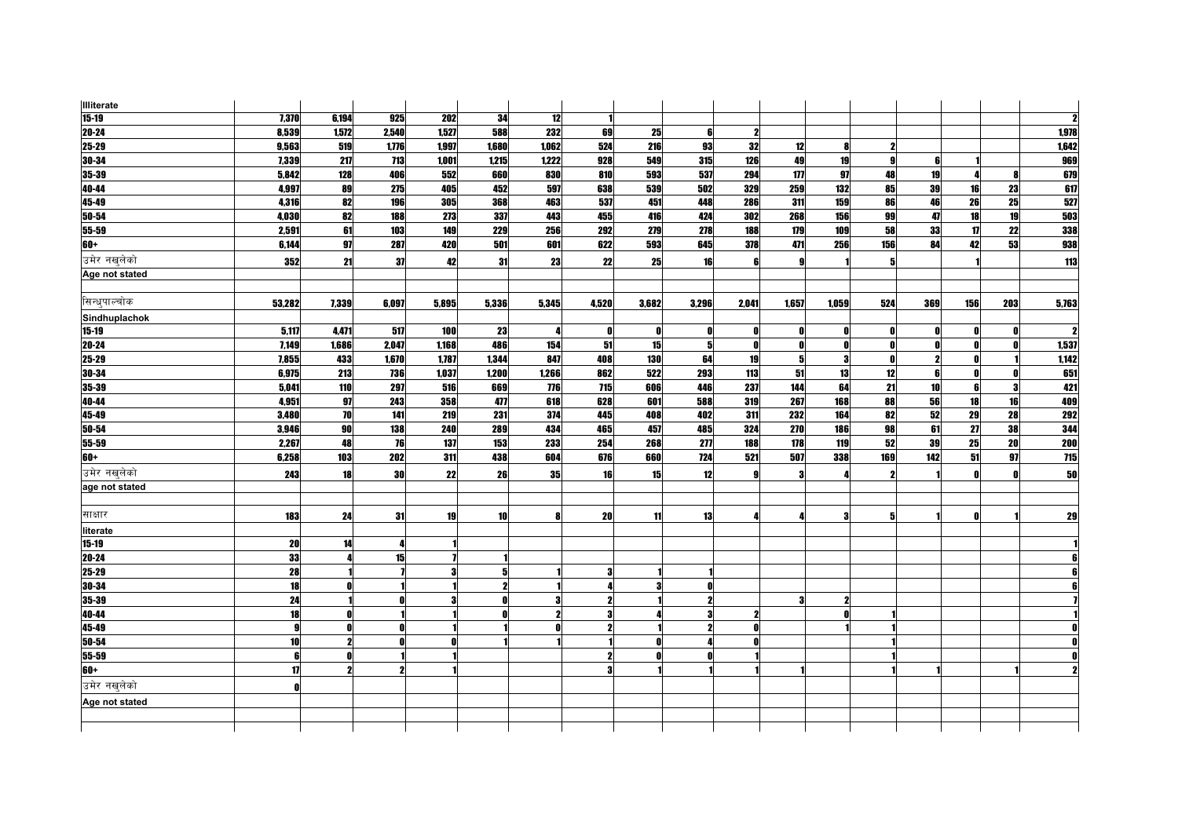| <b>Illiterate</b> |                 |       |       |       |              |       |              |       |       |                     |            |       |                         |     |     |     |       |
|-------------------|-----------------|-------|-------|-------|--------------|-------|--------------|-------|-------|---------------------|------------|-------|-------------------------|-----|-----|-----|-------|
| $15 - 19$         | 7,370           | 6,194 | 925   | 202   | 34           | 12    |              |       |       |                     |            |       |                         |     |     |     |       |
| $20 - 24$         | 8,539           | 1,572 | 2,540 | 1,527 | 588          | 232   | 69           | 25    | 6     | $\boldsymbol{\eta}$ |            |       |                         |     |     |     | 1,978 |
| $25 - 29$         | 9,563           | 519   | 1,776 | 1,997 | 1,680        | 1,062 | 524          | 216   | 93    | 32                  | 12         | 8     |                         |     |     |     | 1,642 |
| 30-34             | 7,339           | 217   | 713   | 1,001 | 1,215        | 1,222 | 928          | 549   | 315   | 126                 | 49         | 19    | -9                      |     |     |     | 969   |
| 35-39             | 5,842           | 128   | 406   | 552   | 660          | 830   | 810          | 593   | 537   | 294                 | 177        | 97    | 48                      | 19  |     |     | 679   |
| 40-44             | 4,997           | 89    | 275   | 405   | 452          | 597   | 638          | 539   | 502   | 329                 | 259        | 132   | 85                      | 39  | 16  | 23  | 617   |
| 45-49             | 4,316           | 82    | 196   | 305   | 368          | 463   | 537          | 451   | 448   | 286                 | 311        | 159   | 86                      | 46  | 26  | 25  | 527   |
| $50 - 54$         | 4,030           | 82    | 188   | 273   | 337          | 443   | 455          | 416   | 424   | 302                 | 268        | 156   | 99                      | 47  | 18  | 19  | 503   |
| 55-59             | 2,591           | 61    | 103   | 149   | 229          | 256   | 292          | 279   | 278   | 188                 | 179        | 109   | 58                      | 33  | 17  | 22  | 338   |
| $60+$             | 6,144           | 97    | 287   | 420   | 501          | 601   | 622          | 593   | 645   | 378                 | 471        | 256   | 156                     | 84  | 42  | 53  | 938   |
| उमेर नखुलेको      | 352             | 21    | 37    | 42    | 31           | 23    | 22           | 25    | 16    | 6                   |            |       | 5                       |     |     |     | 113   |
| Age not stated    |                 |       |       |       |              |       |              |       |       |                     |            |       |                         |     |     |     |       |
|                   |                 |       |       |       |              |       |              |       |       |                     |            |       |                         |     |     |     |       |
| सिन्धपाल्चोक      | 53,282          | 7,339 | 6,097 | 5,895 | 5,336        | 5,345 | 4,520        | 3,682 | 3,296 | 2,041               | 1,657      | 1,059 | 524                     | 369 | 156 | 203 | 5,763 |
| Sindhuplachok     |                 |       |       |       |              |       |              |       |       |                     |            |       |                         |     |     |     |       |
| $15-19$           | 5,117           | 4,471 | 517   | 100   | 23           |       | 0            | O     | Λ     | O                   | n          | n     | 0                       |     | n   |     |       |
| 20-24             | 7,149           | 1,686 | 2,047 | 1,168 | 486          | 154   | 51           | 15    | 5     | O                   | n          | 0     | 0                       |     | O.  |     | 1,537 |
| 25-29             | 7,855           | 433   | 1,670 | 1,787 | 1,344        | 847   | 408          | 130   | 64    | 19                  |            | 3     | $\mathbf{r}$            | 2   |     |     | 1,142 |
| 30-34             | 6,975           | 213   | 736   | 1,037 | 1,200        | 1,266 | 862          | 522   | 293   | 113                 | 51         | 13    | 12                      | ĥ   | n   |     | 651   |
| 35-39             | 5,041           | 110   | 297   | 516   | 669          | 776   | 715          | 606   | 446   | 237                 | 144        | 64    | 21                      | 10  | 6   |     | 421   |
| 40-44             | 4.951           | 97    | 243   | 358   | 477          | 618   | 628          | 601   | 588   | 319                 | 267        | 168   | 88                      | 56  | 18  | 16  | 409   |
| 45-49             | 3,480           | 70    | 141   | 219   | 231          | 374   | 445          | 408   | 402   | 311                 | 232        | 164   | 82                      | 52  | 29  | 28  | 292   |
| 50-54             | 3,946           | 90    | 138   | 240   | 289          | 434   | 465          | 457   | 485   | 324                 | <b>270</b> | 186   | 98                      | 61  | 27  | 38  | 344   |
| 55-59             | 2,267           | 48    | 76    | 137   | 153          | 233   | 254          | 268   | 277   | 188                 | 178        | 119   | 52                      | 39  | 25  | 20  | 200   |
| 60+               | 6,258           | 103   | 202   | 311   | 438          | 604   | 676          | 660   | 724   | 521                 | 507        | 338   | 169                     | 142 | 51  | 97  | 715   |
| उमेर नखलेको       | 243             | 18    | 30    | 22    | 26           | 35    | 16           | 15    | 12    | $\mathbf{g}$        | 3          | Д     | $\overline{\mathbf{z}}$ |     | n   | n   | 50    |
| age not stated    |                 |       |       |       |              |       |              |       |       |                     |            |       |                         |     |     |     |       |
|                   |                 |       |       |       |              |       |              |       |       |                     |            |       |                         |     |     |     |       |
| साक्षार           | 183             | 24    | 31    | 19    | 10           | R     | 20           | 11    | 13    |                     |            | 3     | 5                       |     | n   |     | 29    |
| literate          |                 |       |       |       |              |       |              |       |       |                     |            |       |                         |     |     |     |       |
| $15-19$           | 20              | 14    |       |       |              |       |              |       |       |                     |            |       |                         |     |     |     |       |
| $20 - 24$         | 33              |       | 15    |       |              |       |              |       |       |                     |            |       |                         |     |     |     |       |
| $25 - 29$         | 28              |       |       |       | 5            |       | 3            |       |       |                     |            |       |                         |     |     |     |       |
| 30-34             | 18              |       |       |       | 2            |       | Д            |       |       |                     |            |       |                         |     |     |     |       |
| 35-39             | 24              |       |       |       | $\mathbf{0}$ | 3     | $\mathbf{2}$ |       | 2     |                     |            | 2     |                         |     |     |     |       |
| 40-44             | 18              | Ñ     |       |       | Ω            |       | 3            |       |       | 2                   |            |       |                         |     |     |     |       |
| 45-49             | 9               |       |       |       |              |       | $\mathbf{2}$ |       |       |                     |            |       |                         |     |     |     |       |
| 50-54             | 10 <sup>1</sup> | 2     |       |       |              |       |              |       |       |                     |            |       |                         |     |     |     |       |
| $55 - 59$         | 6               |       |       |       |              |       | $\mathbf{2}$ |       |       |                     |            |       |                         |     |     |     |       |
| $60+$             | 17              | 2     |       |       |              |       | 3            |       |       |                     |            |       |                         |     |     |     |       |
| उमेर नखलेको       | Λ               |       |       |       |              |       |              |       |       |                     |            |       |                         |     |     |     |       |
| Age not stated    |                 |       |       |       |              |       |              |       |       |                     |            |       |                         |     |     |     |       |
|                   |                 |       |       |       |              |       |              |       |       |                     |            |       |                         |     |     |     |       |
|                   |                 |       |       |       |              |       |              |       |       |                     |            |       |                         |     |     |     |       |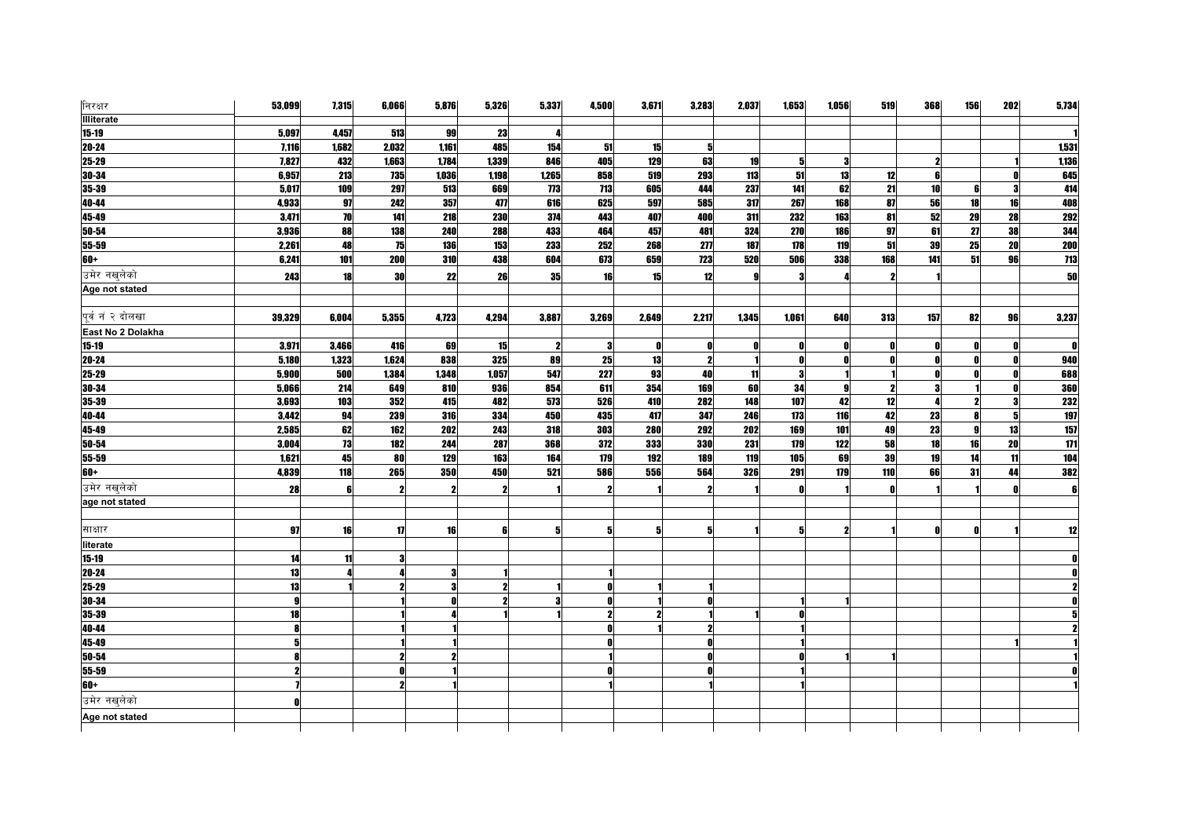| निरक्षर           | 53,099       | 7,315            | 6,066 | 5,876            | 5,326        | 5,337        | 4,500 | 3,671 | 3,283 | 2,037 | 1,653 | 1,056 | 519          | 368        | 156             | 202 | 5,734            |
|-------------------|--------------|------------------|-------|------------------|--------------|--------------|-------|-------|-------|-------|-------|-------|--------------|------------|-----------------|-----|------------------|
| <b>Illiterate</b> |              |                  |       |                  |              |              |       |       |       |       |       |       |              |            |                 |     |                  |
| $15 - 19$         | 5,097        | 4,457            | 513   | 99               | 23           |              |       |       |       |       |       |       |              |            |                 |     |                  |
| $20 - 24$         | 7,116        | 1,682            | 2,032 | 1,161            | 485          | 154          | 51    | 15    |       |       |       |       |              |            |                 |     | 1,531            |
| $25 - 29$         | 7,827        | 432              | 1,663 | 1,784            | 1,339        | 846          | 405   | 129   | 63    | 19    | 51    | 3     |              |            |                 |     | 1,136            |
| $30 - 34$         | 6,957        | 213              | 735   | 1,036            | 1,198        | 1,265        | 858   | 519   | 293   | 113   | 51    | 13    | 12           |            |                 |     | 645              |
| 35-39             | 5,017        | 109              | 297   | 513              | 669          | 773          | 713   | 605   | 444   | 237   | 141   | 62    | 21           | 10         | 6               |     | 414              |
| 40-44             | 4,933        | 97               | 242   | 357              | 477          | 616          | 625   | 597   | 585   | 317   | 267   | 168   | 87           | ${\bf 56}$ | 18              | 16  | 408              |
| $45-49$           | 3,471        | 70               | 141   | $\overline{218}$ | 230          | 374          | 443   | 407   | 400   | 311   | 232   | 163   | 81           | 52         | $\overline{29}$ | 28  | 292              |
| 50-54             | 3,936        | 88               | 138   | <b>240</b>       | 288          | 433          | 464   | 457   | 481   | 324   | 270   | 186   | 97           | 61         | 27              | 38  | 344              |
| 55-59             | 2,261        | 48               | 75    | 136              | 153          | 233          | 252   | 268   | 277   | 187   | 178   | 119   | 51           | 39         | 25              | 20  | 200              |
| $60+$             | 6,241        | $\overline{101}$ | 200   | 310              | 438          | 604          | 673   | 659   | 723   | 520   | 506   | 338   | 168          | 141        | 51              | 96  | $\overline{713}$ |
| उमेर नखुलेको      | 243          | 18               | 30    | 22               | 26           | 35           | 16    | 15    | 12    | g     |       |       | 2            |            |                 |     | 50               |
| Age not stated    |              |                  |       |                  |              |              |       |       |       |       |       |       |              |            |                 |     |                  |
|                   |              |                  |       |                  |              |              |       |       |       |       |       |       |              |            |                 |     |                  |
| पूर्व नं २ दोलखा  | 39,329       | 6,004            | 5,355 | 4,723            | 4,294        | 3,887        | 3,269 | 2,649 | 2,217 | 1,345 | 1,061 | 640   | 313          | 157        | 82              | 96  | 3,237            |
| East No 2 Dolakha |              |                  |       |                  |              |              |       |       |       |       |       |       |              |            |                 |     |                  |
| $15 - 19$         | 3,971        | 3,466            | 416   | 69               | 15           | $\mathbf{2}$ | 3     | 0     |       |       | n     |       | 0            |            |                 |     | $\mathbf{r}$     |
| $20 - 24$         | 5,180        | 1,323            | 1,624 | 838              | 325          | 89           | 25    | 13    | 2     |       |       |       |              |            |                 |     | 940              |
| $25 - 29$         | 5,900        | 500              | 1,384 | 1,348            | 1,057        | 547          | 227   | 93    | 40    | 11    | -3    |       |              |            |                 |     | 688              |
| 30-34             | 5,066        | 214              | 649   | 810              | 936          | 854          | 611   | 354   | 169   | 60    | 34    | 9     | 2            |            |                 |     | <b>360</b>       |
| 35-39             | 3,693        | 103              | 352   | 415              | 482          | 573          | 526   | 410   | 282   | 148   | 107   | 42    | 12           |            |                 |     | <b>232</b>       |
| 40-44             | 3,442        | 94               | 239   | 316              | 334          | 450          | 435   | 417   | 347   | 246   | 173   | 116   | 42           | 23         |                 | 5   | 197              |
| 45-49             | 2,585        | 62               | 162   | 202              | 243          | 318          | 303   | 280   | 292   | 202   | 169   | 101   | 49           | 23         | <b>g</b>        | 13  | 157              |
| $50 - 54$         | 3,004        | 73               | 182   | 244              | 287          | 368          | 372   | 333   | 330   | 231   | 179   | 122   | 58           | 18         | 16              | 20  | $\overline{111}$ |
| 55-59             | 1,621        | 45               | 80    | 129              | 163          | 164          | 179   | 192   | 189   | 119   | 105   | 69    | 39           | 19         | 14              | 11  | 104              |
| $60+$             | 4,839        | 118              | 265   | 350              | 450          | 521          | 586   | 556   | 564   | 326   | 291   | 179   | 110          | 66         | 31              | 44  | 382              |
| उमेर नखुलेको      | 28           | 6                |       |                  | $\mathbf{2}$ |              | ,     |       |       |       |       |       | $\mathbf{r}$ |            |                 |     | ß                |
| age not stated    |              |                  |       |                  |              |              |       |       |       |       |       |       |              |            |                 |     |                  |
|                   |              |                  |       |                  |              |              |       |       |       |       |       |       |              |            |                 |     |                  |
| साक्षार           | 97           | 16               | 17    | 16               | 6            |              |       |       |       |       |       |       |              |            |                 |     | 12               |
| literate          |              |                  |       |                  |              |              |       |       |       |       |       |       |              |            |                 |     |                  |
| $15 - 19$         | 14           | 11               |       |                  |              |              |       |       |       |       |       |       |              |            |                 |     |                  |
| 20-24             | 13           |                  |       |                  |              |              |       |       |       |       |       |       |              |            |                 |     |                  |
| 25-29             | 13           |                  |       |                  |              |              | ß     |       |       |       |       |       |              |            |                 |     |                  |
| $30 - 34$         | $\mathbf{g}$ |                  |       |                  | 2            | 3            | O     |       |       |       |       |       |              |            |                 |     |                  |
| 35-39             | 18           |                  |       |                  |              |              | 2     |       |       |       |       |       |              |            |                 |     |                  |
| 40-44             |              |                  |       |                  |              |              |       |       |       |       |       |       |              |            |                 |     |                  |
| 45-49             |              |                  |       |                  |              |              |       |       |       |       |       |       |              |            |                 |     |                  |
| 50-54             |              |                  |       |                  |              |              |       |       |       |       |       |       |              |            |                 |     |                  |
| 55-59             |              |                  |       |                  |              |              |       |       |       |       |       |       |              |            |                 |     |                  |
| $60+$             |              |                  |       |                  |              |              |       |       |       |       |       |       |              |            |                 |     |                  |
| उमेर नखलेको       | Λ            |                  |       |                  |              |              |       |       |       |       |       |       |              |            |                 |     |                  |
| Age not stated    |              |                  |       |                  |              |              |       |       |       |       |       |       |              |            |                 |     |                  |
|                   |              |                  |       |                  |              |              |       |       |       |       |       |       |              |            |                 |     |                  |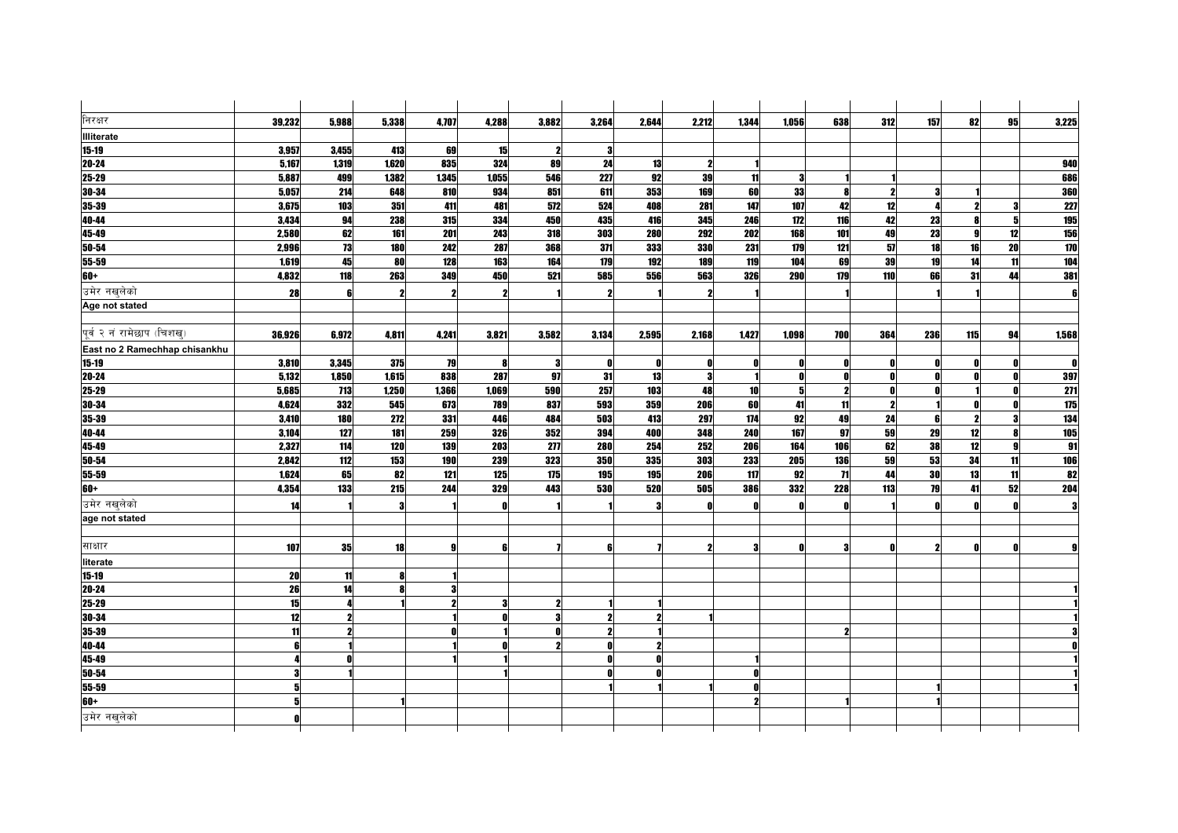| निरक्षर                       | 39,232 | 5,988 | 5,338               | 4,707 | 4,288 | 3,882 | 3,264 | 2,644 | 2,212 | 1,344 | 1.056 | 638             | 312                 | 157 | 82  | 95           | 3,225               |
|-------------------------------|--------|-------|---------------------|-------|-------|-------|-------|-------|-------|-------|-------|-----------------|---------------------|-----|-----|--------------|---------------------|
| <b>Illiterate</b>             |        |       |                     |       |       |       |       |       |       |       |       |                 |                     |     |     |              |                     |
| $15 - 19$                     | 3,957  | 3,455 | 413                 | 69    | 15    | 2     | 3     |       |       |       |       |                 |                     |     |     |              |                     |
| $20 - 24$                     | 5,167  | 1,319 | 1,620               | 835   | 324   | 89    | 24    | 13    | 2     |       |       |                 |                     |     |     |              | 940                 |
| 25-29                         | 5,887  | 499   | 1,382               | 1,345 | 1,055 | 546   | 227   | 92    | 39    | 11    | 3     |                 |                     |     |     |              | 686                 |
| 30-34                         | 5,057  | 214   | 648                 | 810   | 934   | 851   | 611   | 353   | 169   | 60    | 33    | Я               | $\boldsymbol{\eta}$ |     |     |              | 360                 |
| 35-39                         | 3,675  | 103   | 351                 | 411   | 481   | 572   | 524   | 408   | 281   | 147   | 107   | 42              | 12                  |     |     |              | 227                 |
| 40-44                         | 3,434  | 94    | 238                 | 315   | 334   | 450   | 435   | 416   | 345   | 246   | 172   | 116             | 42                  | 23  | R   |              | 195                 |
| $45 - 49$                     | 2,580  | 62    | 161                 | 201   | 243   | 318   | 303   | 280   | 292   | 202   | 168   | 101             | 49                  | 23  | Q   | 12           | <b>156</b>          |
| 50-54                         | 2,996  | 73    | 180                 | 242   | 287   | 368   | 371   | 333   | 330   | 231   | 179   | 121             | 57                  | 18  | 16  | 20           | 170                 |
| 55-59                         | 1,619  | 45    | 80                  | 128   | 163   | 164   | 179   | 192   | 189   | 119   | 104   | 69              | 39                  | 19  | 14  | 11           | 104                 |
| $60+$                         | 4,832  | 118   | 263                 | 349   | 450   | 521   | 585   | 556   | 563   | 326   | 290   | 179             | 110                 | 66  | 31  | 44           | 381                 |
| उमेर नखलेको                   | 28     |       | $\boldsymbol{\eta}$ |       |       |       |       |       | 2     |       |       |                 |                     |     |     |              | 6                   |
| Age not stated                |        |       |                     |       |       |       |       |       |       |       |       |                 |                     |     |     |              |                     |
|                               |        |       |                     |       |       |       |       |       |       |       |       |                 |                     |     |     |              |                     |
| पूर्व २ नं रामेछाप (चिशख्)    | 36,926 | 6,972 | 4.811               | 4.241 | 3,821 | 3,582 | 3,134 | 2,595 | 2,168 | 1.427 | 1.098 | <b>700</b>      | 364                 | 236 | 115 | 94           | 1,568               |
| East no 2 Ramechhap chisankhu |        |       |                     |       |       |       |       |       |       |       |       |                 |                     |     |     |              |                     |
| 15-19                         | 3,810  | 3,345 | 375                 | 79    | -8    | -3    | 0     | 0     | 0     | n     | 0     | n               | 0                   |     |     |              | $\mathbf{r}$        |
| $20 - 24$                     | 5,132  | 1,850 | 1,615               | 838   | 287   | 97    | 31    | 13    | 3     |       |       |                 | $\mathbf{r}$        | Ω   |     |              | 397                 |
| 25-29                         | 5,685  | 713   | 1,250               | 1,366 | 1,069 | 590   | 257   | 103   | 48    | 10    | 5     | 2               | $\mathbf{0}$        |     |     |              | 271                 |
| 30-34                         | 4,624  | 332   | 545                 | 673   | 789   | 837   | 593   | 359   | 206   | 60    | 41    | 11              | $\mathbf{2}$        |     |     |              | 175                 |
| $35 - 39$                     | 3,410  | 180   | 272                 | 331   | 446   | 484   | 503   | 413   | 297   | 174   | 92    | 49              | 24                  |     | 2   |              | 134                 |
| 40-44                         | 3,104  | 127   | 181                 | 259   | 326   | 352   | 394   | 400   | 348   | 240   | 167   | 97              | 59                  | 29  | 12  | R            | 105                 |
| 45-49                         | 2,327  | 114   | 120                 | 139   | 203   | 277   | 280   | 254   | 252   | 206   | 164   | 106             | 62                  | 38  | 12  | $\mathbf{q}$ | 91                  |
| $50 - 54$                     | 2.842  | 112   | 153                 | 190   | 239   | 323   | 350   | 335   | 303   | 233   | 205   | <b>136</b>      | 59                  | 53  | 34  | 11           | 106                 |
| $55 - 59$                     | 1,624  | 65    | 82                  | 121   | 125   | 175   | 195   | 195   | 206   | 117   | 92    | $\overline{11}$ | 44                  | 30  | 13  | 11           | $\overline{\bf 82}$ |
| 60+                           | 4,354  | 133   | 215                 | 244   | 329   | 443   | 530   | 520   | 505   | 386   | 332   | 228             | 113                 | 79  | 41  | 52           | 204                 |
| उमेर नखलेको                   | 14     |       | 3                   |       |       |       |       |       |       |       |       |                 |                     |     |     |              | Я                   |
| age not stated                |        |       |                     |       |       |       |       |       |       |       |       |                 |                     |     |     |              |                     |
|                               |        |       |                     |       |       |       |       |       |       |       |       |                 |                     |     |     |              |                     |
| साक्षार                       | 107    | 35    | 18                  |       | ß     |       |       |       | 2     | я     | Λ     | 3               | $\mathbf{r}$        |     |     |              |                     |
| literate                      |        |       |                     |       |       |       |       |       |       |       |       |                 |                     |     |     |              |                     |
| $15-19$                       | 20     | 11    | 8                   |       |       |       |       |       |       |       |       |                 |                     |     |     |              |                     |
| $20 - 24$                     | 26     | 14    | 8                   |       |       |       |       |       |       |       |       |                 |                     |     |     |              |                     |
| $25 - 29$                     | 15     |       |                     |       | 3     | 2     |       |       |       |       |       |                 |                     |     |     |              |                     |
| 30-34                         | 12     |       |                     |       |       | з     | 2     |       |       |       |       |                 |                     |     |     |              |                     |
| $35 - 39$                     | 11     |       |                     |       |       | ß     | ,     |       |       |       |       | 2               |                     |     |     |              |                     |
| 40-44                         |        |       |                     |       |       |       |       |       |       |       |       |                 |                     |     |     |              |                     |
| $45 - 49$                     |        |       |                     |       |       |       |       |       |       |       |       |                 |                     |     |     |              |                     |
| 50-54                         |        |       |                     |       |       |       |       |       |       |       |       |                 |                     |     |     |              |                     |
| 55-59                         |        |       |                     |       |       |       |       |       |       |       |       |                 |                     |     |     |              |                     |
| $60+$                         |        |       |                     |       |       |       |       |       |       |       |       |                 |                     |     |     |              |                     |
| उमेर नखलेको                   |        |       |                     |       |       |       |       |       |       |       |       |                 |                     |     |     |              |                     |
|                               |        |       |                     |       |       |       |       |       |       |       |       |                 |                     |     |     |              |                     |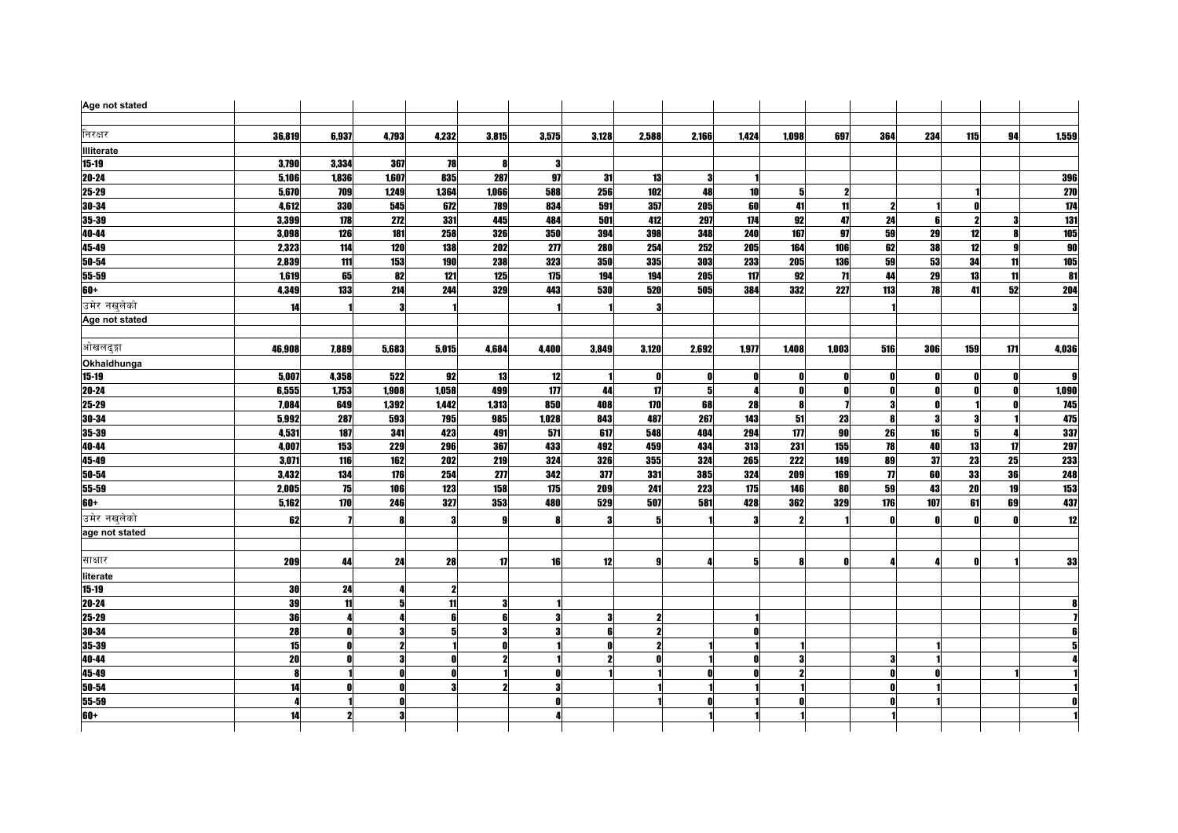| Age not stated    |        |              |       |       |       |       |              |       |       |       |       |              |                |     |     |     |                           |
|-------------------|--------|--------------|-------|-------|-------|-------|--------------|-------|-------|-------|-------|--------------|----------------|-----|-----|-----|---------------------------|
| निरक्षर           | 36,819 | 6,937        | 4,793 | 4,232 | 3,815 | 3,575 | 3,128        | 2,588 | 2,166 | 1,424 | 1,098 | 697          | 364            | 234 | 115 | 94  | 1,559                     |
| <b>Illiterate</b> |        |              |       |       |       |       |              |       |       |       |       |              |                |     |     |     |                           |
| $15 - 19$         | 3,790  | 3,334        | 367   | 78    | -8    | -3    |              |       |       |       |       |              |                |     |     |     |                           |
| 20-24             | 5,106  | 1,836        | 1,607 | 835   | 287   | 97    | 31           | 13    | З     |       |       |              |                |     |     |     | 396                       |
| 25-29             | 5.670  | 709          | 1.249 | 1,364 | 1,066 | 588   | <b>256</b>   | 102   | 48    | 10    |       | 2            |                |     |     |     | 270                       |
| 30-34             | 4,612  | 330          | 545   | 672   | 789   | 834   | 591          | 357   | 205   | 60    | 41    | 11           | 2              |     |     |     | 174                       |
| 35-39             | 3,399  | 178          | 272   | 331   | 445   | 484   | 501          | 412   | 297   | 174   | 92    | 47           | 24             | ĥ   | 2   |     | 131                       |
| 40-44             | 3,098  | 126          | 181   | 258   | 326   | 350   | 394          | 398   | 348   | 240   | 167   | 97           | 59             | 29  | 12  |     | <b>105</b>                |
| 45-49             | 2,323  | 114          | 120   | 138   | 202   | 277   | 280          | 254   | 252   | 205   | 164   | 106          | 62             | 38  | 12  | я   | 90                        |
| 50-54             | 2,839  | 111          | 153   | 190   | 238   | 323   | <b>350</b>   | 335   | 303   | 233   | 205   | 136          | 59             | 53  | 34  | 11  | 105                       |
| 55-59             | 1,619  | 65           | 82    | 121   | 125   | 175   | 194          | 194   | 205   | 117   | 92    | $\mathbf{H}$ | 44             | 29  | 13  | 11  | $\overline{\mathbf{8}}$ 1 |
| $60+$             | 4,349  | 133          | 214   | 244   | 329   | 443   | 530          | 520   | 505   | 384   | 332   | 227          | 113            | 78  | 41  | 52  | 204                       |
| उमेर नखलेको       | 14     |              |       |       |       |       |              | 3     |       |       |       |              |                |     |     |     | Я                         |
| Age not stated    |        |              |       |       |       |       |              |       |       |       |       |              |                |     |     |     |                           |
|                   |        |              |       |       |       |       |              |       |       |       |       |              |                |     |     |     |                           |
| ओखलढुङ्गा         | 46,908 | 7,889        | 5,683 | 5,015 | 4,684 | 4,400 | 3,849        | 3,120 | 2,692 | 1,977 | 1,408 | 1,003        | 516            | 306 | 159 | 171 | 4,036                     |
| Okhaldhunga       |        |              |       |       |       |       |              |       |       |       |       |              |                |     |     |     |                           |
| $15 - 19$         | 5,007  | 4,358        | 522   | 92    | 13    | 12    |              |       |       |       |       |              |                |     |     |     |                           |
| $20 - 24$         | 6,555  | 1,753        | 1,908 | 1,058 | 499   | 177   | 44           | 17    | 51    | Д     |       | 0            | - 0            |     |     |     | 1,090                     |
| 25-29             | 7,084  | 649          | 1,392 | 1,442 | 1,313 | 850   | 408          | 170   | 68    | 28    | R     |              | 3              |     |     |     | 745                       |
| $30 - 34$         | 5,992  | 287          | 593   | 795   | 985   | 1,028 | 843          | 487   | 267   | 143   | 51    | 23           | R              |     |     |     | 475                       |
| 35-39             | 4,531  | 187          | 341   | 423   | 491   | 571   | 617          | 548   | 404   | 294   | 177   | 90           | 26             | 16  | 5   |     | 337                       |
| 40-44             | 4,007  | 153          | 229   | 296   | 367   | 433   | 492          | 459   | 434   | 313   | 231   | 155          | 78             | 40  | 13  | 17  | 297                       |
| 45-49             | 3,071  | <b>116</b>   | 162   | 202   | 219   | 324   | 326          | 355   | 324   | 265   | 222   | 149          | 89             | 37  | 23  | 25  | 233                       |
| $50 - 54$         | 3,432  | 134          | 176   | 254   | 277   | 342   | 377          | 331   | 385   | 324   | 209   | 169          | $\overline{1}$ | 60  | 33  | 36  | 248                       |
| 55-59             | 2,005  | 75           | 106   | 123   | 158   | 175   | 209          | 241   | 223   | 175   | 146   | 80           | 59             | 43  | 20  | 19  | 153                       |
| $60+$             | 5,162  | 170          | 246   | 327   | 353   | 480   | 529          | 507   | 581   | 428   | 362   | 329          | 176            | 107 | 61  | 69  | 437                       |
| उमेर नखलेको       | 62     |              |       |       | g     | 8     | 3            |       |       |       |       |              | $\mathbf{r}$   |     |     |     | 12                        |
| age not stated    |        |              |       |       |       |       |              |       |       |       |       |              |                |     |     |     |                           |
|                   |        |              |       |       |       |       |              |       |       |       |       |              |                |     |     |     |                           |
| साक्षार           | 209    | 44           | 24    | 28    | 17    | 16    | 12           | Q     |       | 5     |       | $\mathbf{r}$ |                |     |     |     | 33                        |
| literate          |        |              |       |       |       |       |              |       |       |       |       |              |                |     |     |     |                           |
| 15-19             | 30     | 24           |       |       |       |       |              |       |       |       |       |              |                |     |     |     |                           |
| 20-24             | 39     | 11           | 5     | 11    | 3     |       |              |       |       |       |       |              |                |     |     |     |                           |
| 25-29             | 36     | 4            |       |       | 6     | 3     | 3            | 7     |       |       |       |              |                |     |     |     |                           |
| 30-34             | 28     | 0            |       |       | 3     | 3     | 6            |       |       |       |       |              |                |     |     |     |                           |
| 35-39             | 15     |              |       |       |       |       | n            |       |       |       |       |              |                |     |     |     |                           |
| 40-44             | 20     | $\mathbf{r}$ | 3     |       | 2     |       | $\mathbf{2}$ |       |       | Λ     |       |              | -3             |     |     |     |                           |
| 45-49             | 8      |              |       |       |       | Λ     |              |       |       |       |       |              | - 0            |     |     |     |                           |
| 50-54             | 14     |              |       |       |       | 3     |              |       |       |       |       |              |                |     |     |     |                           |
| $55 - 59$         |        |              |       |       |       |       |              |       |       |       |       |              |                |     |     |     |                           |
| $60+$             | 14     |              |       |       |       |       |              |       |       |       |       |              |                |     |     |     |                           |
|                   |        |              |       |       |       |       |              |       |       |       |       |              |                |     |     |     |                           |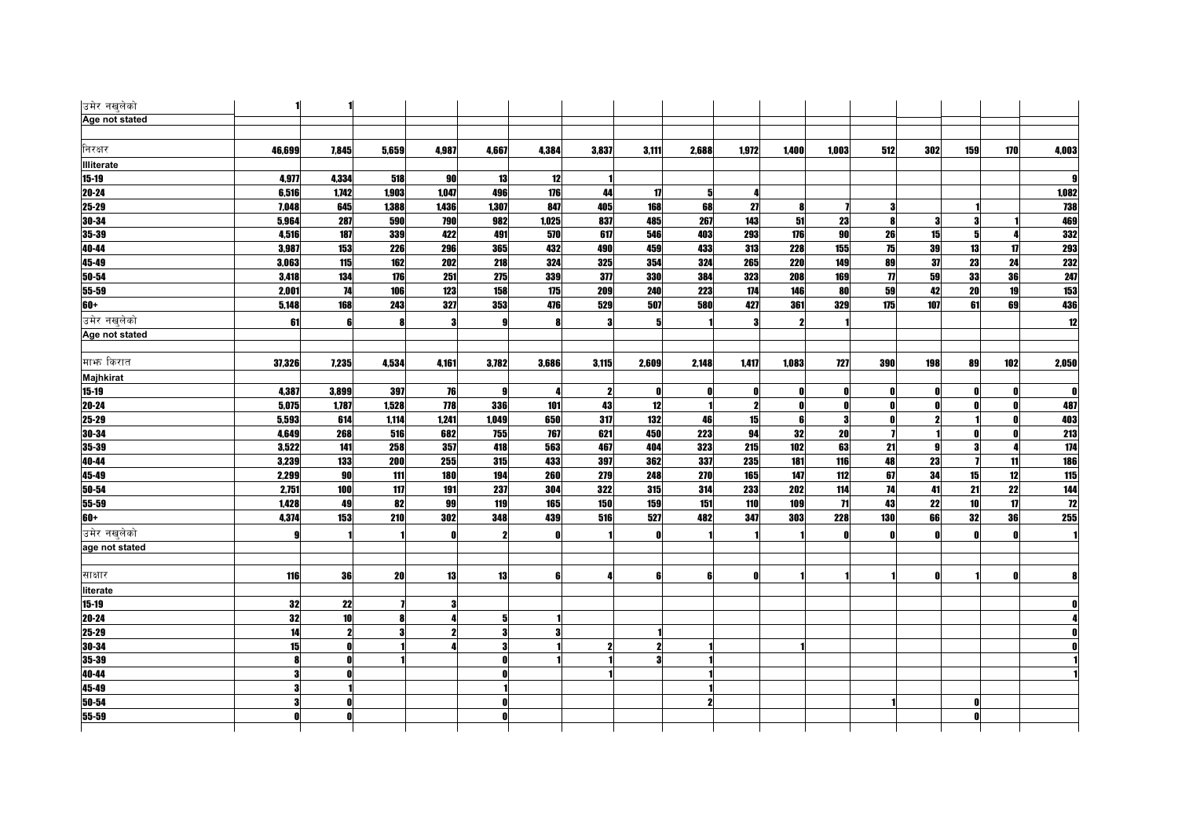| उमेर नखुलेको      |        |       |           |            |              |              |       |              |                |              |                     |              |                     |     |     |     |                  |
|-------------------|--------|-------|-----------|------------|--------------|--------------|-------|--------------|----------------|--------------|---------------------|--------------|---------------------|-----|-----|-----|------------------|
| Age not stated    |        |       |           |            |              |              |       |              |                |              |                     |              |                     |     |     |     |                  |
|                   |        |       |           |            |              |              |       |              |                |              |                     |              |                     |     |     |     |                  |
| निरक्षर           | 46,699 | 7,845 | 5,659     | 4,987      | 4,667        | 4,384        | 3,837 | 3,111        | 2,688          | 1,972        | 1,400               | 1,003        | 512                 | 302 | 159 | 170 | 4,003            |
| <b>Illiterate</b> |        |       |           |            |              |              |       |              |                |              |                     |              |                     |     |     |     |                  |
| $15 - 19$         | 4,977  | 4,334 | 518       | 90         | 13           | 12           |       |              |                |              |                     |              |                     |     |     |     | q                |
| $20 - 24$         | 6,516  | 1,742 | 1,903     | 1,047      | 496          | 176          | 44    | $\mathbf{u}$ | 5 <sup>1</sup> | Л            |                     |              |                     |     |     |     | 1,082            |
| $25 - 29$         | 7,048  | 645   | 1,388     | 1,436      | 1,307        | 847          | 405   | 168          | 68             | 27           | 81                  |              | 3                   |     |     |     | <b>738</b>       |
| 30-34             | 5,964  | 287   | 590       | 790        | 982          | 1,025        | 837   | 485          | 267            | 143          | 51                  | 23           | 8                   |     |     |     | 469              |
| 35-39             | 4,516  | 187   | 339       | 422        | 491          | 570          | 617   | 546          | 403            | 293          | 176                 | 90           | 26                  | 15  | 5   |     | 332              |
| $40 - 44$         | 3,987  | 153   | 226       | 296        | 365          | 432          | 490   | 459          | 433            | 313          | 228                 | 155          | 75                  | 39  | 13  | 17  | <b>293</b>       |
| 45-49             | 3,063  | 115   | 162       | 202        | 218          | 324          | 325   | 354          | 324            | 265          | <b>220</b>          | 149          | 89                  | 37  | 23  | 24  | 232              |
| $50 - 54$         | 3,418  | 134   | 176       | 251        | 275          | 339          | 377   | 330          | 384            | 323          | 208                 | 169          | $\boldsymbol{\eta}$ | 59  | 33  | 36  | 247              |
| 55-59             | 2,001  | 74    | 106       | 123        | 158          | 175          | 209   | 240          | 223            | 174          | 146                 | 80           | 59                  | 42  | 20  | 19  | 153              |
| 60+               | 5,148  | 168   | 243       | 327        | 353          | 476          | 529   | 507          | 580            | 427          | 361                 | 329          | 175                 | 107 | 61  | 69  | 436              |
| उमेर नखलेको       | 61     | 6     | 8         |            | $\mathbf{Q}$ |              | 3     |              |                | Я            | $\boldsymbol{\eta}$ |              |                     |     |     |     | 12               |
| Age not stated    |        |       |           |            |              |              |       |              |                |              |                     |              |                     |     |     |     |                  |
|                   |        |       |           |            |              |              |       |              |                |              |                     |              |                     |     |     |     |                  |
| माभ्र किरात       | 37,326 | 7,235 | 4,534     | 4,161      | 3,782        | 3,686        | 3,115 | 2,609        | 2,148          | 1,417        | 1,083               | 727          | 390                 | 198 | 89  | 102 | 2,050            |
| Majhkirat         |        |       |           |            |              |              |       |              |                |              |                     |              |                     |     |     |     |                  |
| $15 - 19$         | 4,387  | 3,899 | 397       | 76         | 9            | -4           | 2     | O            | 0              | 0            | 0                   | 0            | 0                   |     |     |     | $\mathbf{0}$     |
| 20-24             | 5,075  | 1,787 | 1,528     | 778        | 336          | 101          | 43    | 12           |                | $\mathbf{2}$ | 0                   | $\mathbf{0}$ | 0                   |     |     |     | 487              |
| 25-29             | 5,593  | 614   | 1,114     | 1,241      | 1,049        | 650          | 317   | 132          | 46             | 15           | 6                   | 3            | $\mathbf{0}$        |     |     |     | 403              |
| 30-34             | 4,649  | 268   | 516       | 682        | 755          | 767          | 621   | 450          | 223            | 94           | 32                  | 20           |                     |     |     | n   | <b>213</b>       |
| 35-39             | 3,522  | 141   | 258       | 357        | 418          | 563          | 467   | 404          | 323            | 215          | 102                 | 63           | 21                  |     | 3   |     | $\overline{174}$ |
| 40-44             | 3,239  | 133   | 200       | 255        | 315          | 433          | 397   | 362          | 337            | 235          | 181                 | 116          | 48                  | 23  |     | 11  | 186              |
| $45 - 49$         | 2,299  | 90    | 111       | <b>180</b> | 194          | 260          | 279   | 248          | 270            | 165          | 147                 | 112          | 67                  | 34  | 15  | 12  | 115              |
| 50-54             | 2,751  | 100   | 117       | 191        | 237          | 304          | 322   | 315          | 314            | 233          | 202                 | 114          | 74                  | 41  | 21  | 22  | 144              |
| 55-59             | 1,428  | 49    | 82        | 99         | 119          | 165          | 150   | 159          | 151            | 110          | 109                 | $\mathbf{H}$ | 43                  | 22  | 10  | 17  | $\overline{12}$  |
| $60+$             | 4,374  | 153   | 210       | 302        | 348          | 439          | 516   | 527          | 482            | 347          | 303                 | 228          | 130                 | 66  | 32  | 36  | 255              |
| उमेर नखुलेको      |        |       |           |            | $\mathbf{2}$ | $\mathbf{0}$ |       | ß            |                |              |                     | $\mathbf{0}$ | $\mathbf{a}$        |     |     |     |                  |
| age not stated    |        |       |           |            |              |              |       |              |                |              |                     |              |                     |     |     |     |                  |
|                   |        |       |           |            |              |              |       |              |                |              |                     |              |                     |     |     |     |                  |
| साक्षार           | 116    | 36    | <b>20</b> | 13         | 13           | 6            | 4     | 6            | 6              | ß            |                     |              |                     |     |     |     |                  |
| literate          |        |       |           |            |              |              |       |              |                |              |                     |              |                     |     |     |     |                  |
| $15 - 19$         | 32     | 22    |           |            |              |              |       |              |                |              |                     |              |                     |     |     |     |                  |
| $20 - 24$         | 32     | 10    | 8         |            |              |              |       |              |                |              |                     |              |                     |     |     |     |                  |
| 25-29             | 14     | 2     |           |            | 3            |              |       |              |                |              |                     |              |                     |     |     |     |                  |
| 30-34             | 15     |       |           |            |              |              |       |              |                |              |                     |              |                     |     |     |     |                  |
| 35-39             | 8      |       |           |            |              |              |       |              |                |              |                     |              |                     |     |     |     |                  |
| 40-44             | 3      |       |           |            |              |              |       |              |                |              |                     |              |                     |     |     |     |                  |
| 45-49             |        |       |           |            |              |              |       |              |                |              |                     |              |                     |     |     |     |                  |
| $50 - 54$         |        |       |           |            |              |              |       |              |                |              |                     |              |                     |     |     |     |                  |
| 55-59             |        |       |           |            |              |              |       |              |                |              |                     |              |                     |     |     |     |                  |
|                   |        |       |           |            |              |              |       |              |                |              |                     |              |                     |     |     |     |                  |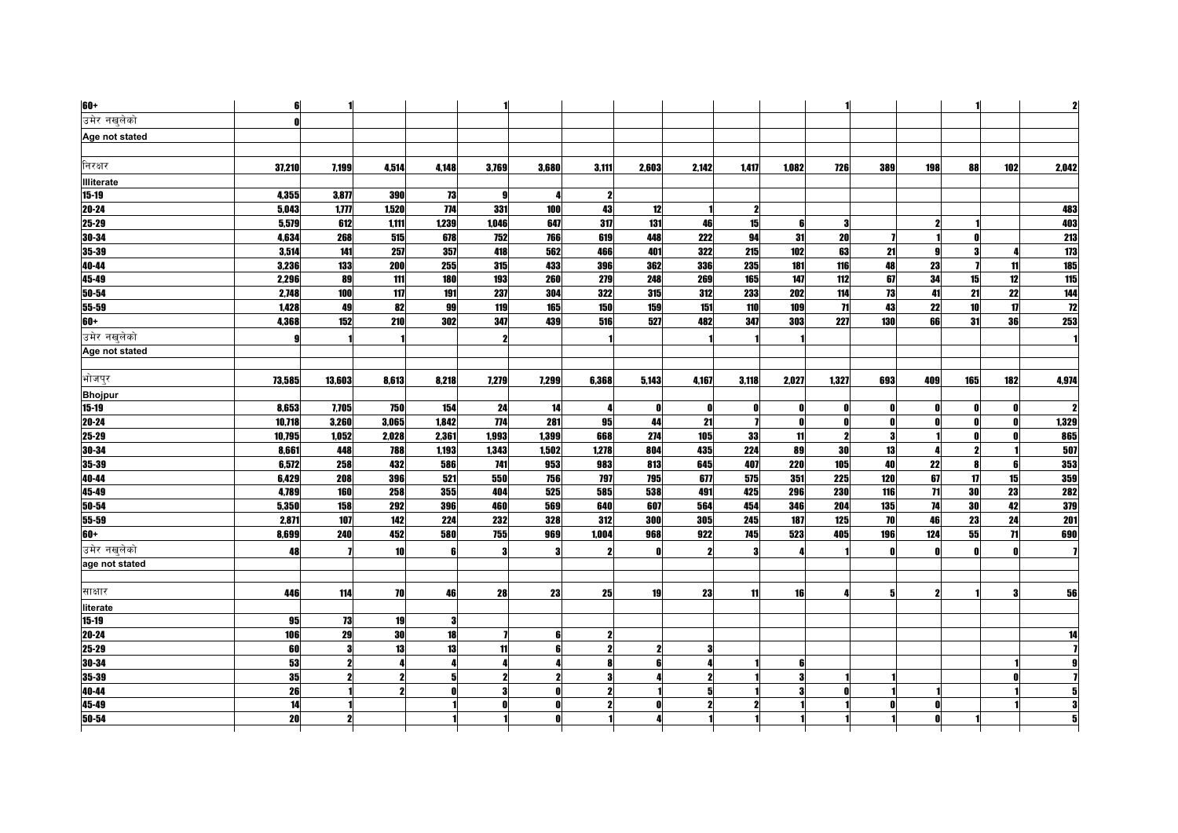| 60+               | 6               |            |              |            |       |       |              |            |                |                         |       |       |              |                 |                 |     | $\mathbf{z}$     |
|-------------------|-----------------|------------|--------------|------------|-------|-------|--------------|------------|----------------|-------------------------|-------|-------|--------------|-----------------|-----------------|-----|------------------|
| उमेर नखलेको       | n               |            |              |            |       |       |              |            |                |                         |       |       |              |                 |                 |     |                  |
| Age not stated    |                 |            |              |            |       |       |              |            |                |                         |       |       |              |                 |                 |     |                  |
|                   |                 |            |              |            |       |       |              |            |                |                         |       |       |              |                 |                 |     |                  |
| निरक्षर           | 37,210          | 7,199      | 4,514        | 4.148      | 3,769 | 3,680 | 3,111        | 2,603      | 2,142          | 1,417                   | 1.082 | 726   | 389          | 198             | 88              | 102 | 2,042            |
| <b>Illiterate</b> |                 |            |              |            |       |       |              |            |                |                         |       |       |              |                 |                 |     |                  |
| $15 - 19$         | 4,355           | 3,877      | <b>390</b>   | 73         | -9    |       | $\mathbf{2}$ |            |                |                         |       |       |              |                 |                 |     |                  |
| $20 - 24$         | 5,043           | 1,177      | 1.520        | 774        | 331   | 100   | 43           | 12         |                | $\boldsymbol{\eta}$     |       |       |              |                 |                 |     | 483              |
| 25-29             | 5,579           | 612        | 1,111        | 1,239      | 1.046 | 647   | 317          | 131        | 46             | 15                      | £     | 3     |              |                 |                 |     | 403              |
| 30-34             | 4,634           | 268        | 515          | 678        | 752   | 766   | 619          | 448        | 222            | 94                      | 31    | 20    |              |                 |                 |     | 213              |
| 35-39             | 3,514           | 141        | 257          | 357        | 418   | 562   | 466          | 401        | 322            | 215                     | 102   | 63    | 21           |                 |                 |     | 1/3              |
| 40-44             | 3,236           | 133        | 200          | 255        | 315   | 433   | 396          | 362        | <b>336</b>     | 235                     | 181   | 116   | 48           | 23              |                 | 11  | <b>185</b>       |
| 45-49             | 2,296           | 89         | 111          | <b>180</b> | 193   | 260   | 279          | 248        | 269            | 165                     | 147   | 112   | 67           | 34              | 15              | 12  | 115              |
| $50 - 54$         | 2,748           | 100        | 117          | 191        | 237   | 304   | 322          | 315        | 312            | 233                     | 202   | 114   | 13           | 41              | $\overline{21}$ | 22  | 144              |
| 55-59             | 1,428           | 49         | 82           | 99         | 119   | 165   | 150          | 159        | 151            | 110                     | 109   | 71    | 43           | 22              | 10              | 17  | 12               |
| 60+               | 4,368           | 152        | 210          | 302        | 347   | 439   | 516          | 527        | 482            | 347                     | 303   | 227   | 130          | 66              | 31              | 36  | 253              |
| उमेर नखलेको       | g               |            |              |            |       |       |              |            |                |                         |       |       |              |                 |                 |     |                  |
| Age not stated    |                 |            |              |            |       |       |              |            |                |                         |       |       |              |                 |                 |     |                  |
|                   |                 |            |              |            |       |       |              |            |                |                         |       |       |              |                 |                 |     |                  |
| भोजपुर            | 73,585          | 13,603     | 8,613        | 8,218      | 7,279 | 7,299 | 6,368        | 5,143      | 4,167          | 3,118                   | 2,027 | 1,327 | 693          | 409             | 165             | 182 | 4,974            |
| <b>Bhojpur</b>    |                 |            |              |            |       |       |              |            |                |                         |       |       |              |                 |                 |     |                  |
| $15 - 19$         | 8,653           | 7,705      | <b>750</b>   | 154        | 24    | 14    | 4            | n          | Λ              | Λ                       |       |       | $\mathbf{0}$ |                 |                 |     |                  |
| 20-24             | 10,718          | 3,260      | 3,065        | 1,842      | 774   | 281   | 95           | 44         | 21             | $\overline{\mathbf{I}}$ |       | n     | 0            |                 |                 |     | 1,329            |
| 25-29             | 10,795          | 1,052      | 2,028        | 2,361      | 1,993 | 1,399 | 668          | 274        | 105            | 33                      | 11    |       | 3            |                 |                 |     | 865              |
| 30-34             | 8,661           | 448        | 788          | 1,193      | 1,343 | 1,502 | 1,278        | 804        | 435            | 224                     | 89    | 30    | 13           |                 | 2               |     | 507              |
| 35-39             | 6,572           | 258        | 432          | 586        | 741   | 953   | 983          | 813        | 645            | 407                     | 220   | 105   | 40           | 22              | 8               | 6   | 353              |
| 40-44             | 6,429           | 208        | 396          | 521        | 550   | 756   | 797          | <b>795</b> | 677            | 575                     | 351   | 225   | 120          | 67              | 17              | 15  | 359              |
| 45-49             | 4,789           | <b>160</b> | 258          | 355        | 404   | 525   | 585          | 538        | 491            | 425                     | 296   | 230   | 116          | $\overline{11}$ | 30              | 23  | <b>282</b>       |
| 50-54             | 5,350           | 158        | 292          | 396        | 460   | 569   | 640          | 607        | 564            | 454                     | 346   | 204   | 135          | 74              | 30              | 42  | 379              |
| 55-59             | 2,871           | 107        | 142          | 224        | 232   | 328   | 312          | 300        | <b>305</b>     | 245                     | 187   | 125   | <b>70</b>    | 46              | 23              | 24  | $\overline{201}$ |
| $60+$             | 8,699           | 240        | 452          | 580        | 755   | 969   | 1,004        | 968        | 922            | <b>745</b>              | 523   | 405   | 196          | 124             | 55              | 71  | 690              |
| उमेर नखलेको       | 48              |            | 10           |            | Я     | 3     | $\mathbf{2}$ |            | ,              | 3                       |       |       | $\mathbf{0}$ |                 |                 |     |                  |
| age not stated    |                 |            |              |            |       |       |              |            |                |                         |       |       |              |                 |                 |     |                  |
|                   |                 |            |              |            |       |       |              |            |                |                         |       |       |              |                 |                 |     |                  |
| साक्षार           | 446             | 114        | 70           | 46         | 28    | 23    | 25           | 19         | 23             | 11                      | 16    | Δ     | 5            |                 |                 | з   | 56               |
| literate          |                 |            |              |            |       |       |              |            |                |                         |       |       |              |                 |                 |     |                  |
| $15 - 19$         | 95              | 73         | 19           |            |       |       |              |            |                |                         |       |       |              |                 |                 |     |                  |
| 20-24             | 106             | 29         | 30           | 18         |       | 6     | 2            |            |                |                         |       |       |              |                 |                 |     |                  |
| 25-29             | 60              | 3          | 13           | 13         | 11    | 6     | $\mathbf{2}$ |            | 3              |                         |       |       |              |                 |                 |     |                  |
| $30 - 34$         | 53              |            |              |            |       |       |              |            |                |                         |       |       |              |                 |                 |     |                  |
| 35-39             | 35              |            | $\mathbf{2}$ | 5          |       |       | 3            |            | $\mathbf{2}$   |                         | З     |       |              |                 |                 |     |                  |
| 40-44             | 26              |            | $\mathbf{2}$ |            | Я     | Λ     | $\mathbf{2}$ |            | 5 <sup>1</sup> |                         |       |       |              |                 |                 |     |                  |
| 45-49             | $\overline{14}$ |            |              |            |       |       |              |            |                |                         |       |       |              |                 |                 |     |                  |
| 50-54             | 20              |            |              |            |       |       |              |            |                |                         |       |       |              |                 |                 |     |                  |
|                   |                 |            |              |            |       |       |              |            |                |                         |       |       |              |                 |                 |     |                  |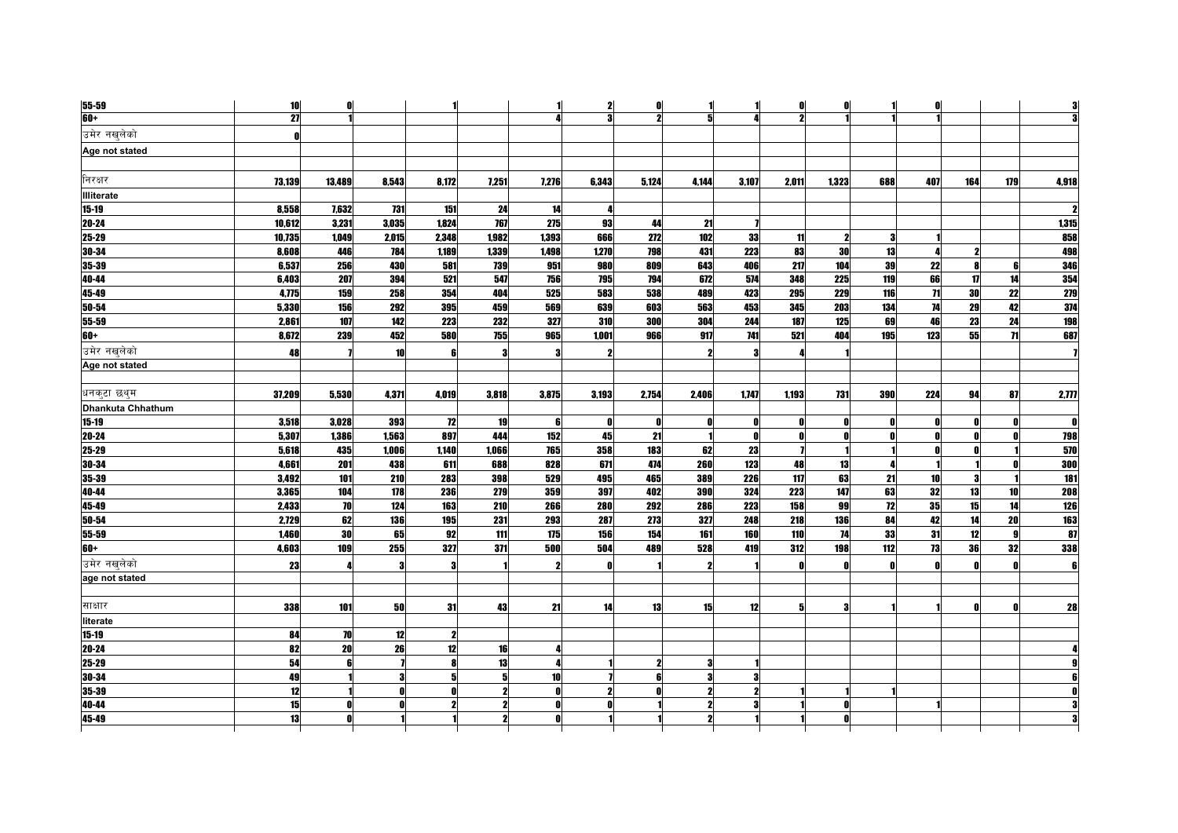| 55-59             | 10              | $\mathbf 0$ |       |              |       |       | $\mathbf{z}$ | O     |                     | 1     | 0     | 0            |              | Λ               |     |            |                  |
|-------------------|-----------------|-------------|-------|--------------|-------|-------|--------------|-------|---------------------|-------|-------|--------------|--------------|-----------------|-----|------------|------------------|
| $60+$             | $\overline{27}$ |             |       |              |       |       | 3            | 2     | 5                   | Δ     | 2     |              |              |                 |     |            |                  |
| उमेर नखलेको       | $\mathbf{0}$    |             |       |              |       |       |              |       |                     |       |       |              |              |                 |     |            |                  |
| Age not stated    |                 |             |       |              |       |       |              |       |                     |       |       |              |              |                 |     |            |                  |
|                   |                 |             |       |              |       |       |              |       |                     |       |       |              |              |                 |     |            |                  |
| निरक्षर           | 73,139          | 13,489      | 8,543 | 8,172        | 7,251 | 7,276 | 6,343        | 5,124 | 4,144               | 3,107 | 2,011 | 1,323        | 688          | 407             | 164 | <b>179</b> | 4,918            |
| <b>Illiterate</b> |                 |             |       |              |       |       |              |       |                     |       |       |              |              |                 |     |            |                  |
| $15 - 19$         | 8,558           | 7,632       | 731   | 151          | 24    | 14    | 4            |       |                     |       |       |              |              |                 |     |            |                  |
| $20 - 24$         | 10,612          | 3,231       | 3,035 | 1,824        | 767   | 275   | 93           | 44    | 21                  |       |       |              |              |                 |     |            | 1,315            |
| 25-29             | 10,735          | 1,049       | 2,015 | 2,348        | 1,982 | 1,393 | 666          | 272   | 102                 | 33    | 11    | 2            | -3           |                 |     |            | 858              |
| 30-34             | 8,608           | 446         | 784   | 1,189        | 1,339 | 1,498 | 1,270        | 798   | 431                 | 223   | 83    | 30           | 13           |                 |     |            | 498              |
| 35-39             | 6,537           | 256         | 430   | 581          | 739   | 951   | 980          | 809   | 643                 | 406   | 217   | 104          | 39           | 22              | 8   | 6          | 346              |
| 40-44             | 6,403           | 207         | 394   | 521          | 547   | 756   | 795          | 794   | 672                 | 574   | 348   | 225          | 119          | 66              | 17  | 14         | 354              |
| 45-49             | 4,775           | 159         | 258   | 354          | 404   | 525   | 583          | 538   | 489                 | 423   | 295   | 229          | 116          | $\overline{11}$ | 30  | 22         | 279              |
| 50-54             | 5,330           | 156         | 292   | 395          | 459   | 569   | 639          | 603   | 563                 | 453   | 345   | 203          | 134          | 74              | 29  | 42         | 374              |
| 55-59             | 2,861           | 107         | 142   | 223          | 232   | 327   | 310          | 300   | 304                 | 244   | 187   | 125          | 69           | 46              | 23  | 24         | 198              |
| 60+               | 8,672           | 239         | 452   | 580          | 755   | 965   | 1.001        | 966   | 917                 | 741   | 521   | 404          | 195          | 123             | 55  | 71         | 687              |
| उमेर नखुलेको      | 48              |             | 10    |              |       |       | 2            |       |                     |       |       |              |              |                 |     |            |                  |
| Age not stated    |                 |             |       |              |       |       |              |       |                     |       |       |              |              |                 |     |            |                  |
|                   |                 |             |       |              |       |       |              |       |                     |       |       |              |              |                 |     |            |                  |
| धनकटा छथ्म        | 37,209          | 5,530       | 4,371 | 4,019        | 3,818 | 3,875 | 3,193        | 2,754 | 2,406               | 1,747 | 1,193 | 731          | 390          | 224             | 94  | 87         | 2,777            |
| Dhankuta Chhathum |                 |             |       |              |       |       |              |       |                     |       |       |              |              |                 |     |            |                  |
| $15 - 19$         | 3,518           | 3,028       | 393   | 72           | 19    | 6     | 0            | O     | Λ                   | 0     |       | N            | - 0          |                 | Λ   |            | O                |
| $20 - 24$         | 5,307           | 1,386       | 1,563 | 897          | 444   | 152   | 45           | 21    |                     | 0     | n     |              | $\mathbf{a}$ |                 |     |            | 798              |
| $25 - 29$         | 5,618           | 435         | 1,006 | 1,140        | 1,066 | 765   | 358          | 183   | 62                  | 23    |       |              |              |                 |     |            | 570              |
| 30-34             | 4.661           | 201         | 438   | 611          | 688   | 828   | 671          | 474   | 260                 | 123   | 48    | 13           |              |                 |     |            | 300              |
| $35 - 39$         | 3,492           | 101         | 210   | 283          | 398   | 529   | 495          | 465   | 389                 | 226   | 117   | 63           | 21           | 10              |     |            | $\overline{181}$ |
| 40-44             | 3,365           | 104         | 178   | 236          | 279   | 359   | 397          | 402   | <b>390</b>          | 324   | 223   | 147          | 63           | 32              | 13  | 10         | 208              |
| 45-49             | 2,433           | 70          | 124   | 163          | 210   | 266   | 280          | 292   | 286                 | 223   | 158   | 99           | 12           | 35              | 15  | 14         | $126$            |
| 50-54             | 2,729           | 62          | 136   | 195          | 231   | 293   | 287          | 273   | 327                 | 248   | 218   | 136          | 84           | 42              | 14  | 20         | <b>163</b>       |
| 55-59             | 1,460           | 30          | 65    | 92           | 111   | 175   | 156          | 154   | 161                 | 160   | 110   | 74           | 33           | 31              | 12  | 9          | 87               |
| 60+               | 4,603           | 109         | 255   | 327          | 371   | 500   | 504          | 489   | 528                 | 419   | 312   | 198          | 112          | 73              | 36  | 32         | 338              |
| उमेर नखलेको       | 23              | Δ           | 3     | 3            |       | -2    | Λ            |       | $\boldsymbol{\eta}$ |       | n     | $\mathbf{0}$ | $\mathbf{0}$ |                 |     |            |                  |
| age not stated    |                 |             |       |              |       |       |              |       |                     |       |       |              |              |                 |     |            |                  |
|                   |                 |             |       |              |       |       |              |       |                     |       |       |              |              |                 |     |            |                  |
| साक्षार           | 338             | 101         | 50    | 31           | 43    | 21    | 14           | 13    | 15                  | 12    | 5     | 3            |              |                 |     |            | 28               |
| literate          |                 |             |       |              |       |       |              |       |                     |       |       |              |              |                 |     |            |                  |
| $15 - 19$         | 84              | 70          | 12    | 2            |       |       |              |       |                     |       |       |              |              |                 |     |            |                  |
| 20-24             | 82              | 20          | 26    | 12           | 16    |       |              |       |                     |       |       |              |              |                 |     |            |                  |
| $25 - 29$         | 54              | ĥ           |       |              | 13    |       |              |       | 3                   |       |       |              |              |                 |     |            |                  |
| 30-34             | 49              |             | 3     | 5            | 5     | 10    |              |       | 3                   | 3     |       |              |              |                 |     |            |                  |
| 35-39             | 12              |             |       | <sup>0</sup> | 2     | O     | $\mathbf{2}$ |       | $\boldsymbol{\eta}$ |       |       |              |              |                 |     |            |                  |
| 40-44             | 15              |             |       |              |       |       |              |       |                     |       |       |              |              |                 |     |            |                  |
| 45-49             | 13              |             |       |              |       |       |              |       |                     |       |       |              |              |                 |     |            |                  |
|                   |                 |             |       |              |       |       |              |       |                     |       |       |              |              |                 |     |            |                  |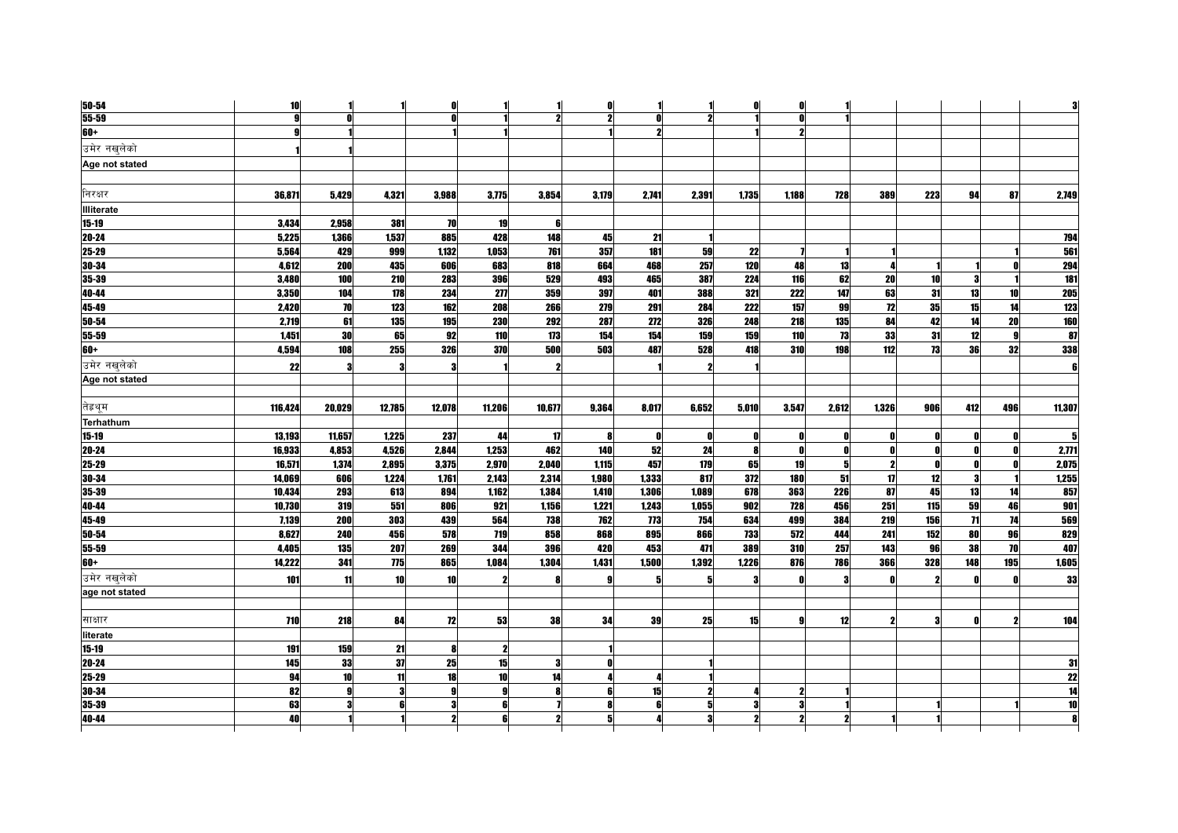| $50 - 54$         | 10      |        |            |           |            |        | 0            |              |                         | 01        | n     |       |                         |     |              |              |                 |
|-------------------|---------|--------|------------|-----------|------------|--------|--------------|--------------|-------------------------|-----------|-------|-------|-------------------------|-----|--------------|--------------|-----------------|
| $55 - 59$         | g       |        |            |           |            |        |              |              | $\boldsymbol{\eta}$     |           |       |       |                         |     |              |              |                 |
| $60+$             |         |        |            |           |            |        |              |              |                         |           |       |       |                         |     |              |              |                 |
| उमेर नखुलेको      |         |        |            |           |            |        |              |              |                         |           |       |       |                         |     |              |              |                 |
| Age not stated    |         |        |            |           |            |        |              |              |                         |           |       |       |                         |     |              |              |                 |
|                   |         |        |            |           |            |        |              |              |                         |           |       |       |                         |     |              |              |                 |
| निरक्षर           | 36,871  | 5,429  | 4,321      | 3,988     | 3,775      | 3,854  | 3,179        | 2,741        | 2,391                   | 1,735     | 1,188 | 728   | 389                     | 223 | 94           | 87           | 2,749           |
| <b>Illiterate</b> |         |        |            |           |            |        |              |              |                         |           |       |       |                         |     |              |              |                 |
| $15 - 19$         | 3.434   | 2.958  | 381        | 70        | 19         | 6      |              |              |                         |           |       |       |                         |     |              |              |                 |
| 20-24             | 5,225   | 1,366  | 1,537      | 885       | 428        | 148    | 45           | 21           |                         |           |       |       |                         |     |              |              | 794             |
| 25-29             | 5,564   | 429    | 999        | 1,132     | 1,053      | 761    | 357          | 181          | 59                      | 22        |       |       |                         |     |              |              | 561             |
| 30-34             | 4,612   | 200    | 435        | 606       | 683        | 818    | 664          | 468          | 257                     | 120       | 48    | 13    |                         |     |              |              | 294             |
| 35-39             | 3,480   | 100    | 210        | 283       | 396        | 529    | 493          | 465          | 387                     | 224       | 116   | 62    | 20                      | 10  | я            |              | 181             |
| 40-44             | 3,350   | 104    | 178        | 234       | 277        | 359    | 397          | 401          | 388                     | 321       | 222   | 147   | 63                      | 31  | 13           | 10           | <b>205</b>      |
| 45-49             | 2,420   | 70     | 123        | 162       | 208        | 266    | 279          | 291          | 284                     | 222       | 157   | 99    | 12                      | 35  | 15           | 14           | 123             |
| 50-54             | 2,719   | 61     | 135        | 195       | <b>230</b> | 292    | 287          | 272          | 326                     | 248       | 218   | 135   | 84                      | 42  | 14           | 20           | <b>160</b>      |
| 55-59             | 1,451   | 30     | 65         | 92        | 110        | 173    | 154          | 154          | 159                     | 159       | 110   | 73    | 33                      | 31  | 12           |              | 87              |
| $60+$             | 4,594   | 108    | 255        | 326       | 370        | 500    | 503          | 487          | 528                     | 418       | 310   | 198   | 112                     | 73  | 36           | 32           | 338             |
| उमेर नखलेको       | 22      | 3      | 3          |           |            | 2      |              |              | ,                       |           |       |       |                         |     |              |              | 6               |
| Age not stated    |         |        |            |           |            |        |              |              |                         |           |       |       |                         |     |              |              |                 |
|                   |         |        |            |           |            |        |              |              |                         |           |       |       |                         |     |              |              |                 |
| तेह्रथूम          | 116,424 | 20,029 | 12,785     | 12,078    | 11,206     | 10,677 | 9,364        | 8,017        | 6,652                   | 5,010     | 3,547 | 2,612 | 1,326                   | 906 | 412          | 496          | 11,307          |
| <b>Terhathum</b>  |         |        |            |           |            |        |              |              |                         |           |       |       |                         |     |              |              |                 |
| $15 - 19$         | 13,193  | 11,657 | 1,225      | 237       | 44         | 17     | 8            | $\mathbf{a}$ | ſ                       | O         |       | Ω     | $\mathbf{0}$            |     | Ω            | $\mathbf{a}$ |                 |
| 20-24             | 16,933  | 4,853  | 4,526      | 2,844     | 1,253      | 462    | 140          | 52           | 24                      | 8         |       | 0     | $\mathbf{0}$            | Λ   | Ω            | n            | 2,771           |
| 25-29             | 16,571  | 1,374  | 2,895      | 3,375     | 2,970      | 2,040  | 1,115        | 457          | 179                     | 65        | 19    | 5     | $\overline{\mathbf{2}}$ | Λ   | Ω            |              | 2,075           |
| 30-34             | 14,069  | 606    | 1,224      | 1,761     | 2,143      | 2,314  | 1.980        | 1,333        | 817                     | 312       | 180   | 51    | 17                      | 12  | 3            |              | 1,255           |
| 35-39             | 10,434  | 293    | 613        | 894       | 1,162      | 1,384  | 1,410        | 1,306        | 1,089                   | 678       | 363   | 226   | 87                      | 45  | 13           | 14           | 857             |
| 40-44             | 10,730  | 319    | 551        | 806       | 921        | 1,156  | 1,221        | 1,243        | 1,055                   | 902       | 728   | 456   | 251                     | 115 | 59           | 46           | 901             |
| 45-49             | 7,139   | 200    | 303        | 439       | 564        | 738    | 762          | 773          | 754                     | 634       | 499   | 384   | 219                     | 156 | $\mathbf{H}$ | 74           | 569             |
| $50 - 54$         | 8,627   | 240    | 456        | 578       | 719        | 858    | 868          | 895          | 866                     | 733       | 572   | 444   | 241                     | 152 | 80           | 96           | 829             |
| 55-59             | 4,405   | 135    | 207        | 269       | 344        | 396    | 420          | 453          | 471                     | 389       | 310   | 257   | 143                     | 96  | 38           | 70           | 407             |
| $60+$             | 14,222  | 341    | <b>775</b> | 865       | 1,084      | 1,304  | 1,431        | 1,500        | 1,392                   | 1,226     | 876   | 786   | 366                     | 328 | 148          | 195          | 1,605           |
| उमेर नखुलेको      | 101     | 11     | 10         | <b>10</b> |            |        | $\mathbf{Q}$ | 5            | 5                       | 3         | n     | 3     | $\mathbf{0}$            |     |              |              | 33              |
| age not stated    |         |        |            |           |            |        |              |              |                         |           |       |       |                         |     |              |              |                 |
|                   |         |        |            |           |            |        |              |              |                         |           |       |       |                         |     |              |              |                 |
| साक्षार           | 710     | 218    | 84         | 72        | 53         | 38     | 34           | 39           | 25                      | <b>15</b> |       | 12    | $\boldsymbol{\eta}$     |     |              |              | 104             |
| literate          |         |        |            |           |            |        |              |              |                         |           |       |       |                         |     |              |              |                 |
| 15-19             | 191     | 159    | 21         |           | 2          |        |              |              |                         |           |       |       |                         |     |              |              |                 |
| 20-24             | 145     | 33     | 37         | 25        | 15         | 3      | 0            |              |                         |           |       |       |                         |     |              |              | 31              |
| 25-29             | 94      | 10     | 11         | 18        | 10         | 14     |              |              |                         |           |       |       |                         |     |              |              | $\overline{22}$ |
| 30-34             | 82      | g      | $\bf{3}$   |           | g          |        | ĥ            | 15           | ,                       | л         | 2     |       |                         |     |              |              | 14              |
| 35-39             | 63      |        | ĥ          |           | 6          |        | 8            |              | 5                       | 3         |       |       |                         |     |              |              | 10              |
| 40-44             | 40      |        |            |           |            |        | 5            |              | $\overline{\mathbf{3}}$ | 2         |       |       |                         |     |              |              |                 |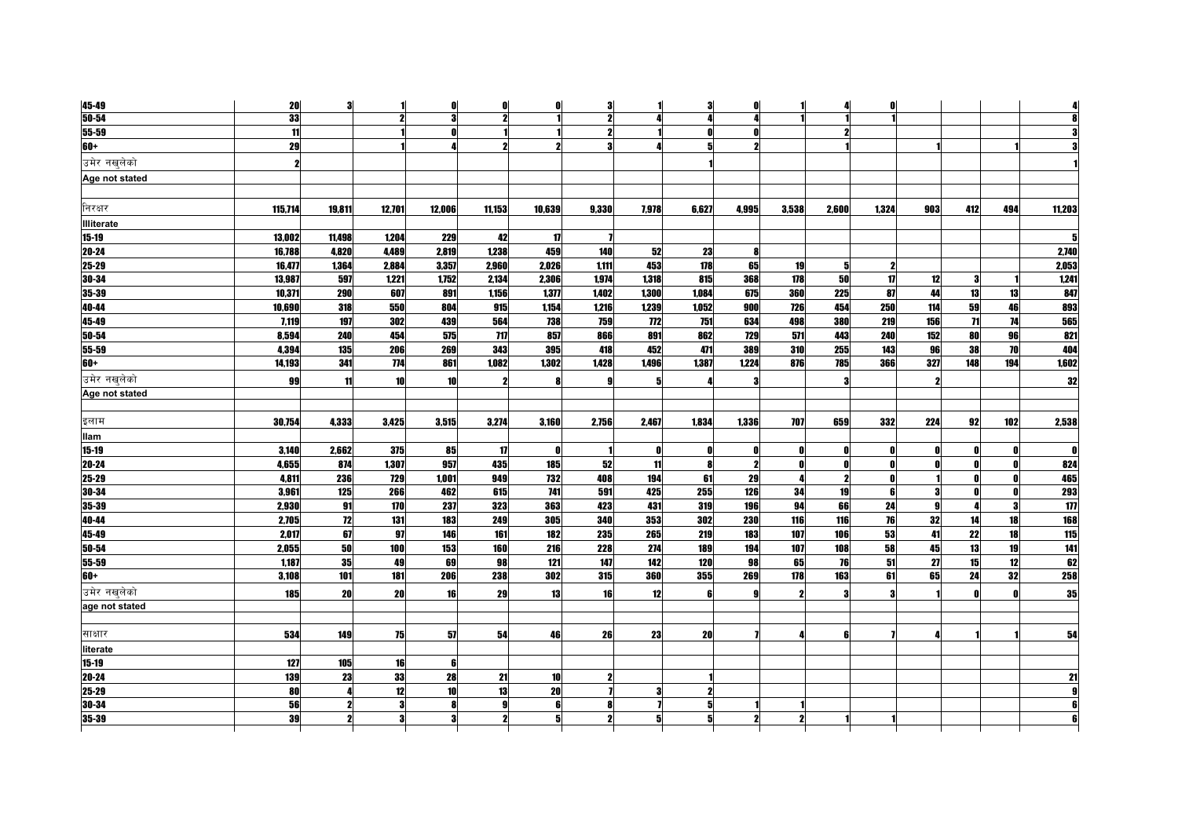| 45-49          | 20        | 3      |        | n      | 0          | n            | 3     |            | 3     | Λ            |              |       | Ω            |     |              |     |        |
|----------------|-----------|--------|--------|--------|------------|--------------|-------|------------|-------|--------------|--------------|-------|--------------|-----|--------------|-----|--------|
| $50 - 54$      | 33        |        |        |        | 9          |              | 2     |            |       |              |              |       |              |     |              |     |        |
| $55 - 59$      | 11        |        |        | ſ      |            |              |       |            | Ω     |              |              |       |              |     |              |     |        |
| 60+            | 29        |        |        |        | 2          |              |       |            | 5     | 2            |              |       |              |     |              |     |        |
| उमेर नखलेको    | 2         |        |        |        |            |              |       |            |       |              |              |       |              |     |              |     |        |
| Age not stated |           |        |        |        |            |              |       |            |       |              |              |       |              |     |              |     |        |
|                |           |        |        |        |            |              |       |            |       |              |              |       |              |     |              |     |        |
| निरक्षर        | 115,714   | 19.811 | 12.701 | 12.006 | 11.153     | 10,639       | 9.330 | 7.978      | 6.627 | 4.995        | 3.538        | 2.600 | 1.324        | 903 | 412          | 494 | 11.203 |
| Illiterate     |           |        |        |        |            |              |       |            |       |              |              |       |              |     |              |     |        |
| $15-19$        | 13,002    | 11,498 | 1.204  | 229    | 42         | 17           |       |            |       |              |              |       |              |     |              |     |        |
| 20-24          | 16,788    | 4,820  | 4.489  | 2.819  | 1.238      | 459          | 140   | 52         | 23    | £            |              |       |              |     |              |     | 2,740  |
| 25-29          | 16,477    | 1,364  | 2.884  | 3.357  | 2.960      | 2.026        | 1.111 | 453        | 178   | 65           | 19           | 5     |              |     |              |     | 2.053  |
| 30-34          | 13,987    | 597    | 1,221  | 1,752  | 2,134      | 2,306        | 1,974 | 1,318      | 815   | 368          | 178          | 50    | $\mathbf{u}$ | 12  |              |     | 1,241  |
| 35-39          | 10,371    | 290    | 607    | 891    | 1,156      | 1,377        | 1,402 | 1,300      | 1.084 | 675          | 360          | 225   | 87           | 44  | 13           | 13  | 847    |
| 40-44          | 10,690    | 318    | 550    | 804    | 915        | 1,154        | 1,216 | 1,239      | 1,052 | 900          | 726          | 454   | 250          | 114 | 59           | 46  | 893    |
| 45-49          | 7,119     | 197    | 302    | 439    | 564        | 738          | 759   | 772        | 751   | 634          | 498          | 380   | 219          | 156 | $\mathbf{H}$ | 74  | 565    |
| 50-54          | 8.594     | 240    | 454    | 575    | 717        | 857          | 866   | 891        | 862   | 729          | 571          | 443   | 240          | 152 | 80           | 96  | 821    |
| 55-59          | 4.394     | 135    | 206    | 269    | 343        | 395          | 418   | 452        | 471   | 389          | 310          | 255   | 143          | 96  | 38           | 70  | 404    |
| 60+            | 14.193    | 341    | 774    | 861    | 1.082      | 1.302        | 1428  | 1.496      | 1387  | 1.224        | 876          | 785   | 366          | 327 | 148          | 194 | 1.602  |
| उमेर नखलेको    | <b>99</b> | 11     | 10     | 10     |            | 8            |       |            |       |              |              |       |              | 2   |              |     | 32     |
| Age not stated |           |        |        |        |            |              |       |            |       |              |              |       |              |     |              |     |        |
|                |           |        |        |        |            |              |       |            |       |              |              |       |              |     |              |     |        |
| इलाम           | 30,754    | 4,333  | 3,425  | 3,515  | 3,274      | 3,160        | 2,756 | 2.467      | 1.834 | 1,336        | <b>707</b>   | 659   | 332          | 224 | 92           | 102 | 2,538  |
| llam           |           |        |        |        |            |              |       |            |       |              |              |       |              |     |              |     |        |
| $15 - 19$      | 3,140     | 2,662  | 375    | 85     | 17         | $\mathbf{0}$ |       | 0          | O.    | $\mathbf{r}$ | n            | n     | Λ            | 0   |              | O   |        |
| 20-24          | 4,655     | 874    | 1,307  | 957    | 435        | 185          | 52    | 11         |       | 2            | $\mathbf{r}$ | O     |              |     |              | O   | 824    |
| 25-29          | 4,811     | 236    | 729    | 1.001  | 949        | 732          | 408   | 194        | 61    | 29           | 4            | 2     | Λ            |     |              | O   | 465    |
| 30-34          | 3,961     | 125    | 266    | 462    | 615        | <b>741</b>   | 591   | 425        | 255   | 126          | 34           | 19    | ß            |     |              | O   | 293    |
| 35-39          | 2.930     | 91     | 170    | 237    | 323        | 363          | 423   | 431        | 319   | 196          | 94           | 66    | 24           |     |              | 3   | 177    |
| 40-44          | 2.705     | 12     | 131    | 183    | <b>249</b> | 305          | 340   | 353        | 302   | 230          | <b>116</b>   | 116   | 76           | 32  | 14           | 18  | 168    |
| 45-49          | 2.017     | 67     | 97     | 146    | 161        | 182          | 235   | 265        | 219   | 183          | 107          | 106   | 53           | 41  | 22           | 18  | 115    |
| 50-54          | 2,055     | 50     | 100    | 153    | <b>160</b> | 216          | 228   | 274        | 189   | 194          | 107          | 108   | 58           | 45  | 13           | 19  | 141    |
| 55-59          | 1,187     | 35     | 49     | 69     | 98         | 121          | 147   | 142        | 120   | 98           | 65           | 76    | 51           | 27  | 15           | 12  | 62     |
| 60+            | 3.108     | 101    | 181    | 206    | <b>238</b> | 302          | 315   | <b>360</b> | 355   | 269          | 178          | 163   | 61           | 65  | 24           | 32  | 258    |
| उमेर नखलेको    | 185       | 20     | 20     | 16     | 29         | 13           | 16    | 12         | Æ     |              | 2            |       |              |     |              |     | 35     |
| age not stated |           |        |        |        |            |              |       |            |       |              |              |       |              |     |              |     |        |
|                |           |        |        |        |            |              |       |            |       |              |              |       |              |     |              |     |        |
| साक्षार        | 534       | 149    | 75     | 57     | 54         | 46           | 26    | 23         | 20    |              |              | ĥ     |              |     |              |     | 54     |
| literate       |           |        |        |        |            |              |       |            |       |              |              |       |              |     |              |     |        |
| 15-19          | 127       | 105    | 16     | 6      |            |              |       |            |       |              |              |       |              |     |              |     |        |
| $20 - 24$      | 139       | 23     | 33     | 28     | 21         | 10           |       |            |       |              |              |       |              |     |              |     |        |
| 25-29          | 80        |        | 12     | 10     | 13         | 20           |       | 3          |       |              |              |       |              |     |              |     |        |
| 30-34          | 56        |        | 9      |        |            | ß            |       |            | 5     |              |              |       |              |     |              |     |        |
|                |           |        |        |        |            |              |       |            |       |              |              |       |              |     |              |     |        |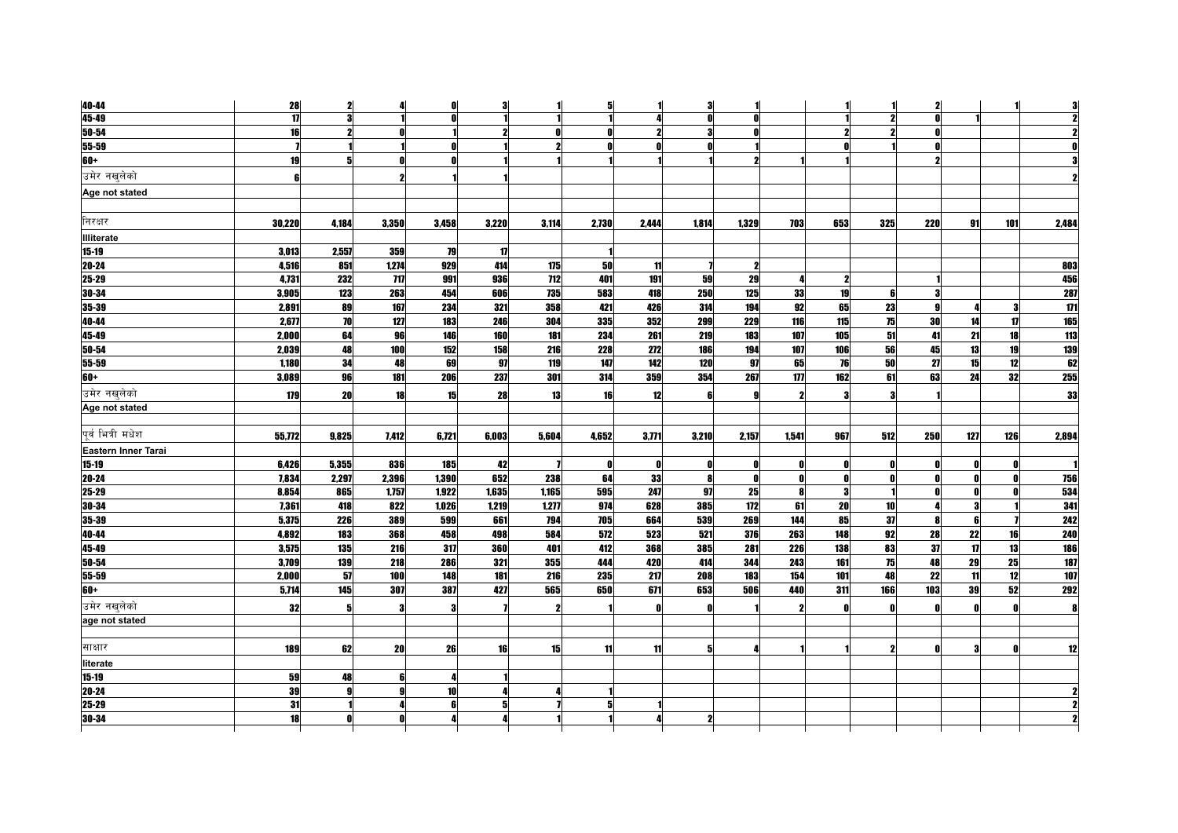| 40-44               | 28             | $\mathbf{2}$ |       | n     | 3            |                     | 5            |              | 3     |              |              |              |           | ,            |     |     |       |
|---------------------|----------------|--------------|-------|-------|--------------|---------------------|--------------|--------------|-------|--------------|--------------|--------------|-----------|--------------|-----|-----|-------|
| 45-49               | $\overline{1}$ | 9            |       |       |              |                     |              |              | Ω     |              |              |              |           |              |     |     |       |
| 50-54               | 16             |              |       |       |              |                     |              |              | 2     |              |              |              |           |              |     |     |       |
| 55-59               | $\mathbf{Z}$   |              |       | Λ     |              |                     |              |              |       |              |              |              |           | Ω            |     |     |       |
| 60+                 | 19             |              |       |       |              |                     |              |              |       |              |              |              |           |              |     |     |       |
| उमेर नखलेको         | 6              |              |       |       |              |                     |              |              |       |              |              |              |           |              |     |     |       |
| Age not stated      |                |              |       |       |              |                     |              |              |       |              |              |              |           |              |     |     |       |
|                     |                |              |       |       |              |                     |              |              |       |              |              |              |           |              |     |     |       |
| निरक्षर             | 30,220         | 4,184        | 3,350 | 3,458 | 3,220        | 3,114               | 2,730        | 2.444        | 1.814 | 1,329        | 703          | 653          | 325       | <b>220</b>   | 91  | 101 | 2,484 |
| <b>Illiterate</b>   |                |              |       |       |              |                     |              |              |       |              |              |              |           |              |     |     |       |
| 15-19               | 3,013          | 2,557        | 359   | 79    | $\mathbf{u}$ |                     |              |              |       |              |              |              |           |              |     |     |       |
| 20-24               | 4,516          | 851          | 1.274 | 929   | 414          | 175                 | 50           | 11           |       | 2            |              |              |           |              |     |     | 803   |
| 25-29               | 4,731          | 232          | 717   | 991   | 936          | 712                 | 401          | 191          | 59    | 29           | 4            | 2            |           |              |     |     | 456   |
| 30-34               | 3.905          | 123          | 263   | 454   | 606          | 735                 | 583          | 418          | 250   | 125          | 33           | 19           | ß         | я            |     |     | 287   |
| 35-39               | 2,891          | 89           | 167   | 234   | 321          | 358                 | 421          | 426          | 314   | 194          | 92           | 65           | 23        |              |     |     | 171   |
| 40-44               | 2.677          | 70           | 127   | 183   | 246          | 304                 | 335          | 352          | 299   | 229          | 116          | 115          | 75        | 30           | 14  | 17  | 165   |
| 45-49               | 2.000          | 64           | 96    | 146   | 160          | 181                 | 234          | 261          | 219   | 183          | 107          | 105          | 51        | 41           | 21  | 18  | 113   |
| 50-54               | 2,039          | 48           | 100   | 152   | 158          | 216                 | 228          | 272          | 186   | 194          | 107          | 106          | 56        | 45           | 13  | 19  | 139   |
| 55-59               | 1.180          | 34           | 48    | 69    | 97           | 119                 | 147          | 142          | 120   | 97           | 65           | 76           | 50        | 27           | 15  | 12  | 62    |
| 60+                 | 3,089          | 96           | 181   | 206   | 237          | 301                 | 314          | 359          | 354   | 267          | 177          | 162          | 61        | 63           | 24  | 32  | 255   |
| उमेर नखलेको         | 179            | 20           | 18    | 15    | 28           | 13                  | 16           | 12           |       | q            | 2            | я            |           |              |     |     | 33    |
| Age not stated      |                |              |       |       |              |                     |              |              |       |              |              |              |           |              |     |     |       |
|                     |                |              |       |       |              |                     |              |              |       |              |              |              |           |              |     |     |       |
| पर्व भित्री मधेश    | 55,772         | 9,825        | 7,412 | 6,721 | 6,003        | 5,604               | 4,652        | 3,771        | 3,210 | 2,157        | 1,541        | 967          | 512       | 250          | 127 | 126 | 2,894 |
| Eastern Inner Tarai |                |              |       |       |              |                     |              |              |       |              |              |              |           |              |     |     |       |
| 15-19               | 6,426          | 5,355        | 836   | 185   | 42           |                     | $\mathbf{0}$ | $\mathbf{0}$ | n     | $\mathbf{0}$ | $\mathbf{0}$ | $\mathbf{0}$ |           | $\mathbf{0}$ |     |     |       |
| 20-24               | 7.834          | 2,297        | 2,396 | 1,390 | 652          | 238                 | 64           | 33           | R     | $\mathbf{0}$ | 0            | $\mathbf{r}$ |           | $\mathbf{r}$ |     | O   | 756   |
| 25-29               | 8,854          | 865          | 1,757 | 1,922 | 1,635        | 1,165               | 595          | 247          | 97    | 25           | $\mathbf{a}$ | -3           |           | $\mathbf{r}$ |     | ſ   | 534   |
| 30-34               | 7,361          | 418          | 822   | 1,026 | 1,219        | 1,277               | 974          | 628          | 385   | 172          | 61           | 20           | <b>10</b> |              |     |     | 341   |
| 35-39               | 5.375          | 226          | 389   | 599   | 661          | 794                 | 705          | 664          | 539   | 269          | 144          | 85           | 37        | -8           |     |     | 242   |
| 40-44               | 4.892          | 183          | 368   | 458   | 498          | 584                 | 572          | 523          | 521   | 376          | 263          | 148          | 92        | 28           | 22  | 16  | 240   |
| 45-49               | 3,575          | 135          | 216   | 317   | <b>360</b>   | 401                 | 412          | 368          | 385   | 281          | 226          | 138          | 83        | 37           | 17  | 13  | 186   |
| 50-54               | 3,709          | 139          | 218   | 286   | 321          | 355                 | 444          | 420          | 414   | 344          | 243          | 161          | 75        | 48           | 29  | 25  | 187   |
| 55-59               | 2.000          | 51           | 100   | 148   | 181          | 216                 | 235          | 217          | 208   | 183          | 154          | 101          | 48        | 22           | 11  | 12  | 107   |
| $60+$               | 5,714          | 145          | 307   | 387   | 427          | 565                 | 650          | 671          | 653   | 506          | 440          | 311          | 166       | 103          | 39  | 52  | 292   |
| उमेर नखलेको         | 32             | ā            |       | 3     |              | $\boldsymbol{\eta}$ |              | - 0          |       |              | 2            | - 0          |           | $\mathbf{0}$ |     | O   |       |
| age not stated      |                |              |       |       |              |                     |              |              |       |              |              |              |           |              |     |     |       |
|                     |                |              |       |       |              |                     |              |              |       |              |              |              |           |              |     |     |       |
| साक्षार             | 189            | 62           | 20    | 26    | 16           | 15                  | 11           | 11           | 5     |              |              |              |           | $\mathbf{a}$ |     | ſ   |       |
| literate            |                |              |       |       |              |                     |              |              |       |              |              |              |           |              |     |     |       |
| $15 - 19$           | 59             | 48           |       |       |              |                     |              |              |       |              |              |              |           |              |     |     |       |
| 20-24               | 39             |              |       | 10    |              |                     |              |              |       |              |              |              |           |              |     |     |       |
| 25-29               | 31             |              |       | ĥ     |              |                     |              |              |       |              |              |              |           |              |     |     |       |
| 30-34               | 18             |              |       |       |              |                     |              |              |       |              |              |              |           |              |     |     |       |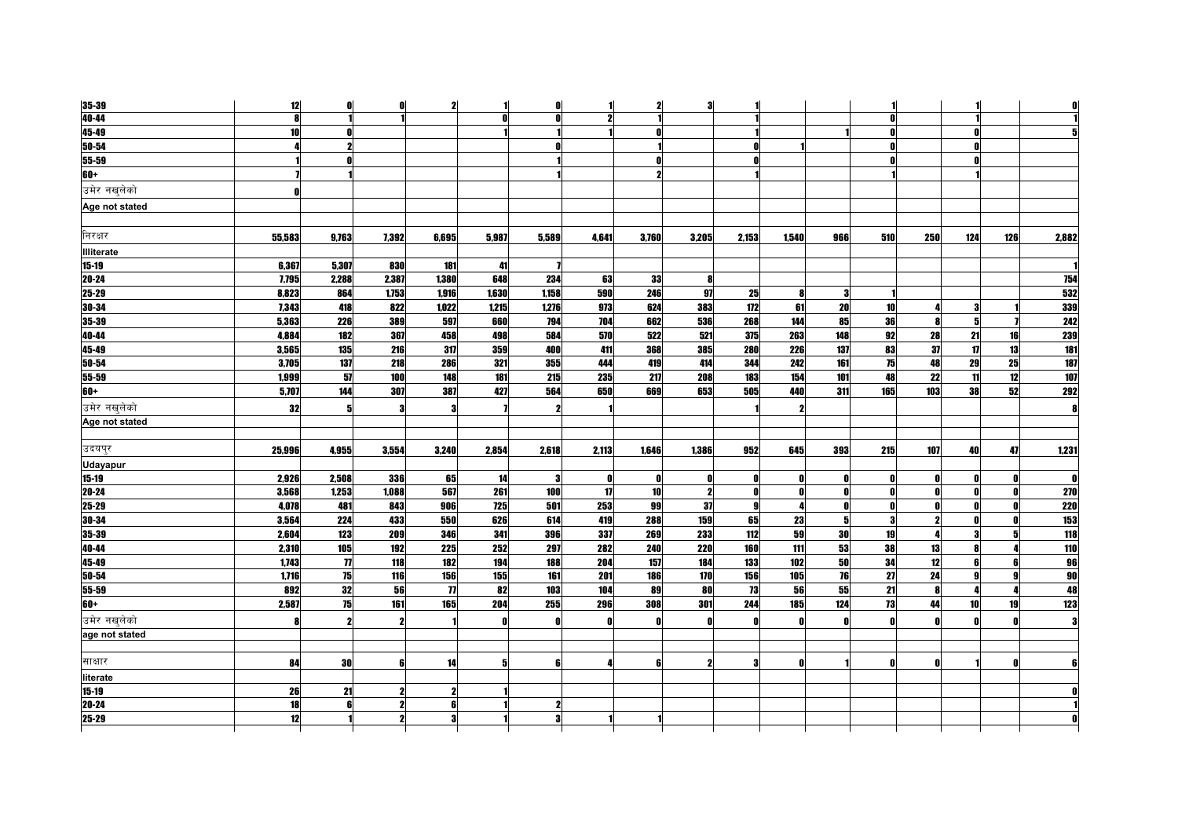| 35-39                      | 12     | 0                   | 0                | 2                       |                  | n     |       | 2            | 3            |                |                     |     |                 |              |              |              |                 |
|----------------------------|--------|---------------------|------------------|-------------------------|------------------|-------|-------|--------------|--------------|----------------|---------------------|-----|-----------------|--------------|--------------|--------------|-----------------|
| 40-44                      | R      |                     |                  |                         | $\mathbf{r}$     | Ω     |       |              |              |                |                     |     |                 |              |              |              |                 |
| 45-49                      | 10     |                     |                  |                         |                  |       |       | n            |              |                |                     |     |                 |              |              |              |                 |
| 50-54                      |        |                     |                  |                         |                  | Ω     |       |              |              |                |                     |     |                 |              |              |              |                 |
| 55-59                      |        |                     |                  |                         |                  |       |       | $\mathbf{r}$ |              |                |                     |     |                 |              |              |              |                 |
| $60+$                      |        |                     |                  |                         |                  |       |       | 2            |              |                |                     |     |                 |              |              |              |                 |
| उमेर नखलेको                |        |                     |                  |                         |                  |       |       |              |              |                |                     |     |                 |              |              |              |                 |
| Age not stated             |        |                     |                  |                         |                  |       |       |              |              |                |                     |     |                 |              |              |              |                 |
|                            |        |                     |                  |                         |                  |       |       |              |              |                |                     |     |                 |              |              |              |                 |
| निरक्षर                    | 55,583 | 9,763               | 7,392            | 6,695                   | 5,987            | 5,589 | 4,641 | 3,760        | 3,205        | 2,153          | 1,540               | 966 | 510             | 250          | 124          | 126          | 2,882           |
| <b>Illiterate</b>          |        |                     |                  |                         |                  |       |       |              |              |                |                     |     |                 |              |              |              |                 |
| $15 - 19$                  | 6,367  | 5,307               | 830              | 181                     | 41               |       |       |              |              |                |                     |     |                 |              |              |              |                 |
| 20-24                      | 7,795  | 2,288               | 2,387            | 1,380                   | 648              | 234   | 63    | 33           | 8            |                |                     |     |                 |              |              |              | 754             |
| 25-29                      | 8,823  | 864                 | 1,753            | 1,916                   | 1,630            | 1,158 | 590   | 246          | 97           | 25             | 8                   | 3   |                 |              |              |              | 532             |
| $30 - 34$                  | 7,343  | 418                 | 822              | 1,022                   | 1,215            | 1,276 | 973   | 624          | 383          | 172            | 61                  | 20  | 10 <sup>1</sup> |              | 9            |              | 339             |
| 35-39                      | 5,363  | 226                 | 389              | 597                     | 660              | 794   | 704   | 662          | 536          | 268            | 144                 | 85  | 36              | <b>R</b>     | 5            |              | 242             |
| 40-44                      | 4,884  | 182                 | 367              | 458                     | 498              | 584   | 570   | 522          | 521          | 375            | 263                 | 148 | 92              | 28           | 21           | 16           | 239             |
| 45-49                      | 3,565  | 135                 | 216              | 317                     | 359              | 400   | 411   | 368          | 385          | 280            | 226                 | 137 | 83              | 37           | $\mathbf{u}$ | 13           | 181             |
| 50-54                      | 3,705  | 137                 | 218              | 286                     | 321              | 355   | 444   | 419          | 414          | 344            | 242                 | 161 | 75              | 48           | 29           | 25           | 187             |
| 55-59                      | 1,999  | 57                  | 100              | 148                     | 181              | 215   | 235   | 217          | 208          | 183            | 154                 | 101 | 48              | 22           | 11           | 12           | 107             |
| $60+$                      | 5,707  | 144                 | 307              | 387                     | 427              | 564   | 650   | 669          | 653          | 505            | 440                 | 311 | 165             | 103          | 38           | 52           | 292             |
| उमेर न <mark>ख</mark> लेको | 32     | 5                   |                  | 3                       |                  | 2     |       |              |              |                | $\boldsymbol{\eta}$ |     |                 |              |              |              | 8               |
| Age not stated             |        |                     |                  |                         |                  |       |       |              |              |                |                     |     |                 |              |              |              |                 |
|                            |        |                     |                  |                         |                  |       |       |              |              |                |                     |     |                 |              |              |              |                 |
| उदयपुर                     | 25,996 | 4,955               | 3,554            | 3,240                   | 2,854            | 2,618 | 2,113 | 1,646        | 1,386        | 952            | 645                 | 393 | 215             | 107          | 40           | 47           | 1,231           |
| <b>Udayapur</b>            |        |                     |                  |                         |                  |       |       |              |              |                |                     |     |                 |              |              |              |                 |
| 15-19                      | 2,926  | 2,508               | 336              | 65                      | 14               |       |       | O            |              | Ω              | $\mathbf{0}$        |     |                 | 0            |              |              | O               |
| 20-24                      | 3,568  | 1,253               | 1,088            | 567                     | $\overline{261}$ | 100   | 17    | 10           | $\mathbf{2}$ | $\mathbf{0}$   | $\mathbf{0}$        |     | n               | 0            |              | n            | <b>270</b>      |
| 25-29                      | 4,078  | 481                 | 843              | 906                     | <b>725</b>       | 501   | 253   | 99           | 37           | -91            | $\overline{4}$      | Λ   | $\mathbf{0}$    | O            |              | <sup>o</sup> | <b>220</b>      |
| 30-34                      | 3,564  | 224                 | 433              | 550                     | 626              | 614   | 419   | 288          | 159          | 65             | 23                  | 51  | 3               | $\mathbf{2}$ |              | n            | 153             |
| 35-39                      | 2,604  | 123                 | 209              | 346                     | 341              | 396   | 337   | 269          | 233          | $\frac{11}{2}$ | 59                  | 30  | 19              |              |              |              | 118             |
| 40-44                      | 2,310  | 105                 | 192              | <b>225</b>              | 252              | 297   | 282   | 240          | 220          | <b>160</b>     | $\overline{111}$    | 53  | 38              | 13           |              |              | 110             |
| 45-49                      | 1,743  | $\boldsymbol{\eta}$ | 118              | 182                     | 194              | 188   | 204   | 157          | 184          | 133            | 102                 | 50  | 34              | 12           | ĥ            | 6            | 96              |
| 50-54                      | 1,716  | 75                  | 116              | 156                     | 155              | 161   | 201   | <b>186</b>   | 170          | 156            | 105                 | 76  | $\overline{27}$ | 24           |              |              | $\overline{90}$ |
| 55-59                      | 892    | 32                  | 56               | $\eta$                  | 82               | 103   | 104   | 89           | 80           | 73             | 56                  | 55  | 21              | 8            |              |              | 48              |
| 60+                        | 2,587  | 75                  | $\overline{161}$ | 165                     | 204              | 255   | 296   | 308          | 301          | 244            | 185                 | 124 | 73              | 44           | 10           | 19           | 123             |
| उमेर नखलेको                |        |                     |                  |                         | Ω                | O     |       | n            |              |                | $\mathbf{0}$        |     |                 | n            |              |              |                 |
| age not stated             |        |                     |                  |                         |                  |       |       |              |              |                |                     |     |                 |              |              |              |                 |
|                            |        |                     |                  |                         |                  |       |       |              |              |                |                     |     |                 |              |              |              |                 |
| साक्षार                    | 84     | 30                  |                  | 14                      | 5                | ĥ     |       | ĥ            |              |                | $\mathbf{r}$        |     |                 | n            |              |              |                 |
| literate                   |        |                     |                  |                         |                  |       |       |              |              |                |                     |     |                 |              |              |              |                 |
| $15 - 19$                  | 26     | 21                  |                  | 2                       |                  |       |       |              |              |                |                     |     |                 |              |              |              |                 |
| 20-24                      | 18     | 6                   |                  | 6                       |                  | 2     |       |              |              |                |                     |     |                 |              |              |              |                 |
| 25-29                      | 12     |                     | 2                | $\overline{\mathbf{3}}$ |                  | 3     |       |              |              |                |                     |     |                 |              |              |              |                 |
|                            |        |                     |                  |                         |                  |       |       |              |              |                |                     |     |                 |              |              |              |                 |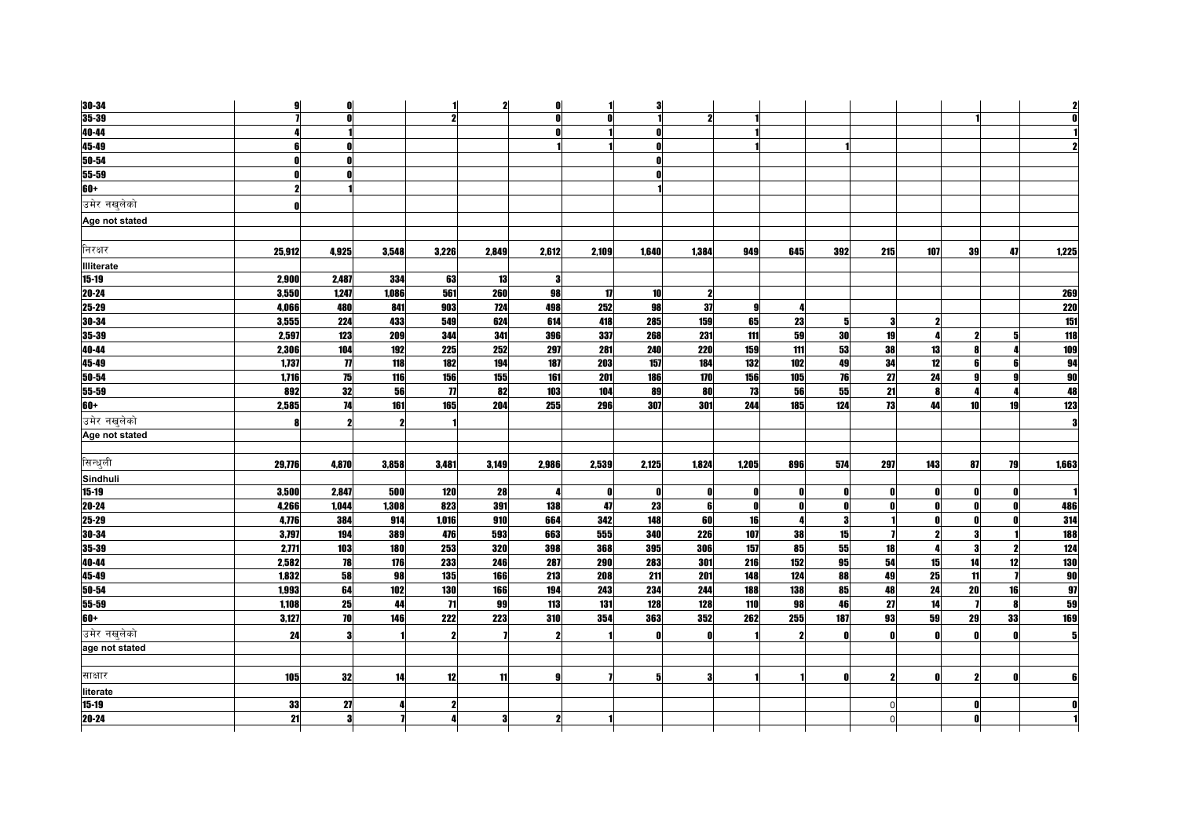| 30-34             | 9            | $\mathbf{r}$    |       |                     | $\mathbf{2}$ | $\mathbf{0}$ |       | 3               |            |                  |              |              |     |              |                 |              |            |
|-------------------|--------------|-----------------|-------|---------------------|--------------|--------------|-------|-----------------|------------|------------------|--------------|--------------|-----|--------------|-----------------|--------------|------------|
| $35 - 39$         | $\mathbf{z}$ |                 |       |                     |              | $\mathbf{a}$ | ŋ     |                 | 2          |                  |              |              |     |              |                 |              |            |
| 40-44             | 4            |                 |       |                     |              |              |       |                 |            |                  |              |              |     |              |                 |              |            |
| 45-49             | 6            |                 |       |                     |              |              |       | $\mathbf{a}$    |            |                  |              |              |     |              |                 |              |            |
| 50-54             | $\mathbf{0}$ |                 |       |                     |              |              |       | <sup>0</sup>    |            |                  |              |              |     |              |                 |              |            |
| 55-59             | 0            |                 |       |                     |              |              |       |                 |            |                  |              |              |     |              |                 |              |            |
| $60+$             | $\mathbf{z}$ |                 |       |                     |              |              |       |                 |            |                  |              |              |     |              |                 |              |            |
| उमेर नखलेको       | n            |                 |       |                     |              |              |       |                 |            |                  |              |              |     |              |                 |              |            |
| Age not stated    |              |                 |       |                     |              |              |       |                 |            |                  |              |              |     |              |                 |              |            |
| निरक्षर           | 25,912       | 4,925           | 3,548 | 3,226               | 2,849        | 2,612        | 2.109 | 1.640           | 1.384      | 949              | 645          | 392          | 215 | 107          | 39              | 47           | 1,225      |
| <b>Illiterate</b> |              |                 |       |                     |              |              |       |                 |            |                  |              |              |     |              |                 |              |            |
| 15-19             | 2,900        | 2,487           | 334   | 63                  | 13           | -3           |       |                 |            |                  |              |              |     |              |                 |              |            |
| 20-24             | 3.550        | 1.247           | 1.086 | 561                 | <b>260</b>   | 98           | 17    | 10 <sup>1</sup> | 2          |                  |              |              |     |              |                 |              | 269        |
| 25-29             | 4,066        | 480             | 841   | 903                 | 724          | 498          | 252   | 98              | 37         | q                | Л            |              |     |              |                 |              | <b>220</b> |
| 30-34             | 3,555        | 224             | 433   | 549                 | 624          | 614          | 418   | 285             | 159        | 65               | 23           | h            | 3   |              |                 |              | 151        |
| 35-39             | 2,597        | 123             | 209   | 344                 | 341          | 396          | 337   | 268             | 231        | 111              | 59           | 30           | 19  |              |                 |              | 118        |
| 40-44             | 2,306        | 104             | 192   | 225                 | 252          | 297          | 281   | 240             | <b>220</b> | 159              | 111          | 53           | 38  | 13           |                 |              | 109        |
| 45-49             | 1,737        | $\eta$          | 118   | 182                 | 194          | 187          | 203   | 157             | 184        | 132              | 102          | 49           | 34  | 12           |                 |              | 94         |
| 50-54             | 1,716        | 75              | 116   | 156                 | 155          | 161          | 201   | 186             | 170        | 156              | 105          | 76           | 27  | 24           |                 |              | 90         |
| 55-59             | 892          | 32              | 56    | $\boldsymbol{\eta}$ | 82           | 103          | 104   | 89              | 80         | 73               | 56           | 55           | 21  | 8            |                 |              | 48         |
| 60+               | 2,585        | $\overline{14}$ | 161   | 165                 | 204          | 255          | 296   | 307             | 301        | 244              | 185          | 124          | 73  | 44           | 10 <sup>1</sup> | 19           | 123        |
| उमेर नखलेको       | Я            |                 |       |                     |              |              |       |                 |            |                  |              |              |     |              |                 |              |            |
| Age not stated    |              |                 |       |                     |              |              |       |                 |            |                  |              |              |     |              |                 |              |            |
|                   |              |                 |       |                     |              |              |       |                 |            |                  |              |              |     |              |                 |              |            |
| सिन्धली           | 29,776       | 4,870           | 3.858 | 3,481               | 3,149        | 2,986        | 2,539 | 2,125           | 1.824      | 1,205            | 896          | 574          | 297 | 143          | 87              | 79           | 1,663      |
| Sindhuli          |              |                 |       |                     |              |              |       |                 |            |                  |              |              |     |              |                 |              |            |
| 15-19             | 3,500        | 2.847           | 500   | 120                 | 28           |              | 0     | - 01            |            | ß                | Λ            |              |     |              |                 | n            |            |
| 20-24             | 4,266        | 1,044           | 1,308 | 823                 | 391          | 138          | 47    | 23              | ĥ          | O                | $\mathbf{r}$ | $\mathbf{0}$ |     | $\mathbf{r}$ |                 | $\mathbf{0}$ | 486        |
| 25-29             | 4,776        | 384             | 914   | 1.016               | <b>910</b>   | 664          | 342   | 148             | 60         | 16               | $\mathbf{a}$ | -3           |     | 0            |                 | O            | 314        |
| 30-34             | 3,797        | 194             | 389   | 476                 | 593          | 663          | 555   | 340             | 226        | $\overline{107}$ | 38           | 15           |     |              |                 |              | 188        |
| 35-39             | 2,771        | 103             | 180   | 253                 | <b>320</b>   | 398          | 368   | 395             | 306        | 157              | 85           | 55           | 18  |              | з               | -2           | 124        |
| 40-44             | 2,582        | 78              | 176   | 233                 | 246          | 287          | 290   | 283             | 301        | $\overline{216}$ | 152          | 95           | 54  | 15           | 14              | 12           | 130        |
| 45-49             | 1.832        | 58              | 98    | 135                 | <b>166</b>   | 213          | 208   | 211             | <b>201</b> | 148              | 124          | 88           | 49  | 25           | 11              |              | 90         |
| 50-54             | 1,993        | 64              | 102   | 130                 | 166          | 194          | 243   | 234             | 244        | 188              | 138          | 85           | 48  | 24           | 20              | 16           | 97         |
| 55-59             | 1,108        | 25              | 44    | 71                  | 99           | 113          | 131   | 128             | 128        | 110              | 98           | 46           | 27  | 14           |                 | -8           | 59         |
| $60+$             | 3,127        | 70              | 146   | 222                 | 223          | 310          | 354   | 363             | 352        | 262              | 255          | 187          | 93  | 59           | 29              | 33           | 169        |
| उमेर नखलेको       |              |                 |       | 2                   |              | 2            |       |                 |            |                  | 2            |              |     | $\mathbf{r}$ |                 |              |            |
| age not stated    | 24           |                 |       |                     |              |              |       | n               |            |                  |              |              |     |              |                 |              |            |
|                   |              |                 |       |                     |              |              |       |                 |            |                  |              |              |     |              |                 |              |            |
| साक्षार           | 105          | 32              | 14    | 12                  | 11           | $\mathbf{a}$ |       | 5               |            |                  |              |              |     | $\mathbf{r}$ |                 | $\mathbf{r}$ |            |
| literate          |              |                 |       |                     |              |              |       |                 |            |                  |              |              |     |              |                 |              |            |
| $15 - 19$         | 33           | 27              |       |                     |              |              |       |                 |            |                  |              |              |     |              |                 |              |            |
| $20 - 24$         | 21           | 3               |       | Л                   | з            | 2            |       |                 |            |                  |              |              |     |              |                 |              |            |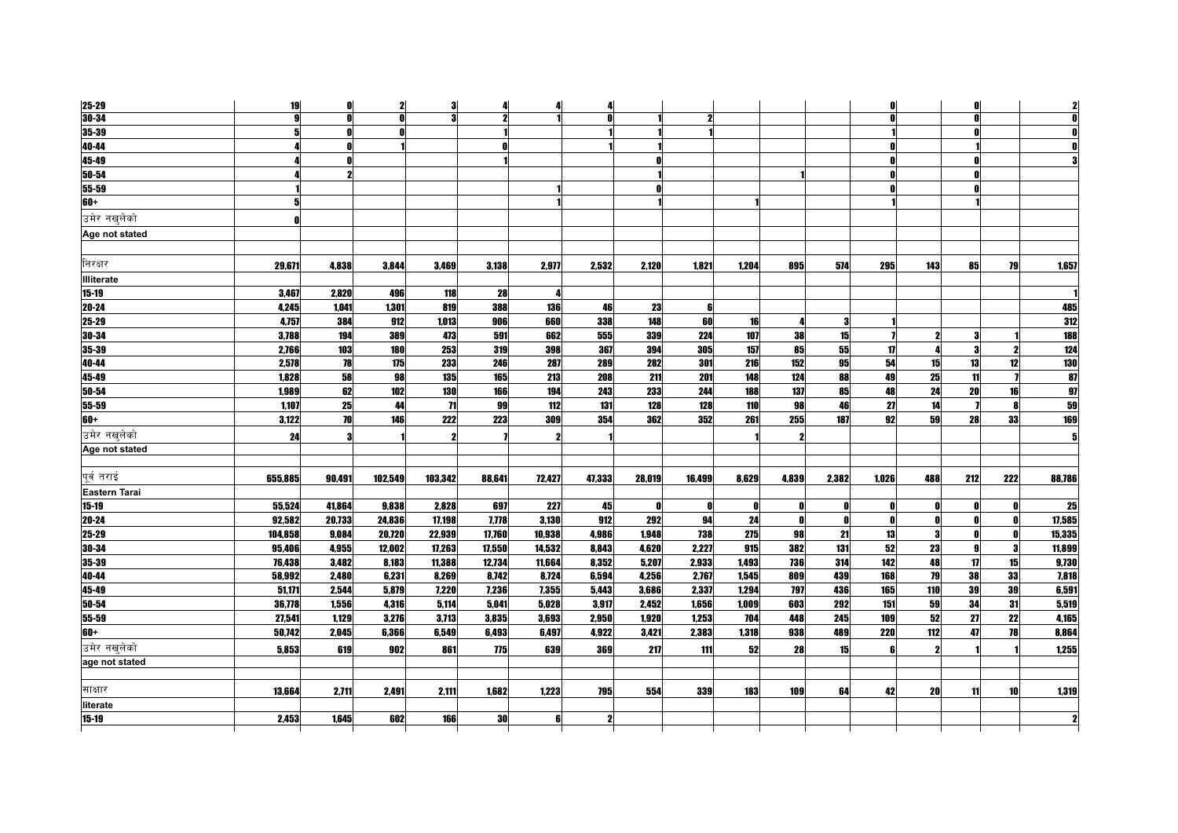| 25-29             | 19      |        |            |                |        |        |              |        |        |       |       |       |              |     |              |           |            |
|-------------------|---------|--------|------------|----------------|--------|--------|--------------|--------|--------|-------|-------|-------|--------------|-----|--------------|-----------|------------|
| $30 - 34$         | Q       |        |            |                |        |        |              |        |        |       |       |       |              |     |              |           |            |
| 35-39             |         |        |            |                |        |        |              |        |        |       |       |       |              |     |              |           |            |
| 40-44             |         |        |            |                |        |        |              |        |        |       |       |       | n            |     |              |           |            |
| 45-49             |         |        |            |                |        |        |              |        |        |       |       |       | n            |     |              |           |            |
| 50-54             |         |        |            |                |        |        |              |        |        |       |       |       | n            |     |              |           |            |
| 55-59             |         |        |            |                |        |        |              |        |        |       |       |       |              |     |              |           |            |
| $60+$             | 5       |        |            |                |        |        |              |        |        |       |       |       |              |     |              |           |            |
| उमेर नखलेको       |         |        |            |                |        |        |              |        |        |       |       |       |              |     |              |           |            |
| Age not stated    |         |        |            |                |        |        |              |        |        |       |       |       |              |     |              |           |            |
| निरक्षर           | 29.671  | 4.838  | 3.844      | 3,469          | 3,138  | 2,977  | 2,532        | 2,120  | 1.821  | 1,204 | 895   | 574   | 295          | 143 | 85           | 79        | 1,657      |
| <b>Illiterate</b> |         |        |            |                |        |        |              |        |        |       |       |       |              |     |              |           |            |
| 15-19             | 3,467   | 2,820  | 496        | 118            | 28     |        |              |        |        |       |       |       |              |     |              |           |            |
| 20-24             | 4,245   | 1,041  | 1,301      | 819            | 388    | 136    | 46           | 23     | 6      |       |       |       |              |     |              |           | 485        |
| 25-29             | 4,757   | 384    | 912        | 1,013          | 906    | 660    | 338          | 148    | 60     | 16    |       | 3     |              |     |              |           | 312        |
| 30-34             | 3,788   | 194    | 389        | 473            | 591    | 662    | 555          | 339    | 224    | 107   | 38    | 15    |              |     |              |           | 188        |
| 35-39             | 2,766   | 103    | <b>180</b> | 253            | 319    | 398    | 367          | 394    | 305    | 157   | 85    | 55    | 17           |     | 3            |           | 124        |
| 40-44             | 2,578   | 78     | 175        | 233            | 246    | 287    | 289          | 282    | 301    | 216   | 152   | 95    | 54           | 15  | 13           | 12        | <b>130</b> |
| 45-49             | 1,828   | 58     | 98         | 135            | 165    | 213    | 208          | 211    | 201    | 148   | 124   | 88    | 49           | 25  | 11           |           | 87         |
| 50-54             | 1,989   | 62     | 102        | 130            | 166    | 194    | 243          | 233    | 244    | 188   | 137   | 85    | 48           | 24  | 20           | 16        | 97         |
| 55-59             | 1,107   | 25     | 44         | $\overline{1}$ | 99     | 112    | 131          | 128    | 128    | 110   | 98    | 46    | 27           | 14  |              |           | 59         |
| 60+               | 3,122   | 70     | 146        | 222            | 223    | 309    | 354          | 362    | 352    | 261   | 255   | 187   | 92           | 59  | 28           | 33        | 169        |
| उमेर नखलेको       | 24      |        |            |                |        |        |              |        |        |       |       |       |              |     |              |           |            |
| Age not stated    |         |        |            |                |        |        |              |        |        |       |       |       |              |     |              |           |            |
| पर्व तराई         | 655,885 | 90,491 | 102,549    | 103,342        | 88,641 | 72,427 | 47,333       | 28,019 | 16,499 | 8,629 | 4,839 | 2,382 | 1,026        | 488 | 212          | 222       | 88,786     |
| Eastern Tarai     |         |        |            |                |        |        |              |        |        |       |       |       |              |     |              |           |            |
| $15 - 19$         | 55,524  | 41,864 | 9,838      | 2,828          | 697    | 227    | 45           | O      | 0      | n     |       | 0     | 0            |     |              |           | 25         |
| 20-24             | 92,582  | 20,733 | 24,836     | 17,198         | 7,778  | 3,130  | 912          | 292    | 94     | 24    | n     | n     | $\mathbf{0}$ |     |              |           | 17,585     |
| 25-29             | 104,858 | 9,084  | 20,720     | 22,939         | 17,760 | 10,938 | 4.986        | 1,948  | 738    | 275   | 98    | 21    | 13           | я   |              |           | 15,335     |
| 30-34             | 95,406  | 4,955  | 12,002     | 17,263         | 17,550 | 14,532 | 8,843        | 4,620  | 2,227  | 915   | 382   | 131   | 52           | 23  | $\mathbf{g}$ | 3         | 11,899     |
| 35-39             | 76,438  | 3,482  | 8,183      | 11,388         | 12,734 | 11,664 | 8,352        | 5,207  | 2,933  | 1,493 | 736   | 314   | 142          | 48  | 17           | 15        | 9,730      |
| 40-44             | 58,992  | 2,480  | 6,231      | 8,269          | 8,742  | 8,724  | 6,594        | 4,256  | 2,767  | 1,545 | 809   | 439   | 168          | 79  | 38           | 33        | 7,818      |
| 45-49             | 51,171  | 2,544  | 5,879      | 7,220          | 7,236  | 7,355  | 5,443        | 3,686  | 2,337  | 1,294 | 797   | 436   | 165          | 110 | 39           | 39        | 6,591      |
| 50-54             | 36,778  | 1.556  | 4,316      | 5.114          | 5.041  | 5.028  | 3.917        | 2.452  | 1,656  | 1,009 | 603   | 292   | 151          | 59  | 34           | 31        | 5,519      |
| 55-59             | 27,541  | 1,129  | 3,276      | 3,713          | 3,835  | 3,693  | 2,950        | 1,920  | 1,253  | 704   | 448   | 245   | 109          | 52  | 27           | 22        | 4,165      |
| 60+               | 50.742  | 2,045  | 6,366      | 6,549          | 6.493  | 6.497  | 4.922        | 3,421  | 2.383  | 1.318 | 938   | 489   | 220          | 112 | 47           | <b>78</b> | 8,864      |
| उमेर नखुलेको      | 5,853   | 619    | 902        | 861            | 775    | 639    | 369          | 217    | 111    | 52    | 28    | 15    | 6            |     |              |           | 1,255      |
| age not stated    |         |        |            |                |        |        |              |        |        |       |       |       |              |     |              |           |            |
| साक्षार           | 13,664  | 2,711  | 2,491      | 2,111          | 1,682  | 1,223  | 795          | 554    | 339    | 183   | 109   | 64    | 42           | 20  | 11           | 10        | 1,319      |
| literate          |         |        |            |                |        |        |              |        |        |       |       |       |              |     |              |           |            |
| $15 - 19$         | 2.453   | 1,645  | 602        | 166            | 30     | 6      | $\mathbf{2}$ |        |        |       |       |       |              |     |              |           |            |
|                   |         |        |            |                |        |        |              |        |        |       |       |       |              |     |              |           |            |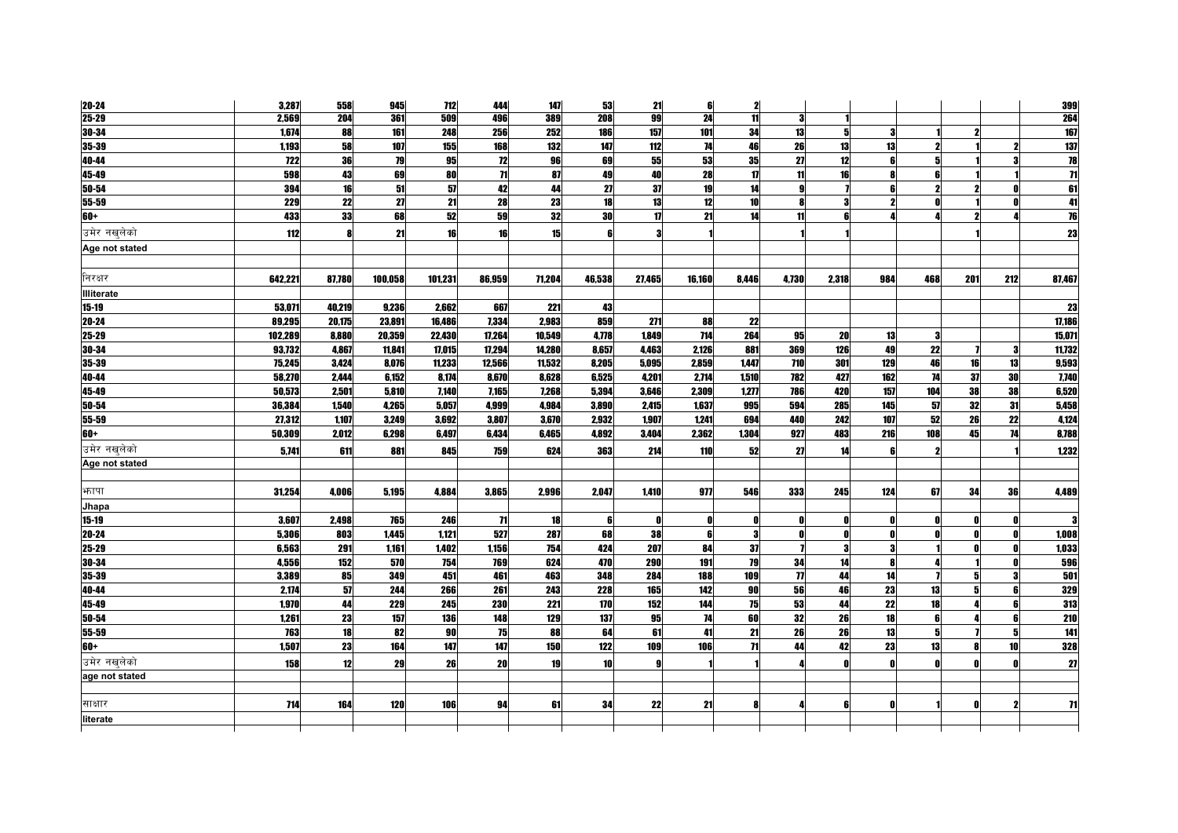| 20-24             | 3,287      | 558    | 945     | 712     | 444             | 147    | 53              | 21           | 6      | $\mathbf{2}$    |        |       |              |     |     |              | 399                     |
|-------------------|------------|--------|---------|---------|-----------------|--------|-----------------|--------------|--------|-----------------|--------|-------|--------------|-----|-----|--------------|-------------------------|
| $25 - 29$         | 2,569      | 204    | 361     | 509     | 496             | 389    | 208             | 99           | 24     | 11              |        |       |              |     |     |              | 264                     |
| 30-34             | 1,674      | 88     | 161     | 248     | 256             | 252    | 186             | 157          | 101    | 34              | 13     | 5     | -3           |     |     |              | 167                     |
| 35-39             | 1,193      | 58     | 107     | 155     | 168             | 132    | 147             | 112          | 74     | 46              | 26     | 13    | 13           |     |     |              | 137                     |
| 40-44             | <b>722</b> | 36     | 79      | 95      | 12              | 96     | 69              | 55           | 53     | 35              | 27     | 12    | 6            |     |     |              | $\overline{\mathbf{a}}$ |
| 45-49             | 598        | 43     | 69      | 80      | $\overline{11}$ | 87     | 49              | 40           | 28     | $\mathbf{u}$    | 11     | 16    |              |     |     |              | $\overline{\mathbf{r}}$ |
| 50-54             | 394        | 16     | 51      | 57      | 42              | 44     | 27              | 37           | 19     | 14              | Q      |       | 6            |     |     |              | 61                      |
| 55-59             | 229        | 22     | 27      | 21      | 28              | 23     | 18              | 13           | 12     | 10              |        |       |              |     |     |              | 41                      |
| 60+               | 433        | 33     | 68      | 52      | 59              | 32     | <b>30</b>       | $\mathbf{u}$ | 21     | 14              | 11     |       |              |     |     |              | 76                      |
| उमेर नखलेको       | 112        | R      | 21      | 16      | 16              | 15     |                 |              |        |                 |        |       |              |     |     |              | 23                      |
| Age not stated    |            |        |         |         |                 |        |                 |              |        |                 |        |       |              |     |     |              |                         |
|                   |            |        |         |         |                 |        |                 |              |        |                 |        |       |              |     |     |              |                         |
| निरक्षर           | 642,221    | 87,780 | 100,058 | 101,231 | 86,959          | 71,204 | 46,538          | 27,465       | 16,160 | 8,446           | 4,730  | 2,318 | 984          | 468 | 201 | 212          | 87,467                  |
| <b>Illiterate</b> |            |        |         |         |                 |        |                 |              |        |                 |        |       |              |     |     |              |                         |
| $15 - 19$         | 53,071     | 40,219 | 9,236   | 2,662   | 667             | 221    | 43              |              |        |                 |        |       |              |     |     |              | 23                      |
| 20-24             | 89,295     | 20,175 | 23,891  | 16,486  | 7,334           | 2,983  | 859             | 271          | 88     | 22              |        |       |              |     |     |              | 17,186                  |
| 25-29             | 102,289    | 8,880  | 20,359  | 22,430  | 17,264          | 10,549 | 4,778           | 1,849        | 714    | 264             | 95     | 20    | 13           |     |     |              | 15,071                  |
| 30-34             | 93,732     | 4,867  | 11.841  | 17,015  | 17,294          | 14,280 | 8,657           | 4,463        | 2,126  | 881             | 369    | 126   | 49           | 22  |     | 3            | 11,732                  |
| 35-39             | 75,245     | 3,424  | 8,076   | 11,233  | 12,566          | 11,532 | 8,205           | 5,095        | 2,859  | 1,447           | 710    | 301   | 129          | 46  | 16  | 13           | 9,593                   |
| 40-44             | 58,270     | 2.444  | 6,152   | 8,174   | 8,670           | 8,628  | 6,525           | 4,201        | 2,714  | 1,510           | 782    | 427   | 162          | 74  | 37  | 30           | 7,740                   |
| 45-49             | 50,573     | 2.501  | 5,810   | 7,140   | 7,165           | 7,268  | 5.394           | 3.646        | 2,309  | 1,277           | 786    | 420   | 157          | 104 | 38  | 38           | 6,520                   |
| 50-54             | 36,384     | 1,540  | 4.265   | 5.057   | 4,999           | 4.984  | 3.890           | 2.415        | 1.637  | 995             | 594    | 285   | 145          | 57  | 32  | 31           | 5,458                   |
| $55 - 59$         | 27,312     | 1,107  | 3,249   | 3,692   | 3,807           | 3,670  | 2,932           | 1,907        | 1,241  | 694             | 440    | 242   | 107          | 52  | 26  | 22           | 4,124                   |
| $60+$             | 50,309     | 2,012  | 6,298   | 6,497   | 6,434           | 6,465  | 4,892           | 3,404        | 2,362  | 1,304           | 927    | 483   | 216          | 108 | 45  | 74           | 8,788                   |
| उमेर नखलेको       | 5,741      | 611    | 881     | 845     | 759             | 624    | 363             | 214          | 110    | 52              | 27     | 14    | -6           |     |     |              | 1,232                   |
| Age not stated    |            |        |         |         |                 |        |                 |              |        |                 |        |       |              |     |     |              |                         |
|                   |            |        |         |         |                 |        |                 |              |        |                 |        |       |              |     |     |              |                         |
| भनापा             | 31,254     | 4,006  | 5,195   | 4.884   | 3,865           | 2,996  | 2.047           | 1,410        | 977    | 546             | 333    | 245   | 124          | 67  | 34  | 36           | 4,489                   |
| Jhapa             |            |        |         |         |                 |        |                 |              |        |                 |        |       |              |     |     |              |                         |
| $15 - 19$         | 3,607      | 2,498  | 765     | 246     | $\overline{11}$ | 18     | 6               |              |        | Λ               |        |       |              |     |     |              |                         |
| 20-24             | 5,306      | 803    | 1,445   | 1,121   | 527             | 287    | 68              | 38           | R      | 3               |        | Λ     | - 0          |     | n   | n            | 1,008                   |
| 25-29             | 6.563      | 291    | 1,161   | 1,402   | 1.156           | 754    | 424             | 207          | 84     | 37              |        | 3     | 3            |     |     | $\mathbf{r}$ | 1,033                   |
| 30-34             | 4.556      | 152    | 570     | 754     | 769             | 624    | 470             | 290          | 191    | 79              | 34     | 14    | R            |     |     |              | 596                     |
| 35-39             | 3,389      | 85     | 349     | 451     | 461             | 463    | 348             | 284          | 188    | 109             | $\eta$ | 44    | 14           |     |     |              | 501                     |
| 40-44             | 2,174      | 57     | 244     | 266     | 261             | 243    | 228             | 165          | 142    | 90              | 56     | 46    | 23           | 13  | 5   | ĥ            | 329                     |
| 45-49             | 1,970      | 44     | 229     | 245     | 230             | 221    | 170             | 152          | 144    | 75              | 53     | 44    | 22           | 18  |     |              | 313                     |
| 50-54             | 1,261      | 23     | 157     | 136     | 148             | 129    | 137             | 95           | 74     | 60              | 32     | 26    | 18           | ĥ   |     | 6            | 210                     |
| 55-59             | 763        | 18     | 82      | 90      | 75              | 88     | 64              | 61           | 41     | 21              | 26     | 26    | 13           | 51  |     | 5            | 141                     |
| $60+$             | 1,507      | 23     | 164     | 147     | 147             | 150    | 122             | 109          | 106    | $\overline{11}$ | 44     | 42    | 23           | 13  |     | 10           | 328                     |
| उमेर नखलेको       | 158        | 12     | 29      | 26      | 20              | 19     | 10 <sup>1</sup> |              |        |                 |        | Λ     | $\mathbf{r}$ |     |     |              | 27                      |
| age not stated    |            |        |         |         |                 |        |                 |              |        |                 |        |       |              |     |     |              |                         |
|                   |            |        |         |         |                 |        |                 |              |        |                 |        |       |              |     |     |              |                         |
| साक्षार           | 714        | 164    | 120     | 106     | 94              | 61     | 34              | 22           | 21     |                 |        | ĥ     | $\mathbf{r}$ |     |     |              | $\mathbf{H}$            |
| literate          |            |        |         |         |                 |        |                 |              |        |                 |        |       |              |     |     |              |                         |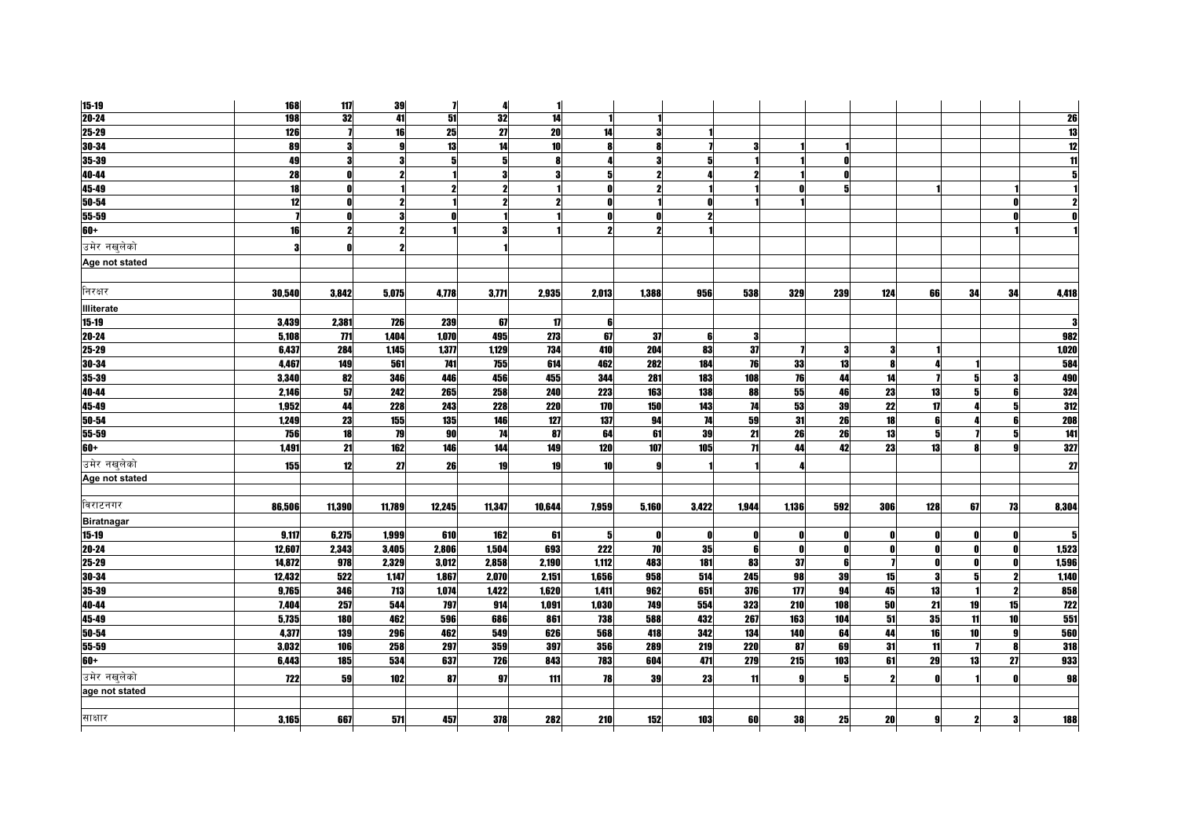| $15 - 19$         | 168        | 117            | 39         | $\overline{\mathbf{I}}$ | 4          | 1      |                  |                         |            |                 |       |     |            |              |    |    |       |
|-------------------|------------|----------------|------------|-------------------------|------------|--------|------------------|-------------------------|------------|-----------------|-------|-----|------------|--------------|----|----|-------|
| $20 - 24$         | <b>198</b> | 32             | 41         | 51                      | 32         | 14     |                  |                         |            |                 |       |     |            |              |    |    | 26    |
| 25-29             | 126        |                | 16         | 25                      | 27         | 20     | 14               | 3                       |            |                 |       |     |            |              |    |    | 13    |
| 30-34             | 89         | 9              |            | 13                      | 14         | 10     |                  | <b>R</b>                |            | 9               |       |     |            |              |    |    |       |
| 35-39             | 49         | 3              | я          | 5                       | 5          | 8      |                  | $\mathbf{3}$            | 5          |                 |       | O   |            |              |    |    |       |
| 40-44             | 28         |                | $\bullet$  |                         |            |        |                  | $\overline{\mathbf{z}}$ |            |                 |       |     |            |              |    |    |       |
| 45-49             | 18         |                |            |                         | 2          |        |                  | $\mathbf{2}$            |            |                 |       | 5   |            |              |    |    |       |
| 50-54             | 12         |                |            |                         | 2          |        |                  |                         |            |                 |       |     |            |              |    |    |       |
| 55-59             |            |                |            |                         |            |        |                  |                         |            |                 |       |     |            |              |    |    |       |
| 60+               | 16         |                | 2          |                         |            |        |                  |                         |            |                 |       |     |            |              |    |    |       |
| उमेर नखलेको       | 3          |                |            |                         |            |        |                  |                         |            |                 |       |     |            |              |    |    |       |
| Age not stated    |            |                |            |                         |            |        |                  |                         |            |                 |       |     |            |              |    |    |       |
| निरक्षर           | 30,540     | 3,842          | 5,075      | 4,778                   | 3,771      | 2,935  | 2,013            | 1,388                   | 956        | 538             | 329   | 239 | 124        | 66           | 34 | 34 | 4,418 |
| <b>Illiterate</b> |            |                |            |                         |            |        |                  |                         |            |                 |       |     |            |              |    |    |       |
| 15-19             | 3,439      | 2,381          | 726        | 239                     | 67         | 17     | ß                |                         |            |                 |       |     |            |              |    |    |       |
| 20-24             | 5.108      | $\overline{m}$ | 1.404      | 1.070                   | 495        | 273    | 67               | 37                      | ĥ          | 3               |       |     |            |              |    |    | 982   |
| 25-29             | 6,437      | 284            | 1,145      | 1,377                   | 1,129      | 734    | 410              | 204                     | 83         | 37              |       |     |            |              |    |    | 1,020 |
| 30-34             | 4,467      | 149            | 561        | 741                     | 755        | 614    | 462              | 282                     | 184        | 76              | 33    | 13  | R          |              |    |    | 584   |
| 35-39             | 3,340      | 82             | 346        | 446                     | 456        | 455    | 344              | 281                     | 183        | 108             | 76    | 44  | 14         |              |    |    | 490   |
| 40-44             | 2.146      | 57             | 242        | 265                     | 258        | 240    | 223              | 163                     | 138        | 88              | 55    | 46  | 23         | 13           |    |    | 324   |
| 45-49             | 1,952      | 44             | <b>228</b> | 243                     | 228        | 220    | $\overline{170}$ | 150                     | 143        | 74              | 53    | 39  | 22         | $\mathbf{u}$ |    |    | 312   |
| 50-54             | 1.249      | 23             | 155        | 135                     | 146        | 127    | 137              | 94                      | 74         | 59              | 31    | 26  | 18         | ĥ            |    | f  | 208   |
| 55-59             | 756        | 18             | <b>79</b>  | 90                      | 74         | 87     | 64               | 61                      | 39         | 21              | 26    | 26  | 13         | 5            |    | ă  | 141   |
| 60+               | 1.491      | 21             | 162        | 146                     | 144        | 149    | 120              | 107                     | 105        | $\overline{11}$ | 44    | 42  | 23         | 13           |    |    | 327   |
|                   |            |                |            |                         |            |        |                  |                         |            |                 |       |     |            |              |    |    |       |
| उमेर नखलेको       | 155        | 12             | 27         | 26                      | 19         | 19     | 10               |                         |            |                 |       |     |            |              |    |    | 27    |
| Age not stated    |            |                |            |                         |            |        |                  |                         |            |                 |       |     |            |              |    |    |       |
| विराटनगर          | 86.506     | 11.390         | 11.789     | 12,245                  | 11.347     | 10.644 | 7.959            | 5.160                   | 3.422      | 1,944           | 1.136 | 592 | <b>306</b> | 128          | 67 | 73 | 8.304 |
| <b>Biratnagar</b> |            |                |            |                         |            |        |                  |                         |            |                 |       |     |            |              |    |    |       |
| 15-19             | 9.117      | 6,275          | 1.999      | 610                     | 162        | 61     | -51              | 0                       | Ω          | ß               | n     |     |            |              |    |    |       |
| 20-24             | 12,607     | 2,343          | 3,405      | 2.806                   | 1,504      | 693    | 222              | 70                      | 35         | 6               | n     | O   |            | 0            |    | ſ  | 1,523 |
| 25-29             | 14.872     | 978            | 2,329      | 3.012                   | 2.858      | 2.190  | 1.112            | 483                     | <b>181</b> | 83              | 37    | 6   |            | $\mathbf{r}$ |    | O  | 1,596 |
| 30-34             | 12,432     | 522            | 1,147      | 1.867                   | 2,070      | 2,151  | 1,656            | 958                     | 514        | 245             | 98    | 39  | 15         |              |    |    | 1.140 |
| 35-39             | 9,765      | 346            | 713        | 1,074                   | 1,422      | 1.620  | 1.411            | 962                     | 651        | 376             | 177   | 94  | 45         | 13           |    | 2  | 858   |
| 40-44             | 7,404      | 257            | 544        | 797                     | 914        | 1,091  | 1,030            | 749                     | 554        | 323             | 210   | 108 | 50         | 21           | 19 | 15 | 722   |
| 45-49             | 5,735      | 180            | 462        | 596                     | 686        | 861    | 738              | 588                     | 432        | 267             | 163   | 104 | 51         | 35           | 11 | 10 | 551   |
| 50-54             | 4,377      | <b>139</b>     | 296        | 462                     | 549        | 626    | 568              | 418                     | 342        | 134             | 140   | 64  | 44         | 16           | 10 | g  | 560   |
| 55-59             | 3.032      | 106            | 258        | 297                     | 359        | 397    | 356              | 289                     | 219        | <b>220</b>      | 87    | 69  | 31         | 11           |    | Я  | 318   |
| 60+               | 6.443      | 185            | 534        | 637                     | <b>726</b> | 843    | 783              | 604                     | 471        | 279             | 215   | 103 | 61         | 29           | 13 | 27 | 933   |
| उमेर नखलेको       | <b>722</b> | 59             | 102        | 87                      | 97         | 111    | 78               | 39                      | 23         | 11              | g     | 5   |            | $\mathbf{a}$ |    | O  | 98    |
| age not stated    |            |                |            |                         |            |        |                  |                         |            |                 |       |     |            |              |    |    |       |
|                   |            |                |            |                         |            |        |                  |                         |            |                 |       |     |            |              |    |    |       |
| साक्षार           | 3,165      | 667            | 571        | 457                     | 378        | 282    | 210              | 152                     | 103        | 60              | 38    | 25  | 20         | 9            |    | 3  | 188   |
|                   |            |                |            |                         |            |        |                  |                         |            |                 |       |     |            |              |    |    |       |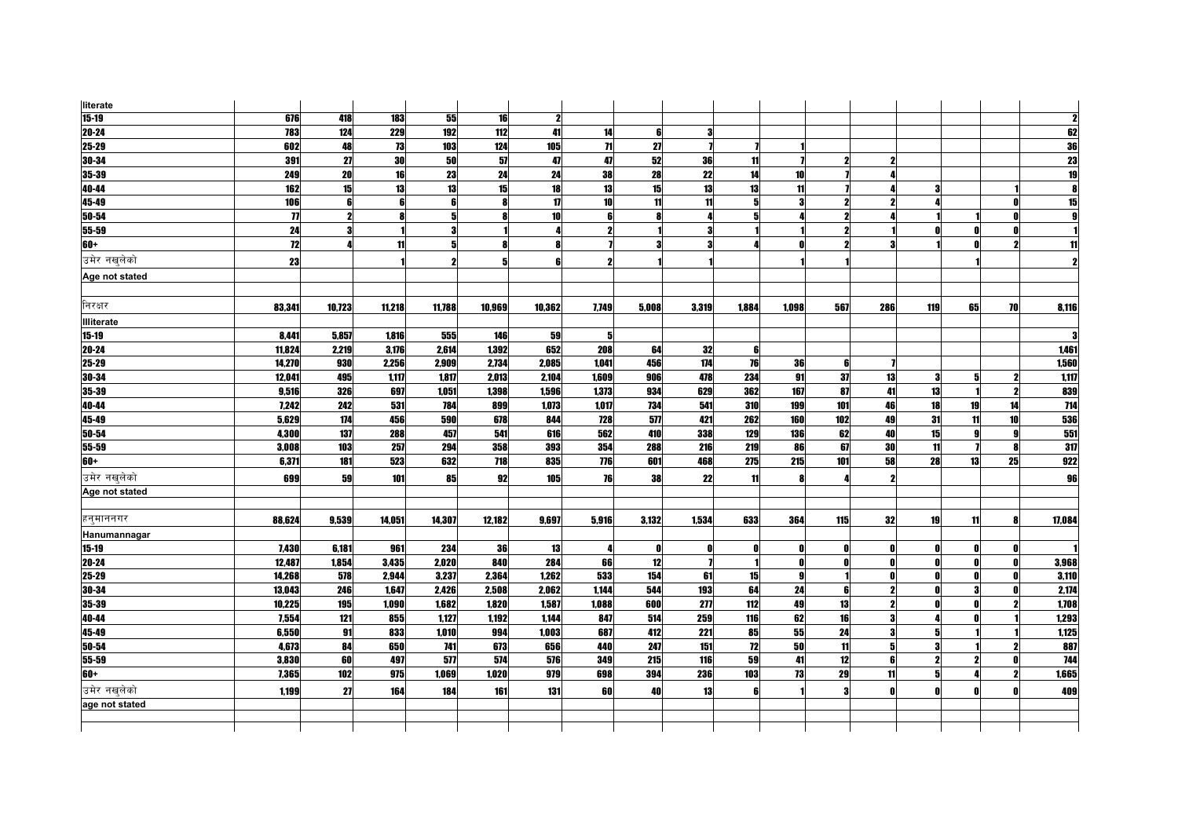| literate          |                    |                     |        |        |        |        |                 |       |       |       |       |     |     |     |    |    |                 |
|-------------------|--------------------|---------------------|--------|--------|--------|--------|-----------------|-------|-------|-------|-------|-----|-----|-----|----|----|-----------------|
| $15-19$           | 676                | 418                 | 183    | 55     | 16     | 2      |                 |       |       |       |       |     |     |     |    |    |                 |
| 20-24             | 783                | 124                 | 229    | 192    | 112    | 41     | 14              | 6     | 3     |       |       |     |     |     |    |    | 62              |
| 25-29             | 602                | 48                  | 73     | 103    | 124    | 105    | $\overline{11}$ | 27    |       |       |       |     |     |     |    |    | 36              |
| 30-34             | 391                | 27                  | 30     | 50     | 57     | 47     | 47              | 52    | 36    | 11    |       |     |     |     |    |    | $\overline{23}$ |
| 35-39             | 249                | 20                  | 16     | 23     | 24     | 24     | 38              | 28    | 22    | 14    | 10    |     |     |     |    |    | 19              |
| 40-44             | 162                | 15                  | 13     | 13     | 15     | 18     | 13              | 15    | 13    | 13    | 11    |     |     |     |    |    | 8               |
| 45-49             | 106                | 6                   |        |        | R      | 17     | 10 <sup>1</sup> | 11    | 11    | 5     |       |     |     |     |    |    | 15              |
| 50-54             | $\overline{\bf n}$ | $\boldsymbol{\eta}$ |        |        |        | 10     | ĥ               |       |       |       |       |     |     |     |    |    |                 |
| 55-59             | 24                 | 3                   |        |        |        |        | $\mathbf{2}$    |       |       |       |       |     |     |     |    |    |                 |
| 60+               | 12                 |                     | 11     |        |        |        |                 |       |       |       |       |     |     |     |    |    | 11              |
| उमेर नखलेको       | 23                 |                     |        |        | 5      |        |                 |       |       |       |       |     |     |     |    |    |                 |
| Age not stated    |                    |                     |        |        |        |        |                 |       |       |       |       |     |     |     |    |    |                 |
|                   |                    |                     |        |        |        |        |                 |       |       |       |       |     |     |     |    |    |                 |
| निरक्षर           | 83.341             | 10,723              | 11,218 | 11,788 | 10,969 | 10,362 | 7.749           | 5,008 | 3,319 | 1,884 | 1.098 | 567 | 286 | 119 | 65 | 70 | 8,116           |
| <b>Illiterate</b> |                    |                     |        |        |        |        |                 |       |       |       |       |     |     |     |    |    |                 |
| $15-19$           | 8.441              | 5,857               | 1,816  | 555    | 146    | 59     | 5               |       |       |       |       |     |     |     |    |    |                 |
| $20 - 24$         | 11,824             | 2,219               | 3,176  | 2,614  | 1,392  | 652    | 208             | 64    | 32    | 6     |       |     |     |     |    |    | 1,461           |
| 25-29             | 14,270             | 930                 | 2,256  | 2,909  | 2,734  | 2,085  | 1,041           | 456   | 174   | 76    | 36    | 6   |     |     |    |    | 1,560           |
| 30-34             | 12,041             | 495                 | 1,117  | 1,817  | 2,013  | 2,104  | 1,609           | 906   | 478   | 234   | 91    | 37  | 13  | 9   | 5  |    | 1,117           |
| 35-39             | 9,516              | 326                 | 697    | 1,051  | 1,398  | 1,596  | 1,373           | 934   | 629   | 362   | 167   | 87  | 41  | 13  |    |    | 839             |
| 40-44             | 7,242              | 242                 | 531    | 784    | 899    | 1,073  | 1,017           | 734   | 541   | 310   | 199   | 101 | 46  | 18  | 19 | 14 | 714             |
| 45-49             | 5,629              | 174                 | 456    | 590    | 678    | 844    | <b>728</b>      | 577   | 421   | 262   | 160   | 102 | 49  | 31  | 11 | 10 | 536             |
| 50-54             | 4,300              | 137                 | 288    | 457    | 541    | 616    | 562             | 410   | 338   | 129   | 136   | 62  | 40  | 15  | a  |    | 551             |
| 55-59             | 3,008              | 103                 | 257    | 294    | 358    | 393    | 354             | 288   | 216   | 219   | 86    | 67  | 30  | 11  |    |    | 317             |
| 60+               | 6,371              | 181                 | 523    | 632    | 718    | 835    | 776             | 601   | 468   | 275   | 215   | 101 | 58  | 28  | 13 | 25 | 922             |
| उमेर नखलेको       | 699                | 59                  | 101    | 85     | 92     | 105    | 76              | 38    | 22    | 11    |       |     |     |     |    |    | 96              |
| Age not stated    |                    |                     |        |        |        |        |                 |       |       |       |       |     |     |     |    |    |                 |
|                   |                    |                     |        |        |        |        |                 |       |       |       |       |     |     |     |    |    |                 |
| हन्माननगर         | 88,624             | 9,539               | 14,051 | 14,307 | 12,182 | 9,697  | 5,916           | 3,132 | 1,534 | 633   | 364   | 115 | 32  | 19  | 11 |    | 17,084          |
| Hanumannagar      |                    |                     |        |        |        |        |                 |       |       |       |       |     |     |     |    |    |                 |
| 15-19             | 7,430              | 6,181               | 961    | 234    | 36     | 13     | 41              |       |       | Λ     | n     |     |     |     |    |    |                 |
| 20-24             | 12.487             | 1,854               | 3.435  | 2.020  | 840    | 284    | 66              | 12    |       |       |       |     | n   |     |    |    | 3,968           |
| 25-29             | 14,268             | 578                 | 2,944  | 3,237  | 2,364  | 1,262  | 533             | 154   | 61    | 15    |       |     |     |     |    |    | 3,110           |
| 30-34             | 13,043             | 246                 | 1.647  | 2,426  | 2,508  | 2,062  | 1,144           | 544   | 193   | 64    | 24    | f   |     |     |    |    | 2,174           |
| 35-39             | 10,225             | 195                 | 1,090  | 1,682  | 1,820  | 1,587  | 1,088           | 600   | 277   | 112   | 49    | 13  | 2   |     |    |    | 1,708           |
| 40-44             | 7,554              | 121                 | 855    | 1,127  | 1,192  | 1,144  | 847             | 514   | 259   | 116   | 62    | 16  | -3  |     |    |    | 1,293           |
| 45-49             | 6,550              | 91                  | 833    | 1,010  | 994    | 1,003  | 687             | 412   | 221   | 85    | 55    | 24  | -3  |     |    |    | 1,125           |
| 50-54             | 4,673              | 84                  | 650    | 741    | 673    | 656    | 440             | 247   | 151   | 12    | 50    | 11  | 5   |     |    |    | 887             |
| 55-59             | 3,830              | 60                  | 497    | 577    | 574    | 576    | 349             | 215   | 116   | 59    | 41    | 12  | 6   | 2   | 2  |    | 744             |
| $60+$             | 7,365              | 102                 | 975    | 1,069  | 1,020  | 979    | 698             | 394   | 236   | 103   | 73    | 29  | 11  | 5   |    |    | 1,665           |
| उमेर नखलेको       | 1,199              | 27                  | 164    | 184    | 161    | 131    | 60              | 40    | 13    | R     |       | 3   | - 0 |     |    |    | 409             |
| age not stated    |                    |                     |        |        |        |        |                 |       |       |       |       |     |     |     |    |    |                 |
|                   |                    |                     |        |        |        |        |                 |       |       |       |       |     |     |     |    |    |                 |
|                   |                    |                     |        |        |        |        |                 |       |       |       |       |     |     |     |    |    |                 |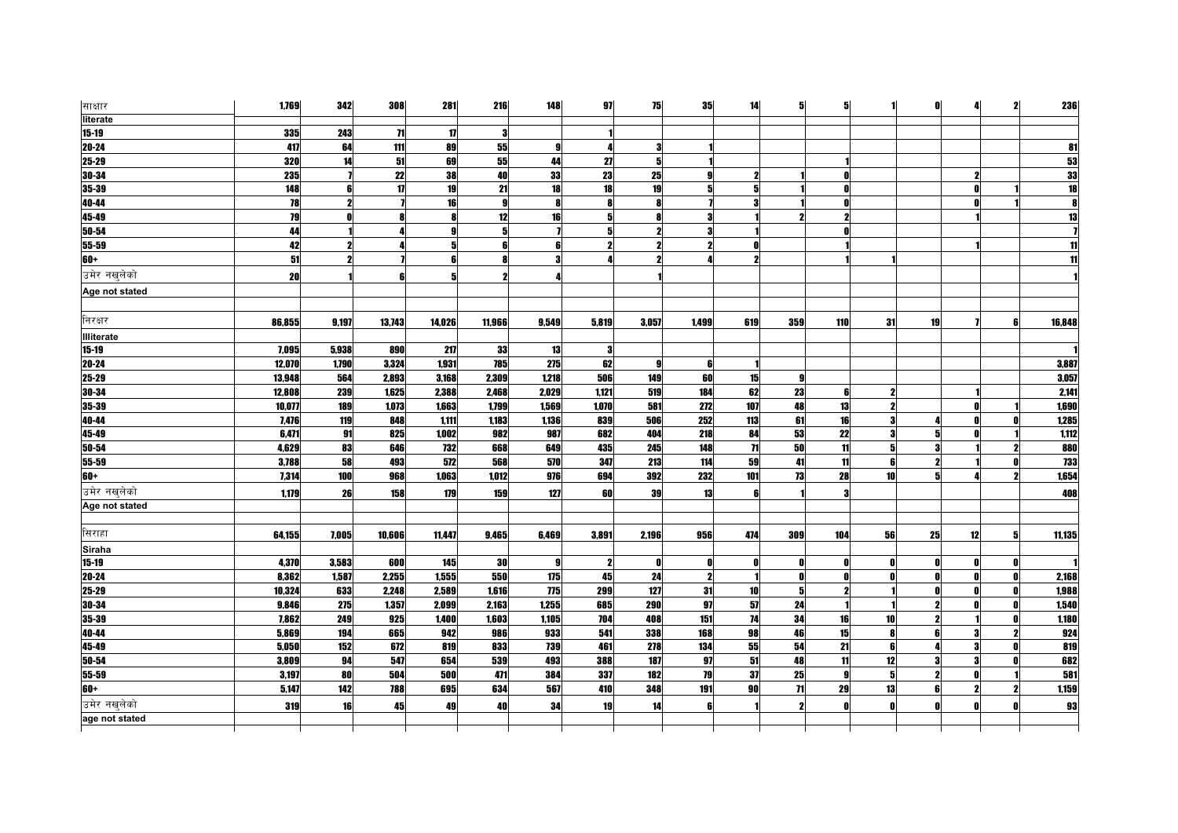| साक्षार           | 1,769  | 342                 | 308    | 281    | 216          | 148   | 97                  | 75         | 35                  | 14                  | 5               | 5               |              | O  |    | 2 | 236        |
|-------------------|--------|---------------------|--------|--------|--------------|-------|---------------------|------------|---------------------|---------------------|-----------------|-----------------|--------------|----|----|---|------------|
| literate          |        |                     |        |        |              |       |                     |            |                     |                     |                 |                 |              |    |    |   |            |
| $15 - 19$         | 335    | 243                 | 71     | 17     |              |       |                     |            |                     |                     |                 |                 |              |    |    |   |            |
| $20 - 24$         | 417    | 64                  | 111    | 89     | 55           | 9     | 4                   | 3          |                     |                     |                 |                 |              |    |    |   | 81         |
| $25 - 29$         | 320    | 14                  | 51     | 69     | 55           | 44    | 27                  | 5          |                     |                     |                 |                 |              |    |    |   | 53         |
| $30 - 34$         | 235    |                     | 22     | 38     | 40           | 33    | 23                  | 25         |                     | $\boldsymbol{\eta}$ |                 |                 |              |    |    |   | 33         |
| 35-39             | 148    | 6                   | 17     | 19     | 21           | 18    | 18                  | 19         |                     | 5                   |                 |                 |              |    |    |   | 18         |
| 40-44             | 78     | $\boldsymbol{2}$    |        | 16     | $\mathbf{g}$ | 8     | 8                   |            |                     | 3                   |                 |                 |              |    |    |   |            |
| $45 - 49$         | 79     |                     |        |        | 12           | 16    | 5                   |            |                     |                     |                 |                 |              |    |    |   | 13         |
| 50-54             | 44     |                     |        |        | 5            |       | 5                   |            |                     |                     |                 |                 |              |    |    |   |            |
| 55-59             | 42     | $\boldsymbol{\eta}$ |        |        | 6            | 6     | $\boldsymbol{\eta}$ |            | $\boldsymbol{\eta}$ | n                   |                 |                 |              |    |    |   |            |
| $60+$             | 51     |                     |        |        |              |       |                     |            |                     | 2                   |                 |                 |              |    |    |   |            |
| उमेर नखुलेको      | 20     |                     |        |        |              |       |                     |            |                     |                     |                 |                 |              |    |    |   |            |
| Age not stated    |        |                     |        |        |              |       |                     |            |                     |                     |                 |                 |              |    |    |   |            |
|                   |        |                     |        |        |              |       |                     |            |                     |                     |                 |                 |              |    |    |   |            |
| निरक्षर           | 86,855 | 9,197               | 13,743 | 14,026 | 11,966       | 9,549 | 5,819               | 3,057      | 1,499               | 619                 | 359             | 110             | 31           | 19 |    | R | 16,848     |
| <b>Illiterate</b> |        |                     |        |        |              |       |                     |            |                     |                     |                 |                 |              |    |    |   |            |
| $15 - 19$         | 7,095  | 5,938               | 890    | 217    | 33           | 13    | 3                   |            |                     |                     |                 |                 |              |    |    |   |            |
| $20 - 24$         | 12,070 | 1,790               | 3,324  | 1,931  | 785          | 275   | 62                  | 9          | 6                   |                     |                 |                 |              |    |    |   | 3,887      |
| $25 - 29$         | 13,948 | 564                 | 2,893  | 3,168  | 2,309        | 1,218 | 506                 | 149        | 60                  | 15                  | Я               |                 |              |    |    |   | 3,057      |
| 30-34             | 12,808 | 239                 | 1,625  | 2,388  | 2,468        | 2,029 | 1,121               | 519        | 184                 | 62                  | 23              | 6               | 2            |    |    |   | 2,141      |
| $35 - 39$         | 10,077 | 189                 | 1,073  | 1,663  | 1,799        | 1,569 | 1,070               | 581        | 272                 | 107                 | 48              | 13              | 2            |    |    |   | 1,690      |
| $40 - 44$         | 7,476  | 119                 | 848    | 1,111  | 1,183        | 1,136 | 839                 | 506        | 252                 | 113                 | 61              | 16              | 3            |    |    |   | 1,285      |
| 45-49             | 6,471  | 91                  | 825    | 1,002  | 982          | 987   | 682                 | 404        | 218                 | 84                  | 53              | 22              | 3            |    |    |   | 1,112      |
| 50-54             | 4,629  | 83                  | 646    | 732    | 668          | 649   | 435                 | 245        | 148                 | $\mathbf{H}$        | 50              | 11              | 5            |    |    |   | 880        |
| 55-59             | 3,788  | 58                  | 493    | 572    | 568          | 570   | 347                 | 213        | 114                 | 59                  | 41              | 11              | 6            |    |    |   | <b>733</b> |
| $60+$             | 7,314  | 100                 | 968    | 1,063  | 1,012        | 976   | 694                 | 392        | 232                 | 101                 | 73              | 28              | 10           |    |    |   | 1,654      |
| उमेर नखलेको       | 1,179  | 26                  | 158    | 179    | 159          | 127   | 60                  | 39         | 13                  | ĥ                   |                 |                 |              |    |    |   | 408        |
| Age not stated    |        |                     |        |        |              |       |                     |            |                     |                     |                 |                 |              |    |    |   |            |
|                   |        |                     |        |        |              |       |                     |            |                     |                     |                 |                 |              |    |    |   |            |
| सिराहा            | 64,155 | 7,005               | 10,606 | 11,447 | 9,465        | 6,469 | 3,891               | 2,196      | 956                 | 474                 | 309             | 104             | 56           | 25 | 12 |   | 11,135     |
| Siraha            |        |                     |        |        |              |       |                     |            |                     |                     |                 |                 |              |    |    |   |            |
| $15 - 19$         | 4,370  | 3,583               | 600    | 145    | 30           | 9     | $\mathbf{2}$        | O          | Λ                   | n                   | Λ               | n               | $\mathbf{r}$ |    |    |   |            |
| $20 - 24$         | 8,362  | 1,587               | 2,255  | 1,555  | 550          | 175   | 45                  | 24         | $\mathbf{2}$        |                     |                 |                 | n            |    |    |   | 2,168      |
| $25 - 29$         | 10,324 | 633                 | 2,248  | 2,589  | 1,616        | 775   | 299                 | 127        | 31                  | 10                  | 5               | 2               |              |    |    |   | 1,988      |
| $30 - 34$         | 9,846  | 275                 | 1,357  | 2,099  | 2,163        | 1,255 | 685                 | <b>290</b> | 97                  | 57                  | 24              |                 |              |    |    |   | 1,540      |
| $35 - 39$         | 7,862  | 249                 | 925    | 1,400  | 1,603        | 1,105 | 704                 | 408        | 151                 | $\overline{14}$     | 34              | 16              | 10           |    |    |   | 1,180      |
| 40-44             | 5,869  | 194                 | 665    | 942    | 986          | 933   | 541                 | 338        | 168                 | 98                  | 46              | 15              | 8            | R  |    |   | 924        |
| 45-49             | 5,050  | 152                 | 672    | 819    | 833          | 739   | 461                 | 278        | 134                 | 55                  | 54              | $\overline{21}$ | 6            |    |    |   | 819        |
| $50 - 54$         | 3,809  | 94                  | 547    | 654    | 539          | 493   | 388                 | 187        | 97                  | 51                  | 48              | 11              | 12           |    |    |   | 682        |
| 55-59             | 3,197  | 80                  | 504    | 500    | 471          | 384   | 337                 | 182        | 79                  | 37                  | 25              | 9               | $5 \,$       | 2  |    |   | 581        |
| $60+$             | 5,147  | 142                 | 788    | 695    | 634          | 567   | 410                 | 348        | 191                 | 90                  | $\overline{11}$ | 29              | 13           |    |    |   | 1,159      |
| उमेर नखुलेको      | 319    | 16                  | 45     | 49     | 40           | 34    | 19                  | 14         | R                   |                     | 2               | O               | $\mathbf{a}$ |    |    |   | 93         |
| age not stated    |        |                     |        |        |              |       |                     |            |                     |                     |                 |                 |              |    |    |   |            |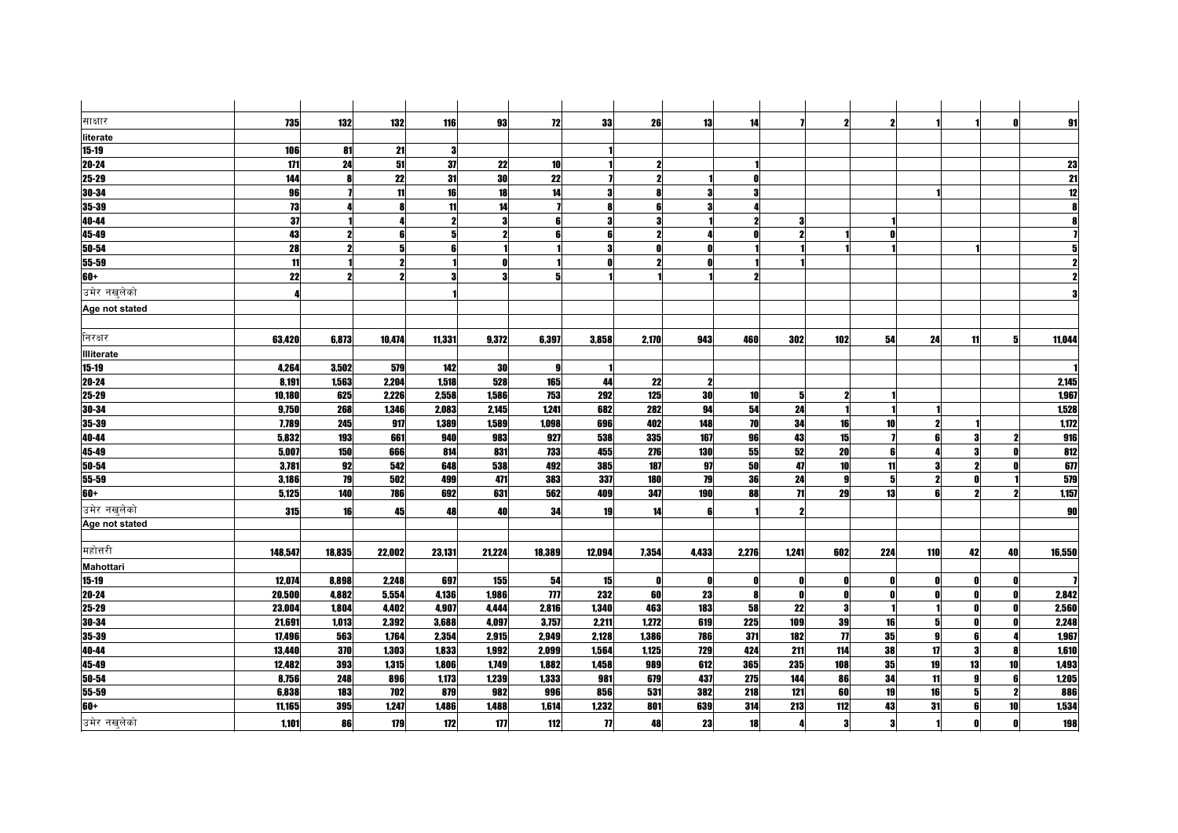| साक्षार          | 735     | 132    | 132                 | 116    | 93     | 72             | 33                  | 26    | 13           | 14    |                 | 2                   | $\boldsymbol{\eta}$ |     |    |    | 91              |
|------------------|---------|--------|---------------------|--------|--------|----------------|---------------------|-------|--------------|-------|-----------------|---------------------|---------------------|-----|----|----|-----------------|
| literate         |         |        |                     |        |        |                |                     |       |              |       |                 |                     |                     |     |    |    |                 |
| $15 - 19$        | 106     | 81     | 21                  | з      |        |                |                     |       |              |       |                 |                     |                     |     |    |    |                 |
| $20 - 24$        | $171$   | 24     | 51                  | 37     | 22     | 10             |                     |       |              |       |                 |                     |                     |     |    |    | 23              |
| 25-29            | 144     | 8      | 22                  | 31     | 30     | 22             |                     | 2     |              | n     |                 |                     |                     |     |    |    | $\overline{21}$ |
| 30-34            | 96      |        | 11                  | 16     | 18     | 14             | 3                   |       | 3            | 3     |                 |                     |                     |     |    |    | $\overline{12}$ |
| 35-39            | 73      |        |                     | 11     | 14     |                | 8                   |       |              |       |                 |                     |                     |     |    |    |                 |
| 40-44            | 37      |        |                     | 2      | 3      |                | 3                   |       |              | 2     |                 |                     |                     |     |    |    |                 |
| 45-49            | 43      |        |                     | 5      | 2      | R              | 6                   |       |              | n     |                 |                     |                     |     |    |    |                 |
| 50-54            | 28      |        |                     | ĥ      |        |                | 3                   |       |              |       |                 |                     |                     |     |    |    |                 |
| 55-59            | 11      |        | $\boldsymbol{\eta}$ |        | O      |                | Ω                   |       |              |       |                 |                     |                     |     |    |    |                 |
| 60+              | 22      |        | 2                   |        | 3      |                |                     |       |              | 2     |                 |                     |                     |     |    |    |                 |
| उमेर नखलेको      |         |        |                     |        |        |                |                     |       |              |       |                 |                     |                     |     |    |    |                 |
| Age not stated   |         |        |                     |        |        |                |                     |       |              |       |                 |                     |                     |     |    |    |                 |
|                  |         |        |                     |        |        |                |                     |       |              |       |                 |                     |                     |     |    |    |                 |
| निरक्षर          | 63,420  | 6,873  | 10,474              | 11,331 | 9,372  | 6,397          | 3,858               | 2,170 | 943          | 460   | 302             | 102                 | 54                  | 24  | 11 | 51 | 11,044          |
| Illiterate       |         |        |                     |        |        |                |                     |       |              |       |                 |                     |                     |     |    |    |                 |
| 15-19            | 4,264   | 3,502  | 579                 | 142    | 30     | g              |                     |       |              |       |                 |                     |                     |     |    |    |                 |
| $20 - 24$        | 8,191   | 1,563  | 2,204               | 1,518  | 528    | 165            | 44                  | 22    | $\mathbf{2}$ |       |                 |                     |                     |     |    |    | 2,145           |
| 25-29            | 10,180  | 625    | 2,226               | 2,558  | 1,586  | 753            | 292                 | 125   | 30           | 10    | 5               |                     |                     |     |    |    | 1,967           |
| 30-34            | 9,750   | 268    | 1,346               | 2,083  | 2,145  | 1.241          | 682                 | 282   | 94           | 54    | 24              |                     |                     |     |    |    | 1,528           |
| 35-39            | 7,789   | 245    | 917                 | 1,389  | 1,589  | 1,098          | 696                 | 402   | 148          | 70    | 34              | 16                  | 10                  |     |    |    | 1,172           |
| 40-44            | 5,832   | 193    | 661                 | 940    | 983    | 927            | 538                 | 335   | 167          | 96    | 43              | 15                  |                     |     |    |    | 916             |
| 45-49            | 5.007   | 150    | 666                 | 814    | 831    | 733            | 455                 | 276   | 130          | 55    | 52              | <b>20</b>           | ĥ                   |     |    |    | 812             |
| 50-54            | 3,781   | 92     | 542                 | 648    | 538    | 492            | 385                 | 187   | 97           | 50    | 47              | 10                  | 11                  |     |    |    | 67              |
| 55-59            | 3,186   | 79     | 502                 | 499    | 471    | 383            | 337                 | 180   | 79           | 36    | 24              | Я                   | -5                  |     |    |    | 579             |
| $60+$            | 5,125   | 140    | <b>786</b>          | 692    | 631    | 562            | 409                 | 347   | 190          | 88    | $\overline{11}$ | 29                  | 13                  |     |    |    | 1,157           |
| उमेर नखलेको      | 315     | 16     | 45                  | 48     | 40     | 34             | 19                  | 14    | ß            |       | 2               |                     |                     |     |    |    | 90              |
| Age not stated   |         |        |                     |        |        |                |                     |       |              |       |                 |                     |                     |     |    |    |                 |
|                  |         |        |                     |        |        |                |                     |       |              |       |                 |                     |                     |     |    |    |                 |
| महोत्तरी         | 148,547 | 18,835 | 22,002              | 23,131 | 21,224 | 18,389         | 12,094              | 7,354 | 4,433        | 2,276 | 1,241           | 602                 | 224                 | 110 | 42 | 40 | 16,550          |
| <b>Mahottari</b> |         |        |                     |        |        |                |                     |       |              |       |                 |                     |                     |     |    |    |                 |
| $15 - 19$        | 12,074  | 8,898  | 2,248               | 697    | 155    | 54             | 15                  | O     | n            | 0     | n               |                     | - 0                 |     |    |    |                 |
| $20 - 24$        | 20,500  | 4,882  | 5,554               | 4,136  | 1,986  | $\overline{m}$ | 232                 | 60    | 23           | 8     |                 | n                   | $\mathbf{0}$        |     |    |    | 2,842           |
| $25 - 29$        | 23,004  | 1,804  | 4,402               | 4,907  | 4,444  | 2,816          | 1,340               | 463   | 183          | 58    | 22              | 3                   |                     |     |    |    | 2,560           |
| 30-34            | 21,691  | 1,013  | 2,392               | 3,688  | 4,097  | 3,757          | 2,211               | 1,272 | 619          | 225   | 109             | 39                  | 16                  | 5   |    |    | 2,248           |
| 35-39            | 17,496  | 563    | 1,764               | 2,354  | 2,915  | 2,949          | 2,128               | 1,386 | 786          | 371   | 182             | $\boldsymbol{\eta}$ | 35                  | Q   | 6  |    | 1,967           |
| 40-44            | 13,440  | 370    | 1,303               | 1,833  | 1,992  | 2,099          | 1,564               | 1,125 | 729          | 424   | 211             | 114                 | 38                  | 17  | 3  |    | 1,610           |
| 45-49            | 12,482  | 393    | 1,315               | 1,806  | 1,749  | 1,882          | 1,458               | 989   | 612          | 365   | 235             | 108                 | 35                  | 19  | 13 | 10 | 1,493           |
| 50-54            | 8,756   | 248    | 896                 | 1,173  | 1,239  | 1,333          | 981                 | 679   | 437          | 275   | 144             | 86                  | 34                  | 11  | a  |    | 1,205           |
| 55-59            | 6,838   | 183    | 702                 | 879    | 982    | 996            | 856                 | 531   | 382          | 218   | 121             | 60                  | 19                  | 16  | 51 | 2  | 886             |
| 60+              | 11,165  | 395    | 1,247               | 1,486  | 1,488  | 1,614          | 1,232               | 801   | 639          | 314   | 213             | 112                 | 43                  | 31  |    | 10 | 1,534           |
| उमेर नखुलेको     | 1,101   | 86     | 179                 | 172    | 177    | 112            | $\boldsymbol{\eta}$ | 48    | 23           | 18    | Δ               | 3                   | 3                   |     | Λ  |    | 198             |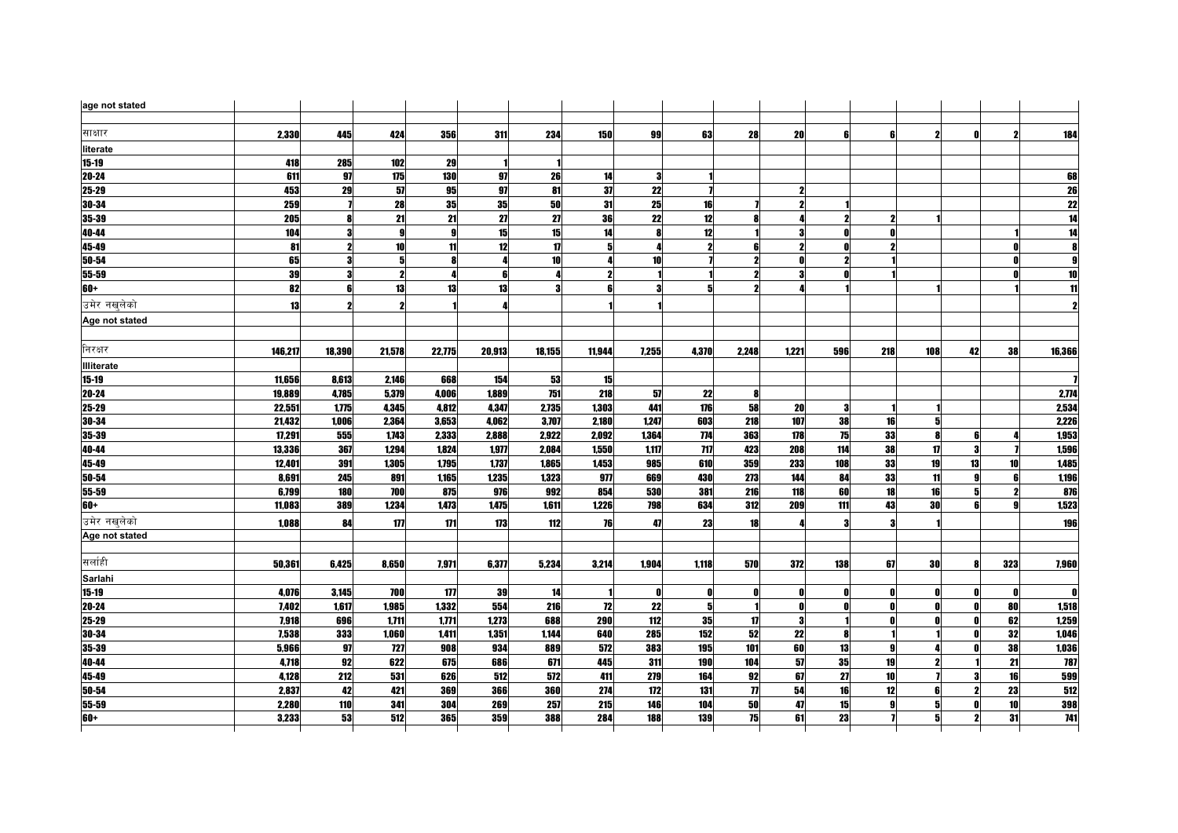| age not stated |         |        |                  |        |        |               |              |              |                     |                     |              |     |              |                     |    |                 |                 |
|----------------|---------|--------|------------------|--------|--------|---------------|--------------|--------------|---------------------|---------------------|--------------|-----|--------------|---------------------|----|-----------------|-----------------|
|                |         |        |                  |        |        |               |              |              |                     |                     |              |     |              |                     |    |                 |                 |
| साक्षार        | 2,330   | 445    | 424              | 356    | 311    | 234           | 150          | 99           | 63                  | 28                  | 20           | ĥ   | 6            |                     |    |                 | 184             |
| literate       |         |        |                  |        |        |               |              |              |                     |                     |              |     |              |                     |    |                 |                 |
| $15 - 19$      | 418     | 285    | 102              | 29     |        |               |              |              |                     |                     |              |     |              |                     |    |                 |                 |
| 20-24          | 611     | 97     | 175              | 130    | 97     | 26            | 14           | 3            |                     |                     |              |     |              |                     |    |                 | 68              |
| 25-29          | 453     | 29     | 57               | 95     | 97     | 81            | 37           | 22           |                     |                     |              |     |              |                     |    |                 | 26              |
| 30-34          | 259     |        | 28               | 35     | 35     | 50            | 31           | 25           | 16                  |                     |              |     |              |                     |    |                 |                 |
| $35 - 39$      | 205     | 8      | 21               | 21     | 27     | 27            | 36           | 22           | 12                  |                     |              |     |              |                     |    |                 | $\frac{22}{14}$ |
| 40-44          | 104     | 3      | $\mathbf{g}$     | g      | 15     | 15            | 14           |              | 12                  |                     |              |     | O            |                     |    |                 | $\overline{14}$ |
| 45-49          | 81      | 2      | 10               | 11     | 12     | $\mathbf{17}$ | 5            |              | $\boldsymbol{\eta}$ | ĥ                   |              |     |              |                     |    |                 |                 |
| 50-54          | 65      | 3      | 5                |        | Л      | 10            |              | 10           |                     |                     |              |     |              |                     |    |                 |                 |
| 55-59          | 39      | 3      | $\boldsymbol{2}$ |        | 6      |               | $\mathbf{2}$ |              |                     |                     |              |     |              |                     |    |                 | 10              |
| $60+$          | 82      | 6      | 13               | 13     | 13     | Я             | ĥ            |              | 5                   | 2                   |              |     |              |                     |    |                 | 11              |
| उमेर नखलेको    | 13      |        |                  |        |        |               |              |              |                     |                     |              |     |              |                     |    |                 |                 |
| Age not stated |         |        |                  |        |        |               |              |              |                     |                     |              |     |              |                     |    |                 |                 |
|                |         |        |                  |        |        |               |              |              |                     |                     |              |     |              |                     |    |                 |                 |
| निरक्षर        | 146,217 | 18,390 | 21,578           | 22,775 | 20,913 | 18,155        | 11,944       | 7,255        | 4,370               | 2,248               | 1,221        | 596 | 218          | 108                 | 42 | 38              | 16,366          |
| Illiterate     |         |        |                  |        |        |               |              |              |                     |                     |              |     |              |                     |    |                 |                 |
| 15-19          | 11,656  | 8,613  | 2,146            | 668    | 154    | 53            | 15           |              |                     |                     |              |     |              |                     |    |                 |                 |
| 20-24          | 19,889  | 4,785  | 5,379            | 4,006  | 1.889  | 751           | 218          | 57           | 22                  | 8                   |              |     |              |                     |    |                 | 2,774           |
| 25-29          | 22,551  | 1,775  | 4,345            | 4,812  | 4,347  | 2,735         | 1,303        | 441          | 176                 | 58                  | 20           | 3   |              |                     |    |                 | 2,534           |
| 30-34          | 21,432  | 1,006  | 2,364            | 3,653  | 4,062  | 3,707         | 2,180        | 1,247        | 603                 | 218                 | 107          | 38  | 16           | 5                   |    |                 | 2,226           |
| 35-39          | 17,291  | 555    | 1,743            | 2,333  | 2,888  | 2.922         | 2.092        | 1.364        | 774                 | 363                 | 178          | 75  | 33           |                     |    |                 | 1,953           |
| 40-44          | 13,336  | 367    | 1,294            | 1,824  | 1,977  | 2,084         | 1,550        | 1,117        | 717                 | 423                 | 208          | 114 | 38           | $\boldsymbol{\eta}$ |    |                 | 1,596           |
| 45-49          | 12,401  | 391    | 1,305            | 1,795  | 1,737  | 1,865         | 1,453        | 985          | 610                 | 359                 | 233          | 108 | 33           | 19                  | 13 | 10 <sup>1</sup> | 1,485           |
| 50-54          | 8,691   | 245    | 891              | 1.165  | 1.235  | 1.323         | 977          | 669          | 430                 | 273                 | 144          | 84  | 33           | 11                  |    |                 | 1,196           |
| 55-59          | 6.799   | 180    | <b>700</b>       | 875    | 976    | 992           | 854          | 530          | 381                 | 216                 | 118          | 60  | 18           | 16                  | 5  |                 | 876             |
| 60+            | 11,083  | 389    | 1,234            | 1,473  | 1,475  | 1,611         | 1,226        | 798          | 634                 | 312                 | 209          | 111 | 43           | 30                  |    |                 | 1,523           |
| उमेर नखुलेको   |         |        | 177              | 171    | 173    | 112           | 76           | 47           | 23                  | 18                  |              | 3   | 3            |                     |    |                 | 196             |
| Age not stated | 1,088   | 84     |                  |        |        |               |              |              |                     |                     |              |     |              |                     |    |                 |                 |
|                |         |        |                  |        |        |               |              |              |                     |                     |              |     |              |                     |    |                 |                 |
| सर्लाही        | 50,361  | 6,425  | 8,650            | 7,971  | 6,377  | 5,234         | 3,214        | 1,904        | 1,118               | 570                 | 372          | 138 | 67           | 30                  |    | 323             | 7,960           |
| Sarlahi        |         |        |                  |        |        |               |              |              |                     |                     |              |     |              |                     |    |                 |                 |
| $15 - 19$      | 4,076   | 3,145  | <b>700</b>       | 177    | 39     | 14            |              | $\mathbf{0}$ | 0                   | 0                   | n            | N   | $\mathbf{0}$ |                     | Λ  | 0               | $\mathbf{0}$    |
| 20-24          | 7,402   | 1,617  | 1,985            | 1,332  | 554    | 216           | 72           | 22           | 5 <sup>1</sup>      | $\blacksquare$      | $\mathbf{0}$ |     | $\mathbf{0}$ |                     | ΛΙ | 80              | 1,518           |
| 25-29          | 7,918   | 696    | 1,711            | 1,771  | 1,273  | 688           | 290          | 112          | 35                  | 17                  |              |     | n            |                     |    | 62              | 1,259           |
| 30-34          | 7,538   | 333    | 1,060            | 1,411  | 1,351  | 1,144         | 640          | 285          | 152                 | 52                  | 22           | 8   |              |                     |    | 32              | 1,046           |
| 35-39          | 5,966   | 97     | 727              | 908    | 934    | 889           | 572          | 383          | <b>195</b>          | 101                 | 60           | 13  | 9            |                     |    | 38              | 1,036           |
| 40-44          | 4,718   | 92     | 622              | 675    | 686    | 671           | 445          | 311          | 190                 | 104                 | 57           | 35  | 19           |                     |    | 21              | 787             |
| 45-49          | 4,128   | 212    | 531              | 626    | 512    | 572           | 411          | 279          | 164                 | 92                  | 67           | 27  | 10           |                     | 3  | 16              | 599             |
| 50-54          | 2,837   | 42     | 421              | 369    | 366    | 360           | 274          | 172          | 131                 | $\boldsymbol{\eta}$ | 54           | 16  | 12           | R                   | 2  | 23              | 512             |
| 55-59          | 2.280   | 110    | 341              | 304    | 269    | 257           | 215          | 146          | 104                 | <b>50</b>           | 47           | 15  |              | 5                   |    | 10              | 398             |
| $60+$          | 3,233   | 53     | 512              | 365    | 359    | 388           | 284          | 188          | <b>139</b>          | 75                  | 61           | 23  |              | 5                   | 2  | 31              | 741             |
|                |         |        |                  |        |        |               |              |              |                     |                     |              |     |              |                     |    |                 |                 |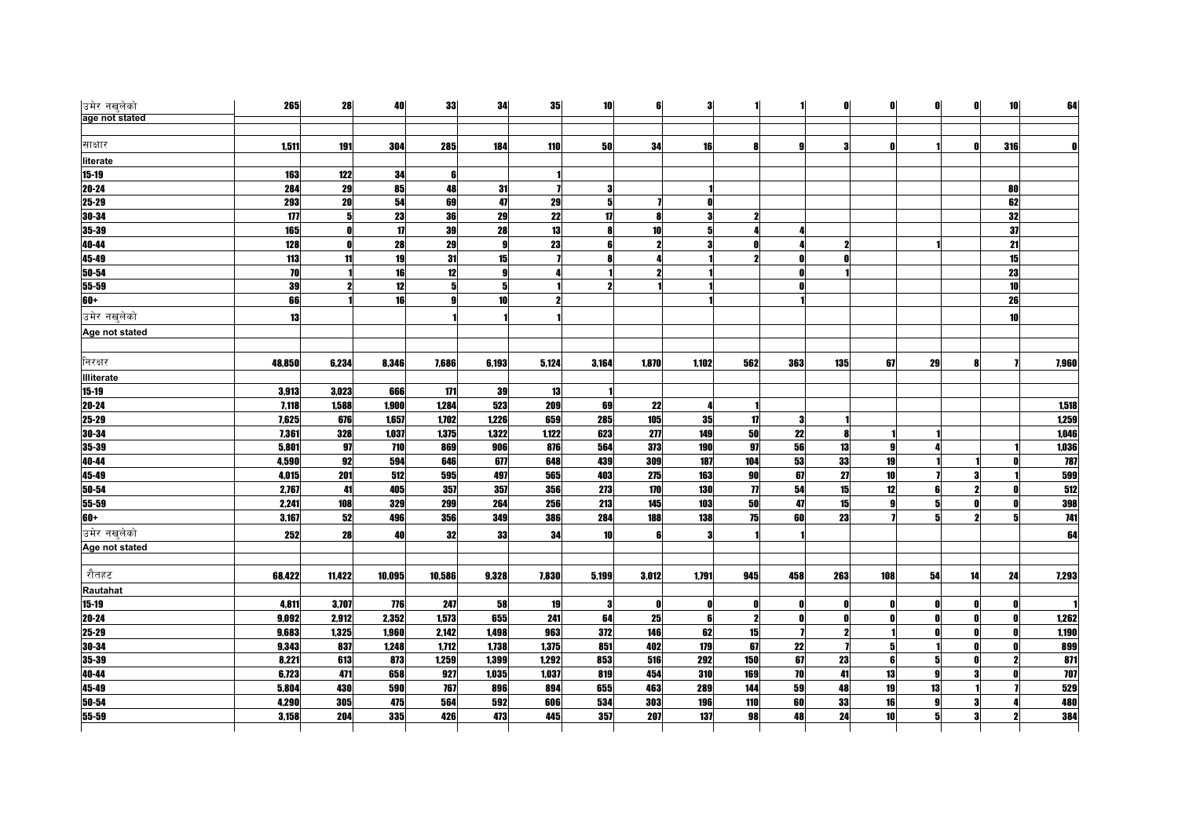| उमेर नखलेको       | 265    | 28         | 40     | 33     | 34    | 35    | 10 <sub>l</sub> | 6               | 3              |              |              |            | 0            | 0l           | O  | 10 <sup>1</sup> | 64         |
|-------------------|--------|------------|--------|--------|-------|-------|-----------------|-----------------|----------------|--------------|--------------|------------|--------------|--------------|----|-----------------|------------|
| age not stated    |        |            |        |        |       |       |                 |                 |                |              |              |            |              |              |    |                 |            |
| साक्षार           | 1,511  | 191        | 304    | 285    | 184   | 110   | <b>50</b>       | 34              | 16             | Я            | a            | 3          | $\mathbf{a}$ |              |    | 316             | O          |
| literate          |        |            |        |        |       |       |                 |                 |                |              |              |            |              |              |    |                 |            |
| $15 - 19$         | 163    | 122        | 34     | ĥ      |       |       |                 |                 |                |              |              |            |              |              |    |                 |            |
| $20 - 24$         | 284    | 29         | 85     | 48     | 31    |       | 3               |                 |                |              |              |            |              |              |    | 80              |            |
| 25-29             | 293    | 20         | 54     | 69     | 47    | 29    | 5 <sub>l</sub>  |                 | $\mathbf{0}$   |              |              |            |              |              |    | 62              |            |
| $30 - 34$         | 177    | 5          | 23     | 36     | 29    | 22    | 17              |                 | 3              | 2            |              |            |              |              |    | 32              |            |
| $35 - 39$         | 165    | O          | 17     | 39     | 28    | 13    | 8               | 10 <sup>1</sup> | 5 <sub>l</sub> | Δ            |              |            |              |              |    | 37              |            |
| 40-44             | 128    | Λ          | 28     | 29     | 9     | 23    | 6               |                 | 3              | Λ            |              | 2          |              |              |    | 21              |            |
| $45 - 49$         | 113    | 11         | 19     | 31     | 15    |       | 8               |                 |                | 2            | n            |            |              |              |    | 15              |            |
| $50 - 54$         | 70     |            | 16     | 12     | 9     | Л     |                 |                 |                |              | n            |            |              |              |    | 23              |            |
| 55-59             | 39     |            | 12     | 5      | 5     |       |                 |                 |                |              |              |            |              |              |    | 10              |            |
| $60+$             | 66     |            | 16     | Q      | 10    |       |                 |                 |                |              |              |            |              |              |    | 26              |            |
| उमेर नखलेको       | 13     |            |        |        |       |       |                 |                 |                |              |              |            |              |              |    | 10              |            |
| Age not stated    |        |            |        |        |       |       |                 |                 |                |              |              |            |              |              |    |                 |            |
|                   |        |            |        |        |       |       |                 |                 |                |              |              |            |              |              |    |                 |            |
| निरक्षर           | 48,850 | 6,234      | 8,346  | 7,686  | 6,193 | 5,124 | 3,164           | 1,870           | 1,102          | 562          | 363          | <b>135</b> | 67           | 29           |    |                 | 7,960      |
| <b>Illiterate</b> |        |            |        |        |       |       |                 |                 |                |              |              |            |              |              |    |                 |            |
| $15-19$           | 3,913  | 3,023      | 666    | 171    | 39    | 13    |                 |                 |                |              |              |            |              |              |    |                 |            |
| $20 - 24$         | 7.118  | 1,588      | 1.900  | 1.284  | 523   | 209   | 69              | 22              |                |              |              |            |              |              |    |                 | 1,518      |
| $25 - 29$         | 7,625  | 676        | 1,657  | 1,702  | 1,226 | 659   | 285             | 105             | 35             | $\mathbf{u}$ |              |            |              |              |    |                 | 1,259      |
| 30-34             | 7,361  | 328        | 1,037  | 1,375  | 1,322 | 1,122 | 623             | 277             | 149            | 50           | 22           | 8          |              |              |    |                 | 1,046      |
| 35-39             | 5,801  | 97         | 710    | 869    | 906   | 876   | 564             | 373             | 190            | 97           | 56           | 13         | 9            |              |    |                 | 1,036      |
| 40-44             | 4,590  | 92         | 594    | 646    | 677   | 648   | 439             | 309             | 187            | 104          | 53           | 33         | 19           |              |    |                 | <b>787</b> |
| $45 - 49$         | 4,015  | 201        | 512    | 595    | 497   | 565   | 403             | 275             | 163            | 90           | 67           | 27         | 10           |              |    |                 | 599        |
| $50 - 54$         | 2,767  | 41         | 405    | 357    | 357   | 356   | 273             | 170             | 130            | $\eta$       | 54           | 15         | 12           |              |    |                 | 512        |
| $55 - 59$         | 2,241  | 108        | 329    | 299    | 264   | 256   | 213             | 145             | 103            | 50           | 47           | 15         | g            | 51           |    |                 | 398        |
| 60+               | 3,167  | 52         | 496    | 356    | 349   | 386   | 284             | 188             | 138            | 75           | 60           | 23         |              | 5            | 2  |                 | 741        |
| उमेर नखुलेको      | 252    | 28         | 40     | 32     | 33    | 34    | 10              | ß               | 3              |              |              |            |              |              |    |                 | 64         |
| Age not stated    |        |            |        |        |       |       |                 |                 |                |              |              |            |              |              |    |                 |            |
| रौतहट             | 68,422 | 11,422     | 10,095 | 10,586 | 9,328 | 7,830 | 5,199           | 3,012           | 1,791          | 945          | 458          | 263        | 108          | 54           | 14 | 24              | 7,293      |
| Rautahat          |        |            |        |        |       |       |                 |                 |                |              |              |            |              |              |    |                 |            |
| $15 - 19$         | 4,811  | 3,707      | 776    | 247    | 58    | 19    | 3               | O               |                | n            |              |            | $\mathbf{a}$ |              |    |                 |            |
| $20 - 24$         | 9,092  | 2,912      | 2,352  | 1,573  | 655   | 241   | 64              | 25              | 6              | $\mathbf{2}$ | 0            | n          | $\mathbf{0}$ |              |    |                 | 1,262      |
| $25 - 29$         | 9,683  | 1,325      | 1,960  | 2,142  | 1,498 | 963   | 372             | 146             | 62             | 15           | $\mathbf{z}$ | 2          |              | Λ            | Λ  | n               | 1,190      |
| $30 - 34$         | 9,343  | 837        | 1,248  | 1,712  | 1.738 | 1,375 | 851             | 402             | 179            | 67           | 22           |            |              |              |    |                 | 899        |
| $35 - 39$         | 8,221  | 613        | 873    | 1,259  | 1,399 | 1,292 | 853             | 516             | 292            | 150          | 67           | 23         | 6            | 5            |    |                 | 871        |
| 40-44             | 6,723  | 471        | 658    | 927    | 1,035 | 1,037 | 819             | 454             | 310            | 169          | 70           | 41         | 13           | $\mathbf{Q}$ | 3l | n               | <b>707</b> |
| $45 - 49$         | 5,804  | 430        | 590    | 767    | 896   | 894   | 655             | 463             | 289            | 144          | 59           | 48         | 19           | 13           |    |                 | 529        |
| 50-54             | 4.290  | 305        | 475    | 564    | 592   | 606   | 534             | 303             | 196            | 110          | 60           | 33         | 16           | g            | 3  |                 | 480        |
| 55-59             | 3,158  | <b>204</b> | 335    | 426    | 473   | 445   | 357             | 207             | 137            | 98           | 48           | 24         | 10           | 5            | 3  |                 | 384        |
|                   |        |            |        |        |       |       |                 |                 |                |              |              |            |              |              |    |                 |            |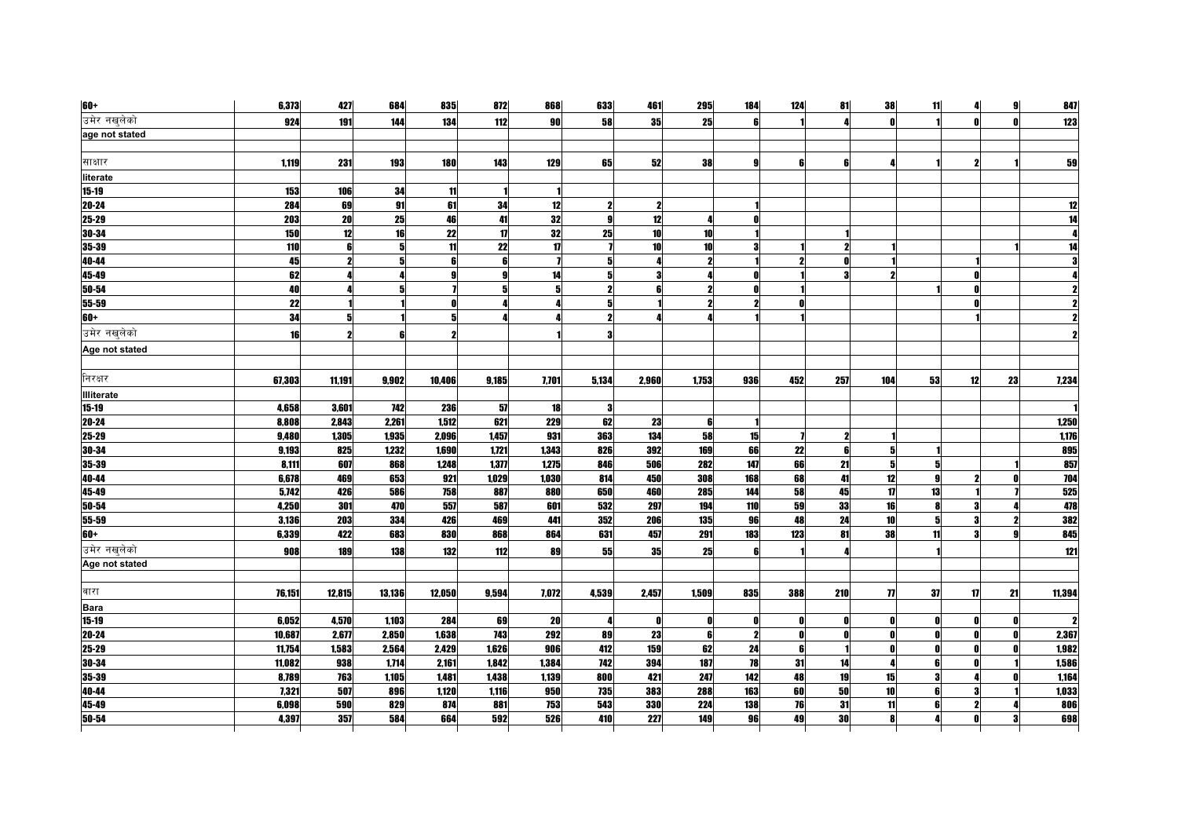| $60+$             | 6,373  | 427    | 684    | 835    | 872           | 868   | 633          | 461          | 295                 | 184          | 124 | 81  | 38             | 11        | 4  | 9 <sup>1</sup> | 847    |
|-------------------|--------|--------|--------|--------|---------------|-------|--------------|--------------|---------------------|--------------|-----|-----|----------------|-----------|----|----------------|--------|
| उमेर नखुलेको      | 924    | 191    | 144    | 134    | 112           | 90    | 58           | 35           | 25                  | ß            |     |     | $\mathbf{r}$   |           |    |                | 123    |
| age not stated    |        |        |        |        |               |       |              |              |                     |              |     |     |                |           |    |                |        |
|                   |        |        |        |        |               |       |              |              |                     |              |     |     |                |           |    |                |        |
| साक्षार           | 1,119  | 231    | 193    | 180    | 143           | 129   | 65           | 52           | 38                  | g            | 6   | 6   |                |           | 2  |                | 59     |
| literate          |        |        |        |        |               |       |              |              |                     |              |     |     |                |           |    |                |        |
| 15-19             | 153    | 106    | 34     | 11     |               |       |              |              |                     |              |     |     |                |           |    |                |        |
| $20 - 24$         | 284    | 69     | 91     | 61     | 34            | 12    | $\mathbf{z}$ | 7            |                     |              |     |     |                |           |    |                | 12     |
| $25 - 29$         | 203    | 20     | 25     | 46     | 41            | 32    | 9            | 12           | Д                   | n            |     |     |                |           |    |                | 14     |
| $30 - 34$         | 150    | 12     | 16     | 22     | $\mathbf{17}$ | 32    | 25           | 10           | 10                  |              |     |     |                |           |    |                |        |
| $35 - 39$         | 110    | 6      |        | 11     | 22            | 17    |              | 10           | 10                  | з            |     |     |                |           |    |                |        |
| 40-44             | 45     | 2      |        | 6      | 6             |       | 5            |              | $\mathbf{2}$        |              |     |     |                |           |    |                |        |
| $45-49$           | 62     |        |        | Q      | g             | 14    | 5            |              |                     |              |     |     |                |           |    |                |        |
| $50 - 54$         | 40     |        |        |        | 5             | 5     | $\mathbf{2}$ |              | $\boldsymbol{\eta}$ | O            |     |     |                |           |    |                |        |
| 55-59             | 22     |        |        |        |               |       | 5            |              | $\boldsymbol{\eta}$ | 9            |     |     |                |           |    |                |        |
| $60+$             | 34     |        |        |        |               |       | 2            |              |                     |              |     |     |                |           |    |                |        |
| उमेर नखुलेको      | 16     |        |        |        |               |       |              |              |                     |              |     |     |                |           |    |                |        |
| Age not stated    |        |        |        |        |               |       |              |              |                     |              |     |     |                |           |    |                |        |
|                   |        |        |        |        |               |       |              |              |                     |              |     |     |                |           |    |                |        |
| निरक्षर           | 67,303 | 11,191 | 9,902  | 10,406 | 9,185         | 7,701 | 5,134        | 2,960        | 1,753               | 936          | 452 | 257 | 104            | 53        | 12 | 23             | 7,234  |
| <b>Illiterate</b> |        |        |        |        |               |       |              |              |                     |              |     |     |                |           |    |                |        |
| 15-19             | 4,658  | 3,601  | 742    | 236    | 57            | 18    | 3            |              |                     |              |     |     |                |           |    |                |        |
| $20 - 24$         | 8,808  | 2,843  | 2,261  | 1,512  | 621           | 229   | 62           | 23           | 6                   |              |     |     |                |           |    |                | 1,250  |
| $25 - 29$         | 9,480  | 1,305  | 1,935  | 2,096  | 1,457         | 931   | 363          | 134          | 58                  | 15           |     |     |                |           |    |                | 1,176  |
| 30-34             | 9,193  | 825    | 1,232  | 1,690  | 1,721         | 1,343 | 826          | 392          | 169                 | 66           | 22  | 6   | 5              |           |    |                | 895    |
| 35-39             | 8,111  | 607    | 868    | 1,248  | 1,377         | 1,275 | 846          | 506          | 282                 | 147          | 66  | 21  | 5              | 5         |    |                | 857    |
| 40-44             | 6,678  | 469    | 653    | 921    | 1,029         | 1,030 | 814          | 450          | 308                 | 168          | 68  | 41  | 12             | $\bullet$ |    |                | 704    |
| $45-49$           | 5,742  | 426    | 586    | 758    | 887           | 880   | 650          | 460          | 285                 | 144          | 58  | 45  | 17             | 13        |    |                | 525    |
| $50 - 54$         | 4,250  | 301    | 470    | 557    | 587           | 601   | 532          | 297          | 194                 | 110          | 59  | 33  | 16             | R         |    |                | 478    |
| $55 - 59$         | 3,136  | 203    | 334    | 426    | 469           | 441   | 352          | 206          | 135                 | 96           | 48  | 24  | 10             | 5         |    |                | 382    |
| $60+$             | 6,339  | 422    | 683    | 830    | 868           | 864   | 631          | 457          | 291                 | 183          | 123 | 81  | 38             | 11        |    |                | 845    |
| उमेर नखुलेको      | 908    | 189    | 138    | 132    | 112           | 89    | 55           | 35           | 25                  | ß            |     |     |                |           |    |                | 121    |
| Age not stated    |        |        |        |        |               |       |              |              |                     |              |     |     |                |           |    |                |        |
|                   |        |        |        |        |               |       |              |              |                     |              |     |     |                |           |    |                |        |
| वारा              | 76,151 | 12,815 | 13,136 | 12,050 | 9,594         | 7,072 | 4,539        | 2,457        | 1,509               | 835          | 388 | 210 | $\overline{1}$ | 37        | 17 | 21             | 11,394 |
| <b>Bara</b>       |        |        |        |        |               |       |              |              |                     |              |     |     |                |           |    |                |        |
| $15 - 19$         | 6,052  | 4,570  | 1,103  | 284    | 69            | 20    |              | $\mathbf{r}$ | ſ                   | O            |     |     | $\mathbf{r}$   |           |    |                |        |
| $20 - 24$         | 10,687 | 2,677  | 2,850  | 1,638  | 743           | 292   | 89           | 23           | 6 <sup>1</sup>      | $\mathbf{2}$ | 0   |     | 0              |           |    |                | 2,367  |
| 25-29             | 11,754 | 1,583  | 2,564  | 2,429  | 1,626         | 906   | 412          | 159          | 62                  | 24           | 6   |     | $\mathbf{0}$   |           |    |                | 1,982  |
| $30 - 34$         | 11,082 | 938    | 1,714  | 2,161  | 1,842         | 1,384 | 742          | 394          | 187                 | 78           | 31  | 14  |                |           |    |                | 1,586  |
| 35-39             | 8,789  | 763    | 1,105  | 1,481  | 1,438         | 1,139 | 800          | 421          | 247                 | 142          | 48  | 19  | 15             | 3         |    |                | 1,164  |
| 40-44             | 7,321  | 507    | 896    | 1,120  | 1,116         | 950   | 735          | 383          | 288                 | 163          | 60  | 50  | 10             | R         |    |                | 1,033  |
| 45-49             | 6,098  | 590    | 829    | 874    | 881           | 753   | 543          | 330          | 224                 | 138          | 76  | 31  | 11             | ĥ         |    |                | 806    |
| $50 - 54$         | 4,397  | 357    | 584    | 664    | 592           | 526   | 410          | 227          | 149                 | 96           | 49  | 30  | 8              |           |    |                | 698    |
|                   |        |        |        |        |               |       |              |              |                     |              |     |     |                |           |    |                |        |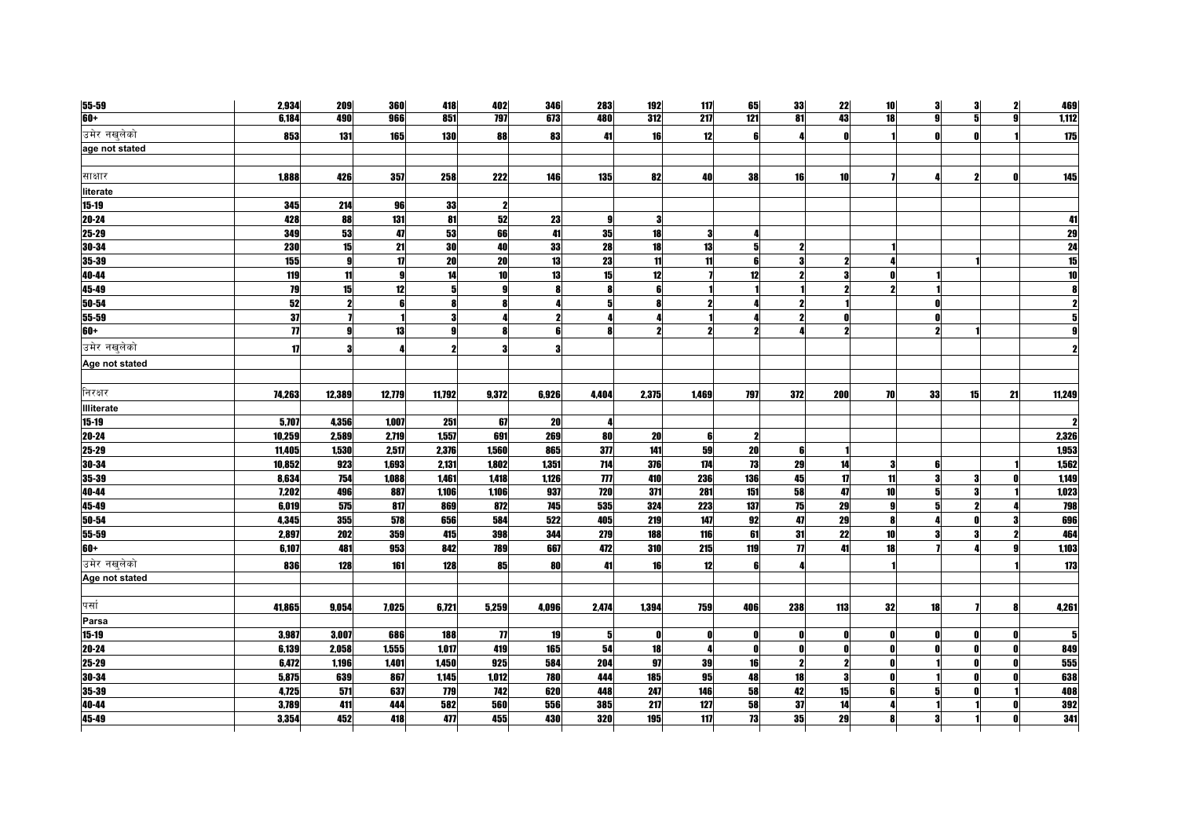| 55-59             | 2,934        | 209          | <b>360</b>   | 418          | 402                 | 346   | 283                 | 192   | 117                 | 65                  | 33                  | 22           | 10           | 3  | 3  | 2            | 469    |
|-------------------|--------------|--------------|--------------|--------------|---------------------|-------|---------------------|-------|---------------------|---------------------|---------------------|--------------|--------------|----|----|--------------|--------|
| $60+$             | 6,184        | 490          | 966          | 851          | <b>797</b>          | 673   | 480                 | 312   | 217                 | 121                 | 81                  | 43           | 18           | gl | 5  | $\mathbf{q}$ | 1,112  |
| उमेर नखुलेको      | 853          | 131          | 165          | 130          | 88                  | 83    | 41                  | 16    | 12                  | 6                   |                     | $\mathbf{0}$ |              |    |    |              | 175    |
| age not stated    |              |              |              |              |                     |       |                     |       |                     |                     |                     |              |              |    |    |              |        |
|                   |              |              |              |              |                     |       |                     |       |                     |                     |                     |              |              |    |    |              |        |
| साक्षार           | 1,888        | 426          | 357          | 258          | 222                 | 146   | 135                 | 82    | 40                  | 38                  | 16                  | 10           |              |    |    |              | 145    |
| literate          |              |              |              |              |                     |       |                     |       |                     |                     |                     |              |              |    |    |              |        |
| 15-19             | 345          | 214          | 96           | 33           | -2                  |       |                     |       |                     |                     |                     |              |              |    |    |              |        |
| $20 - 24$         | 428          | 88           | 131          | 81           | 52                  | 23    | 9                   | 3     |                     |                     |                     |              |              |    |    |              | 41     |
| $25 - 29$         | 349          | 53           | 47           | 53           | 66                  | 41    | 35                  | 18    | 31                  |                     |                     |              |              |    |    |              | 29     |
| 30-34             | 230          | 15           | 21           | 30           | 40                  | 33    | 28                  | 18    | 13                  | 5 <sup>1</sup>      |                     |              |              |    |    |              | 24     |
| 35-39             | 155          | 9            | 17           | 20           | 20                  | 13    | 23                  | 11    | 11                  | 6                   | З                   | 2            |              |    |    |              | 15     |
| 40-44             | 119          | 11           | $\mathbf{g}$ | 14           | 10                  | 13    | 15                  | 12    |                     | 12                  |                     |              |              |    |    |              | 10     |
| 45-49             | 79           | 15           | 12           | 5            | g                   |       | 8                   |       |                     |                     |                     |              |              |    |    |              |        |
| 50-54             | 52           | 2            |              |              | 8                   |       | 5                   |       | 2                   |                     |                     |              |              |    |    |              |        |
| 55-59             | 37           |              |              | 3            |                     |       |                     |       |                     |                     |                     |              |              |    |    |              |        |
| $60+$             |              | $\mathbf{g}$ | 13           | $\mathbf{Q}$ | 8                   | R     | 8                   |       | $\boldsymbol{\eta}$ | $\boldsymbol{\eta}$ |                     |              |              |    |    |              |        |
| उमेर नखुलेको      | $\mathbf{u}$ | З            |              |              | 3                   |       |                     |       |                     |                     |                     |              |              |    |    |              |        |
| Age not stated    |              |              |              |              |                     |       |                     |       |                     |                     |                     |              |              |    |    |              |        |
|                   |              |              |              |              |                     |       |                     |       |                     |                     |                     |              |              |    |    |              |        |
| निरक्षर           | 74,263       | 12,389       | 12,779       | 11,792       | 9,372               | 6,926 | 4,404               | 2,375 | 1,469               | <b>797</b>          | 372                 | 200          | <b>70</b>    | 33 | 15 | 21           | 11,249 |
| <b>Illiterate</b> |              |              |              |              |                     |       |                     |       |                     |                     |                     |              |              |    |    |              |        |
| 15-19             | 5,707        | 4,356        | 1,007        | 251          | 67                  | 20    |                     |       |                     |                     |                     |              |              |    |    |              |        |
| $20 - 24$         | 10,259       | 2,589        | 2,719        | 1,557        | 691                 | 269   | 80                  | 20    | 6                   | $\boldsymbol{\eta}$ |                     |              |              |    |    |              | 2,326  |
| $25 - 29$         | 11,405       | 1,530        | 2,517        | 2,376        | 1,560               | 865   | 377                 | 141   | 59                  | 20                  | ß                   |              |              |    |    |              | 1,953  |
| 30-34             | 10,852       | 923          | 1,693        | 2,131        | 1,802               | 1,351 | 714                 | 376   | 174                 | 73                  | 29                  | 14           | -3           |    |    |              | 1,562  |
| $35 - 39$         | 8,634        | 754          | 1,088        | 1,461        | 1,418               | 1,126 | $\boldsymbol{\eta}$ | 410   | 236                 | <b>136</b>          | 45                  | 17           | 11           |    |    |              | 1,149  |
| 40-44             | 7,202        | 496          | 887          | 1,106        | 1,106               | 937   | 720                 | 371   | 281                 | 151                 | 58                  | 47           | 10           | 5  |    |              | 1,023  |
| 45-49             | 6,019        | 575          | 817          | 869          | 872                 | 745   | 535                 | 324   | 223                 | 137                 | 75                  | 29           | 9            |    |    |              | 798    |
| $50 - 54$         | 4,345        | 355          | 578          | 656          | 584                 | 522   | 405                 | 219   | 147                 | 92                  | 47                  | 29           | 8            |    |    |              | 696    |
| 55-59             | 2,897        | 202          | 359          | 415          | 398                 | 344   | 279                 | 188   | 116                 | 61                  | 31                  | 22           | 10           |    |    |              | 464    |
| $60+$             | 6,107        | 481          | 953          | 842          | 789                 | 667   | 472                 | 310   | 215                 | 119                 | $\boldsymbol{\eta}$ | 41           | 18           |    |    |              | 1,103  |
| उमेर नखलेको       | 836          | 128          | 161          | 128          | 85                  | 80    | 41                  | 16    | 12                  | 6                   |                     |              |              |    |    |              | 173    |
| Age not stated    |              |              |              |              |                     |       |                     |       |                     |                     |                     |              |              |    |    |              |        |
|                   |              |              |              |              |                     |       |                     |       |                     |                     |                     |              |              |    |    |              |        |
| पर्सा             | 41,865       | 9,054        | 7,025        | 6,721        | 5,259               | 4,096 | 2,474               | 1,394 | 759                 | 406                 | 238                 | 113          | 32           | 18 |    |              | 4,261  |
| Parsa             |              |              |              |              |                     |       |                     |       |                     |                     |                     |              |              |    |    |              |        |
| $15 - 19$         | 3,987        | 3,007        | 686          | 188          | $\boldsymbol{\eta}$ | 19    | 51                  | 0     |                     | n                   |                     |              | 0            |    |    |              |        |
| $20 - 24$         | 6,139        | 2,058        | 1,555        | 1,017        | 419                 | 165   | 54                  | 18    | 4                   | 0                   | n                   |              | $\mathbf{0}$ |    | ΩI | n            | 849    |
| $25-29$           | 6,472        | 1,196        | 1,401        | 1,450        | 925                 | 584   | 204                 | 97    | 39                  | 16                  |                     |              |              |    |    |              | 555    |
| 30-34             | 5,875        | 639          | 867          | 1,145        | 1,012               | 780   | 444                 | 185   | 95                  | 48                  | 18                  |              | 0            |    |    |              | 638    |
| 35-39             | 4,725        | 571          | 637          | 779          | 742                 | 620   | 448                 | 247   | 146                 | 58                  | 42                  | 15           | 6            | 5  |    |              | 408    |
| 40-44             | 3,789        | 411          | 444          | 582          | 560                 | 556   | 385                 | 217   | 127                 | 58                  | 37                  | 14           |              |    |    |              | 392    |
| $45-49$           | 3,354        | 452          | 418          | 477          | 455                 | 430   | 320                 | 195   | 117                 | 73                  | 35                  | 29           |              |    |    |              | 341    |
|                   |              |              |              |              |                     |       |                     |       |                     |                     |                     |              |              |    |    |              |        |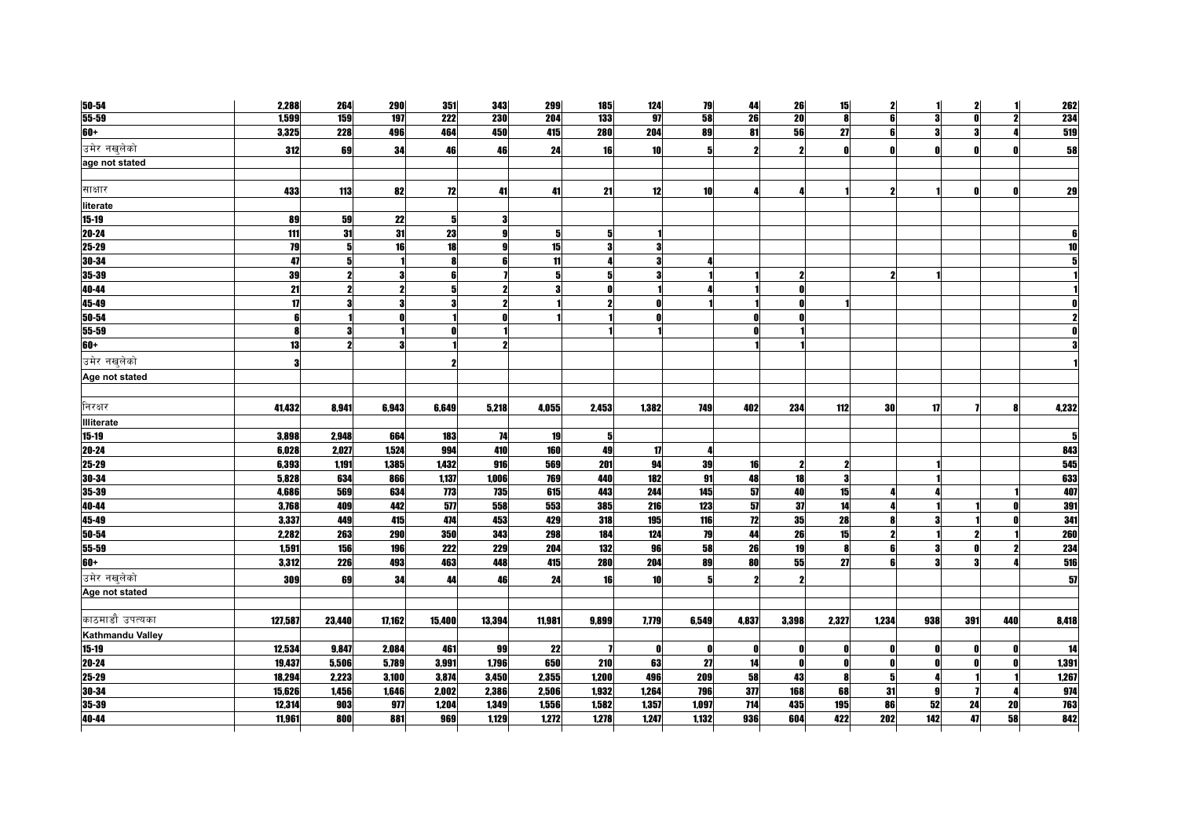| 50-54             | 2,288           | 264    | <b>290</b>   | 351              | 343    | 299    | <b>185</b>     | 124        | 79              | 44         | 26    | 15                  | 2                   | 11  | 2   |           | 262   |
|-------------------|-----------------|--------|--------------|------------------|--------|--------|----------------|------------|-----------------|------------|-------|---------------------|---------------------|-----|-----|-----------|-------|
| $55 - 59$         | 1,599           | 159    | 197          | $\overline{222}$ | 230    | 204    | 133            | 97         | 58              | 26         | 20    | 8                   | 6                   | 3   | ΩI  |           | 234   |
| $60+$             | 3,325           | 228    | 496          | 464              | 450    | 415    | 280            | <b>204</b> | 89              | 81         | 56    | 27                  | 6                   | 3   | 3   |           | 519   |
| उमेर नखुलेको      | 312             | 69     | 34           | 46               | 46     | 24     | 16             | 10         | 5               |            |       | n                   | $\mathbf{0}$        |     |     |           | 58    |
| age not stated    |                 |        |              |                  |        |        |                |            |                 |            |       |                     |                     |     |     |           |       |
|                   |                 |        |              |                  |        |        |                |            |                 |            |       |                     |                     |     |     |           |       |
| साक्षार           | 433             | 113    | 82           | 72               | 41     | 41     | 21             | 12         | 10 <sup>1</sup> | Л          |       |                     | $\boldsymbol{\eta}$ |     |     |           | 29    |
| literate          |                 |        |              |                  |        |        |                |            |                 |            |       |                     |                     |     |     |           |       |
| $15 - 19$         | 89              | 59     | 22           | 5                | я      |        |                |            |                 |            |       |                     |                     |     |     |           |       |
| $20 - 24$         | 111             | 31     | 31           | 23               | q      | 5      | 5 <sup>1</sup> |            |                 |            |       |                     |                     |     |     |           |       |
| 25-29             | $\overline{19}$ | 5      | 16           | 18               |        | 15     | 3              |            |                 |            |       |                     |                     |     |     |           | 10    |
| $30 - 34$         | 47              |        |              |                  | ß      | 11     |                |            |                 |            |       |                     |                     |     |     |           |       |
| 35-39             | 39              |        | 3            |                  |        | 5      | 5              |            |                 |            |       |                     | 2                   |     |     |           |       |
| 40-44             | $\overline{21}$ |        | $\mathbf{2}$ |                  |        |        |                |            |                 |            |       |                     |                     |     |     |           |       |
| 45-49             | 17              |        | 3            |                  |        |        |                |            |                 |            |       |                     |                     |     |     |           |       |
| 50-54             | 6               |        |              |                  |        |        |                |            |                 |            |       |                     |                     |     |     |           |       |
| 55-59             | 8               |        |              |                  |        |        |                |            |                 |            |       |                     |                     |     |     |           |       |
| 60+               | 13              |        | 3            |                  |        |        |                |            |                 |            |       |                     |                     |     |     |           |       |
| उमेर नखुलेको      | 3               |        |              |                  |        |        |                |            |                 |            |       |                     |                     |     |     |           |       |
| Age not stated    |                 |        |              |                  |        |        |                |            |                 |            |       |                     |                     |     |     |           |       |
|                   |                 |        |              |                  |        |        |                |            |                 |            |       |                     |                     |     |     |           |       |
| निरक्षर           | 41,432          | 8,941  | 6,943        | 6,649            | 5,218  | 4,055  | 2,453          | 1,382      | <b>749</b>      | 402        | 234   | 112                 | <b>30</b>           | 17  |     | <b>RI</b> | 4,232 |
| <b>Illiterate</b> |                 |        |              |                  |        |        |                |            |                 |            |       |                     |                     |     |     |           |       |
| $15 - 19$         | 3,898           | 2,948  | 664          | 183              | 74     | 19     | 5              |            |                 |            |       |                     |                     |     |     |           | 5     |
| $20 - 24$         | 6,028           | 2,027  | 1,524        | 994              | 410    | 160    | 49             | 17         |                 |            |       |                     |                     |     |     |           | 843   |
| $25 - 29$         | 6,393           | 1,191  | 1,385        | 1,432            | 916    | 569    | 201            | 94         | 39              | 16         | 2     | $\boldsymbol{\eta}$ |                     |     |     |           | 545   |
| 30-34             | 5,828           | 634    | 866          | 1,137            | 1,006  | 769    | 440            | 182        | 91              | 48         | 18    | 3                   |                     |     |     |           | 633   |
| 35-39             | 4,686           | 569    | 634          | 773              | 735    | 615    | 443            | 244        | 145             | 51         | 40    | 15                  |                     |     |     |           | 407   |
| 40-44             | 3,768           | 409    | 442          | $\overline{577}$ | 558    | 553    | 385            | 216        | 123             | 57         | 37    | 14                  |                     |     |     |           | 391   |
| 45-49             | 3,337           | 449    | 415          | 474              | 453    | 429    | 318            | 195        | 116             | 12         | 35    | 28                  |                     |     |     |           | 341   |
| $50 - 54$         | 2,282           | 263    | 290          | 350              | 343    | 298    | 184            | 124        | 79              | 44         | 26    | 15                  | $\boldsymbol{\eta}$ |     |     |           | 260   |
| 55-59             | 1,591           | 156    | 196          | 222              | 229    | 204    | 132            | 96         | 58              | 26         | 19    | 8                   | 6                   | 3   |     |           | 234   |
| $60+$             | 3,312           | 226    | 493          | 463              | 448    | 415    | 280            | 204        | 89              | 80         | 55    | 27                  |                     |     |     |           | 516   |
| उमेर नखुलेको      | 309             | 69     | 34           | 44               | 46     | 24     | 16             | 10         |                 |            |       |                     |                     |     |     |           | 57    |
| Age not stated    |                 |        |              |                  |        |        |                |            |                 |            |       |                     |                     |     |     |           |       |
| काठमाडौ उपत्यका   | 127,587         | 23,440 | 17,162       | 15,400           | 13,394 | 11,981 | 9,899          | 7,779      | 6,549           | 4,837      | 3,398 | 2,327               | 1,234               | 938 | 391 | 440       | 8,418 |
| Kathmandu Valley  |                 |        |              |                  |        |        |                |            |                 |            |       |                     |                     |     |     |           |       |
| 15-19             | 12,534          | 9,847  | 2,084        | 461              | 99     | 22     |                | 0          | n               | 0          | n     | n                   | 0                   |     |     |           | 14    |
| 20-24             | 19,437          | 5,506  | 5,789        | 3,991            | 1,796  | 650    | 210            | 63         | 27              | 14         |       | n                   | $\mathbf{0}$        | Λ   |     |           | 1,391 |
| 25-29             | 18,294          | 2,223  | 3,100        | 3,874            | 3,450  | 2,355  | 1,200          | 496        | 209             | 58         | 43    | 8                   | 5                   | Δ   |     |           | 1,267 |
| 30-34             | 15,626          | 1,456  | 1,646        | 2,002            | 2,386  | 2,506  | 1,932          | 1,264      | 796             | 377        | 168   | 68                  | 31                  | Q   |     |           | 974   |
| 35-39             | 12,314          | 903    | 977          | 1,204            | 1,349  | 1,556  | 1,582          | 1,357      | 1,097           | 714        | 435   | 195                 | 86                  | 52  | 24  | 20        | 763   |
| 40-44             | 11.961          | 800    | 881          | 969              | 1.129  | 1,272  | 1,278          | 1.247      | 1.132           | <b>936</b> | 604   | 422                 | 202                 | 142 | 47  | 58        | 842   |
|                   |                 |        |              |                  |        |        |                |            |                 |            |       |                     |                     |     |     |           |       |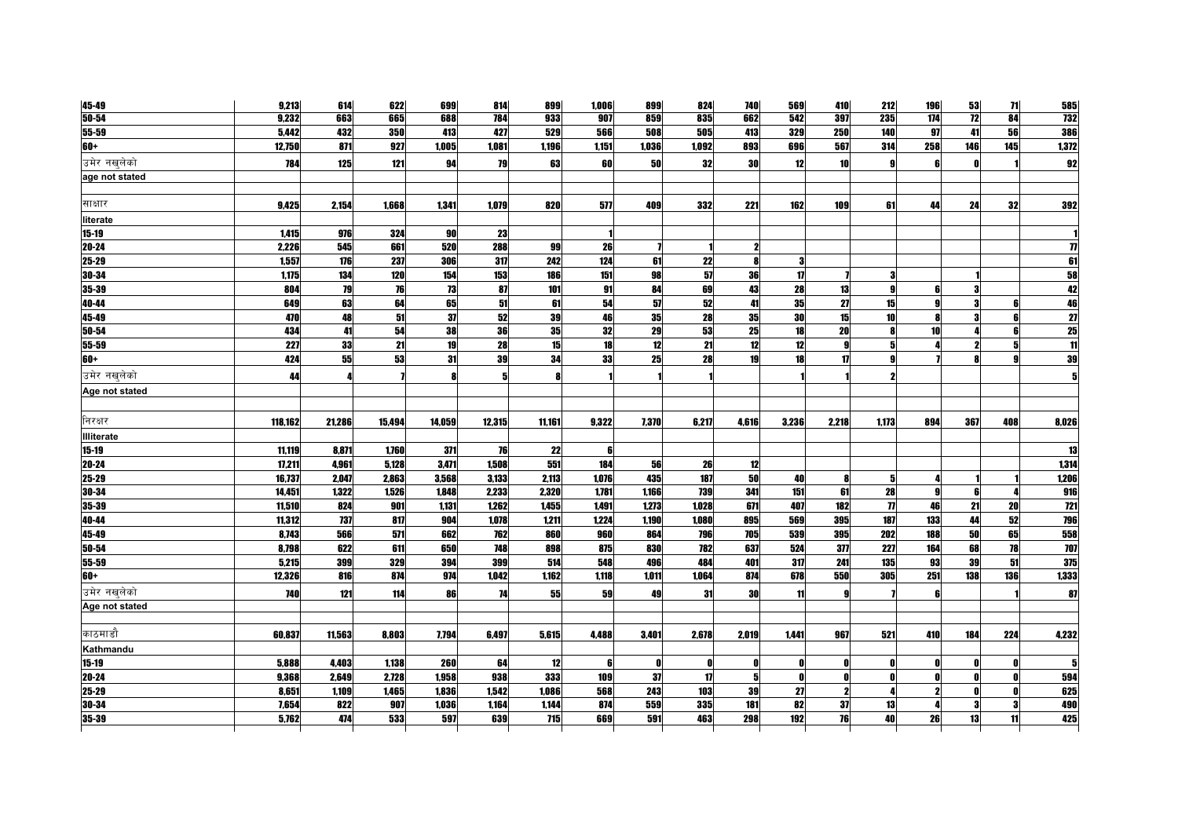| 45-49          | 9,213   | 614    | 622    | 699    | 814    | 899    | 1,006 | 899   | 824   | <b>740</b> | 569          | 410   | 212                 | 196 | 53              | 71  | 585                 |
|----------------|---------|--------|--------|--------|--------|--------|-------|-------|-------|------------|--------------|-------|---------------------|-----|-----------------|-----|---------------------|
| $50 - 54$      | 9,232   | 663    | 665    | 688    | 784    | 933    | 907   | 859   | 835   | 662        | 542          | 397   | 235                 | 174 | $\overline{12}$ | 84  | <b>732</b>          |
| 55-59          | 5,442   | 432    | 350    | 413    | 427    | 529    | 566   | 508   | 505   | 413        | 329          | 250   | 140                 | 97  | 41              | 56  | 386                 |
| 60+            | 12,750  | 871    | 927    | 1,005  | 1,081  | 1,196  | 1,151 | 1,036 | 1,092 | 893        | 696          | 567   | 314                 | 258 | 146             | 145 | 1,372               |
| उमेर नखलेको    | 784     | 125    | 121    | 94     | 79     | 63     | 60    | 50    | 32    | 30         | 12           | 10    | 9                   |     |                 |     | 92                  |
| age not stated |         |        |        |        |        |        |       |       |       |            |              |       |                     |     |                 |     |                     |
|                |         |        |        |        |        |        |       |       |       |            |              |       |                     |     |                 |     |                     |
| साक्षार        | 9,425   | 2,154  | 1,668  | 1,341  | 1,079  | 820    | 577   | 409   | 332   | 221        | 162          | 109   | 61                  | 44  | 24              | 32  | 392                 |
| literate       |         |        |        |        |        |        |       |       |       |            |              |       |                     |     |                 |     |                     |
| 15-19          | 1,415   | 976    | 324    | 90     | 23     |        |       |       |       |            |              |       |                     |     |                 |     |                     |
| $20 - 24$      | 2,226   | 545    | 661    | 520    | 288    | 99     | 26    |       |       | 2          |              |       |                     |     |                 |     | $\boldsymbol{\eta}$ |
| $25 - 29$      | 1,557   | 176    | 237    | 306    | 317    | 242    | 124   | 61    | 22    | 8          |              |       |                     |     |                 |     | 61                  |
| 30-34          | 1,175   | 134    | 120    | 154    | 153    | 186    | 151   | 98    | 57    | 36         | $\mathbf{u}$ |       | -3                  |     |                 |     | 58                  |
| $35 - 39$      | 804     | 79     | 76     | 73     | 87     | 101    | 91    | 84    | 69    | 43         | 28           | 13    | 9                   |     |                 |     | 42                  |
| 40-44          | 649     | 63     | 64     | 65     | 51     | 61     | 54    | 57    | 52    | 41         | 35           | 27    | 15                  |     |                 |     | 46                  |
| 45-49          | 470     | 48     | 51     | 37     | 52     | 39     | 46    | 35    | 28    | 35         | 30           | 15    | 10                  |     |                 |     | 27                  |
| 50-54          | 434     | 41     | 54     | 38     | 36     | 35     | 32    | 29    | 53    | 25         | 18           | 20    |                     | 10  |                 |     | 25                  |
| 55-59          | 227     | 33     | 21     | 19     | 28     | 15     | 18    | 12    | 21    | 12         | 12           | g     |                     |     |                 |     | $\overline{11}$     |
| $60+$          | 424     | 55     | 53     | 31     | 39     | 34     | 33    | 25    | 28    | 19         | 18           | 17    |                     |     |                 |     | 39                  |
| उमेर नखलेको    | 44      |        |        |        | 5      |        |       |       |       |            |              |       |                     |     |                 |     | 5                   |
| Age not stated |         |        |        |        |        |        |       |       |       |            |              |       |                     |     |                 |     |                     |
|                |         |        |        |        |        |        |       |       |       |            |              |       |                     |     |                 |     |                     |
| निरक्षर        | 118,162 | 21,286 | 15,494 | 14,059 | 12,315 | 11,161 | 9,322 | 7,370 | 6,217 | 4,616      | 3,236        | 2,218 | 1,173               | 894 | 367             | 408 | 8,026               |
| Illiterate     |         |        |        |        |        |        |       |       |       |            |              |       |                     |     |                 |     |                     |
| $15 - 19$      | 11,119  | 8,871  | 1,760  | 371    | 76     | 22     | 6     |       |       |            |              |       |                     |     |                 |     | 13                  |
| $20 - 24$      | 17,211  | 4,961  | 5,128  | 3,471  | 1,508  | 551    | 184   | 56    | 26    | 12         |              |       |                     |     |                 |     | 1,314               |
| 25-29          | 16,737  | 2,047  | 2,863  | 3,568  | 3,133  | 2,113  | 1,076 | 435   | 187   | 50         | 40           | 8     | 5                   |     |                 |     | 1,206               |
| 30-34          | 14,451  | 1,322  | 1,526  | 1,848  | 2,233  | 2,320  | 1,781 | 1,166 | 739   | 341        | 151          | 61    | 28                  |     | 6               |     | 916                 |
| 35-39          | 11,510  | 824    | 901    | 1,131  | 1,262  | 1,455  | 1,491 | 1,273 | 1,028 | 671        | 407          | 182   | $\boldsymbol{\eta}$ | 46  | 21              | 20  | $\overline{121}$    |
| 40-44          | 11,312  | 737    | 817    | 904    | 1,078  | 1,211  | 1,224 | 1,190 | 1,080 | 895        | 569          | 395   | 187                 | 133 | 44              | 52  | 796                 |
| 45-49          | 8,743   | 566    | 571    | 662    | 762    | 860    | 960   | 864   | 796   | 705        | 539          | 395   | 202                 | 188 | 50              | 65  | 558                 |
| 50-54          | 8,798   | 622    | 611    | 650    | 748    | 898    | 875   | 830   | 782   | 637        | 524          | 377   | 227                 | 164 | 68              | 78  | $\overline{101}$    |
| $55 - 59$      | 5,215   | 399    | 329    | 394    | 399    | 514    | 548   | 496   | 484   | 401        | 317          | 241   | 135                 | 93  | 39              | 51  | 375                 |
| $60+$          | 12,326  | 816    | 874    | 974    | 1,042  | 1,162  | 1,118 | 1,011 | 1,064 | 874        | 678          | 550   | 305                 | 251 | 138             | 136 | 1,333               |
| उमेर नखलेको    | 740     | 121    | 114    | 86     | 74     | 55     | 59    | 49    | 31    | 30         | 11           | Q     |                     |     |                 |     | 87                  |
| Age not stated |         |        |        |        |        |        |       |       |       |            |              |       |                     |     |                 |     |                     |
|                |         |        |        |        |        |        |       |       |       |            |              |       |                     |     |                 |     |                     |
| काठमाडौ        | 60,837  | 11,563 | 8,803  | 7,794  | 6,497  | 5,615  | 4,488 | 3,401 | 2,678 | 2,019      | 1.441        | 967   | 521                 | 410 | 184             | 224 | 4,232               |
| Kathmandu      |         |        |        |        |        |        |       |       |       |            |              |       |                     |     |                 |     |                     |
| 15-19          | 5,888   | 4.403  | 1,138  | 260    | 64     | 12     | ĥ     | Ω     | ſ     | n          |              |       | $\mathbf{r}$        |     |                 |     |                     |
| $20 - 24$      | 9,368   | 2.649  | 2,728  | 1,958  | 938    | 333    | 109   | 37    | 17    | 5          | $\mathbf{0}$ | Λ     | $\mathbf{0}$        |     |                 |     | 594                 |
| 25-29          | 8,651   | 1,109  | 1,465  | 1,836  | 1,542  | 1,086  | 568   | 243   | 103   | 39         | 27           | 2     |                     |     |                 |     | 625                 |
| $30 - 34$      | 7,654   | 822    | 907    | 1,036  | 1.164  | 1.144  | 874   | 559   | 335   | 181        | 82           | 37    | 13                  |     |                 |     | 490                 |
| 35-39          | 5.762   | 474    | 533    | 597    | 639    | 715    | 669   | 591   | 463   | 298        | 192          | 76    | 40                  | 26  | 13              | 11  | 425                 |
|                |         |        |        |        |        |        |       |       |       |            |              |       |                     |     |                 |     |                     |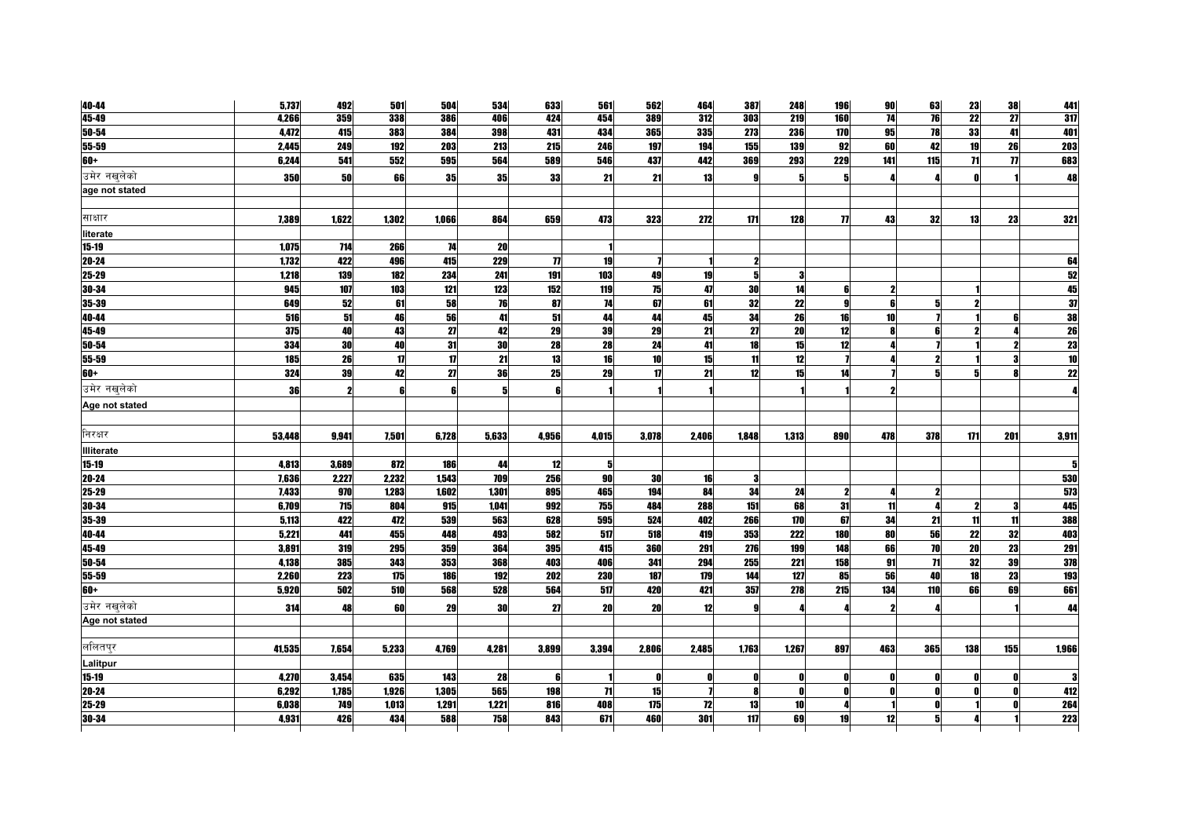| 40-44             | 5,737  | 492   | 501   | 504          | 534   | 633                 | 561   | 562   | 464   | 387      | 248   | <b>196</b>       | 90                  | 63  | 23              | 38             | 441                                                         |
|-------------------|--------|-------|-------|--------------|-------|---------------------|-------|-------|-------|----------|-------|------------------|---------------------|-----|-----------------|----------------|-------------------------------------------------------------|
| 45-49             | 4,266  | 359   | 338   | 386          | 406   | 424                 | 454   | 389   | 312   | 303      | 219   | 160              | 74                  | 76  | $\overline{22}$ | 27             | 317                                                         |
| 50-54             | 4,472  | 415   | 383   | 384          | 398   | 431                 | 434   | 365   | 335   | 273      | 236   | 170              | 95                  | 78  | 33              | 41             | 401                                                         |
| 55-59             | 2,445  | 249   | 192   | 203          | 213   | 215                 | 246   | 197   | 194   | 155      | 139   | 92               | 60                  | 42  | 19              | 26             | 203                                                         |
| 60+               | 6,244  | 541   | 552   | 595          | 564   | 589                 | 546   | 437   | 442   | 369      | 293   | 229              | 141                 | 115 | 71              | $\overline{1}$ | 683                                                         |
| उमेर नखलेको       | 350    | 50    | 66    | 35           | 35    | 33                  | 21    | 21    | 13    | g        |       | 5                |                     |     |                 |                | 48                                                          |
| age not stated    |        |       |       |              |       |                     |       |       |       |          |       |                  |                     |     |                 |                |                                                             |
|                   |        |       |       |              |       |                     |       |       |       |          |       |                  |                     |     |                 |                |                                                             |
| साक्षार           | 7.389  | 1.622 | 1.302 | 1.066        | 864   | 659                 | 473   | 323   | 272   | 171      | 128   | $\eta$           | 43                  | 32  | 13              | 23             | 321                                                         |
| literate          |        |       |       |              |       |                     |       |       |       |          |       |                  |                     |     |                 |                |                                                             |
| $15 - 19$         | 1,075  | 714   | 266   | 74           | 20    |                     |       |       |       |          |       |                  |                     |     |                 |                |                                                             |
| $20 - 24$         | 1,732  | 422   | 496   | 415          | 229   | $\boldsymbol{\eta}$ | 19    |       |       | 2        |       |                  |                     |     |                 |                | 64                                                          |
| 25-29             | 1,218  | 139   | 182   | 234          | 241   | 191                 | 103   | 49    | 19    | 5        |       |                  |                     |     |                 |                |                                                             |
| 30-34             | 945    | 107   | 103   | 121          | 123   | 152                 | 119   | 75    | 47    | 30       | 14    | 6                | $\boldsymbol{\eta}$ |     |                 |                | $\begin{array}{r} 52 \\ \hline 45 \\ \hline 37 \end{array}$ |
| 35-39             | 649    | 52    | 61    | 58           | 76    | 87                  | 74    | 67    | 61    | 32       | 22    | g                | 6                   | 5   |                 |                |                                                             |
| 40-44             | 516    | 51    | 46    | 56           | 41    | 51                  | 44    | 44    | 45    | 34       | 26    | 16               | 10                  |     |                 |                | 38                                                          |
| 45-49             | 375    | 40    | 43    | 27           | 42    | 29                  | 39    | 29    | 21    | 27       | 20    | 12               |                     |     |                 |                | $\frac{26}{23}$                                             |
| 50-54             | 334    | 30    | 40    | 31           | 30    | 28                  | 28    | 24    | 41    | 18       | 15    | 12               |                     |     |                 |                |                                                             |
| 55-59             | 185    | 26    | 17    | $\mathbf{u}$ | 21    | 13                  | 16    | 10    | 15    | 11       | 12    |                  |                     |     |                 |                | $\overline{10}$                                             |
| 60+               | 324    | 39    | 42    | 27           | 36    | 25                  | 29    | 17    | 21    | 12       | 15    | 14               |                     | 51  |                 |                | $\overline{22}$                                             |
| उमेर नखलेको       | 36     | 2     |       |              | 5     | 6                   |       |       |       |          |       |                  |                     |     |                 |                |                                                             |
| Age not stated    |        |       |       |              |       |                     |       |       |       |          |       |                  |                     |     |                 |                |                                                             |
|                   |        |       |       |              |       |                     |       |       |       |          |       |                  |                     |     |                 |                |                                                             |
| निरक्षर           | 53,448 | 9,941 | 7,501 | 6,728        | 5,633 | 4,956               | 4,015 | 3,078 | 2,406 | 1.848    | 1,313 | 890              | 478                 | 378 | 171             | 201            | 3,911                                                       |
| <b>Illiterate</b> |        |       |       |              |       |                     |       |       |       |          |       |                  |                     |     |                 |                |                                                             |
| 15-19             | 4,813  | 3,689 | 872   | 186          | 44    | 12                  | 5     |       |       |          |       |                  |                     |     |                 |                |                                                             |
| 20-24             | 7,636  | 2,227 | 2,232 | 1,543        | 709   | 256                 | 90    | 30    | 16    | 3        |       |                  |                     |     |                 |                | 530                                                         |
| 25-29             | 7,433  | 970   | 1,283 | 1,602        | 1,301 | 895                 | 465   | 194   | 84    | 34       | 24    | $\boldsymbol{2}$ |                     |     |                 |                | 573                                                         |
| 30-34             | 6,709  | 715   | 804   | 915          | 1,041 | 992                 | 755   | 484   | 288   | 151      | 68    | 31               | 11                  |     | 2               |                | 445                                                         |
| 35-39             | 5,113  | 422   | 472   | 539          | 563   | 628                 | 595   | 524   | 402   | 266      | 170   | 67               | 34                  | 21  | 11              | 11             | 388                                                         |
| 40-44             | 5,221  | 441   | 455   | 448          | 493   | 582                 | 517   | 518   | 419   | 353      | 222   | 180              | 80                  | 56  | 22              | 32             | 403                                                         |
| 45-49             | 3,891  | 319   | 295   | 359          | 364   | 395                 | 415   | 360   | 291   | 276      | 199   | 148              | 66                  | 70  | 20              | 23             | 291                                                         |
| 50-54             | 4,138  | 385   | 343   | 353          | 368   | 403                 | 406   | 341   | 294   | 255      | 221   | 158              | 91                  | 71  | 32              | 39             | 378                                                         |
| 55-59             | 2,260  | 223   | 175   | 186          | 192   | 202                 | 230   | 187   | 179   | 144      | 127   | 85               | 56                  | 40  | 18              | 23             | 193                                                         |
| 60+               | 5,920  | 502   | 510   | 568          | 528   | 564                 | 517   | 420   | 421   | 357      | 278   | 215              | 134                 | 110 | 66              | 69             | 661                                                         |
| उमेर नखलेको       | 314    | 48    | 60    | 29           | 30    | 27                  | 20    | 20    | 12    |          |       |                  |                     |     |                 |                | 44                                                          |
| Age not stated    |        |       |       |              |       |                     |       |       |       |          |       |                  |                     |     |                 |                |                                                             |
|                   |        |       |       |              |       |                     |       |       |       |          |       |                  |                     |     |                 |                |                                                             |
| ललितपुर           | 41,535 | 7,654 | 5,233 | 4,769        | 4.281 | 3,899               | 3,394 | 2,806 | 2.485 | 1,763    | 1.267 | 897              | 463                 | 365 | 138             | 155            | 1,966                                                       |
| Lalitpur          |        |       |       |              |       |                     |       |       |       |          |       |                  |                     |     |                 |                |                                                             |
| $15 - 19$         | 4,270  | 3,454 | 635   | 143          | 28    |                     |       |       |       | Λ        |       |                  | - 0                 |     |                 |                | 3                                                           |
| 20-24             | 6,292  | 1,785 | 1,926 | 1,305        | 565   | 198                 | 71    | 15    |       | <b>R</b> | n     |                  | - 0                 |     |                 |                | 412                                                         |
| 25-29             | 6.038  | 749   | 1,013 | 1.291        | 1.221 | 816                 | 408   | 175   | 12    | 13       | 10    |                  |                     |     |                 |                | 264                                                         |
| 30-34             | 4.931  | 426   | 434   | 588          | 758   | 843                 | 671   | 460   | 301   | 117      | 69    | 19               | 12                  |     |                 |                | 223                                                         |
|                   |        |       |       |              |       |                     |       |       |       |          |       |                  |                     |     |                 |                |                                                             |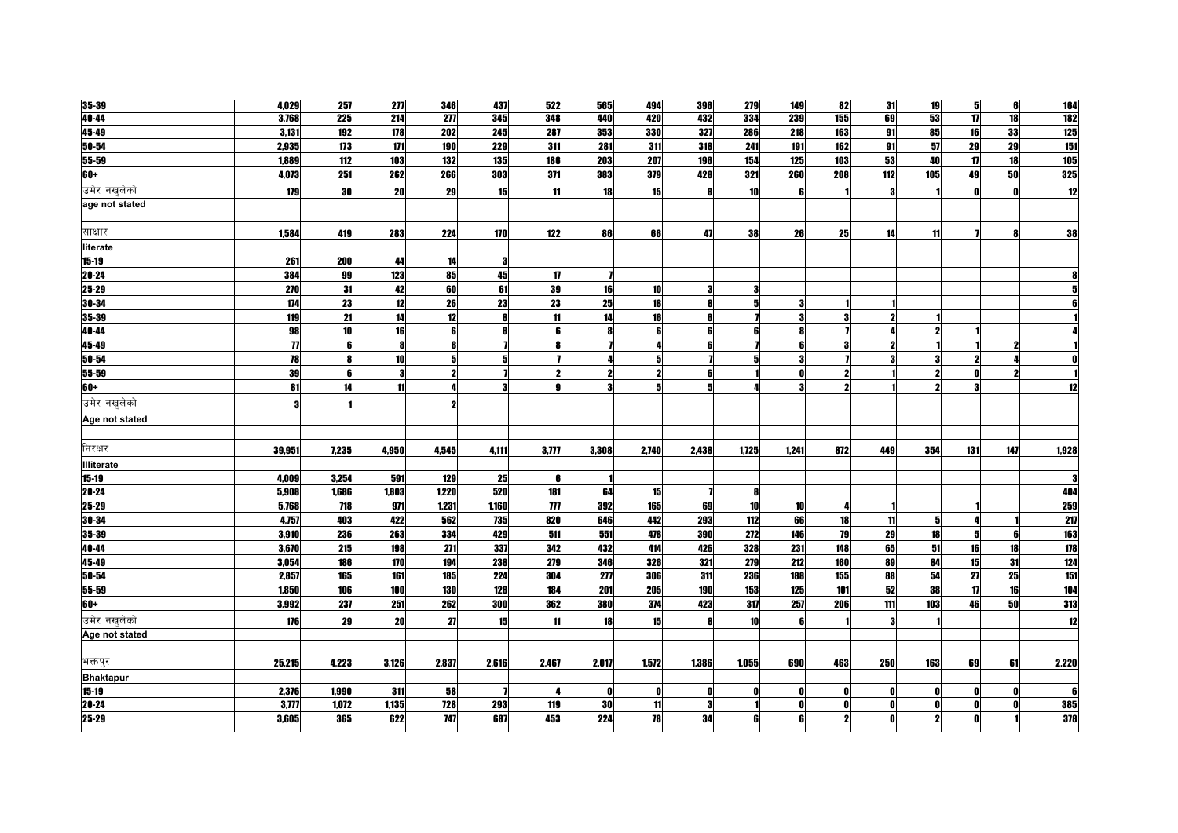| 35-39             | 4,029              | 257   | 277   | 346              | 437   | 522                       | 565          | 494   | 396   | 279             | 149   | 82  | 31           | 19  | 5            | 6   | 164              |
|-------------------|--------------------|-------|-------|------------------|-------|---------------------------|--------------|-------|-------|-----------------|-------|-----|--------------|-----|--------------|-----|------------------|
| 40-44             | 3,768              | 225   | 214   | $\overline{277}$ | 345   | 348                       | 440          | 420   | 432   | 334             | 239   | 155 | 69           | 53  | 17           | 18  | <b>182</b>       |
| 45-49             | 3,131              | 192   | 178   | 202              | 245   | 287                       | 353          | 330   | 327   | 286             | 218   | 163 | 91           | 85  | 16           | 33  | 125              |
| 50-54             | 2,935              | 173   | 171   | 190              | 229   | 311                       | 281          | 311   | 318   | 241             | 191   | 162 | 91           | 57  | 29           | 29  | 151              |
| 55-59             | 1,889              | 112   | 103   | 132              | 135   | 186                       | 203          | 207   | 196   | 154             | 125   | 103 | 53           | 40  | $\mathbf{u}$ | 18  | 105              |
| $60+$             | 4,073              | 251   | 262   | 266              | 303   | 371                       | 383          | 379   | 428   | 321             | 260   | 208 | 112          | 105 | 49           | 50  | 325              |
| उमेर नखलेको       | 179                | 30    | 20    | 29               | 15    | 11                        | 18           | 15    | Я     | 10 <sup>1</sup> | R     |     | 3            |     |              |     | $12$             |
| age not stated    |                    |       |       |                  |       |                           |              |       |       |                 |       |     |              |     |              |     |                  |
|                   |                    |       |       |                  |       |                           |              |       |       |                 |       |     |              |     |              |     |                  |
| साक्षार           | 1,584              | 419   | 283   | 224              | 170   | 122                       | 86           | 66    | 47    | 38              | 26    | 25  | 14           | 11  |              |     | 38               |
| literate          |                    |       |       |                  |       |                           |              |       |       |                 |       |     |              |     |              |     |                  |
| 15-19             | 261                | 200   | 44    | 14               | 3     |                           |              |       |       |                 |       |     |              |     |              |     |                  |
| 20-24             | 384                | 99    | 123   | 85               | 45    | 17                        | $\mathbf{z}$ |       |       |                 |       |     |              |     |              |     |                  |
| $25 - 29$         | 270                | 31    | 42    | 60               | 61    | 39                        | 16           | 10    | 3     | 3               |       |     |              |     |              |     |                  |
| 30-34             | 174                | 23    | 12    | 26               | 23    | 23                        | 25           | 18    |       | 5               |       |     |              |     |              |     |                  |
| 35-39             | 119                | 21    | 14    | 12               | 8     | 11                        | 14           | 16    |       |                 |       |     |              |     |              |     |                  |
| 40-44             | 98                 | 10    | 16    |                  |       | 6                         | 8            |       |       |                 |       |     |              |     |              |     |                  |
| 45-49             | $\overline{\bf n}$ | 6     |       |                  |       |                           |              |       |       |                 |       |     |              |     |              |     |                  |
| 50-54             | 78                 | 8     | 10    |                  | 5     |                           |              |       |       |                 |       |     |              |     |              |     |                  |
| 55-59             | 39                 | 6     | 2     |                  |       | 2                         | $\mathbf{2}$ |       |       |                 |       |     |              |     |              |     |                  |
| $60+$             | 81                 | 14    | 11    |                  | 3     |                           | 3            |       |       |                 |       |     |              |     |              |     | 12               |
| उमेर नखलेको       | 3                  |       |       |                  |       |                           |              |       |       |                 |       |     |              |     |              |     |                  |
| Age not stated    |                    |       |       |                  |       |                           |              |       |       |                 |       |     |              |     |              |     |                  |
|                   |                    |       |       |                  |       |                           |              |       |       |                 |       |     |              |     |              |     |                  |
| निरक्षर           | 39,951             | 7,235 | 4,950 | 4,545            | 4,111 | 3,777                     | 3,308        | 2,740 | 2,438 | 1,725           | 1.241 | 872 | 449          | 354 | 131          | 147 | 1,928            |
| <b>Illiterate</b> |                    |       |       |                  |       |                           |              |       |       |                 |       |     |              |     |              |     |                  |
| $15 - 19$         | 4,009              | 3,254 | 591   | 129              | 25    | 6                         |              |       |       |                 |       |     |              |     |              |     |                  |
| $20 - 24$         | 5,908              | 1,686 | 1,803 | 1,220            | 520   | 181                       | 64           | 15    |       | 8               |       |     |              |     |              |     | 404              |
| $25 - 29$         | 5,768              | 718   | 971   | 1,231            | 1,160 | $\boldsymbol{\mathit{m}}$ | 392          | 165   | 69    | 10              | 10    |     |              |     |              |     | <b>259</b>       |
| 30-34             | 4,757              | 403   | 422   | 562              | 735   | 820                       | 646          | 442   | 293   | 112             | 66    | 18  | 11           | 51  |              |     | 21               |
| 35-39             | 3,910              | 236   | 263   | 334              | 429   | 511                       | 551          | 478   | 390   | 272             | 146   | 79  | 29           | 18  | 5            | 6   | 163              |
| 40-44             | 3,670              | 215   | 198   | 271              | 337   | 342                       | 432          | 414   | 426   | 328             | 231   | 148 | 65           | 51  | 16           | 18  | $\overline{178}$ |
| 45-49             | 3,054              | 186   | 170   | 194              | 238   | 279                       | 346          | 326   | 321   | 279             | 212   | 160 | 89           | 84  | 15           | 31  | 124              |
| $50 - 54$         | 2,857              | 165   | 161   | 185              | 224   | 304                       | 277          | 306   | 311   | 236             | 188   | 155 | 88           | 54  | 27           | 25  | 151              |
| 55-59             | 1,850              | 106   | 100   | 130              | 128   | 184                       | 201          | 205   | 190   | 153             | 125   | 101 | 52           | 38  | 17           | 16  | 104              |
| $+00$             | 3,992              | 237   | 251   | 262              | 300   | 362                       | <b>380</b>   | 374   | 423   | 317             | 257   | 206 | 111          | 103 | 46           | 50  | 313              |
| उमेर नखुलेको      | 176                | 29    | 20    | 27               | 15    | 11                        | 18           | 15    |       | 10              |       |     |              |     |              |     | 12               |
| Age not stated    |                    |       |       |                  |       |                           |              |       |       |                 |       |     |              |     |              |     |                  |
|                   |                    |       |       |                  |       |                           |              |       |       |                 |       |     |              |     |              |     |                  |
|                   |                    |       |       |                  |       |                           |              |       |       | 1,055           | 690   | 463 | 250          | 163 |              |     |                  |
| भक्तपुर           | 25,215             | 4,223 | 3,126 | 2,837            | 2,616 | 2,467                     | 2,017        | 1,572 | 1,386 |                 |       |     |              |     | 69           | 61  | 2,220            |
| <b>Bhaktapur</b>  |                    |       |       |                  |       |                           |              |       |       |                 |       |     |              |     |              |     |                  |
| $15 - 19$         | 2,376              | 1,990 | 311   | 58               |       |                           | 0            | Λ     | ſ     | Λ               | n     |     | - 0          |     |              |     |                  |
| 20-24             | 3.777              | 1,072 | 1,135 | 728              | 293   | 119                       | 30           | 11    | 3     |                 |       |     | $\mathbf{0}$ |     |              |     | 385              |
| 25-29             | 3,605              | 365   | 622   | 747              | 687   | 453                       | 224          | 78    | 34    |                 |       |     |              |     |              |     | 378              |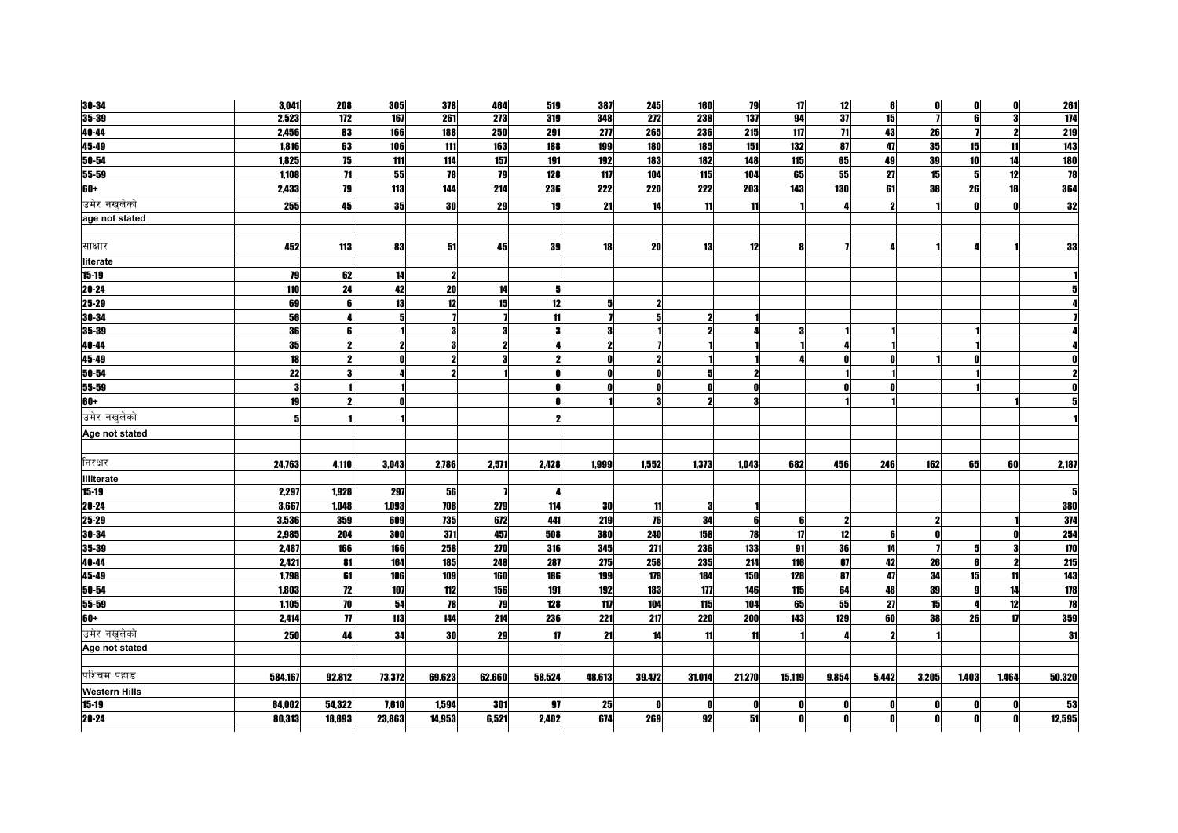| 30-34                | 3,041   | 208                 | 305    | 378    | 464    | 519    | 387                     | 245              | <b>160</b> | 79     | 17           | 12              | 6            | $\mathbf 0$ | O     | $\mathbf 0$ | <b>261</b>               |
|----------------------|---------|---------------------|--------|--------|--------|--------|-------------------------|------------------|------------|--------|--------------|-----------------|--------------|-------------|-------|-------------|--------------------------|
| $35 - 39$            | 2,523   | $\overline{112}$    | 167    | 261    | 273    | 319    | 348                     | $\overline{272}$ | 238        | 137    | 94           | 37              | 15           |             | 6     | 3           | 174                      |
| 40-44                | 2,456   | 83                  | 166    | 188    | 250    | 291    | 277                     | 265              | 236        | 215    | 117          | $\overline{11}$ | 43           | 26          |       |             | <b>219</b>               |
| 45-49                | 1,816   | 63                  | 106    | 111    | 163    | 188    | 199                     | 180              | 185        | 151    | 132          | 87              | 47           | 35          | 15    | 11          | 143                      |
| $50 - 54$            | 1,825   | 75                  | 111    | 114    | 157    | 191    | 192                     | 183              | 182        | 148    | 115          | 65              | 49           | 39          | 10    | 14          | <b>180</b>               |
| 55-59                | 1,108   | 71                  | 55     | 78     | 79     | 128    | 117                     | 104              | 115        | 104    | 65           | 55              | 27           | 15          | 51    | 12          | 78                       |
| 60+                  | 2,433   | 79                  | 113    | 144    | 214    | 236    | 222                     | 220              | <b>222</b> | 203    | 143          | 130             | 61           | 38          | 26    | 18          | 364                      |
| उमेर नखलेको          | 255     | 45                  | 35     | 30     | 29     | 19     | 21                      | 14               | 11         | 11     |              |                 | 2            |             | Λ     | n           | 32                       |
| age not stated       |         |                     |        |        |        |        |                         |                  |            |        |              |                 |              |             |       |             |                          |
|                      |         |                     |        |        |        |        |                         |                  |            |        |              |                 |              |             |       |             |                          |
| साक्षार              | 452     | 113                 | 83     | 51     | 45     | 39     | 18                      | 20               | 13         | 12     |              |                 |              |             |       |             | 33                       |
| literate             |         |                     |        |        |        |        |                         |                  |            |        |              |                 |              |             |       |             |                          |
| $15 - 19$            | 79      | 62                  | 14     |        |        |        |                         |                  |            |        |              |                 |              |             |       |             |                          |
| 20-24                | 110     | 24                  | 42     | 20     | 14     | 5      |                         |                  |            |        |              |                 |              |             |       |             |                          |
| $25 - 29$            | 69      | 6                   | 13     | 12     | 15     | 12     | 5                       |                  |            |        |              |                 |              |             |       |             |                          |
| 30-34                | 56      |                     | 5      |        |        | 11     |                         | 5                |            |        |              |                 |              |             |       |             |                          |
| 35-39                | 36      | 6                   |        |        | 3      | 3      | 3                       |                  |            |        |              |                 |              |             |       |             |                          |
| 40-44                | 35      |                     |        |        |        |        | $\overline{\mathbf{z}}$ |                  |            |        |              |                 |              |             |       |             |                          |
| 45-49                | 18      |                     |        |        |        |        | 0                       |                  |            |        |              |                 |              |             |       |             |                          |
| 50-54                | 22      | 3                   |        |        |        | Λ      | ſ                       |                  |            |        |              |                 |              |             |       |             |                          |
| 55-59                | 3       |                     |        |        |        |        | $\mathbf{0}$            |                  |            |        |              |                 |              |             |       |             |                          |
| $60+$                | 19      |                     |        |        |        |        |                         |                  |            |        |              |                 |              |             |       |             |                          |
| उमेर नखुलेको         | 5       |                     |        |        |        |        |                         |                  |            |        |              |                 |              |             |       |             |                          |
| Age not stated       |         |                     |        |        |        |        |                         |                  |            |        |              |                 |              |             |       |             |                          |
|                      |         |                     |        |        |        |        |                         |                  |            |        |              |                 |              |             |       |             |                          |
| निरक्षर              | 24,763  | 4,110               | 3.043  | 2,786  | 2,571  | 2,428  | 1,999                   | 1,552            | 1,373      | 1.043  | 682          | 456             | 246          | 162         | 65    | 60          | 2,187                    |
| Illiterate           |         |                     |        |        |        |        |                         |                  |            |        |              |                 |              |             |       |             |                          |
| $15 - 19$            | 2,297   | 1,928               | 297    | 56     |        |        |                         |                  |            |        |              |                 |              |             |       |             |                          |
| $20 - 24$            | 3,667   | 1,048               | 1,093  | 708    | 279    | 114    | 30                      | 11               | 3          |        |              |                 |              |             |       |             | 380                      |
| 25-29                | 3,536   | 359                 | 609    | 735    | 672    | 441    | 219                     | 76               | 34         | 6      |              | 2               |              |             |       |             | 374                      |
| $30 - 34$            | 2,985   | 204                 | 300    | 371    | 457    | 508    | 380                     | 240              | 158        | 78     | $\mathbf{1}$ | 12              | 6            |             |       |             | 254                      |
| 35-39                | 2,487   | 166                 | 166    | 258    | 270    | 316    | 345                     | 271              | 236        | 133    | 91           | 36              | 14           |             |       |             | $\overline{170}$         |
| 40-44                | 2,421   | 81                  | 164    | 185    | 248    | 287    | 275                     | 258              | 235        | 214    | 116          | 67              | 42           | 26          | ĥ     |             | <b>215</b>               |
| 45-49                | 1,798   | 61                  | 106    | 109    | 160    | 186    | 199                     | 178              | 184        | 150    | 128          | 87              | 47           | 34          | 15    | 11          | 143                      |
| 50-54                | 1,803   | 12                  | 107    | 112    | 156    | 191    | 192                     | 183              | 177        | 146    | 115          | 64              | 48           | 39          |       | 14          | 178                      |
| $55 - 59$            | 1,105   | 70                  | 54     | 78     | 79     | 128    | 117                     | 104              | 115        | 104    | 65           | 55              | 27           | 15          |       | 12          | $\overline{\mathbf{18}}$ |
| $60+$                | 2,414   | $\boldsymbol{\eta}$ | 113    | 144    | 214    | 236    | 221                     | 217              | 220        | 200    | 143          | 129             | 60           | 38          | 26    | 17          | 359                      |
| उमेर नखलेको          | 250     | 44                  | 34     | 30     | 29     | 17     | 21                      | 14               | 11         | 11     |              |                 |              |             |       |             | 31                       |
| Age not stated       |         |                     |        |        |        |        |                         |                  |            |        |              |                 |              |             |       |             |                          |
|                      |         |                     |        |        |        |        |                         |                  |            |        |              |                 |              |             |       |             |                          |
| पश्चिम पहाड          | 584,167 | 92,812              | 73,372 | 69,623 | 62,660 | 58,524 | 48,613                  | 39,472           | 31,014     | 21,270 | 15,119       | 9,854           | 5,442        | 3,205       | 1,403 | 1,464       | 50,320                   |
| <b>Western Hills</b> |         |                     |        |        |        |        |                         |                  |            |        |              |                 |              |             |       |             |                          |
| $15 - 19$            | 64,002  | 54,322              | 7,610  | 1,594  | 301    | 97     | 25                      |                  | Ω          | Λ      |              | Λ               | - 0          |             |       |             | 53                       |
| $20 - 24$            | 80,313  | 18,893              | 23,863 | 14,953 | 6,521  | 2.402  | 674                     | 269              | 92         | 51     |              | n               | $\mathbf{a}$ |             |       |             | 12,595                   |
|                      |         |                     |        |        |        |        |                         |                  |            |        |              |                 |              |             |       |             |                          |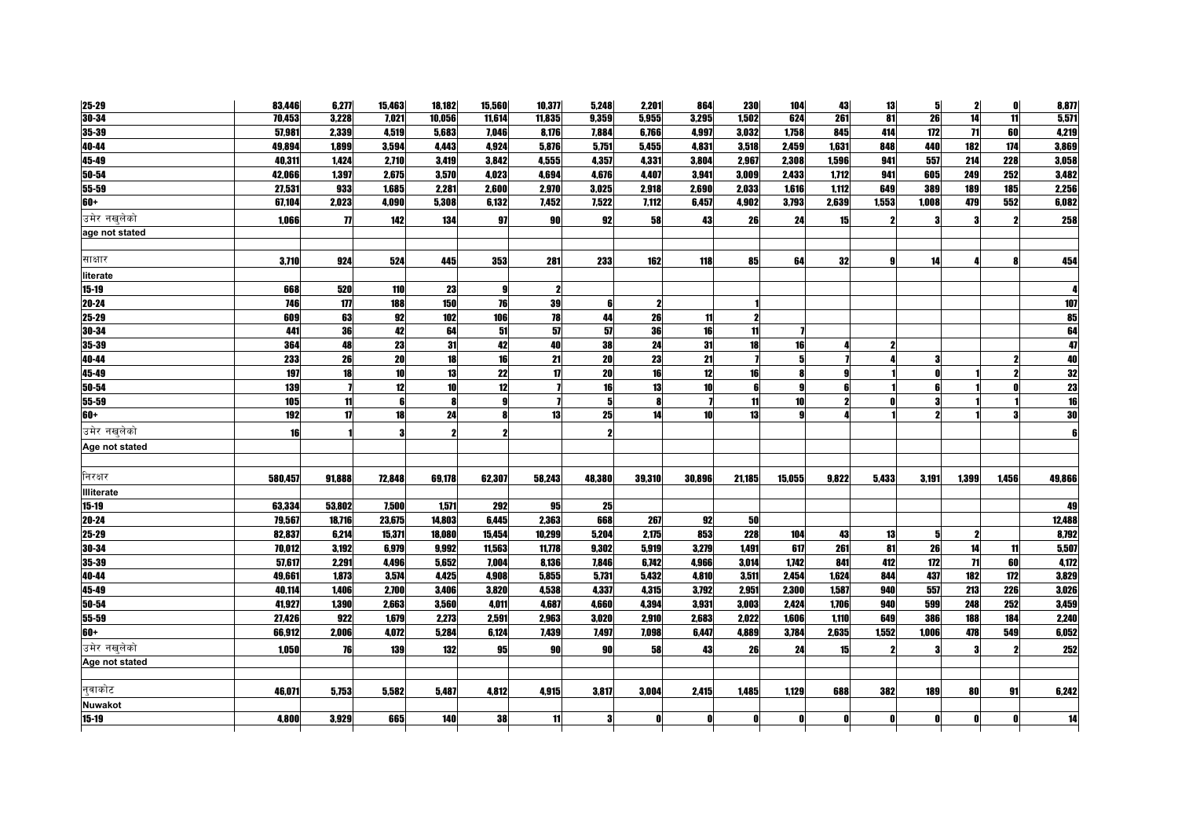| 25-29                   | 83,446  | 6,277               | 15,463 | 18,182 | 15,560    | 10,377 | 5,248     | 2,201      | 864    | <b>230</b> | 104             | 43               | 13    | 5     | 2                   | 0     | 8,877           |
|-------------------------|---------|---------------------|--------|--------|-----------|--------|-----------|------------|--------|------------|-----------------|------------------|-------|-------|---------------------|-------|-----------------|
| $30 - 34$               | 70,453  | 3,228               | 7,021  | 10,056 | 11,614    | 11,835 | 9,359     | 5,955      | 3,295  | 1,502      | 624             | $\overline{261}$ | 81    | 26    | 14                  | 11    | 5,571           |
| 35-39                   | 57,981  | 2,339               | 4,519  | 5,683  | 7,046     | 8,176  | 7,884     | 6,766      | 4,997  | 3,032      | 1,758           | 845              | 414   | 172   | 71                  | 60    | 4,219           |
| 40-44                   | 49,894  | 1,899               | 3,594  | 4,443  | 4,924     | 5,876  | 5,751     | 5,455      | 4,831  | 3,518      | 2,459           | 1,631            | 848   | 440   | 182                 | 174   | 3,869           |
| 45-49                   | 40,311  | 1,424               | 2,710  | 3,419  | 3,842     | 4,555  | 4,357     | 4,331      | 3,804  | 2,967      | 2,308           | 1,596            | 941   | 557   | 214                 | 228   | 3,058           |
| 50-54                   | 42,066  | 1,397               | 2,675  | 3,570  | 4,023     | 4,694  | 4,676     | 4,407      | 3,941  | 3,009      | 2,433           | 1,712            | 941   | 605   | 249                 | 252   | 3,482           |
| 55-59                   | 27,531  | 933                 | 1,685  | 2,281  | 2,600     | 2,970  | 3,025     | 2,918      | 2,690  | 2,033      | 1,616           | 1,112            | 649   | 389   | 189                 | 185   | 2,256           |
| $60+$                   | 67,104  | 2,023               | 4,090  | 5,308  | 6,132     | 7,452  | 7,522     | 7,112      | 6,457  | 4,902      | 3,793           | 2,639            | 1,553 | 1,008 | 479                 | 552   | 6,082           |
| उमेर नखलेको             | 1.066   | $\boldsymbol{\eta}$ | 142    | 134    | 97        | 90     | 92        | 58         | 43     | 26         | 24              | 15               |       |       |                     |       | 258             |
| age not stated          |         |                     |        |        |           |        |           |            |        |            |                 |                  |       |       |                     |       |                 |
|                         |         |                     |        |        |           |        |           |            |        |            |                 |                  |       |       |                     |       |                 |
| साक्षार                 | 3,710   | 924                 | 524    | 445    | 353       | 281    | 233       | <b>162</b> | 118    | 85         | 64              | 32               | g     | 14    |                     |       | 454             |
| literate                |         |                     |        |        |           |        |           |            |        |            |                 |                  |       |       |                     |       |                 |
| $15-19$                 | 668     | 520                 | 110    | 23     | 9         | 2      |           |            |        |            |                 |                  |       |       |                     |       | Л               |
| 20-24                   | 746     | $1\pi$              | 188    | 150    | <b>76</b> | 39     | 6         | 2          |        |            |                 |                  |       |       |                     |       | 107             |
| 25-29                   | 609     | 63                  | 92     | 102    | 106       | 78     | 44        | 26         | 11     | 2          |                 |                  |       |       |                     |       | 85              |
| 30-34                   | 441     | 36                  | 42     | 64     | 51        | 57     | 57        | 36         | 16     | 11         |                 |                  |       |       |                     |       | $\frac{64}{47}$ |
| 35-39                   | 364     | 48                  | 23     | 31     | 42        | 40     | 38        | 24         | 31     | 18         | 16              |                  |       |       |                     |       |                 |
| 40-44                   | 233     | 26                  | 20     | 18     | 16        | 21     | <b>20</b> | 23         | 21     |            |                 |                  |       |       |                     |       | 40              |
| 45-49                   | 197     | 18                  | 10     | 13     | 22        | 17     | <b>20</b> | 16         | 12     | 16         |                 |                  |       |       |                     |       | $\frac{32}{23}$ |
| 50-54                   | 139     |                     | 12     | 10     | 12        |        | 16        | 13         | 10     | 6          |                 |                  |       |       |                     |       |                 |
| 55-59                   | 105     | 11                  |        |        |           |        | 5         |            |        | 11         | 10 <sup>1</sup> |                  |       |       |                     |       | $\overline{16}$ |
| 60+                     | 192     | 17                  | 18     | 24     |           | 13     | 25        | 14         | 10     | 13         |                 |                  |       |       |                     |       | 30              |
|                         |         |                     |        |        |           |        |           |            |        |            |                 |                  |       |       |                     |       |                 |
| उमेर नखलेको             | 16      |                     |        |        |           |        |           |            |        |            |                 |                  |       |       |                     |       |                 |
|                         |         |                     |        |        |           |        |           |            |        |            |                 |                  |       |       |                     |       |                 |
| Age not stated          |         |                     |        |        |           |        |           |            |        |            |                 |                  |       |       |                     |       |                 |
| निरक्षर                 | 580,457 | 91,888              | 72,848 | 69,178 | 62,307    | 58,243 | 48,380    | 39,310     | 30,896 | 21,185     | 15,055          | 9,822            | 5,433 | 3,191 | 1,399               | 1,456 | 49,866          |
| <b>Illiterate</b>       |         |                     |        |        |           |        |           |            |        |            |                 |                  |       |       |                     |       |                 |
| $15 - 19$               | 63,334  | 53,802              | 7,500  | 1,571  | 292       | 95     | 25        |            |        |            |                 |                  |       |       |                     |       | 49              |
| 20-24                   | 79,567  | 18,716              | 23,675 | 14.803 | 6.445     | 2.363  | 668       | 267        | 92     | 50         |                 |                  |       |       |                     |       |                 |
| 25-29                   | 82,837  | 6,214               | 15,371 | 18,080 | 15,454    | 10,299 | 5,204     | 2,175      | 853    | 228        | 104             | 43               | 13    | 5     | $\boldsymbol{\eta}$ |       | 12,488<br>8,792 |
| 30-34                   | 70,012  | 3,192               | 6,979  | 9,992  | 11,563    | 11,778 | 9,302     | 5,919      | 3,279  | 1,491      | 617             | 261              | 81    | 26    | 14                  | 11    | 5,507           |
| 35-39                   | 57,617  | 2,291               | 4,496  | 5,652  | 7.004     | 8,136  | 7.846     | 6,742      | 4,966  | 3,014      | 1.742           | 841              | 412   | 172   | 71                  | 60    | 4,172           |
| 40-44                   | 49,661  | 1,873               | 3,574  | 4,425  | 4,908     | 5,855  | 5,731     | 5,432      | 4,810  | 3,511      | 2,454           | 1,624            | 844   | 437   | 182                 | 172   | 3,829           |
| 45-49                   | 40,114  | 1,406               | 2,700  | 3,406  | 3,820     | 4,538  | 4,337     | 4,315      | 3,792  | 2,951      | 2,300           | 1,587            | 940   | 557   | 213                 | 226   |                 |
| 50-54                   | 41,927  | 1,390               | 2.663  | 3.560  | 4.011     | 4.687  | 4.660     | 4,394      | 3,931  | 3.003      | 2.424           | 1.706            | 940   | 599   | 248                 | 252   | 3,026<br>3,459  |
| 55-59                   | 27,426  | 922                 | 1,679  | 2,273  | 2,591     | 2,963  | 3,020     | 2,910      | 2,683  | 2,022      | 1.606           | 1,110            | 649   | 386   | 188                 | 184   | 2,240           |
| 60+                     | 66,912  | 2,006               | 4,072  | 5.284  | 6,124     | 7.439  | 7.497     | 7,098      | 6,447  | 4,889      | 3.784           | 2,635            | 1,552 | 1.006 | 478                 | 549   |                 |
| उमेर नखलेको             | 1,050   | 76                  | 139    | 132    | 95        | 90     | <b>90</b> | 58         | 43     | 26         | 24              | 15               | 2     |       |                     |       | 6,052<br>252    |
| Age not stated          |         |                     |        |        |           |        |           |            |        |            |                 |                  |       |       |                     |       |                 |
|                         |         |                     |        |        |           |        |           |            |        |            |                 |                  |       |       |                     |       |                 |
| नवाकोट                  | 46.071  | 5,753               | 5.582  | 5.487  | 4.812     | 4,915  | 3,817     | 3,004      | 2,415  | 1,485      | 1.129           | 688              | 382   | 189   | 80                  | 91    | 6,242           |
| <b>Nuwakot</b><br>15-19 | 4.800   | 3.929               | 665    | 140    | 38        | 11     | 3         |            |        |            |                 |                  |       |       |                     |       | 14              |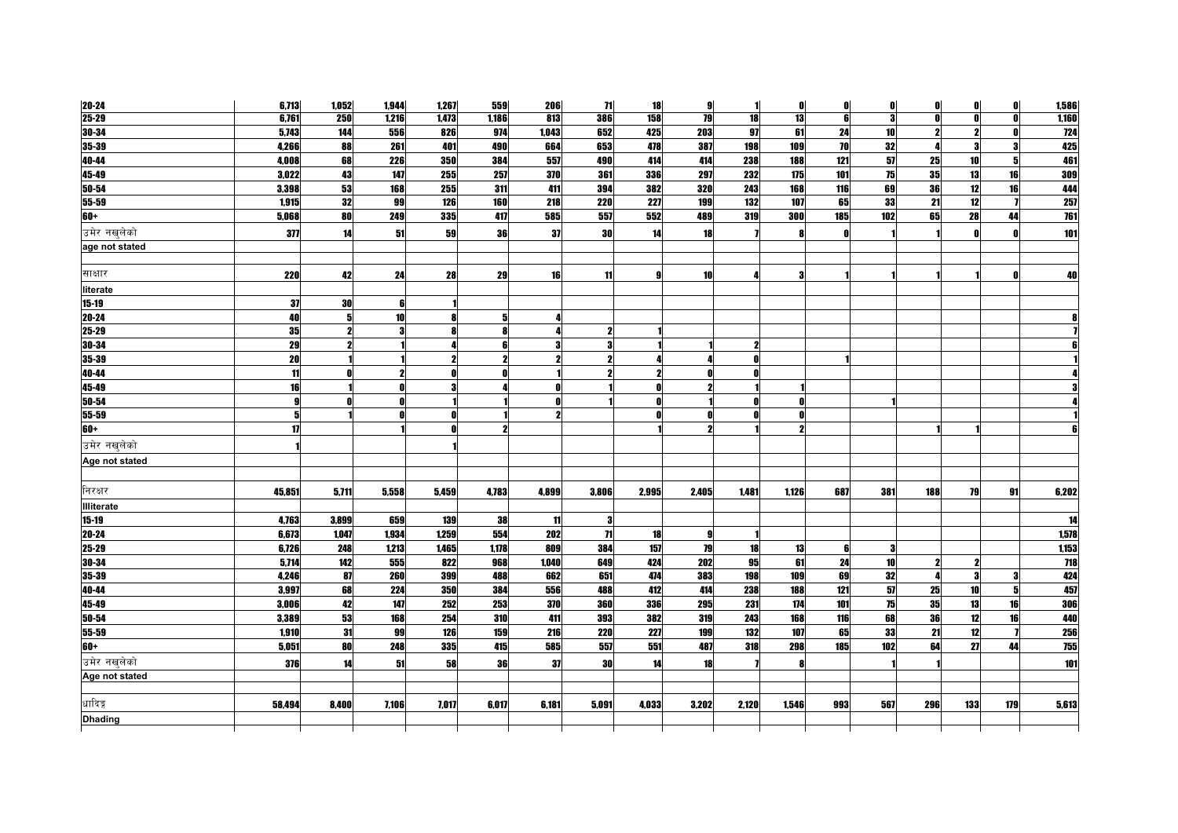| 20-24             | 6,713      | 1,052 | 1,944           | 1,267 | 559   | 206              | 71           | 18    | 9     | 1          | O     | $\mathbf{0}$ | $\mathbf{0}$ | 01  | O                   | $\mathbf{0}$ | 1,586 |
|-------------------|------------|-------|-----------------|-------|-------|------------------|--------------|-------|-------|------------|-------|--------------|--------------|-----|---------------------|--------------|-------|
| $25 - 29$         | 6,761      | 250   | 1,216           | 1,473 | 1,186 | $\overline{813}$ | 386          | 158   | 79    | 18         | 13    | 6            | 3            | ΩI  | 0l                  | n            | 1,160 |
| 30-34             | 5,743      | 144   | 556             | 826   | 974   | 1,043            | 652          | 425   | 203   | 97         | 61    | 24           | 10           |     | 2                   |              | 724   |
| 35-39             | 4,266      | 88    | 261             | 401   | 490   | 664              | 653          | 478   | 387   | 198        | 109   | 70           | 32           |     | 3                   | 3            | 425   |
| 40-44             | 4,008      | 68    | 226             | 350   | 384   | 557              | 490          | 414   | 414   | 238        | 188   | 121          | 57           | 25  | 10                  | 5            | 461   |
| 45-49             | 3,022      | 43    | 147             | 255   | 257   | 370              | 361          | 336   | 297   | 232        | 175   | 101          | 75           | 35  | 13                  | 16           | 309   |
| $50 - 54$         | 3,398      | 53    | 168             | 255   | 311   | 411              | 394          | 382   | 320   | 243        | 168   | 116          | 69           | 36  | 12                  | 16           | 444   |
| 55-59             | 1,915      | 32    | 99              | 126   | 160   | 218              | 220          | 227   | 199   | 132        | 107   | 65           | 33           | 21  | 12                  |              | 257   |
| $60+$             | 5,068      | 80    | 249             | 335   | 417   | 585              | 557          | 552   | 489   | <b>319</b> | 300   | 185          | 102          | 65  | 28                  | 44           | 761   |
| उमेर नखुलेको      | 377        | 14    | 51              | 59    | 36    | 37               | 30           | 14    | 18    |            |       | n            |              |     |                     |              | 101   |
| age not stated    |            |       |                 |       |       |                  |              |       |       |            |       |              |              |     |                     |              |       |
|                   |            |       |                 |       |       |                  |              |       |       |            |       |              |              |     |                     |              |       |
| साक्षार           | <b>220</b> | 42    | 24              | 28    | 29    | 16               | 11           | g     | 10    |            |       |              |              |     |                     |              | 40    |
| literate          |            |       |                 |       |       |                  |              |       |       |            |       |              |              |     |                     |              |       |
| $15 - 19$         | 37         | 30    |                 |       |       |                  |              |       |       |            |       |              |              |     |                     |              |       |
| $20 - 24$         | 40         | 5     | 10 <sup>1</sup> |       | 5     |                  |              |       |       |            |       |              |              |     |                     |              |       |
| $25 - 29$         | 35         |       |                 |       | 8     |                  | $\mathbf{2}$ |       |       |            |       |              |              |     |                     |              |       |
| 30-34             | 29         |       |                 |       | 6     |                  | 3            |       |       |            |       |              |              |     |                     |              |       |
| 35-39             | 20         |       |                 |       |       |                  | $\mathbf{2}$ |       |       |            |       |              |              |     |                     |              |       |
| 40-44             | 11         |       |                 |       | n     |                  | 2            |       |       |            |       |              |              |     |                     |              |       |
| 45-49             | 16         |       |                 |       |       |                  |              |       |       |            |       |              |              |     |                     |              |       |
| 50-54             | 9          |       |                 |       |       |                  |              |       |       |            |       |              |              |     |                     |              |       |
| 55-59             | 5          |       |                 |       |       | 2                |              |       |       | n          |       |              |              |     |                     |              |       |
| $60+$             | 17         |       |                 |       |       |                  |              |       |       |            |       |              |              |     |                     |              |       |
| उमेर नखलेको       |            |       |                 |       |       |                  |              |       |       |            |       |              |              |     |                     |              |       |
| Age not stated    |            |       |                 |       |       |                  |              |       |       |            |       |              |              |     |                     |              |       |
|                   |            |       |                 |       |       |                  |              |       |       |            |       |              |              |     |                     |              |       |
| निरक्षर           | 45,851     | 5,711 | 5,558           | 5,459 | 4,783 | 4,899            | 3,806        | 2,995 | 2,405 | 1,481      | 1,126 | 687          | 381          | 188 | 79                  | 91           | 6,202 |
| <b>Illiterate</b> |            |       |                 |       |       |                  |              |       |       |            |       |              |              |     |                     |              |       |
| $15 - 19$         | 4,763      | 3,899 | 659             | 139   | 38    | 11               | 3            |       |       |            |       |              |              |     |                     |              | 14    |
| $20 - 24$         | 6,673      | 1,047 | 1,934           | 1,259 | 554   | 202              | 71           | 18    | g     |            |       |              |              |     |                     |              | 1,578 |
| 25-29             | 6,726      | 248   | 1,213           | 1,465 | 1,178 | 809              | 384          | 157   | 79    | 18         | 13    | 6            | -3           |     |                     |              | 1,153 |
| 30-34             | 5,714      | 142   | 555             | 822   | 968   | 1,040            | 649          | 424   | 202   | 95         | 61    | 24           | 10           |     | $\boldsymbol{\eta}$ |              | 718   |
| $35 - 39$         | 4,246      | 87    | 260             | 399   | 488   | 662              | 651          | 474   | 383   | 198        | 109   | 69           | 32           |     | 3                   |              | 424   |
| 40-44             | 3,997      | 68    | 224             | 350   | 384   | 556              | 488          | 412   | 414   | 238        | 188   | 121          | 57           | 25  | 10                  |              | 457   |
| 45-49             | 3,006      | 42    | 147             | 252   | 253   | 370              | <b>360</b>   | 336   | 295   | 231        | 174   | 101          | 75           | 35  | 13                  | 16           | 306   |
| 50-54             | 3,389      | 53    | 168             | 254   | 310   | 411              | 393          | 382   | 319   | 243        | 168   | 116          | 68           | 36  | 12                  | 16           | 440   |
| 55-59             | 1,910      | 31    | 99              | 126   | 159   | 216              | <b>220</b>   | 227   | 199   | 132        | 107   | 65           | 33           | 21  | 12                  |              | 256   |
| $60+$             | 5,051      | 80    | 248             | 335   | 415   | 585              | 557          | 551   | 487   | 318        | 298   | 185          | 102          | 64  | 27                  | 44           | 755   |
| उमेर नखुलेको      | 376        | 14    | 51              | 58    | 36    | -37              | <b>30</b>    | 14    | 18    |            |       |              |              |     |                     |              | 101   |
| Age not stated    |            |       |                 |       |       |                  |              |       |       |            |       |              |              |     |                     |              |       |
|                   |            |       |                 |       |       |                  |              |       |       |            |       |              |              |     |                     |              |       |
| धादिङ्ग           | 58,494     | 8,400 | 7,106           | 7,017 | 6,017 | 6,181            | 5,091        | 4,033 | 3,202 | 2,120      | 1,546 | 993          | 567          | 296 | 133                 | 179          | 5,613 |
| <b>Dhading</b>    |            |       |                 |       |       |                  |              |       |       |            |       |              |              |     |                     |              |       |
|                   |            |       |                 |       |       |                  |              |       |       |            |       |              |              |     |                     |              |       |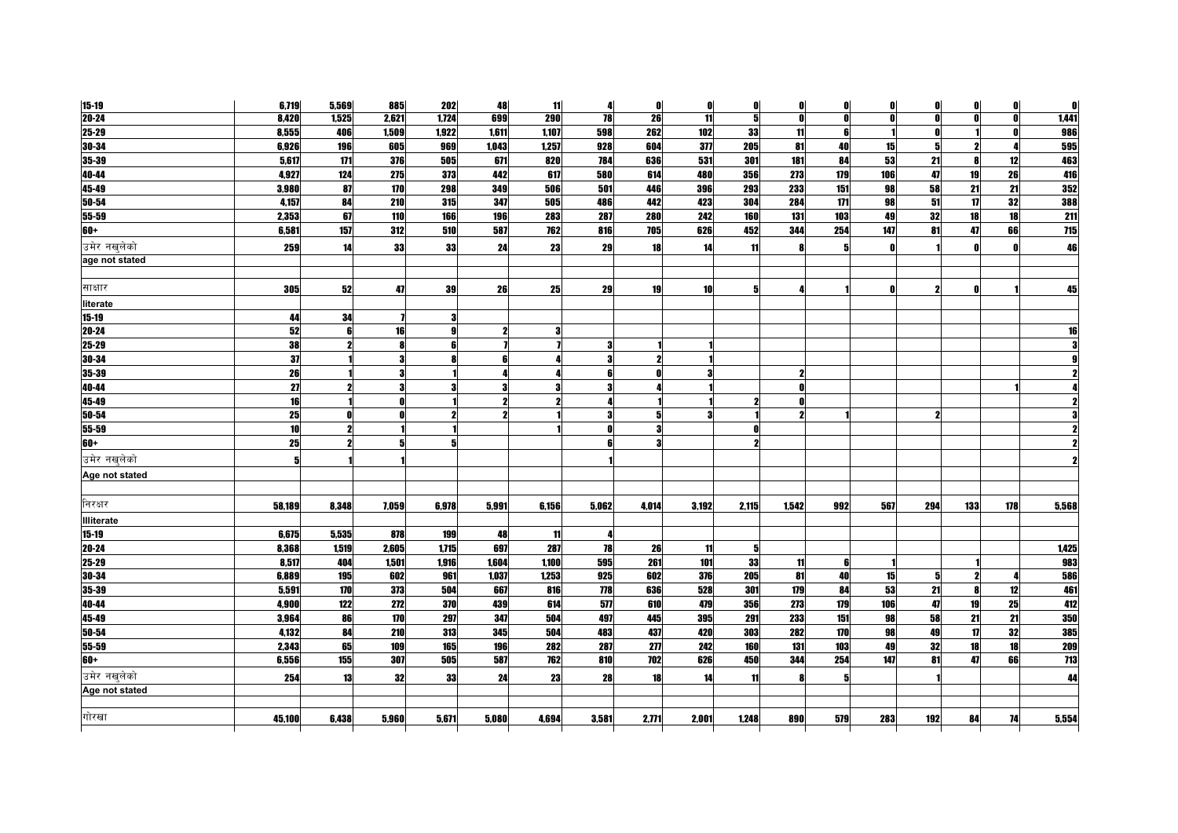| $15 - 19$         | 6,719  | 5,569        | 885   | 202   | 48    | 11    | 4     | O                 | $\mathbf{0}$ | $\mathbf{0}$ | O            | $\mathbf{0}$ | $\mathbf{0}$ | $\mathbf{0}$ | 0   | O   | $\mathbf{0}$ |
|-------------------|--------|--------------|-------|-------|-------|-------|-------|-------------------|--------------|--------------|--------------|--------------|--------------|--------------|-----|-----|--------------|
| $20 - 24$         | 8,420  | 1,525        | 2,621 | 1,724 | 699   | 290   | 78    | 26                | 11           | 5            | <sup>0</sup> | O            | 0            | Λ            | O.  | n   | 1,441        |
| $25 - 29$         | 8,555  | 406          | 1,509 | 1,922 | 1,611 | 1,107 | 598   | 262               | 102          | 33           | 11           | 6            |              |              |     |     | 986          |
| $30 - 34$         | 6,926  | 196          | 605   | 969   | 1,043 | 1,257 | 928   | 604               | 377          | 205          | 81           | 40           | 15           | 5            |     |     | 595          |
| 35-39             | 5,617  | 171          | 376   | 505   | 671   | 820   | 784   | 636               | 531          | 301          | 181          | 84           | 53           | 21           | 8   | 12  | 463          |
| 40-44             | 4,927  | 124          | 275   | 373   | 442   | 617   | 580   | 614               | 480          | 356          | 273          | 179          | 106          | 47           | 19  | 26  | 416          |
| $45 - 49$         | 3,980  | 87           | 170   | 298   | 349   | 506   | 501   | 446               | 396          | 293          | 233          | 151          | 98           | 58           | 21  | 21  | 352          |
| 50-54             | 4,157  | 84           | 210   | 315   | 347   | 505   | 486   | 442               | 423          | 304          | 284          | 171          | 98           | 51           | 17  | 32  | 388          |
| 55-59             | 2,353  | 67           | 110   | 166   | 196   | 283   | 287   | 280               | 242          | 160          | 131          | 103          | 49           | 32           | 18  | 18  | 211          |
| $60+$             | 6,581  | 157          | 312   | 510   | 587   | 762   | 816   | 705               | 626          | 452          | 344          | 254          | 147          | 81           | 47  | 66  | 715          |
| उमेर नखलेको       | 259    | 14           | 33    | 33    | 24    | 23    | 29    | 18                | 14           | 11           |              | 5            | $\mathbf{0}$ |              |     |     | 46           |
| age not stated    |        |              |       |       |       |       |       |                   |              |              |              |              |              |              |     |     |              |
|                   |        |              |       |       |       |       |       |                   |              |              |              |              |              |              |     |     |              |
| साक्षार           | 305    | 52           | 47    | 39    | 26    | 25    | 29    | 19                | 10           | 5            |              |              | $\mathbf{0}$ |              | n   |     | 45           |
| literate          |        |              |       |       |       |       |       |                   |              |              |              |              |              |              |     |     |              |
| $15 - 19$         | 44     | 34           |       |       |       |       |       |                   |              |              |              |              |              |              |     |     |              |
| $20 - 24$         | 52     | 6            | 16    |       | 2     | -3    |       |                   |              |              |              |              |              |              |     |     | 16           |
| $25 - 29$         | 38     | 2            |       |       |       |       | 3     |                   |              |              |              |              |              |              |     |     |              |
| $30 - 34$         | 37     |              | 3     |       | A     |       | 3     |                   |              |              |              |              |              |              |     |     |              |
| $35 - 39$         | 26     |              | 3     |       |       |       | 6     |                   |              |              |              |              |              |              |     |     |              |
| 40-44             | 27     | 2            | 3     |       | 3     |       | 3     |                   |              |              | Λ            |              |              |              |     |     |              |
| 45-49             | 16     |              |       |       | 2     |       |       |                   |              |              |              |              |              |              |     |     |              |
| $50 - 54$         | 25     |              |       |       |       |       | 3     |                   |              |              |              |              |              |              |     |     |              |
| 55-59             | 10     | $\mathbf{2}$ |       |       |       |       | n     |                   |              | Λ            |              |              |              |              |     |     |              |
| $60+$             | 25     | 2            |       |       |       |       |       |                   |              |              |              |              |              |              |     |     |              |
| उमेर नखुलेको      | 5      |              |       |       |       |       |       |                   |              |              |              |              |              |              |     |     |              |
| Age not stated    |        |              |       |       |       |       |       |                   |              |              |              |              |              |              |     |     |              |
| निरक्षर           | 58,189 | 8,348        | 7,059 | 6,978 | 5,991 | 6,156 | 5,062 | 4,014             | 3,192        | 2,115        | 1,542        | 992          | 567          | 294          | 133 | 178 | 5,568        |
| <b>Illiterate</b> |        |              |       |       |       |       |       |                   |              |              |              |              |              |              |     |     |              |
| $15 - 19$         | 6,675  | 5,535        | 878   | 199   | 48    | 11    | 4     |                   |              |              |              |              |              |              |     |     |              |
| $20 - 24$         | 8,368  | 1,519        | 2,605 | 1,715 | 697   | 287   | 78    | 26                | 11           | 5            |              |              |              |              |     |     | 1,425        |
| $25 - 29$         | 8,517  | 404          | 1,501 | 1.916 | 1.604 | 1.100 | 595   | 261               | 101          | 33           | 11           | 6            |              |              |     |     | 983          |
| $30 - 34$         | 6,889  | 195          | 602   | 961   | 1,037 | 1,253 | 925   | 602               | 376          | 205          | 81           | 40           | 15           | 5            |     |     | 586          |
| 35-39             | 5,591  | 170          | 373   | 504   | 667   | 816   | 778   | 636               | 528          | 301          | 179          | 84           | 53           | 21           | 8   | 12  | 461          |
| 40-44             | 4,900  | 122          | 272   | 370   | 439   | 614   | 577   | 610               | 479          | 356          | 273          | 179          | 106          | 47           | 19  | 25  | 412          |
| 45-49             | 3,964  | 86           | 170   | 297   | 347   | 504   | 497   | 445               | 395          | 291          | 233          | 151          | 98           | 58           | 21  | 21  | <b>350</b>   |
| 50-54             | 4,132  | 84           | 210   | 313   | 345   | 504   | 483   | 437               | 420          | 303          | 282          | 170          | 98           | 49           | 17  | 32  | 385          |
| $55 - 59$         | 2,343  | 65           | 109   | 165   | 196   | 282   | 287   | $\overline{2\pi}$ | 242          | 160          | 131          | 103          | 49           | 32           | 18  | 18  | 209          |
| $60+$             | 6,556  | 155          | 307   | 505   | 587   | 762   | 810   | 702               | 626          | 450          | 344          | 254          | 147          | 81           | 47  | 66  | 713          |
| उमेर नखलेको       | 254    | 13           | 32    | 33    | 24    | 23    | 28    | 18                | 14           | 11           |              | 5            |              |              |     |     | 44           |
| Age not stated    |        |              |       |       |       |       |       |                   |              |              |              |              |              |              |     |     |              |
| गोरखा             | 45,100 | 6,438        | 5.960 | 5.671 | 5,080 | 4,694 | 3,581 | 2,771             | 2,001        | 1,248        | 890          | 579          | 283          | 192          | 84  | 74  | 5,554        |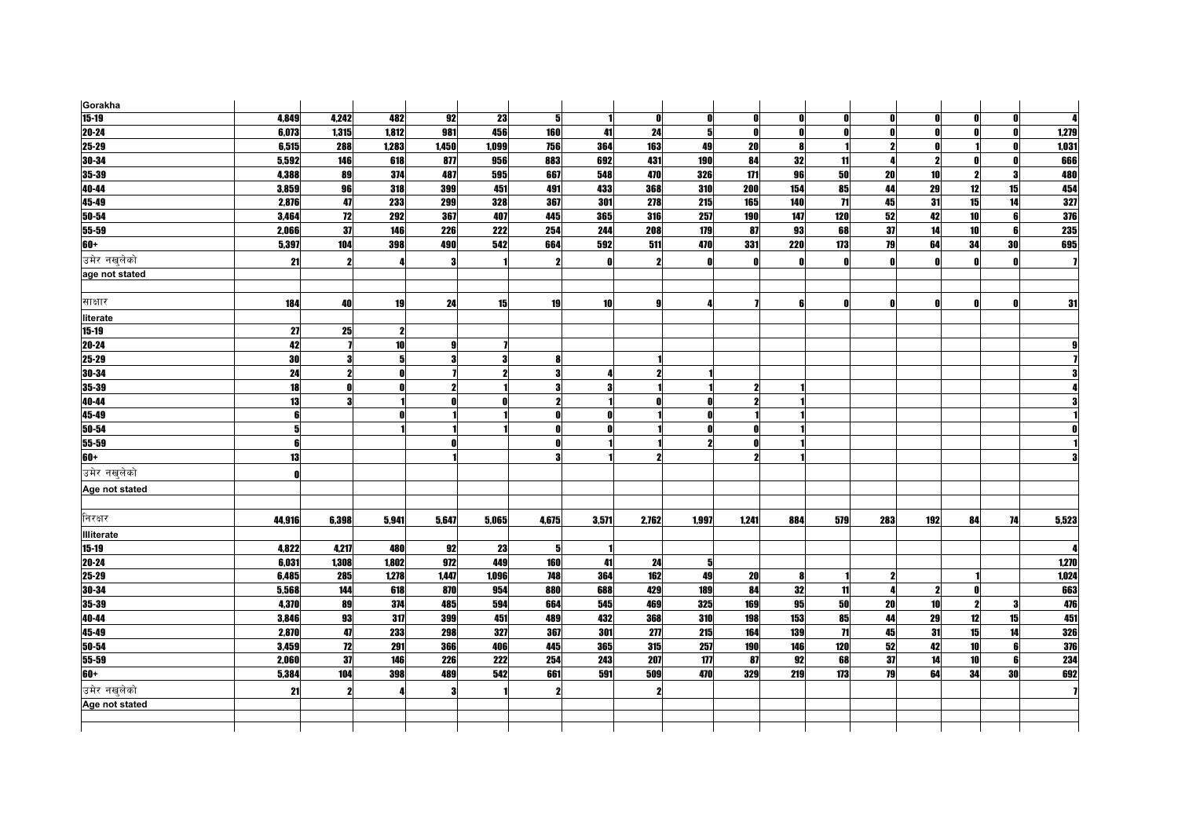| Gorakha           |        |                         |                 |       |       |                     |                 |                     |       |                     |     |                 |              |                 |                  |    |            |
|-------------------|--------|-------------------------|-----------------|-------|-------|---------------------|-----------------|---------------------|-------|---------------------|-----|-----------------|--------------|-----------------|------------------|----|------------|
| $15-19$           | 4,849  | 4,242                   | 482             | 92    | 23    | 5                   |                 |                     | 0     | O                   | Λ   | 0               | $\mathbf{0}$ | Λ               | $\mathbf{0}$     |    |            |
| $20 - 24$         | 6,073  | 1,315                   | 1,812           | 981   | 456   | 160                 | 41              | 24                  | 51    | O                   | n   | O               | $\mathbf{r}$ |                 | Ω                |    | 1,279      |
| 25-29             | 6,515  | 288                     | 1,283           | 1,450 | 1,099 | 756                 | 364             | 163                 | 49    | 20                  |     |                 | 2            |                 |                  |    | 1,031      |
| 30-34             | 5,592  | 146                     | 618             | 877   | 956   | 883                 | 692             | 431                 | 190   | 84                  | 32  | 11              |              |                 | Λ                | n  | 666        |
| 35-39             | 4,388  | 89                      | 374             | 487   | 595   | 667                 | 548             | 470                 | 326   | 171                 | 96  | 50              | 20           | 10              | $\boldsymbol{v}$ | З  | 480        |
| 40-44             | 3,859  | 96                      | 318             | 399   | 451   | 491                 | 433             | 368                 | 310   | 200                 | 154 | 85              | 44           | 29              | 12               | 15 | 454        |
| 45-49             | 2,876  | 47                      | 233             | 299   | 328   | 367                 | 301             | 278                 | 215   | 165                 | 140 | $\overline{11}$ | 45           | 31              | 15               | 14 | 327        |
| 50-54             | 3,464  | 12                      | 292             | 367   | 407   | 445                 | 365             | 316                 | 257   | 190                 | 147 | 120             | 52           | 42              | 10               | 6  | <b>376</b> |
| 55-59             | 2,066  | 37                      | 146             | 226   | 222   | 254                 | 244             | 208                 | 179   | 87                  | 93  | 68              | 37           | 14              | 10               | 6  | 235        |
| $60+$             | 5,397  | 104                     | 398             | 490   | 542   | 664                 | 592             | 511                 | 470   | 331                 | 220 | 173             | 79           | 64              | 34               | 30 | 695        |
| उमेर नखलेको       | 21     | $\mathbf{2}$            |                 |       |       | $\boldsymbol{\eta}$ | O               | $\boldsymbol{\eta}$ | Λ     | O                   | n   | $\mathbf{0}$    | $\mathbf{0}$ |                 | n                | n  |            |
| age not stated    |        |                         |                 |       |       |                     |                 |                     |       |                     |     |                 |              |                 |                  |    |            |
|                   |        |                         |                 |       |       |                     |                 |                     |       |                     |     |                 |              |                 |                  |    |            |
| साक्षार           | 184    | 40                      | 19              | 24    | 15    | 19                  | 10 <sup>1</sup> | g                   |       |                     | 6   | 0               | $\mathbf{0}$ |                 | n                | n  | 31         |
| literate          |        |                         |                 |       |       |                     |                 |                     |       |                     |     |                 |              |                 |                  |    |            |
| $15 - 19$         | 27     | 25                      |                 |       |       |                     |                 |                     |       |                     |     |                 |              |                 |                  |    |            |
| 20-24             | 42     |                         | 10 <sup>1</sup> |       |       |                     |                 |                     |       |                     |     |                 |              |                 |                  |    |            |
| $25 - 29$         | 30     | 3                       | 5               |       | 3     | R                   |                 |                     |       |                     |     |                 |              |                 |                  |    |            |
| 30-34             | 24     | 2                       |                 |       | 2     | 3                   |                 |                     |       |                     |     |                 |              |                 |                  |    |            |
| 35-39             | 18     | $\mathbf 0$             |                 | 9     |       | 3                   | 3               |                     |       | 2                   |     |                 |              |                 |                  |    |            |
| 40-44             | 13     | $\overline{\mathbf{3}}$ |                 |       | n     | 2                   |                 |                     |       | ŋ                   |     |                 |              |                 |                  |    |            |
| 45-49             | 6      |                         |                 |       |       | 0                   | 0               |                     |       |                     |     |                 |              |                 |                  |    |            |
| 50-54             | 5      |                         |                 |       |       | O                   | 0               |                     |       | n                   |     |                 |              |                 |                  |    |            |
| 55-59             | 6      |                         |                 |       |       | Λ                   |                 |                     |       | n                   |     |                 |              |                 |                  |    |            |
| 60+               | 13     |                         |                 |       |       | 3                   |                 |                     |       | $\boldsymbol{\eta}$ |     |                 |              |                 |                  |    |            |
| उमेर नखलेको       | Λ      |                         |                 |       |       |                     |                 |                     |       |                     |     |                 |              |                 |                  |    |            |
| Age not stated    |        |                         |                 |       |       |                     |                 |                     |       |                     |     |                 |              |                 |                  |    |            |
|                   |        |                         |                 |       |       |                     |                 |                     |       |                     |     |                 |              |                 |                  |    |            |
| निरक्षर           | 44,916 | 6,398                   | 5,941           | 5,647 | 5,065 | 4,675               | 3,571           | 2,762               | 1,997 | 1,241               | 884 | 579             | 283          | 192             | 84               | 74 | 5,523      |
| <b>Illiterate</b> |        |                         |                 |       |       |                     |                 |                     |       |                     |     |                 |              |                 |                  |    |            |
| $15 - 19$         | 4,822  | 4,217                   | 480             | 92    | 23    | 5                   |                 |                     |       |                     |     |                 |              |                 |                  |    |            |
| $20 - 24$         | 6,031  | 1,308                   | 1,802           | 972   | 449   | 160                 | 41              | 24                  | 5     |                     |     |                 |              |                 |                  |    | 1,270      |
| 25-29             | 6,485  | 285                     | 1,278           | 1,447 | 1,096 | 748                 | 364             | 162                 | 49    | 20                  |     |                 | 2            |                 |                  |    | 1,024      |
| 30-34             | 5,568  | 144                     | 618             | 870   | 954   | 880                 | 688             | 429                 | 189   | 84                  | 32  | 11              |              |                 | Λ                |    | 663        |
| $35 - 39$         | 4,370  | 89                      | 374             | 485   | 594   | 664                 | 545             | 469                 | 325   | 169                 | 95  | 50              | 20           | 10 <sup>1</sup> | 2                |    | 476        |
| 40-44             | 3,846  | 93                      | 317             | 399   | 451   | 489                 | 432             | 368                 | 310   | 198                 | 153 | 85              | 44           | 29              | 12               | 15 | 451        |
| 45-49             | 2,870  | 47                      | 233             | 298   | 327   | 367                 | 301             | $2\pi$              | 215   | 164                 | 139 | $\mathbf{H}$    | 45           | 31              | 15               | 14 | 326        |
| $50 - 54$         | 3,459  | 12                      | 291             | 366   | 406   | 445                 | 365             | 315                 | 257   | 190                 | 146 | 120             | 52           | 42              | 10 <sup>1</sup>  |    | 376        |
| 55-59             | 2,060  | 37                      | 146             | 226   | 222   | 254                 | 243             | 207                 | 177   | 87                  | 92  | 68              | 37           | 14              | 10               |    | 234        |
| $60+$             | 5,384  | 104                     | 398             | 489   | 542   | 661                 | 591             | 509                 | 470   | 329                 | 219 | 173             | 79           | 64              | 34               | 30 | 692        |
| उमेर नखलेको       | 21     | $\boldsymbol{\eta}$     |                 |       |       | $\boldsymbol{\eta}$ |                 | 2                   |       |                     |     |                 |              |                 |                  |    |            |
| Age not stated    |        |                         |                 |       |       |                     |                 |                     |       |                     |     |                 |              |                 |                  |    |            |
|                   |        |                         |                 |       |       |                     |                 |                     |       |                     |     |                 |              |                 |                  |    |            |
|                   |        |                         |                 |       |       |                     |                 |                     |       |                     |     |                 |              |                 |                  |    |            |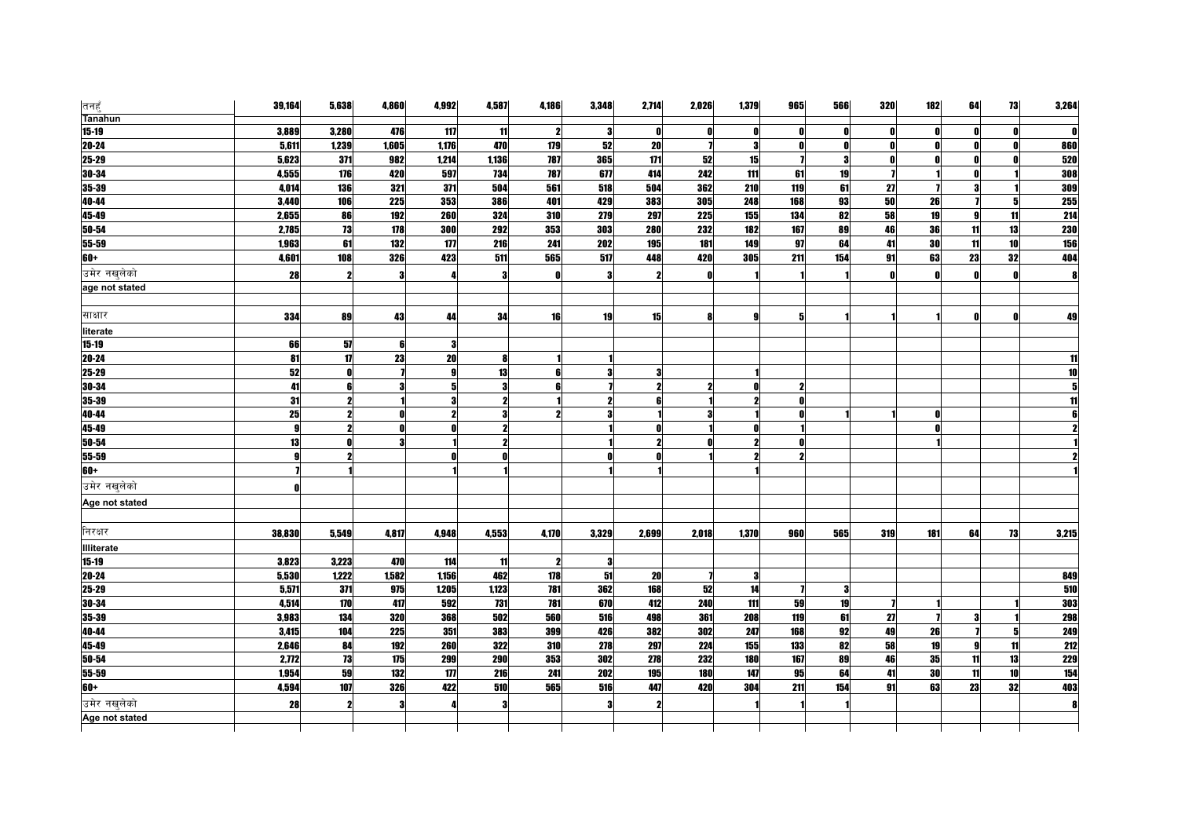| तनहुँ             | 39,164       | 5,638        | 4,860 | 4,992          | 4,587 | 4,186               | 3,348 | 2,714        | 2,026 | 1,379      | 965                 | 566 | <b>320</b> | 182          | 64 | 73 | 3,264      |
|-------------------|--------------|--------------|-------|----------------|-------|---------------------|-------|--------------|-------|------------|---------------------|-----|------------|--------------|----|----|------------|
| <b>Tanahun</b>    |              |              |       |                |       |                     |       |              |       |            |                     |     |            |              |    |    |            |
| $15-19$           | 3,889        | 3,280        | 476   | 117            | 11    | $\boldsymbol{\eta}$ | 3     | - 0          |       | O          | n                   | O   |            | 0            |    | O  |            |
| 20-24             | 5,611        | 1,239        | 1,605 | 1,176<br>1.214 | 470   | 179                 | 52    | 20<br>171    |       | Я          | O<br>$\overline{1}$ | -9  |            | n            |    | ſ  | 860        |
| 25-29             | 5,623        | 371          | 982   |                | 1,136 | 787                 | 365   |              | 52    | 15         |                     |     |            |              |    |    | 520        |
| 30-34             | 4,555        | 176          | 420   | 597            | 734   | 787                 | 677   | 414          | 242   | 111        | 61                  | 19  |            |              |    |    | 308        |
| 35-39             | 4,014        | 136          | 321   | 371            | 504   | 561                 | 518   | 504          | 362   | 210        | 119                 | 61  | 27         |              |    |    | 309        |
| 40-44             | 3,440        | <b>106</b>   | 225   | 353            | 386   | 401                 | 429   | 383          | 305   | 248        | 168                 | 93  | 50         | 26           |    | 5  | 255        |
| 45-49             | 2,655        | 86           | 192   | 260            | 324   | 310                 | 279   | 297          | 225   | 155        | 134                 | 82  | 58         | 19           |    | 11 | 214        |
| 50-54             | 2,785        | 73           | 178   | 300            | 292   | 353                 | 303   | 280          | 232   | 182        | 167                 | 89  | 46         | 36           | 11 | 13 | <b>230</b> |
| 55-59             | 1,963        | 61           | 132   | 177            | 216   | 241                 | 202   | 195          | 181   | 149        | 97                  | 64  | 41         | 30           | 11 | 10 | 156        |
| 60+               | 4,601        | 108          | 326   | 423            | 511   | 565                 | 517   | 448          | 420   | 305        | 211                 | 154 | 91         | 63           | 23 | 32 | 404        |
| उमेर नखलेको       | 28           | 2            |       | Д              | -31   | $\mathbf{0}$        | 3     | $\mathbf 2$  | Ω     |            |                     |     |            | $\mathbf{0}$ |    | O  |            |
| age not stated    |              |              |       |                |       |                     |       |              |       |            |                     |     |            |              |    |    |            |
|                   |              |              |       |                |       |                     |       |              |       |            |                     |     |            |              |    |    |            |
| साक्षार           | 334          | 89           | 43    | 44             | 34    | 16                  | 19    | 15           |       | g          | 5                   |     |            |              |    | ſ  | 49         |
| literate          |              |              |       |                |       |                     |       |              |       |            |                     |     |            |              |    |    |            |
| $15-19$           | 66           | 57           |       | Я              |       |                     |       |              |       |            |                     |     |            |              |    |    |            |
| 20-24             | 81           | $\mathbf{u}$ | 23    | 20             | 8     |                     |       |              |       |            |                     |     |            |              |    |    |            |
| 25-29             | 52           |              |       |                | 13    |                     |       | 3            |       |            |                     |     |            |              |    |    |            |
| 30-34             | 41           |              |       | 5              | З     |                     |       | $\mathbf{2}$ | 2     | ſ          | 2                   |     |            |              |    |    |            |
| 35-39             | 31           | 2            |       | 3              | 2     |                     |       | 6            |       |            | Ω                   |     |            |              |    |    |            |
| 40-44             | 25           |              |       |                |       |                     |       |              |       |            | O                   |     |            |              |    |    |            |
| 45-49             | $\mathbf{g}$ |              |       |                |       |                     |       |              |       |            |                     |     |            |              |    |    |            |
| 50-54             | 13           |              |       |                |       |                     |       | $\mathbf{v}$ |       |            |                     |     |            |              |    |    |            |
| 55-59             | $\mathbf{g}$ |              |       |                |       |                     |       |              |       |            |                     |     |            |              |    |    |            |
| $60+$             |              |              |       |                |       |                     |       |              |       |            |                     |     |            |              |    |    |            |
| उमेर नखलेको       | n            |              |       |                |       |                     |       |              |       |            |                     |     |            |              |    |    |            |
|                   |              |              |       |                |       |                     |       |              |       |            |                     |     |            |              |    |    |            |
| Age not stated    |              |              |       |                |       |                     |       |              |       |            |                     |     |            |              |    |    |            |
|                   |              |              |       |                |       |                     |       |              |       |            |                     |     |            |              |    |    |            |
| निरक्षर           | 38,830       | 5,549        | 4,817 | 4,948          | 4,553 | 4,170               | 3,329 | 2,699        | 2,018 | 1,370      | 960                 | 565 | 319        | 181          | 64 | 73 | 3,215      |
| <b>Illiterate</b> |              |              |       |                |       |                     |       |              |       |            |                     |     |            |              |    |    |            |
| $15-19$           | 3,823        | 3.223        | 470   | 114            | 11    |                     | 3     |              |       |            |                     |     |            |              |    |    |            |
| 20-24             | 5,530        | 1,222        | 1,582 | 1,156          | 462   | 178                 | 51    | 20           |       | Я          |                     |     |            |              |    |    | 849        |
| 25-29             | 5,571        | 371          | 975   | 1,205          | 1,123 | 781                 | 362   | 168          | 52    | 14         |                     |     |            |              |    |    | 510        |
| 30-34             | 4,514        | 170          | 417   | 592            | 731   | 781                 | 670   | 412          | 240   | 111        | 59                  | 19  |            |              |    |    | 303        |
| 35-39             | 3,983        | 134          | 320   | 368            | 502   | 560                 | 516   | 498          | 361   | 208        | 119                 | 61  | 27         |              |    |    | 298        |
| 40-44             | 3.415        | 104          | 225   | 351            | 383   | 399                 | 426   | 382          | 302   | 247        | 168                 | 92  | 49         | 26           |    | h  | 249        |
| 45-49             | 2,646        | 84           | 192   | 260            | 322   | 310                 | 278   | 297          | 224   | 155        | 133                 | 82  | 58         | 19           |    | 11 | 212        |
| 50-54             | 2,772        | 73           | 175   | 299            | 290   | 353                 | 302   | 278          | 232   | <b>180</b> | 167                 | 89  | 46         | 35           | 11 | 13 | 229        |
| $55 - 59$         | 1,954        | 59           | 132   | 177            | 216   | 241                 | 202   | 195          | 180   | 147        | 95                  | 64  | 41         | 30           | 11 | 10 | 154        |
| 60+               | 4.594        | 107          | 326   | 422            | 510   | 565                 | 516   | 447          | 420   | 304        | 211                 | 154 | 91         | 63           | 23 | 32 | 403        |
| उमेर नखलेको       | 28           |              |       |                |       |                     |       |              |       |            |                     |     |            |              |    |    |            |
| Age not stated    |              |              |       |                |       |                     |       |              |       |            |                     |     |            |              |    |    |            |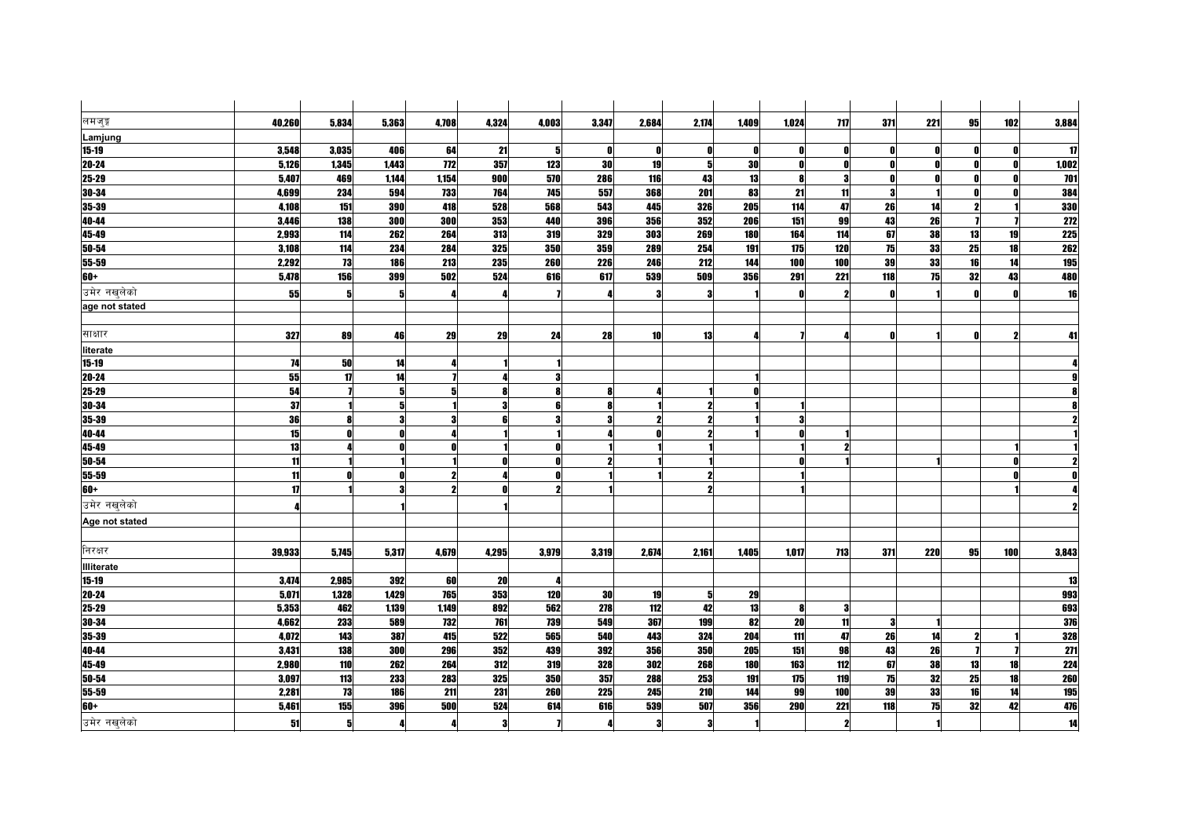| लमजुङ्ग                | 40,260         | 5,834          | 5,363                   | 4,708        | 4,324      | 4,003      | 3,347      | 2,684      | 2,174               | 1,409        | 1,024      | <b>717</b> | 371          | 221      | 95 | 102      | 3,884      |
|------------------------|----------------|----------------|-------------------------|--------------|------------|------------|------------|------------|---------------------|--------------|------------|------------|--------------|----------|----|----------|------------|
| Lamjung                |                |                |                         |              |            |            |            |            |                     |              |            |            |              |          |    |          |            |
| $15 - 19$              | 3,548          | 3,035          | 406                     | 64           | 21         | 5          | 0          | O          | ß                   | $\mathbf{0}$ |            |            | - 0          |          |    |          | 17         |
| $20 - 24$              | 5,126          | 1,345          | 1,443                   | 772          | 357        | 123        | 30         | 19         | 5 <sup>1</sup>      | 30           |            |            | - 0          |          |    |          | 1,002      |
| 25-29                  | 5,407          | 469            | 1,144                   | 1,154        | 900        | 570        | 286        | 116        | 43                  | 13           |            | 3          | $\mathbf{0}$ |          | Λ  | n        | 701        |
| 30-34                  | 4,699          | 234            | 594                     | 733          | 764        | 745        | 557        | 368        | 201                 | 83           | 21         | 11         | 3            |          |    |          | 384        |
| 35-39                  | 4,108          | 151            | 390                     | 418          | 528        | 568        | 543        | 445        | 326                 | 205          | 114        | 47         | 26           | 14       |    |          | <b>330</b> |
| 40-44                  | 3,446          | 138            | 300                     | 300          | 353        | 440        | 396        | 356        | 352                 | 206          | 151        | 99         | 43           | 26       |    |          | 272        |
| 45-49                  | 2,993          | 114            | 262                     | 264          | 313        | 319        | 329        | 303        | 269                 | <b>180</b>   | 164        | 114        | 67           | 38       | 13 | 19       | <b>225</b> |
| $50 - 54$              | 3,108          | 114            | 234                     | 284          | 325        | 350        | 359        | 289        | 254                 | 191          | 175        | 120        | 75           | 33       | 25 | 18       | 262        |
| 55-59                  | 2,292          | 73             | 186                     | 213          | 235        | 260        | 226        | 246        | 212                 | 144          | 100        | 100        | 39           | 33       | 16 | 14       | 195        |
| $60+$                  | 5,478          | 156            | 399                     | 502          | 524        | 616        | 617        | 539        | 509                 | 356          | 291        | 221        | 118          | 75       | 32 | 43       | 480        |
| उमेर नखुलेको           | 55             | 5              | 5                       |              |            |            |            | 3          | 3                   |              |            | 2          | $\mathbf{r}$ |          |    |          | 16         |
| age not stated         |                |                |                         |              |            |            |            |            |                     |              |            |            |              |          |    |          |            |
| साक्षार                | 327            | 89             | 46                      | 29           | 29         | 24         | 28         | 10         | 13                  |              |            |            | $\mathbf{r}$ |          |    |          | 41         |
| literate               |                |                |                         |              |            |            |            |            |                     |              |            |            |              |          |    |          |            |
| $15 - 19$              | 74             | 50             | 14                      |              |            |            |            |            |                     |              |            |            |              |          |    |          |            |
| $20 - 24$              | 55             | 17             | 14                      |              |            |            |            |            |                     |              |            |            |              |          |    |          |            |
| $25 - 29$              | 54             |                |                         |              | 8          |            | 8          |            |                     |              |            |            |              |          |    |          |            |
| 30-34                  | 37             |                |                         |              | 3          |            | 8          |            | 2                   |              |            |            |              |          |    |          |            |
| 35-39                  | 36             |                | $\overline{\mathbf{a}}$ |              | ß          |            | 3          |            |                     |              |            |            |              |          |    |          |            |
| 40-44                  | 15             | Λ              |                         |              |            |            |            |            |                     |              |            |            |              |          |    |          |            |
| 45-49                  | 13             |                |                         |              |            |            |            |            |                     |              |            |            |              |          |    |          |            |
| 50-54                  | 11             |                |                         |              |            |            | 2          |            |                     |              |            |            |              |          |    |          |            |
| 55-59                  | 11             | Λ              |                         | 2            |            |            |            |            | $\boldsymbol{\eta}$ |              |            |            |              |          |    |          |            |
| $60+$                  | 17             |                |                         | 2            | Ω          |            |            |            | 2                   |              |            |            |              |          |    |          |            |
| उमेर नखुलेको           |                |                |                         |              |            |            |            |            |                     |              |            |            |              |          |    |          |            |
| Age not stated         |                |                |                         |              |            |            |            |            |                     |              |            |            |              |          |    |          |            |
| निरक्षर                |                |                |                         |              |            |            |            |            |                     |              |            |            |              |          |    |          |            |
|                        | 39,933         | 5,745          | 5,317                   | 4,679        | 4,295      | 3,979      | 3,319      | 2,674      | 2,161               | 1,405        | 1,017      | 713        | 371          | 220      | 95 | 100      | 3,843      |
| Illiterate             |                |                |                         |              |            |            |            |            |                     |              |            |            |              |          |    |          |            |
| $15 - 19$<br>$20 - 24$ | 3,474<br>5,071 | 2,985<br>1,328 | 392<br>1,429            | 60<br>765    | 20<br>353  | 120        | 30         |            | 5 <sup>1</sup>      | 29           |            |            |              |          |    |          | 13         |
|                        |                |                | 1,139                   |              | 892        |            |            | 19         | 42                  | 13           |            | 3          |              |          |    |          | 993        |
| $25 - 29$              | 5,353          | 462<br>233     |                         | 1,149<br>732 |            | 562<br>739 | 278<br>549 | 112        | 199                 | 82           | 20         | 11         | 3            |          |    |          | 693<br>376 |
| 30-34                  | 4,662          |                | 589                     |              | 761        |            |            | 367        |                     |              |            |            |              |          |    |          |            |
| 35-39                  | 4,072          | 143            | 387                     | 415          | 522        | 565        | 540        | 443<br>356 | 324<br>350          | 204<br>205   | 111        | 47         | 26           | 14<br>26 | 2  |          | 328        |
| 40-44<br>45-49         | 3,431<br>2,980 | 138<br>110     | <b>300</b><br>262       | 296<br>264   | 352<br>312 | 439<br>319 | 392<br>328 | 302        | 268                 | 180          | 151<br>163 | 98<br>112  | 43<br>67     | 38       | 13 | 18       | 271<br>224 |
| 50-54                  |                |                |                         |              |            |            | 357        |            | 253                 |              |            | 119        | 75           | 32       |    |          |            |
|                        | 3,097          | 113            | 233                     | 283          | 325        | 350        |            | 288        |                     | 191          | 175        |            |              |          | 25 | 18       | 260        |
| 55-59                  | 2,281          | 73             | 186                     | 211          | 231        | 260        | 225        | 245        | 210                 | 144          | 99         | 100        | 39           | 33       | 16 | 14<br>42 | 195        |
| 60+                    | 5,461          | 155            | <b>396</b>              | 500          | 524        | 614        | 616        | 539        | 507                 | 356          | 290        | 221        | 118          | 75       | 32 |          | 476        |
| उमेर नखुलेको           | 51             | 5 <sup>1</sup> |                         |              | 3          |            | 4          | 3          | 3                   |              |            | 2          |              |          |    |          | 14         |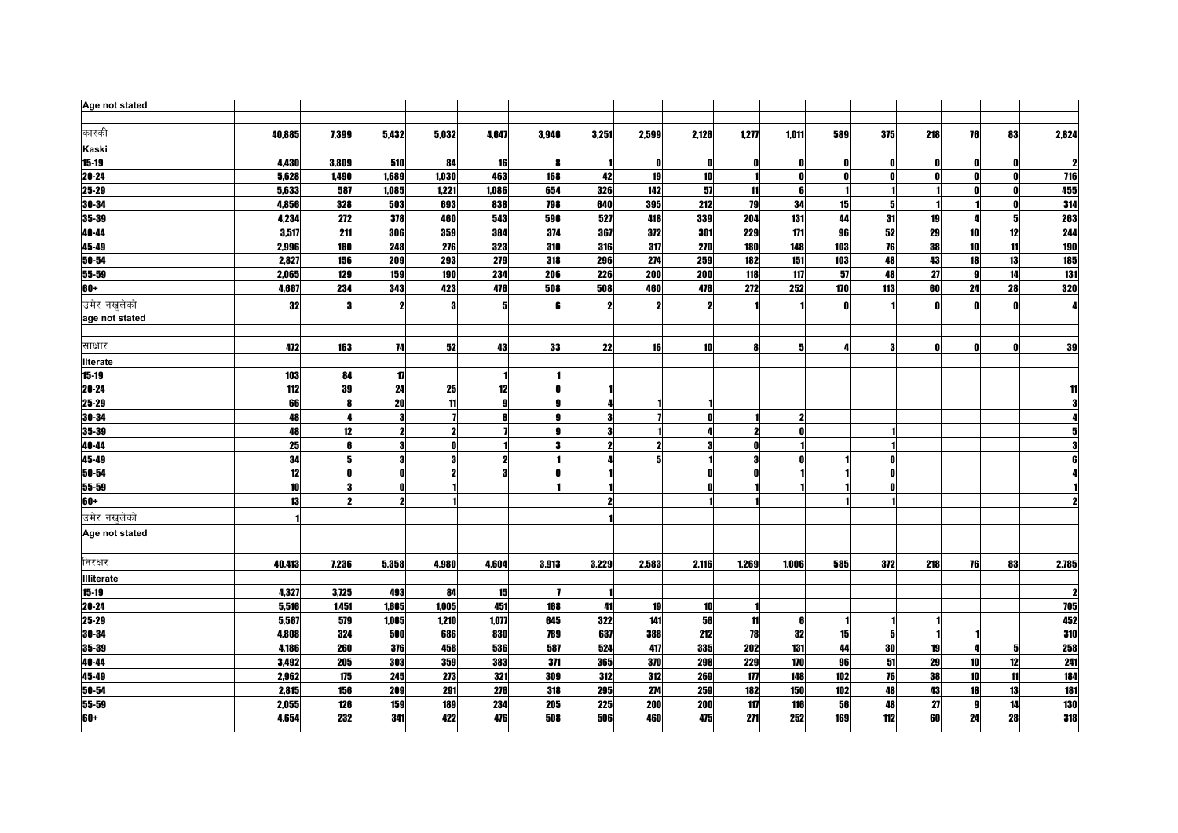| Age not stated    |        |              |                     |       |              |       |                     |       |       |       |       |              |     |     |              |    |                  |
|-------------------|--------|--------------|---------------------|-------|--------------|-------|---------------------|-------|-------|-------|-------|--------------|-----|-----|--------------|----|------------------|
|                   |        |              |                     |       |              |       |                     |       |       |       |       |              |     |     |              |    |                  |
| कास्की            | 40,885 | 7,399        | 5,432               | 5,032 | 4,647        | 3,946 | 3,251               | 2,599 | 2,126 | 1,277 | 1,011 | 589          | 375 | 218 | 76           | 83 | 2,824            |
| Kaski             |        |              |                     |       |              |       |                     |       |       |       |       |              |     |     |              |    |                  |
| $15 - 19$         | 4,430  | 3,809        | 510                 | 84    | 16           | 8     |                     | 0     |       | n     |       | 0            |     |     |              |    |                  |
| 20-24             | 5,628  | 1,490        | 1,689               | 1,030 | 463          | 168   | 42                  | 19    | 10    |       |       | n            | n   |     |              |    | 716              |
| 25-29             | 5,633  | 587          | 1,085               | 1,221 | 1,086        | 654   | 326                 | 142   | 57    | 11    | R     |              |     |     |              |    | 455              |
| 30-34             | 4,856  | 328          | 503                 | 693   | 838          | 798   | 640                 | 395   | 212   | 79    | 34    | 15           | 5   |     |              |    | 314              |
| 35-39             | 4,234  | 272          | 378                 | 460   | 543          | 596   | 527                 | 418   | 339   | 204   | 131   | 44           | 31  | 19  |              | 5  | 263              |
| 40-44             | 3,517  | 211          | 306                 | 359   | 384          | 374   | 367                 | 372   | 301   | 229   | 171   | 96           | 52  | 29  | 10           | 12 | 244              |
| 45-49             | 2,996  | <b>180</b>   | 248                 | 276   | 323          | 310   | 316                 | 317   | 270   | 180   | 148   | 103          | 76  | 38  | <b>10</b>    | 11 | <b>190</b>       |
| $50 - 54$         | 2,827  | 156          | 209                 | 293   | 279          | 318   | <b>296</b>          | 274   | 259   | 182   | 151   | 103          | 48  | 43  | <b>18</b>    | 13 | 185              |
| 55-59             | 2,065  | 129          | 159                 | 190   | 234          | 206   | 226                 | 200   | 200   | 118   | 117   | 57           | 48  | 27  | <b>g</b>     | 14 | $\overline{131}$ |
| $60+$             | 4,667  | 234          | 343                 | 423   | 476          | 508   | 508                 | 460   | 476   | 272   | 252   | 170          | 113 | 60  | 24           | 28 | 320              |
| उमेर नखलेको       | 32     | 3            |                     |       | 5            | 6     | $\mathbf{2}$        | 2     | 2     |       |       | $\mathbf{0}$ |     |     | n            | n  | Л                |
| age not stated    |        |              |                     |       |              |       |                     |       |       |       |       |              |     |     |              |    |                  |
| साक्षार           | 472    | 163          | 74                  | 52    | 43           | 33    | 22                  | 16    | 10    |       | 5     |              | -3  |     | n            |    | 39               |
| literate          |        |              |                     |       |              |       |                     |       |       |       |       |              |     |     |              |    |                  |
| $15 - 19$         | 103    | 84           | 17                  |       |              |       |                     |       |       |       |       |              |     |     |              |    |                  |
| 20-24             | 112    | 39           | 24                  | 25    | 12           | n     |                     |       |       |       |       |              |     |     |              |    | 11               |
| 25-29             | 66     | 8            | 20                  | 11    | $\mathbf{g}$ |       |                     |       |       |       |       |              |     |     |              |    |                  |
| 30-34             | 48     | 4            |                     |       | 8            | g     | 3                   |       |       |       |       |              |     |     |              |    |                  |
| 35-39             | 48     | 12           | $\boldsymbol{\eta}$ | 2     |              | g     | 3                   |       |       | 2     |       |              |     |     |              |    |                  |
| 40-44             | 25     | 6            |                     |       |              |       | $\boldsymbol{\eta}$ |       |       |       |       |              |     |     |              |    |                  |
| 45-49             | 34     | 5            |                     |       |              |       |                     |       |       |       |       |              |     |     |              |    |                  |
| 50-54             | 12     | $\mathbf{0}$ |                     |       | 3            | O     |                     |       |       |       |       |              |     |     |              |    |                  |
| $55 - 59$         | 10     |              |                     |       |              |       |                     |       |       |       |       |              |     |     |              |    |                  |
| 60+               | 13     |              |                     |       |              |       | $\boldsymbol{\eta}$ |       |       |       |       |              |     |     |              |    |                  |
| उमेर नखुलेको      |        |              |                     |       |              |       |                     |       |       |       |       |              |     |     |              |    |                  |
| Age not stated    |        |              |                     |       |              |       |                     |       |       |       |       |              |     |     |              |    |                  |
|                   |        |              |                     |       |              |       |                     |       |       |       |       |              |     |     |              |    |                  |
| निरक्षर           | 40,413 | 7,236        | 5,358               | 4,980 | 4,604        | 3,913 | 3,229               | 2,583 | 2,116 | 1,269 | 1,006 | 585          | 372 | 218 | 76           | 83 | 2,785            |
| <b>Illiterate</b> |        |              |                     |       |              |       |                     |       |       |       |       |              |     |     |              |    |                  |
| $15 - 19$         | 4,327  | 3,725        | 493                 | 84    | 15           |       |                     |       |       |       |       |              |     |     |              |    |                  |
| $20 - 24$         | 5,516  | 1,451        | 1,665               | 1,005 | 451          | 168   | 41                  | 19    | 10    |       |       |              |     |     |              |    | 705              |
| 25-29             | 5,567  | 579          | 1,065               | 1,210 | 1,077        | 645   | 322                 | 141   | 56    | 11    |       |              |     |     |              |    | 452              |
| 30-34             | 4,808  | 324          | 500                 | 686   | 830          | 789   | 637                 | 388   | 212   | 78    | 32    | 15           | -5  |     |              |    | 310              |
| 35-39             | 4,186  | 260          | 376                 | 458   | 536          | 587   | 524                 | 417   | 335   | 202   | 131   | 44           | 30  | 19  |              |    | 258              |
| 40-44             | 3,492  | 205          | 303                 | 359   | 383          | 371   | 365                 | 370   | 298   | 229   | 170   | 96           | 51  | 29  | 10           | 12 | 241              |
| $45-49$           | 2,962  | 175          | 245                 | 273   | 321          | 309   | 312                 | 312   | 269   | $177$ | 148   | 102          | 76  | 38  | 10           | 11 | 184              |
| 50-54             | 2,815  | 156          | 209                 | 291   | 276          | 318   | 295                 | 274   | 259   | 182   | 150   | 102          | 48  | 43  | 18           | 13 | <b>181</b>       |
| 55-59             | 2.055  | 126          | 159                 | 189   | 234          | 205   | <b>225</b>          | 200   | 200   | 117   | 116   | 56           | 48  | 27  | $\mathbf{a}$ | 14 | <b>130</b>       |
| $60+$             | 4,654  | 232          | 341                 | 422   | 476          | 508   | 506                 | 460   | 475   | 271   | 252   | 169          | 112 | 60  | 24           | 28 | 318              |
|                   |        |              |                     |       |              |       |                     |       |       |       |       |              |     |     |              |    |                  |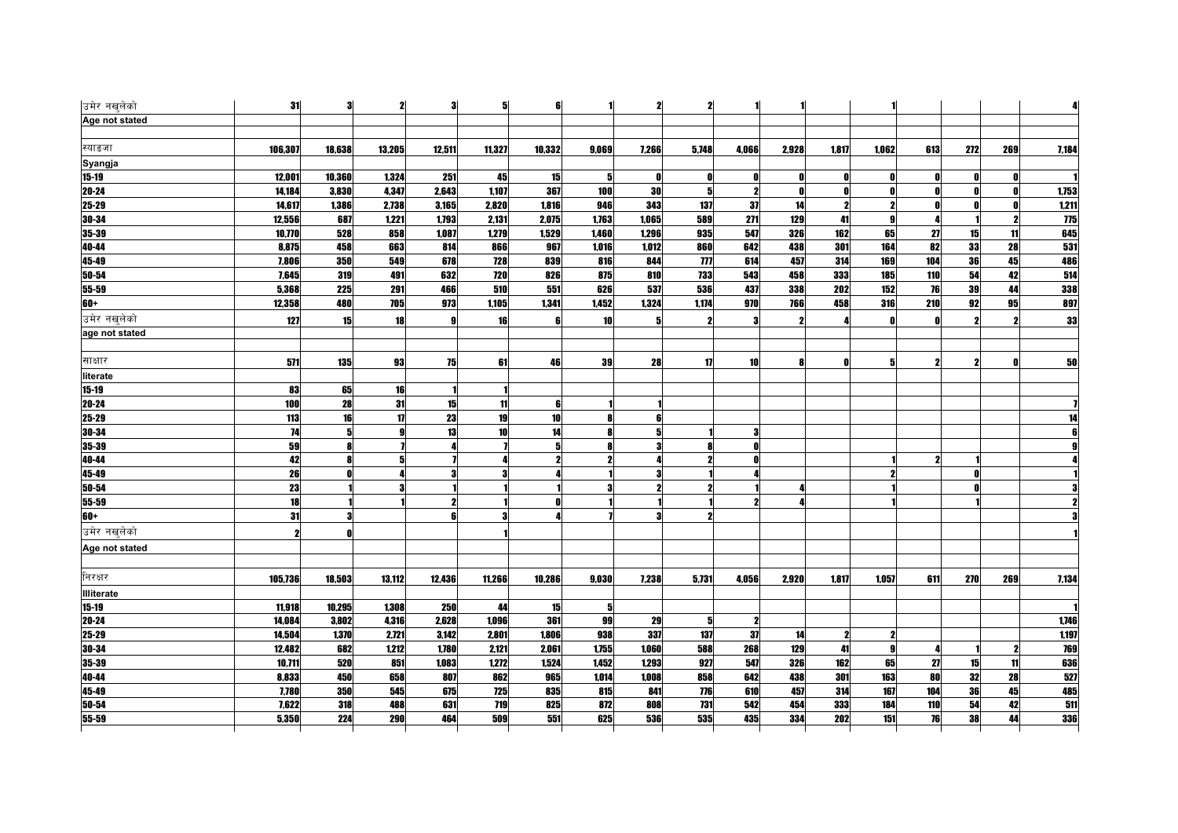| उमेर नखुलेको      | 31         | 3      | $\mathbf{2}$ | 3      | 5          | 6      |       | $\boldsymbol{\eta}$ | $\mathbf{z}$   |                     |       |       |              |     |     |                  | 4          |
|-------------------|------------|--------|--------------|--------|------------|--------|-------|---------------------|----------------|---------------------|-------|-------|--------------|-----|-----|------------------|------------|
| Age not stated    |            |        |              |        |            |        |       |                     |                |                     |       |       |              |     |     |                  |            |
| स्याङजा           | 106,307    | 18,638 | 13,205       | 12,511 | 11,327     | 10,332 | 9,069 | 7,266               | 5,748          | 4,066               | 2,928 | 1,817 | 1,062        | 613 | 272 | 269              | 7,184      |
| Syangja           |            |        |              |        |            |        |       |                     |                |                     |       |       |              |     |     |                  |            |
| $15 - 19$         | 12,001     | 10,360 | 1,324        | 251    | 45         | 15     | 5     | 0                   | n              | 0                   | n     |       | 0            |     |     |                  |            |
| 20-24             | 14,184     | 3,830  | 4,347        | 2,643  | 1,107      | 367    | 100   | 30                  | 5 <sup>1</sup> | $\mathbf{2}$        |       |       | $\mathbf{0}$ |     | Ω   |                  | 1,753      |
| 25-29             | 14,617     | 1,386  | 2,738        | 3,165  | 2,820      | 1,816  | 946   | 343                 | 137            | 37                  | 14    | 2     | $\mathbf{2}$ |     |     |                  | 1,211      |
| 30-34             | 12,556     | 687    | 1,221        | 1,793  | 2,131      | 2,075  | 1,763 | 1,065               | 589            | 271                 | 129   | 41    | 9            |     |     |                  | <b>775</b> |
| 35-39             | 10,770     | 528    | 858          | 1,087  | 1,279      | 1,529  | 1,460 | 1,296               | 935            | 547                 | 326   | 162   | 65           | 27  | 15  | 11               | 645        |
| 40-44             | 8,875      | 458    | 663          | 814    | 866        | 967    | 1,016 | 1,012               | 860            | 642                 | 438   | 301   | 164          | 82  | 33  | 28               | 531        |
| 45-49             | 7,806      | 350    | 549          | 678    | 728        | 839    | 816   | 844                 | $\overline{m}$ | 614                 | 457   | 314   | 169          | 104 | 36  | 45               | 486        |
| 50-54             | 7,645      | 319    | 491          | 632    | <b>720</b> | 826    | 875   | 810                 | <b>733</b>     | 543                 | 458   | 333   | 185          | 110 | 54  | 42               | 514        |
| 55-59             | 5,368      | 225    | 291          | 466    | 510        | 551    | 626   | 537                 | 536            | 437                 | 338   | 202   | 152          | 76  | 39  | 44               | 338        |
| $60+$             | 12,358     | 480    | <b>705</b>   | 973    | 1,105      | 1,341  | 1,452 | 1,324               | 1,174          | 970                 | 766   | 458   | 316          | 210 | 92  | 95               | 897        |
| उमेर नखुलेको      | 127        | 15     | 18           |        | 16         | 6      | 10    | 5                   | 2              | 3                   |       |       | $\mathbf{0}$ |     |     |                  | 33         |
| age not stated    |            |        |              |        |            |        |       |                     |                |                     |       |       |              |     |     |                  |            |
|                   |            |        |              |        |            |        |       |                     |                |                     |       |       |              |     |     |                  |            |
| साक्षार           | 571        | 135    | 93           | 75     | 61         | 46     | 39    | 28                  | 17             | 10                  |       | Λ     | 5            |     |     |                  | 50         |
| literate          |            |        |              |        |            |        |       |                     |                |                     |       |       |              |     |     |                  |            |
| 15-19             | 83         | 65     | 16           |        |            |        |       |                     |                |                     |       |       |              |     |     |                  |            |
| $20 - 24$         | 100        | 28     | 31           | 15     | 11         | 6      |       |                     |                |                     |       |       |              |     |     |                  |            |
| $25 - 29$         | 113        | 16     | 17           | 23     | 19         | 10     | 8     |                     |                |                     |       |       |              |     |     |                  |            |
| 30-34             | 74         | 5      | 9            | 13     | 10         | 14     | 8     |                     |                | з                   |       |       |              |     |     |                  |            |
| 35-39             | ${\bf 59}$ | 8      |              |        |            | 5      | 8     |                     |                | Û                   |       |       |              |     |     |                  |            |
| 40-44             | 42         |        |              |        |            |        | 2     |                     |                |                     |       |       |              |     |     |                  |            |
| 45-49             | 26         |        |              |        |            |        |       |                     |                |                     |       |       |              |     |     |                  |            |
| 50-54             | 23         |        |              |        |            |        | 3     |                     |                |                     |       |       |              |     |     |                  |            |
| 55-59             | 18         |        |              |        |            |        |       |                     |                |                     |       |       |              |     |     |                  |            |
| 60+               | 31         |        |              |        |            |        |       |                     |                |                     |       |       |              |     |     |                  |            |
| उमेर नखलेको       | 2          | Λ      |              |        |            |        |       |                     |                |                     |       |       |              |     |     |                  |            |
| Age not stated    |            |        |              |        |            |        |       |                     |                |                     |       |       |              |     |     |                  |            |
|                   |            |        |              |        |            |        |       |                     |                |                     |       |       |              |     |     |                  |            |
| निरक्षर           | 105,736    | 18,503 | 13,112       | 12,436 | 11,266     | 10,286 | 9,030 | 7,238               | 5,731          | 4,056               | 2,920 | 1,817 | 1,057        | 611 | 270 | 269              | 7,134      |
| <b>Illiterate</b> |            |        |              |        |            |        |       |                     |                |                     |       |       |              |     |     |                  |            |
| $15 - 19$         | 11,918     | 10,295 | 1,308        | 250    | 44         | 15     | 5     |                     |                |                     |       |       |              |     |     |                  |            |
| $20 - 24$         | 14,084     | 3,802  | 4,316        | 2,628  | 1,096      | 361    | 99    | 29                  | 5              | $\boldsymbol{\eta}$ |       |       |              |     |     |                  | 1,746      |
| 25-29             | 14,504     | 1,370  | 2,721        | 3,142  | 2,801      | 1,806  | 938   | 337                 | 137            | 37                  | 14    | 2     | 2            |     |     |                  | 1,197      |
| 30-34             | 12,482     | 682    | 1,212        | 1,780  | 2,121      | 2,061  | 1,755 | 1,060               | 588            | 268                 | 129   | 41    | 9            |     |     | $\boldsymbol{v}$ | 769        |
| 35-39             | 10,711     | 520    | 851          | 1,083  | 1,272      | 1524   | 1.452 | 1.293               | 927            | 547                 | 326   | 162   | 65           | 27  | 15  | 11               | 636        |
| 40-44             | 8,833      | 450    | 658          | 807    | 862        | 965    | 1,014 | 1,008               | 858            | 642                 | 438   | 301   | 163          | 80  | 32  | 28               | 527        |
| 45-49             | 7,780      | 350    | 545          | 675    | 725        | 835    | 815   | 841                 | 776            | 610                 | 457   | 314   | 167          | 104 | 36  | 45               | 485        |
| $50 - 54$         | 7,622      | 318    | 488          | 631    | 719        | 825    | 872   | 808                 | 731            | 542                 | 454   | 333   | 184          | 110 | 54  | 42               | 511        |
| 55-59             | 5,350      | 224    | <b>290</b>   | 464    | 509        | 551    | 625   | 536                 | 535            | 435                 | 334   | 202   | 151          | 76  | 38  | 44               | 336        |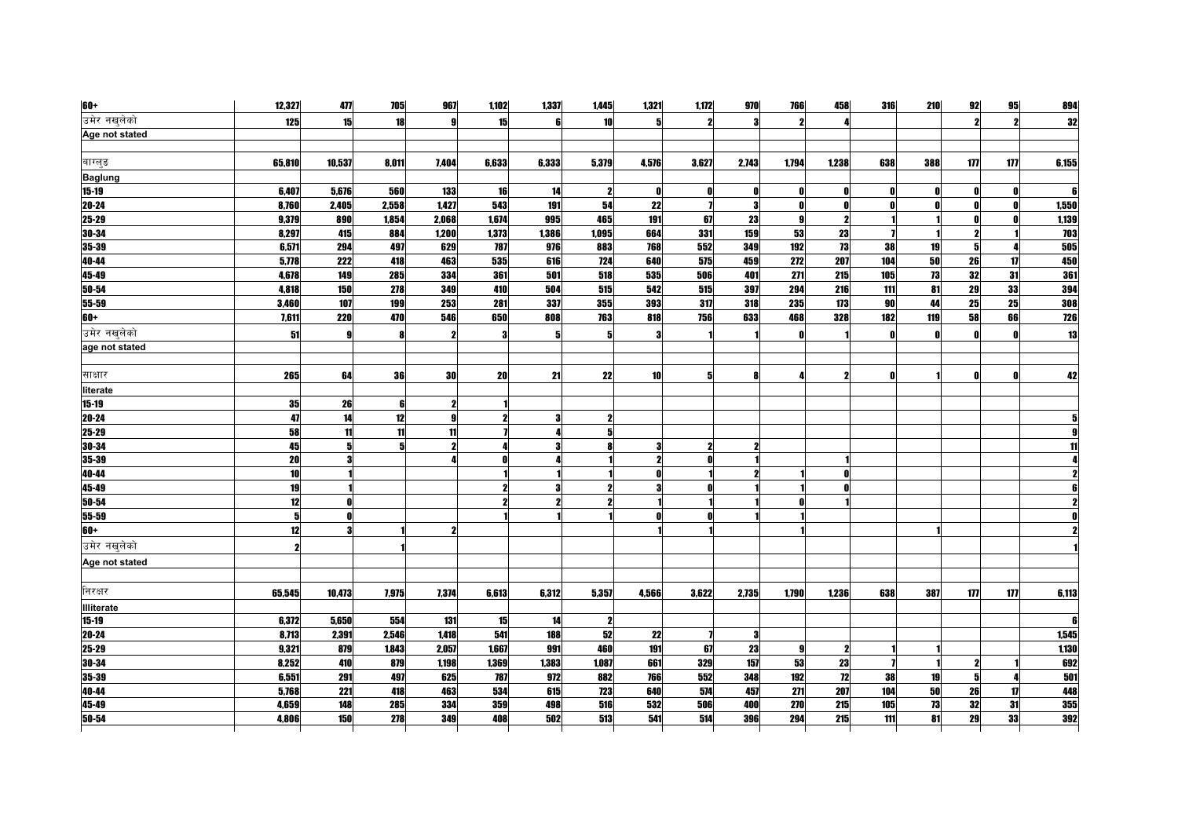| <b>60+</b>        | 12,327 | 477        | 705   | 967   | 1,102 | 1,337 | 1,445               | 1,321     | 1,172 | 970        | 766   | 458                     | 316          | 210 | 92                      | 95  | 894         |
|-------------------|--------|------------|-------|-------|-------|-------|---------------------|-----------|-------|------------|-------|-------------------------|--------------|-----|-------------------------|-----|-------------|
| उमेर नखुलेको      | 125    | 15         | 18    |       | 15    |       | 10 <sup>1</sup>     | 5         |       | з          |       |                         |              |     |                         |     | 32          |
| Age not stated    |        |            |       |       |       |       |                     |           |       |            |       |                         |              |     |                         |     |             |
|                   |        |            |       |       |       |       |                     |           |       |            |       |                         |              |     |                         |     |             |
| बाग्लुङ           | 65,810 | 10,537     | 8,011 | 7,404 | 6,633 | 6,333 | 5,379               | 4,576     | 3,627 | 2,743      | 1,794 | 1,238                   | 638          | 388 | 177                     | 177 | 6,155       |
| <b>Baglung</b>    |        |            |       |       |       |       |                     |           |       |            |       |                         |              |     |                         |     |             |
| $15-19$           | 6,407  | 5,676      | 560   | 133   | 16    | 14    | $\mathbf{2}$        | Ω         |       | Λ          |       | Λ                       | - 0          |     | n                       |     | $\mathbf f$ |
| $20 - 24$         | 8,760  | 2,405      | 2,558 | 1,427 | 543   | 191   | 54                  | 22        |       | 3          | n     | N                       | - 0          |     | n                       |     | 1,550       |
| 25-29             | 9,379  | 890        | 1,854 | 2,068 | 1,674 | 995   | 465                 | 191       | 67    | 23         |       | 2                       |              |     |                         |     | 1,139       |
| 30-34             | 8,297  | 415        | 884   | 1,200 | 1,373 | 1,386 | 1,095               | 664       | 331   | <b>159</b> | 53    | 23                      |              |     | $\overline{\mathbf{z}}$ |     | 703         |
| $35 - 39$         | 6,571  | 294        | 497   | 629   | 787   | 976   | 883                 | 768       | 552   | 349        | 192   | 73                      | 38           | 19  | 5                       |     | 505         |
| 40-44             | 5,778  | 222        | 418   | 463   | 535   | 616   | 724                 | 640       | 575   | 459        | 272   | 207                     | 104          | 50  | 26                      | 17  | 450         |
| 45-49             | 4,678  | 149        | 285   | 334   | 361   | 501   | 518                 | 535       | 506   | 401        | 271   | 215                     | 105          | 73  | 32                      | 31  | 361         |
| $50 - 54$         | 4,818  | 150        | 278   | 349   | 410   | 504   | 515                 | 542       | 515   | 397        | 294   | <b>216</b>              | 111          | 81  | 29                      | 33  | 394         |
| 55-59             | 3,460  | 107        | 199   | 253   | 281   | 337   | 355                 | 393       | 317   | 318        | 235   | 173                     | 90           | 44  | 25                      | 25  | <b>308</b>  |
| $60+$             | 7,611  | <b>220</b> | 470   | 546   | 650   | 808   | <b>763</b>          | 818       | 756   | 633        | 468   | 328                     | 182          | 119 | 58                      | 66  | 726         |
| उमेर नखुलेको      | 51     | 9          |       |       | я     |       | 5                   |           |       |            |       |                         | $\mathbf{r}$ |     |                         |     | 13          |
| age not stated    |        |            |       |       |       |       |                     |           |       |            |       |                         |              |     |                         |     |             |
|                   |        |            |       |       |       |       |                     |           |       |            |       |                         |              |     |                         |     |             |
| साक्षार           | 265    | 64         | 36    | 30    | 20    | 21    | 22                  | <b>10</b> | 5     |            |       | 2                       | $\mathbf{0}$ |     |                         |     | 42          |
| literate          |        |            |       |       |       |       |                     |           |       |            |       |                         |              |     |                         |     |             |
| $15 - 19$         | 35     | 26         | R     |       |       |       |                     |           |       |            |       |                         |              |     |                         |     |             |
| $20 - 24$         | 47     | 14         | 12    |       |       | Я     | $\mathbf{2}$        |           |       |            |       |                         |              |     |                         |     |             |
| 25-29             | 58     | 11         | 11    | 11    |       |       | 5                   |           |       |            |       |                         |              |     |                         |     |             |
| 30-34             | 45     | 5          | 5     |       |       |       | 8                   |           |       |            |       |                         |              |     |                         |     |             |
| 35-39             | 20     |            |       |       |       |       |                     |           |       |            |       |                         |              |     |                         |     |             |
| 40-44             | 10     |            |       |       |       |       |                     |           |       |            |       |                         |              |     |                         |     |             |
| 45-49             | 19     |            |       |       |       |       | $\mathbf{2}$        |           |       |            |       |                         |              |     |                         |     |             |
| 50-54             | 12     |            |       |       |       |       | $\boldsymbol{\eta}$ |           |       |            |       |                         |              |     |                         |     |             |
| $55 - 59$         | 5      | Λ          |       |       |       |       |                     |           |       |            |       |                         |              |     |                         |     |             |
| $60+$             | 12     | 3          |       |       |       |       |                     |           |       |            |       |                         |              |     |                         |     |             |
| उमेर नखलेको       |        |            |       |       |       |       |                     |           |       |            |       |                         |              |     |                         |     |             |
| Age not stated    |        |            |       |       |       |       |                     |           |       |            |       |                         |              |     |                         |     |             |
|                   |        |            |       |       |       |       |                     |           |       |            |       |                         |              |     |                         |     |             |
| निरक्षर           | 65,545 | 10,473     | 7,975 | 7,374 | 6,613 | 6,312 | 5,357               | 4,566     | 3,622 | 2,735      | 1,790 | 1,236                   | 638          | 387 | 177                     | 177 | 6,113       |
| <b>Illiterate</b> |        |            |       |       |       |       |                     |           |       |            |       |                         |              |     |                         |     |             |
| $15-19$           | 6,372  | 5,650      | 554   | 131   | 15    | 14    | $\mathbf{2}$        |           |       |            |       |                         |              |     |                         |     |             |
| $20 - 24$         | 8,713  | 2,391      | 2,546 | 1,418 | 541   | 188   | 52                  | 22        |       | 3          |       |                         |              |     |                         |     | 1,545       |
| 25-29             | 9,321  | 879        | 1,843 | 2,057 | 1,667 | 991   | 460                 | 191       | 67    | 23         |       | $\overline{\mathbf{2}}$ |              |     |                         |     | 1,130       |
| $30 - 34$         | 8,252  | 410        | 879   | 1,198 | 1,369 | 1,383 | 1,087               | 661       | 329   | 157        | 53    | 23                      |              |     | 2                       |     | 692         |
| $35 - 39$         | 6,551  | 291        | 497   | 625   | 787   | 972   | 882                 | 766       | 552   | 348        | 192   | 12                      | 38           | 19  | 5                       |     | 501         |
| 40-44             | 5,768  | 221        | 418   | 463   | 534   | 615   | 723                 | 640       | 574   | 457        | 271   | 207                     | 104          | 50  | 26                      | 17  | 448         |
| 45-49             | 4,659  | 148        | 285   | 334   | 359   | 498   | 516                 | 532       | 506   | 400        | 270   | 215                     | 105          | 73  | 32                      | 31  | 355         |
| 50-54             | 4,806  | 150        | 278   | 349   | 408   | 502   | 513                 | 541       | 514   | 396        | 294   | 215                     | 111          | 81  | 29                      | 33  | 392         |
|                   |        |            |       |       |       |       |                     |           |       |            |       |                         |              |     |                         |     |             |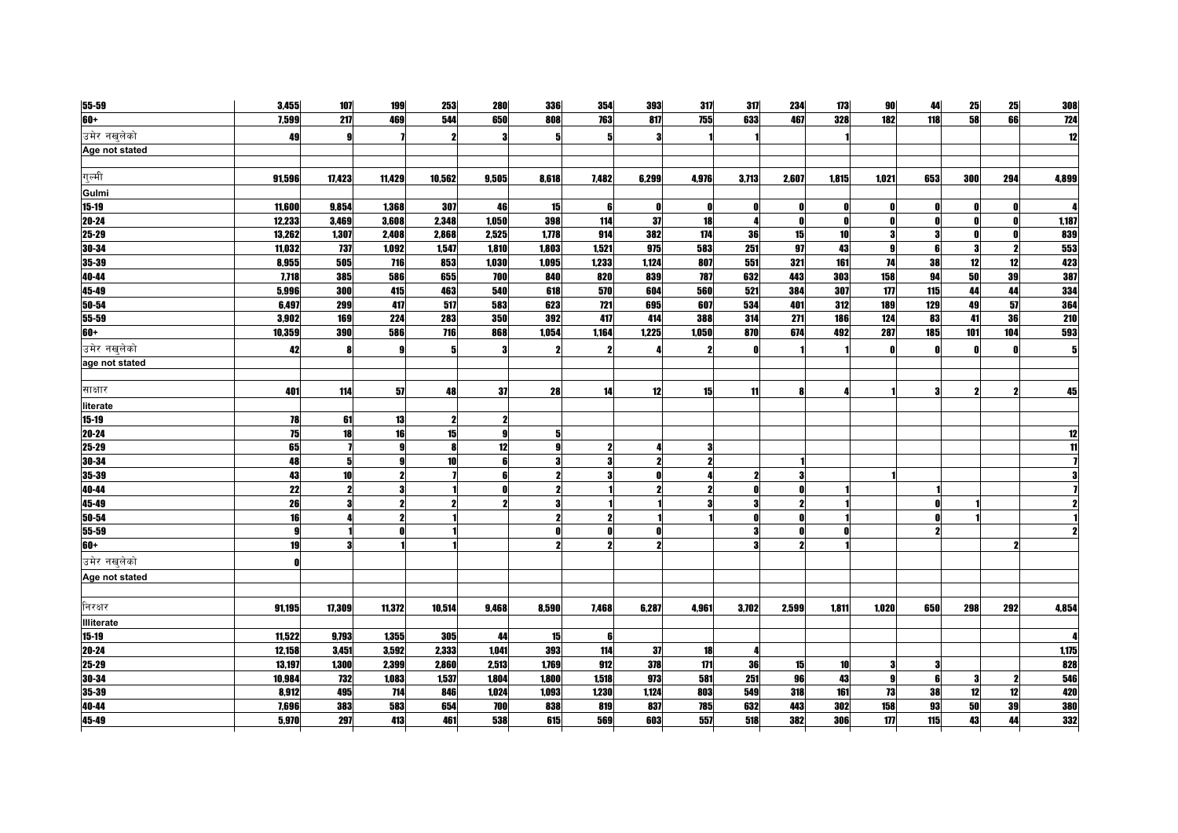| 55-59             | 3,455  | 107                     | 199                 | 253    | <b>280</b> | 336   | 354   | 393          | 317   | 317   | 234                 | 173          | 90    | 44           | 25  | 25  | 308   |
|-------------------|--------|-------------------------|---------------------|--------|------------|-------|-------|--------------|-------|-------|---------------------|--------------|-------|--------------|-----|-----|-------|
| 60+               | 7.599  | 217                     | 469                 | 544    | 650        | 808   | 763   | 817          | 755   | 633   | 467                 | 328          | 182   | 118          | 58  | 66  | 724   |
| उमेर नखलेको       | 49     |                         |                     | 2      |            | 5     | 5     | 3            |       |       |                     |              |       |              |     |     |       |
| Age not stated    |        |                         |                     |        |            |       |       |              |       |       |                     |              |       |              |     |     |       |
|                   |        |                         |                     |        |            |       |       |              |       |       |                     |              |       |              |     |     |       |
| गल्मी             | 91,596 | 17,423                  | 11,429              | 10,562 | 9,505      | 8,618 | 7,482 | 6,299        | 4,976 | 3,713 | 2,607               | 1,815        | 1,021 | 653          | 300 | 294 | 4,899 |
| Gulmi             |        |                         |                     |        |            |       |       |              |       |       |                     |              |       |              |     |     |       |
| $15 - 19$         | 11,600 | 9,854                   | 1,368               | 307    | 46         | 15    | 6     | 0            | n     | O     | O                   | O            |       | O            |     |     |       |
| 20-24             | 12,233 | 3,469                   | 3,608               | 2,348  | 1,050      | 398   | 114   | 37           | 18    | л     | n                   | $\mathbf{r}$ | Ω     | O            |     | O   | 1,187 |
| 25-29             | 13,262 | 1,307                   | 2,408               | 2,868  | 2,525      | 1,778 | 914   | 382          | 174   | 36    | 15                  | 10           |       | 3            |     | ſ   | 839   |
| 30-34             | 11.032 | 737                     | 1.092               | 1,547  | 1.810      | 1.803 | 1,521 | 975          | 583   | 251   | 97                  | 43           | O     | ĥ            |     | 9   | 553   |
| 35-39             | 8.955  | 505                     | 716                 | 853    | 1,030      | 1,095 | 1,233 | 1,124        | 807   | 551   | 321                 | 161          | 74    | 38           | 12  | 12  | 423   |
| 40-44             | 7,718  | 385                     | 586                 | 655    | 700        | 840   | 820   | 839          | 787   | 632   | 443                 | 303          | 158   | 94           | 50  | 39  | 387   |
| 45-49             | 5.996  | 300                     | 415                 | 463    | 540        | 618   | 570   | 604          | 560   | 521   | 384                 | 307          | 177   | 115          | 44  | 44  | 334   |
| 50-54             | 6,497  | 299                     | 417                 | 517    | 583        | 623   | 721   | 695          | 607   | 534   | 401                 | 312          | 189   | 129          | 49  | 57  | 364   |
| 55-59             | 3,902  | 169                     | 224                 | 283    | 350        | 392   | 417   | 414          | 388   | 314   | 271                 | 186          | 124   | 83           | 41  | 36  | 210   |
| $60+$             | 10,359 | 390                     | 586                 | 716    | 868        | 1,054 | 1,164 | 1,225        | 1,050 | 870   | 674                 | 492          | 287   | 185          | 101 | 104 | 593   |
| उमेर नखलेको       | 42     |                         |                     | 5      | -31        | 2     |       |              |       | O     |                     |              |       | $\mathbf{r}$ |     |     |       |
| age not stated    |        |                         |                     |        |            |       |       |              |       |       |                     |              |       |              |     |     |       |
|                   |        |                         |                     |        |            |       |       |              |       |       |                     |              |       |              |     |     |       |
| साक्षार           | 401    | 114                     | 57                  | 48     | 37         | 28    | 14    | 12           | 15    | 11    |                     |              |       | 2            |     |     | 45    |
| literate          |        |                         |                     |        |            |       |       |              |       |       |                     |              |       |              |     |     |       |
| $15-19$           | 78     | 61                      | 13                  |        |            |       |       |              |       |       |                     |              |       |              |     |     |       |
| 20-24             | 75     | 18                      | 16                  | 15     | Q          | 5     |       |              |       |       |                     |              |       |              |     |     |       |
| 25-29             | 65     |                         |                     | Я      | 12         | g     | 2     |              | 3     |       |                     |              |       |              |     |     |       |
| 30-34             | 48     | 5                       | $\Omega$            | 10     | ĥ          |       |       | $\mathbf{v}$ |       |       |                     |              |       |              |     |     |       |
| 35-39             | 43     | 10 <sup>1</sup>         | 2                   |        |            |       |       |              |       |       | 3                   |              |       |              |     |     |       |
| 40-44             | 22     |                         |                     |        |            |       |       | 2            |       |       | O                   |              |       |              |     |     |       |
| 45-49             | 26     | $\overline{\mathbf{3}}$ | $\boldsymbol{\eta}$ | 2      |            | 3     |       |              |       | 3     | $\boldsymbol{\eta}$ |              |       | $\mathbf{r}$ |     |     |       |
| 50-54             | 16     |                         |                     |        |            |       |       |              |       |       | O                   |              |       |              |     |     |       |
| 55-59             | 9      |                         |                     |        |            |       |       | n            |       | я     | n                   |              |       |              |     |     |       |
| 60+               | 19     | я                       |                     |        |            |       | 2     | $\mathbf{v}$ |       |       | $\boldsymbol{\eta}$ |              |       |              |     | 5   |       |
| उमेर नखलेको       | O      |                         |                     |        |            |       |       |              |       |       |                     |              |       |              |     |     |       |
| Age not stated    |        |                         |                     |        |            |       |       |              |       |       |                     |              |       |              |     |     |       |
|                   |        |                         |                     |        |            |       |       |              |       |       |                     |              |       |              |     |     |       |
| निरक्षर           | 91,195 | 17,309                  | 11,372              | 10,514 | 9,468      | 8,590 | 7,468 | 6,287        | 4,961 | 3,702 | 2,599               | 1,811        | 1,020 | 650          | 298 | 292 | 4,854 |
| <b>Illiterate</b> |        |                         |                     |        |            |       |       |              |       |       |                     |              |       |              |     |     |       |
| $15 - 19$         | 11,522 | 9,793                   | 1,355               | 305    | 44         | 15    | 6     |              |       |       |                     |              |       |              |     |     |       |
| 20-24             | 12,158 | 3,451                   | 3.592               | 2,333  | 1.041      | 393   | 114   | 37           | 18    |       |                     |              |       |              |     |     | 1.175 |
| 25-29             | 13,197 | 1,300                   | 2,399               | 2,860  | 2,513      | 1.769 | 912   | 378          | 171   | 36    | 15                  | 10           |       |              |     |     | 828   |
| 30-34             | 10,984 | 732                     | 1,083               | 1,537  | 1.804      | 1.800 | 1.518 | 973          | 581   | 251   | 96                  | 43           |       |              |     |     | 546   |
| 35-39             | 8.912  | 495                     | 714                 | 846    | 1.024      | 1.093 | 1.230 | 1.124        | 803   | 549   | 318                 | 161          | 73    | 38           | 12  | 12  | 420   |
| 40-44             | 7,696  | 383                     | 583                 | 654    | 700        | 838   | 819   | 837          | 785   | 632   | 443                 | 302          | 158   | 93           | 50  | 39  | 380   |
| 45-49             | 5.970  | 297                     | 413                 | 461    | 538        | 615   | 569   | 603          | 557   | 518   | 382                 | 306          | 177   | 115          | 43  | 44  | 332   |
|                   |        |                         |                     |        |            |       |       |              |       |       |                     |              |       |              |     |     |       |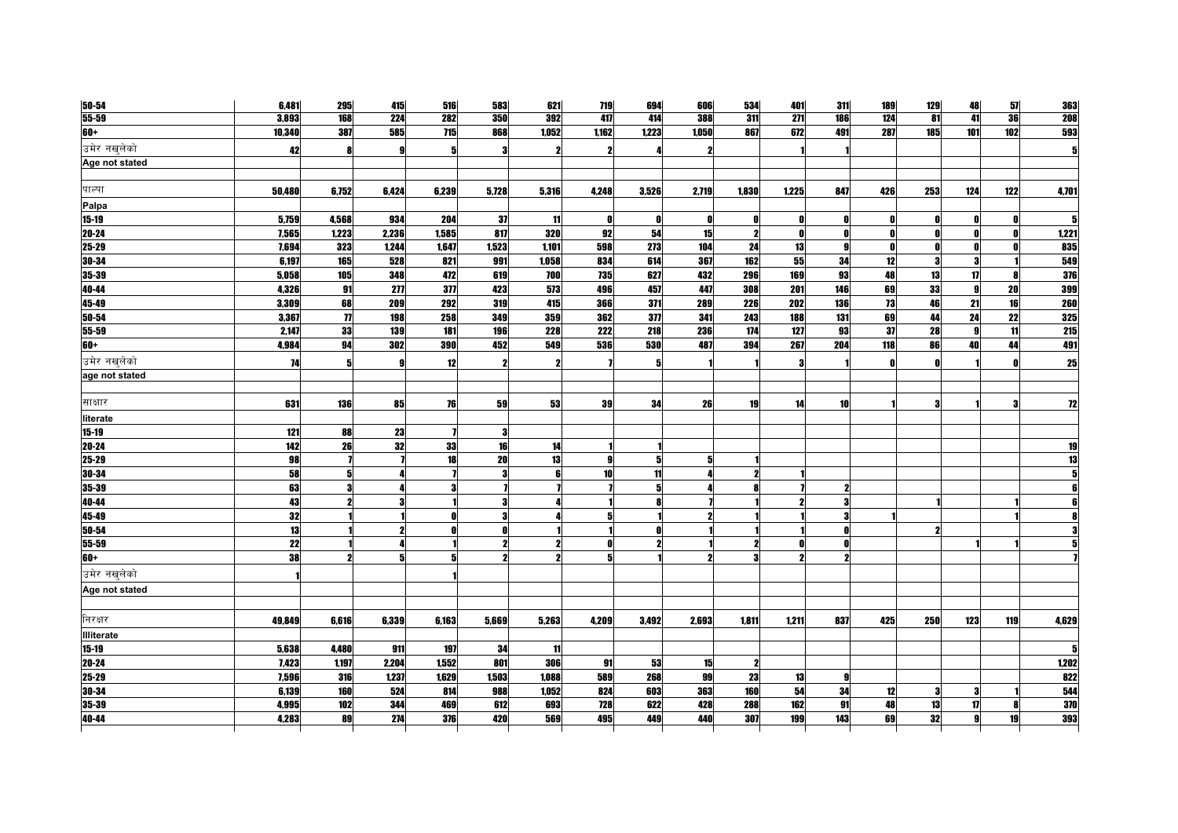| $50 - 54$         | 6,481  | 295                 | 415            | 516        | 583   | 621   | 719             | 694   | 606          | 534          | 401              | 311          | 189          | 129 | 48           | 57  | 363        |
|-------------------|--------|---------------------|----------------|------------|-------|-------|-----------------|-------|--------------|--------------|------------------|--------------|--------------|-----|--------------|-----|------------|
| $55 - 59$         | 3,893  | 168                 | 224            | 282        | 350   | 392   | 417             | 414   | 388          | 311          | $\overline{271}$ | <b>186</b>   | 124          | 81  | 41           | 36  | <b>208</b> |
| $60+$             | 10,340 | 387                 | 585            | 715        | 868   | 1,052 | 1,162           | 1,223 | 1,050        | 867          | 672              | 491          | 287          | 185 | 101          | 102 | 593        |
| उमेर नखलेको       | 42     |                     |                |            |       |       | 2               |       |              |              |                  |              |              |     |              |     |            |
| Age not stated    |        |                     |                |            |       |       |                 |       |              |              |                  |              |              |     |              |     |            |
|                   |        |                     |                |            |       |       |                 |       |              |              |                  |              |              |     |              |     |            |
| पाल्पा            | 50,480 | 6,752               | 6,424          | 6,239      | 5,728 | 5,316 | 4,248           | 3,526 | 2,719        | 1,830        | 1,225            | 847          | 426          | 253 | 124          | 122 | 4,701      |
| Palpa             |        |                     |                |            |       |       |                 |       |              |              |                  |              |              |     |              |     |            |
| $15 - 19$         | 5,759  | 4,568               | 934            | 204        | -37   | 11    | $\mathbf{0}$    | Ω     |              | O            |                  |              | 0            |     |              |     |            |
| 20-24             | 7,565  | 1,223               | 2,236          | 1,585      | 817   | 320   | 92              | 54    | 15           | $\mathbf{2}$ | n                |              | 0            |     | Ω            |     | 1,221      |
| 25-29             | 7,694  | 323                 | 1,244          | 1,647      | 1,523 | 1,101 | 598             | 273   | 104          | 24           | 13               | $\mathbf{g}$ | $\mathbf{0}$ | Λ   | Λ            |     | 835        |
| 30-34             | 6,197  | 165                 | 528            | 821        | 991   | 1,058 | 834             | 614   | 367          | 162          | 55               | 34           | 12           |     |              |     | 549        |
| 35-39             | 5,058  | 105                 | 348            | 472        | 619   | 700   | 735             | 627   | 432          | 296          | 169              | 93           | 48           | 13  | 17           |     | 376        |
| 40-44             | 4,326  | 91                  | 277            | 377        | 423   | 573   | 496             | 457   | 447          | 308          | 201              | 146          | 69           | 33  | $\mathbf{g}$ | 20  | 399        |
| 45-49             | 3,309  | 68                  | <b>209</b>     | <b>292</b> | 319   | 415   | 366             | 371   | <b>289</b>   | <b>226</b>   | 202              | 136          | 73           | 46  | 21           | 16  | 260        |
| 50-54             | 3,367  | $\boldsymbol{\eta}$ | 198            | 258        | 349   | 359   | 362             | 377   | 341          | 243          | 188              | 131          | 69           | 44  | 24           | 22  | 325        |
| 55-59             | 2,147  | 33                  | 139            | 181        | 196   | 228   | 222             | 218   | 236          | 174          | 127              | 93           | 37           | 28  | 9            | 11  | <b>215</b> |
| $60+$             | 4,984  | 94                  | 302            | 390        | 452   | 549   | 536             | 530   | 487          | 394          | 267              | 204          | 118          | 86  | 40           | 44  | 491        |
| उमेर नखुलेको      | 74     | 5                   | g              | 12         |       |       |                 | 5     |              |              |                  |              | n            |     |              |     | 25         |
| age not stated    |        |                     |                |            |       |       |                 |       |              |              |                  |              |              |     |              |     |            |
|                   |        |                     |                |            |       |       |                 |       |              |              |                  |              |              |     |              |     |            |
| साक्षार           | 631    | 136                 | 85             | 76         | 59    | 53    | 39              | 34    | 26           | 19           | 14               | 10           |              |     |              |     | 12         |
| literate          |        |                     |                |            |       |       |                 |       |              |              |                  |              |              |     |              |     |            |
| $15 - 19$         | 121    | 88                  | 23             |            | Я     |       |                 |       |              |              |                  |              |              |     |              |     |            |
| $20 - 24$         | 142    | 26                  | 32             | 33         | 16    | 14    |                 |       |              |              |                  |              |              |     |              |     | 19         |
| 25-29             | 98     |                     |                | 18         | 20    | 13    | 9               | 5     | 5            |              |                  |              |              |     |              |     | 13         |
| 30-34             | 58     |                     |                |            | 3     | 6     | 10 <sup>1</sup> | 11    |              |              |                  |              |              |     |              |     |            |
| 35-39             | 63     |                     |                |            |       |       |                 |       |              |              |                  |              |              |     |              |     |            |
| 40-44             | 43     |                     | 3              |            | Я     |       |                 |       |              |              |                  |              |              |     |              |     |            |
| 45-49             | 32     |                     |                |            | Я     |       | 5               |       | ,            |              |                  |              |              |     |              |     |            |
| $50 - 54$         | 13     |                     |                |            |       |       |                 |       |              |              |                  |              |              |     |              |     |            |
| 55-59             | 22     |                     |                |            |       |       | 0               |       |              |              |                  |              |              |     |              |     |            |
| $60+$             | 38     |                     | 5 <sup>1</sup> |            | 2     | 2     | 5 <sub>l</sub>  |       | $\mathbf{2}$ | 3            |                  | 2            |              |     |              |     |            |
| उमेर नखुलेको      |        |                     |                |            |       |       |                 |       |              |              |                  |              |              |     |              |     |            |
| Age not stated    |        |                     |                |            |       |       |                 |       |              |              |                  |              |              |     |              |     |            |
|                   |        |                     |                |            |       |       |                 |       |              |              |                  |              |              |     |              |     |            |
| निरक्षर           | 49,849 | 6,616               | 6,339          | 6,163      | 5,669 | 5,263 | 4,209           | 3,492 | 2,693        | 1,811        | 1,211            | 837          | 425          | 250 | 123          | 119 | 4,629      |
| <b>Illiterate</b> |        |                     |                |            |       |       |                 |       |              |              |                  |              |              |     |              |     |            |
| $15 - 19$         | 5,638  | 4,480               | 911            | 197        | 34    | 11    |                 |       |              |              |                  |              |              |     |              |     |            |
| $20 - 24$         | 7,423  | 1,197               | 2,204          | 1,552      | 801   | 306   | 91              | 53    | 15           | $\mathbf{2}$ |                  |              |              |     |              |     | 1,202      |
| 25-29             | 7,596  | 316                 | 1,237          | 1,629      | 1,503 | 1,088 | 589             | 268   | 99           | 23           | 13               | 9            |              |     |              |     | 822        |
| $30 - 34$         | 6,139  | 160                 | 524            | 814        | 988   | 1,052 | 824             | 603   | 363          | 160          | 54               | 34           | 12           | 9   | 3            |     | 544        |
| 35-39             | 4,995  | 102                 | 344            | 469        | 612   | 693   | 728             | 622   | 428          | 288          | 162              | 91           | 48           | 13  | 17           |     | 370        |
| 40-44             | 4,283  | 89                  | 274            | 376        | 420   | 569   | 495             | 449   | 440          | 307          | 199              | 143          | 69           | 32  | al           | 19  | 393        |
|                   |        |                     |                |            |       |       |                 |       |              |              |                  |              |              |     |              |     |            |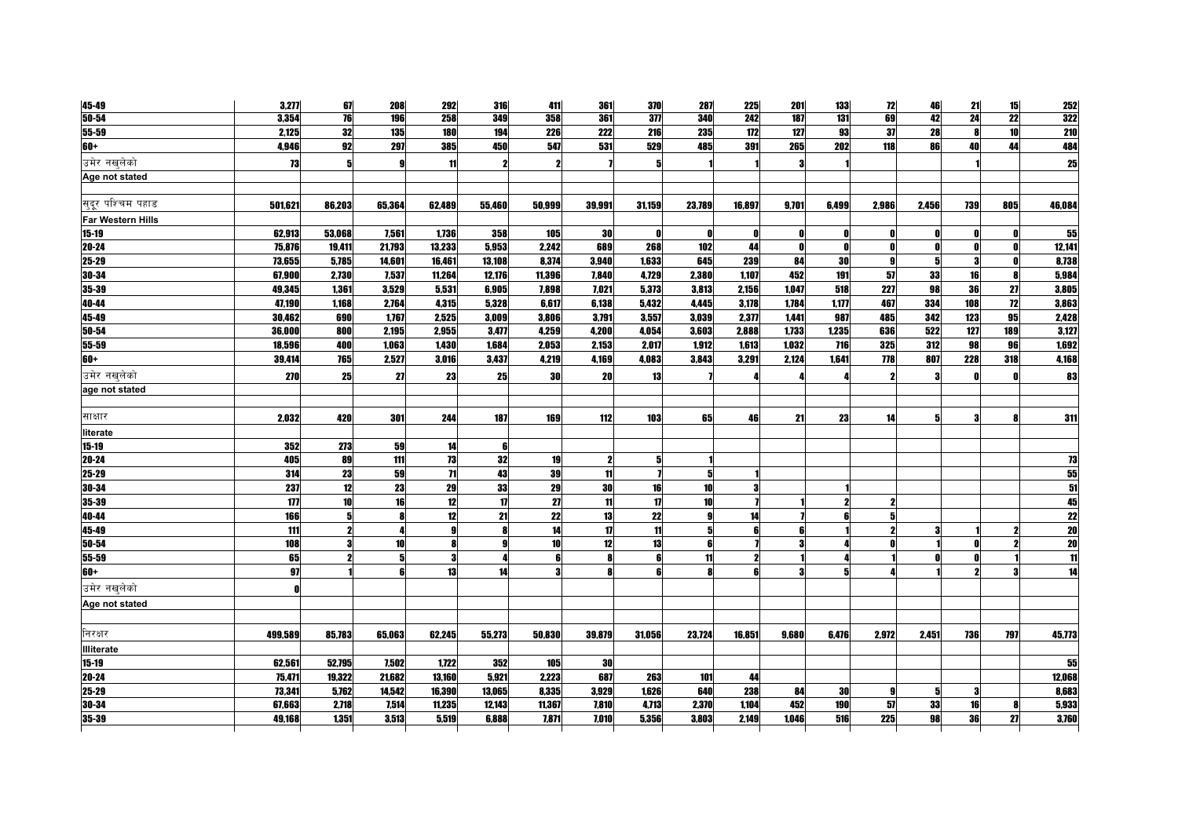| 45-49                    | 3,277   | 67                  | 208    | 292            | 316          | 411    | 361              | 370          | 287    | 225                     | 201   | 133   | 72           | 46    | 21  | 15              | 252             |
|--------------------------|---------|---------------------|--------|----------------|--------------|--------|------------------|--------------|--------|-------------------------|-------|-------|--------------|-------|-----|-----------------|-----------------|
| $50 - 54$                | 3,354   | 76                  | 196    | 258            | 349          | 358    | 361              | 31           | 340    | 242                     | 187   | 131   | 69           | 42    | 24  | $\overline{22}$ | 322             |
| 55-59                    | 2,125   | 32                  | 135    | 180            | 194          | 226    | 222              | 216          | 235    | 172                     | 127   | 93    | 37           | 28    |     | 10              | 210             |
| 60+                      | 4,946   | 92                  | 297    | 385            | 450          | 547    | 531              | 529          | 485    | 391                     | 265   | 202   | 118          | 86    | 40  | 44              | 484             |
| उमेर नखलेको              | 73      | 5                   |        | 11             | 2            | 2      |                  | 5            |        |                         |       |       |              |       |     |                 | 25              |
| Age not stated           |         |                     |        |                |              |        |                  |              |        |                         |       |       |              |       |     |                 |                 |
|                          |         |                     |        |                |              |        |                  |              |        |                         |       |       |              |       |     |                 |                 |
| सुदूर पश्चिम पहाड        | 501,621 | 86,203              | 65,364 | 62,489         | 55,460       | 50,999 | 39,991           | 31,159       | 23,789 | 16,897                  | 9,701 | 6,499 | 2,986        | 2,456 | 739 | 805             | 46,084          |
| <b>Far Western Hills</b> |         |                     |        |                |              |        |                  |              |        |                         |       |       |              |       |     |                 |                 |
| $15 - 19$                | 62,913  | 53,068              | 7,561  | 1,736          | 358          | 105    | 30               | n            | Λ      | Ω                       |       | O     | $\mathbf{r}$ |       |     |                 | 55              |
| $20 - 24$                | 75,876  | 19,411              | 21,793 | 13,233         | 5,953        | 2.242  | 689              | 268          | 102    | 44                      |       | n     | $\mathbf{r}$ |       |     |                 | 12,141          |
| $25 - 29$                | 73,655  | 5,785               | 14,601 | 16,461         | 13,108       | 8,374  | 3,940            | 1,633        | 645    | 239                     | 84    | 30    | $\mathbf{q}$ |       |     |                 | 8,738           |
| 30-34                    | 67,900  | 2,730               | 7,537  | 11,264         | 12,176       | 11,396 | 7,840            | 4,729        | 2,380  | 1,107                   | 452   | 191   | 57           | 33    | 16  |                 | 5,984           |
| 35-39                    | 49,345  | 1,361               | 3,529  | 5,531          | 6,905        | 7,898  | 7,021            | 5,373        | 3,813  | 2,156                   | 1,047 | 518   | 227          | 98    | 36  | 27              | 3,805           |
| 40-44                    | 47,190  | 1,168               | 2,764  | 4,315          | 5,328        | 6,617  | 6,138            | 5,432        | 4,445  | 3,178                   | 1,784 | 1,177 | 467          | 334   | 108 | 12              | 3,863           |
| 45-49                    | 30,462  | 690                 | 1,767  | 2,525          | 3,009        | 3,806  | 3,791            | 3,557        | 3,039  | 2,377                   | 1,441 | 987   | 485          | 342   | 123 | 95              | 2,428           |
| 50-54                    | 36,000  | 800                 | 2,195  | 2,955          | 3,477        | 4,259  | 4,200            | 4,054        | 3,603  | 2,888                   | 1,733 | 1,235 | 636          | 522   | 127 | 189             | 3,127           |
| 55-59                    | 18,596  | 400                 | 1,063  | 1,430          | 1,684        | 2,053  | 2,153            | 2,017        | 1,912  | 1,613                   | 1.032 | 716   | 325          | 312   | 98  | 96              | 1,692           |
| $+09$                    | 39,414  | <b>765</b>          | 2,527  | 3,016          | 3,437        | 4,219  | 4,169            | 4,083        | 3,843  | 3,291                   | 2,124 | 1,641 | 778          | 807   | 228 | 318             | 4,168           |
| उमेर नखलेको              | 270     | 25                  | 27     | 23             | 25           | 30     | 20               | 13           |        |                         |       |       | 2            |       |     |                 | 83              |
| age not stated           |         |                     |        |                |              |        |                  |              |        |                         |       |       |              |       |     |                 |                 |
|                          |         |                     |        |                |              |        |                  |              |        |                         |       |       |              |       |     |                 |                 |
| साक्षार                  | 2,032   | 420                 | 301    | 244            | 187          | 169    | 112              | 103          | 65     | 46                      | 21    | 23    | 14           |       |     |                 | 311             |
| literate                 |         |                     |        |                |              |        |                  |              |        |                         |       |       |              |       |     |                 |                 |
| $15 - 19$                | 352     | 273                 | 59     | 14             | 6            |        |                  |              |        |                         |       |       |              |       |     |                 |                 |
| 20-24                    | 405     | 89                  | 111    | 73             | 32           | 19     | $\boldsymbol{2}$ | 5            |        |                         |       |       |              |       |     |                 | <u>73</u>       |
| 25-29                    | 314     | 23                  | 59     | $\overline{1}$ | 43           | 39     | 11               |              | 5      |                         |       |       |              |       |     |                 | 55              |
| 30-34                    | 237     | 12                  | 23     | 29             | 33           | 29     | 30               | 16           | 10     | 3                       |       |       |              |       |     |                 | $\overline{51}$ |
| 35-39                    | 177     | 10                  | 16     | 12             | $\mathbf{u}$ | 27     | 11               | $\mathbf{u}$ | 10     |                         |       |       |              |       |     |                 | 45              |
| 40-44                    | 166     | 5                   |        | 12             | 21           | 22     | 13               | 22           | 9      | 14                      |       |       | 5            |       |     |                 | $\overline{22}$ |
| 45-49                    | 111     | $\boldsymbol{\eta}$ |        |                | Я            | 14     | 17               | 11           | 5      | ĥ                       |       |       |              |       |     |                 | $\overline{20}$ |
| 50-54                    | 108     | 3                   | 10     |                | g            | 10     | 12               | 13           | ĥ      |                         |       |       |              |       |     |                 | $\overline{20}$ |
| 55-59                    | 65      | 2                   |        |                | Л            | ß      | 8                | ĥ            | 11     | $\overline{\mathbf{z}}$ |       |       |              |       |     |                 | 11              |
| $60+$                    | 97      |                     |        | 13             | 14           |        | <b>R</b>         |              | R      | ĥ                       |       |       |              |       |     |                 | 14              |
| उमेर नखलेको              |         |                     |        |                |              |        |                  |              |        |                         |       |       |              |       |     |                 |                 |
| Age not stated           |         |                     |        |                |              |        |                  |              |        |                         |       |       |              |       |     |                 |                 |
|                          |         |                     |        |                |              |        |                  |              |        |                         |       |       |              |       |     |                 |                 |
| निरक्षर                  | 499,589 | 85,783              | 65,063 | 62,245         | 55,273       | 50,830 | 39,879           | 31,056       | 23,724 | 16,851                  | 9,680 | 6,476 | 2,972        | 2,451 | 736 | 797             | 45,773          |
| Illiterate               |         |                     |        |                |              |        |                  |              |        |                         |       |       |              |       |     |                 |                 |
| $15 - 19$                | 62,561  | 52,795              | 7,502  | 1,722          | 352          | 105    | 30               |              |        |                         |       |       |              |       |     |                 | 55              |
| $20 - 24$                | 75,471  | 19,322              | 21,682 | 13,160         | 5,921        | 2,223  | 687              | 263          | 101    | 44                      |       |       |              |       |     |                 | 12,068          |
| 25-29                    | 73,341  | 5,762               | 14,542 | 16,390         | 13,065       | 8,335  | 3,929            | 1,626        | 640    | 238                     | 84    | 30    | 9            |       |     |                 | 8,683           |
| 30-34                    | 67.663  | 2,718               | 7,514  | 11.235         | 12.143       | 11.367 | 7.810            | 4,713        | 2,370  | 1.104                   | 452   | 190   | 57           | 33    | 16  |                 | 5,933           |
| 35-39                    | 49.168  | 1.351               | 3.513  | 5,519          | 6.888        | 7.871  | 7.010            | 5.356        | 3.803  | 2.149                   | 1.046 | 516   | 225          | 98    | 36  | 27              | 3,760           |
|                          |         |                     |        |                |              |        |                  |              |        |                         |       |       |              |       |     |                 |                 |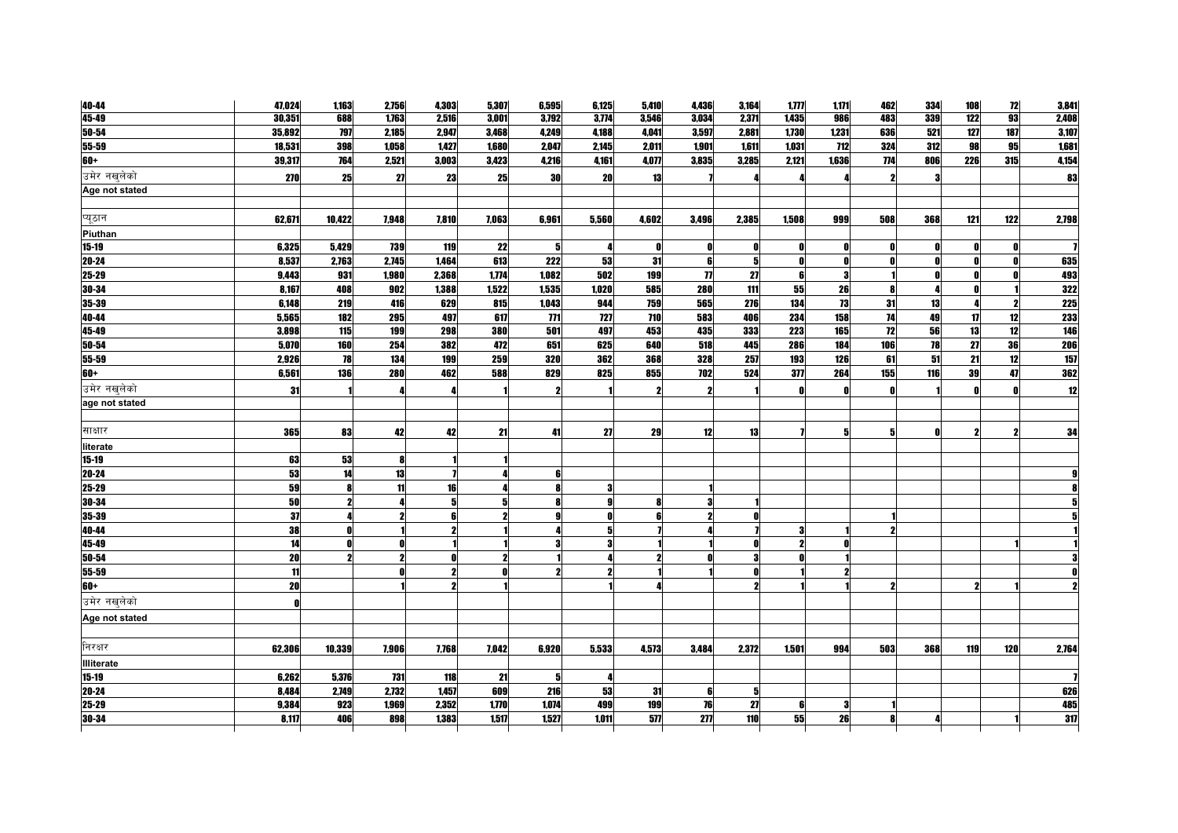| 40-44             | 47,024 | 1,163      | 2,756      | 4,303 | 5,307 | 6,595                   | 6,125               | 5,410 | 4,436               | 3,164          | 1, 777 | 1,171        | 462          | 334 | 108 | 12  | 3,841      |
|-------------------|--------|------------|------------|-------|-------|-------------------------|---------------------|-------|---------------------|----------------|--------|--------------|--------------|-----|-----|-----|------------|
| 45-49             | 30,351 | 688        | 1,763      | 2,516 | 3,001 | 3,792                   | 3,774               | 3,546 | 3,034               | 2,371          | 1,435  | 986          | 483          | 339 | 122 | 93  | 2,408      |
| 50-54             | 35,892 | 797        | 2,185      | 2,947 | 3,468 | 4,249                   | 4,188               | 4,041 | 3,597               | 2,881          | 1,730  | 1,231        | 636          | 521 | 127 | 187 | 3,107      |
| 55-59             | 18,531 | 398        | 1,058      | 1,427 | 1,680 | 2,047                   | 2,145               | 2,011 | 1,901               | 1,611          | 1,031  | 712          | 324          | 312 | 98  | 95  | 1,681      |
| 60+               | 39,317 | 764        | 2,521      | 3,003 | 3,423 | 4,216                   | 4,161               | 4,077 | 3,835               | 3,285          | 2,121  | 1,636        | 774          | 806 | 226 | 315 | 4,154      |
| उमेर नखुलेको      | 270    | 25         | 27         | 23    | 25    | 30                      | 20                  | 13    |                     |                |        |              |              |     |     |     | 83         |
| Age not stated    |        |            |            |       |       |                         |                     |       |                     |                |        |              |              |     |     |     |            |
|                   |        |            |            |       |       |                         |                     |       |                     |                |        |              |              |     |     |     |            |
| प्यूठान           | 62.671 | 10.422     | 7.948      | 7.810 | 7,063 | 6,961                   | 5,560               | 4,602 | 3,496               | 2,385          | 1.508  | 999          | 508          | 368 | 121 | 122 | 2,798      |
| Piuthan           |        |            |            |       |       |                         |                     |       |                     |                |        |              |              |     |     |     |            |
| $15 - 19$         | 6,325  | 5,429      | 739        | 119   | 22    | 5                       |                     |       |                     | Λ              |        |              |              |     |     |     |            |
| $20 - 24$         | 8,537  | 2,763      | 2,745      | 1,464 | 613   | 222                     | 53                  | 31    | R                   | 5 <sup>1</sup> | n      |              |              |     |     |     | 635        |
| 25-29             | 9,443  | 931        | 1,980      | 2,368 | 1,774 | 1,082                   | 502                 | 199   | $\boldsymbol{\eta}$ | 27             | 6      |              |              |     |     |     | 493        |
| 30-34             | 8,167  | 408        | 902        | 1,388 | 1,522 | 1,535                   | 1,020               | 585   | 280                 | 111            | 55     | 26           | -8           |     |     |     | 322        |
| 35-39             | 6,148  | 219        | 416        | 629   | 815   | 1,043                   | 944                 | 759   | 565                 | 276            | 134    | 73           | 31           | 13  |     |     | <b>225</b> |
| 40-44             | 5,565  | 182        | 295        | 497   | 617   | 771                     | 727                 | 710   | 583                 | 406            | 234    | 158          | 74           | 49  | 17  | 12  | 233        |
| 45-49             | 3,898  | 115        | 199        | 298   | 380   | 501                     | 497                 | 453   | 435                 | 333            | 223    | 165          | 12           | 56  | 13  | 12  | 146        |
| $50 - 54$         | 5,070  | <b>160</b> | 254        | 382   | 472   | 651                     | 625                 | 640   | 518                 | 445            | 286    | 184          | 106          | 78  | 27  | 36  | 206        |
| 55-59             | 2,926  | 78         | 134        | 199   | 259   | 320                     | 362                 | 368   | 328                 | 257            | 193    | 126          | 61           | 51  | 21  | 12  | 157        |
| $60+$             | 6,561  | <b>136</b> | <b>280</b> | 462   | 588   | 829                     | 825                 | 855   | <b>702</b>          | 524            | 377    | 264          | 155          | 116 | 39  | 47  | 362        |
| उमेर नखलेको       | 31     |            |            |       |       | $\overline{\mathbf{z}}$ |                     | 2     |                     |                |        | $\mathbf{r}$ | $\mathbf{0}$ |     | n   |     | 12         |
| age not stated    |        |            |            |       |       |                         |                     |       |                     |                |        |              |              |     |     |     |            |
|                   |        |            |            |       |       |                         |                     |       |                     |                |        |              |              |     |     |     |            |
| साक्षार           | 365    | 83         | 42         | 42    | 21    | 41                      | 27                  | 29    | 12                  | 13             |        | 5            | 5            |     |     |     | 34         |
| literate          |        |            |            |       |       |                         |                     |       |                     |                |        |              |              |     |     |     |            |
| $15 - 19$         | 63     | 53         |            |       |       |                         |                     |       |                     |                |        |              |              |     |     |     |            |
| 20-24             | 53     | 14         | 13         |       |       | 6                       |                     |       |                     |                |        |              |              |     |     |     |            |
| 25-29             | 59     | 8          | 11         | 16    |       | Я                       | 3                   |       |                     |                |        |              |              |     |     |     |            |
| 30-34             | 50     | 2          |            |       | 5     | 8                       | 9                   |       |                     |                |        |              |              |     |     |     |            |
| 35-39             | 37     |            |            |       |       |                         | ſ                   |       |                     | Λ              |        |              |              |     |     |     |            |
| 40-44             | 38     |            |            |       |       |                         | 5                   |       |                     |                |        |              |              |     |     |     |            |
| 45-49             | 14     |            |            |       |       |                         | 3                   |       |                     |                |        |              |              |     |     |     |            |
| 50-54             | 20     | 2          |            |       |       |                         | 4                   |       |                     | з              |        |              |              |     |     |     |            |
| $55 - 59$         | 11     |            |            |       |       |                         | $\boldsymbol{\eta}$ |       |                     |                |        |              |              |     |     |     |            |
| $60+$             | 20     |            |            |       |       |                         |                     |       |                     |                |        |              | 2            |     | 2   |     |            |
| उमेर नखुलेको      | n      |            |            |       |       |                         |                     |       |                     |                |        |              |              |     |     |     |            |
| Age not stated    |        |            |            |       |       |                         |                     |       |                     |                |        |              |              |     |     |     |            |
|                   |        |            |            |       |       |                         |                     |       |                     |                |        |              |              |     |     |     |            |
| निरक्षर           | 62,306 | 10,339     | 7,906      | 7,768 | 7,042 | 6,920                   | 5,533               | 4,573 | 3,484               | 2,372          | 1.501  | 994          | 503          | 368 | 119 | 120 | 2,764      |
| <b>Illiterate</b> |        |            |            |       |       |                         |                     |       |                     |                |        |              |              |     |     |     |            |
| $15 - 19$         | 6,262  | 5,376      | 731        | 118   | 21    | 5                       |                     |       |                     |                |        |              |              |     |     |     |            |
| $20 - 24$         | 8,484  | 2,749      | 2,732      | 1,457 | 609   | 216                     | 53                  | -31   | f                   | 5              |        |              |              |     |     |     | 626        |
| 25-29             | 9.384  | 923        | 1.969      | 2.352 | 1.770 | 1.074                   | 499                 | 199   | 76                  | 27             |        | 3            |              |     |     |     | 485        |
| 30-34             | 8,117  | 406        | 898        | 1,383 | 1,517 | 1.527                   | 1.011               | 577   | 277                 | 110            | 55     | 26           |              |     |     |     | 317        |
|                   |        |            |            |       |       |                         |                     |       |                     |                |        |              |              |     |     |     |            |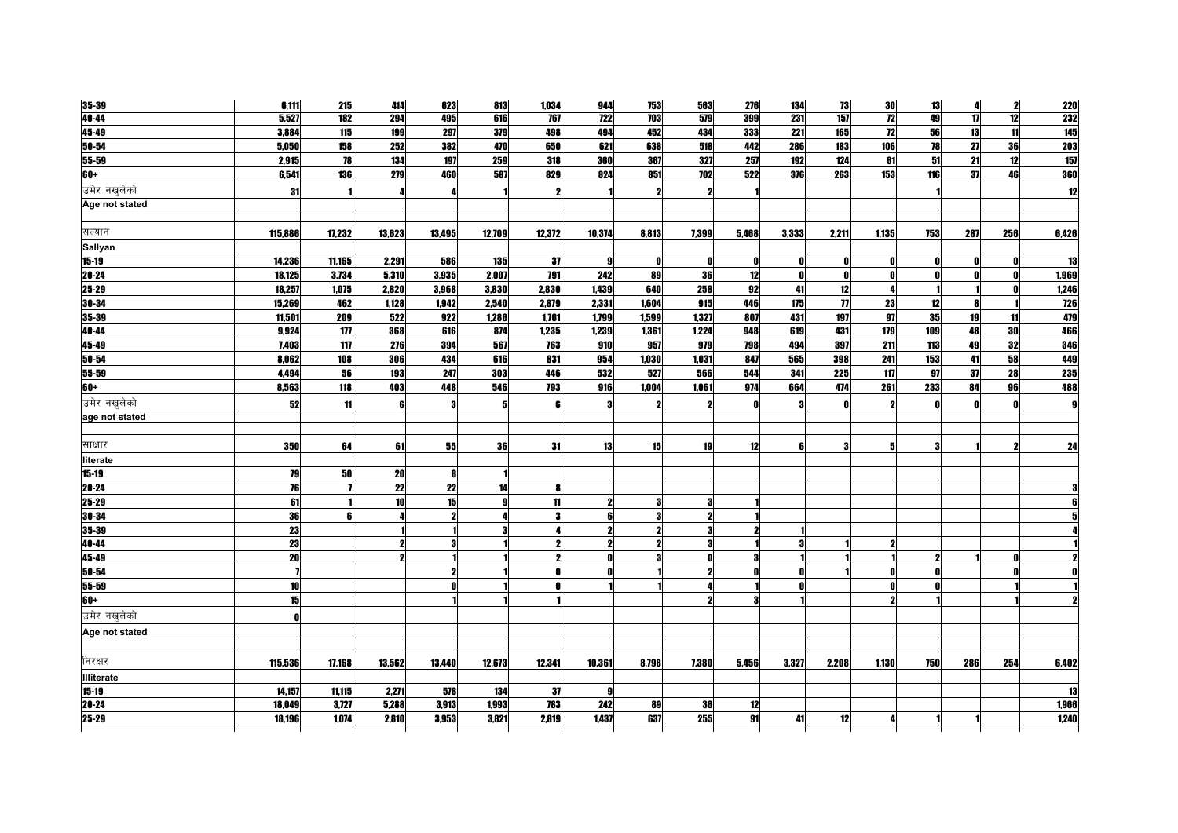| 35-39             | 6,111     | 215    | 414    | 623    | 813    | 1,034  | 944                     | 753              | 563                 | 276   | 134   | 73                  | 30              | 13  | 4            | 2   | <b>220</b> |
|-------------------|-----------|--------|--------|--------|--------|--------|-------------------------|------------------|---------------------|-------|-------|---------------------|-----------------|-----|--------------|-----|------------|
| 40-44             | 5,527     | 182    | 294    | 495    | 616    | 767    | $\overline{122}$        | $\overline{703}$ | 579                 | 399   | 231   | 157                 | $\overline{12}$ | 49  | $\mathbf{u}$ | 12  | 232        |
| 45-49             | 3,884     | 115    | 199    | 297    | 379    | 498    | 494                     | 452              | 434                 | 333   | 221   | 165                 | 12              | 56  | 13           | 11  | 145        |
| $50 - 54$         | 5,050     | 158    | 252    | 382    | 470    | 650    | 621                     | 638              | 518                 | 442   | 286   | 183                 | 106             | 78  | 27           | 36  | <b>203</b> |
| 55-59             | 2,915     | 78     | 134    | 197    | 259    | 318    | <b>360</b>              | 367              | 327                 | 257   | 192   | 124                 | 61              | 51  | 21           | 12  | 157        |
| $60+$             | 6,541     | 136    | 279    | 460    | 587    | 829    | 824                     | 851              | 702                 | 522   | 376   | 263                 | 153             | 116 | 37           | 46  | 360        |
| उमेर नखुलेको      | 31        |        |        |        |        |        |                         |                  |                     |       |       |                     |                 |     |              |     | 12         |
| Age not stated    |           |        |        |        |        |        |                         |                  |                     |       |       |                     |                 |     |              |     |            |
|                   |           |        |        |        |        |        |                         |                  |                     |       |       |                     |                 |     |              |     |            |
| सल्यान            | 115,886   | 17,232 | 13,623 | 13,495 | 12,709 | 12,372 | 10,374                  | 8,813            | 7,399               | 5,468 | 3,333 | 2,211               | 1,135           | 753 | 287          | 256 | 6,426      |
| Sallyan           |           |        |        |        |        |        |                         |                  |                     |       |       |                     |                 |     |              |     |            |
| $15 - 19$         | 14,236    | 11,165 | 2,291  | 586    | 135    | 37     | 91                      |                  |                     | 01    |       |                     |                 |     |              |     | <b>13</b>  |
| $20 - 24$         | 18,125    | 3,734  | 5,310  | 3,935  | 2,007  | 791    | 242                     | 89               | 36                  | 12    |       |                     | - 0             |     |              |     | 1,969      |
| $25 - 29$         | 18,257    | 1,075  | 2,820  | 3,968  | 3,830  | 2,830  | 1,439                   | 640              | 258                 | 92    | 41    | 12                  |                 |     |              |     | 1,246      |
| $30 - 34$         | 15,269    | 462    | 1,128  | 1,942  | 2,540  | 2,879  | 2,331                   | 1,604            | 915                 | 446   | 175   | $\boldsymbol{\eta}$ | 23              | 12  |              |     | <b>726</b> |
| 35-39             | 11,501    | 209    | 522    | 922    | 1,286  | 1,761  | 1,799                   | 1,599            | 1,327               | 807   | 431   | 197                 | 97              | 35  | 19           | 11  | 479        |
| 40-44             | 9,924     | 177    | 368    | 616    | 874    | 1,235  | 1,239                   | 1,361            | 1,224               | 948   | 619   | 431                 | 179             | 109 | 48           | 30  | 466        |
| 45-49             | 7,403     | 117    | 276    | 394    | 567    | 763    | 910                     | 957              | 979                 | 798   | 494   | 397                 | 211             | 113 | 49           | 32  | 346        |
| $50 - 54$         | 8,062     | 108    | 306    | 434    | 616    | 831    | 954                     | 1,030            | 1,031               | 847   | 565   | 398                 | 241             | 153 | 41           | 58  | 449        |
| 55-59             | 4,494     | 56     | 193    | 247    | 303    | 446    | 532                     | 527              | 566                 | 544   | 341   | 225                 | 117             | 97  | 37           | 28  | 235        |
| $60+$             | 8,563     | 118    | 403    | 448    | 546    | 793    | 916                     | 1,004            | 1,061               | 974   | 664   | 474                 | 261             | 233 | 84           | 96  | 488        |
| उमेर नखलेको       | 52        | 11     |        |        | 5      | £      | 3                       |                  |                     |       |       |                     |                 |     |              |     | g          |
| age not stated    |           |        |        |        |        |        |                         |                  |                     |       |       |                     |                 |     |              |     |            |
|                   |           |        |        |        |        |        |                         |                  |                     |       |       |                     |                 |     |              |     |            |
| साक्षार           | 350       | 64     | 61     | 55     | 36     | 31     | 13                      | 15               | 19                  | 12    |       | 3                   | 5               |     |              |     | 24         |
| literate          |           |        |        |        |        |        |                         |                  |                     |       |       |                     |                 |     |              |     |            |
| $15-19$           | 79        | 50     | 20     |        |        |        |                         |                  |                     |       |       |                     |                 |     |              |     |            |
| $20 - 24$         | 76        |        | 22     | 22     | 14     | 8      |                         |                  |                     |       |       |                     |                 |     |              |     |            |
| $25 - 29$         | 61        |        | 10     | 15     | g      | 11     | $\mathbf{2}$            |                  | 3                   |       |       |                     |                 |     |              |     |            |
| 30-34             | 36        | ĥ      |        |        |        | 3      | 6                       |                  | $\boldsymbol{\eta}$ |       |       |                     |                 |     |              |     |            |
| $35 - 39$         | 23        |        |        |        |        |        | $\overline{\mathbf{z}}$ |                  |                     |       |       |                     |                 |     |              |     |            |
| 40-44             | <b>23</b> |        |        |        |        |        | $\mathbf{2}$            |                  |                     |       |       |                     | 2               |     |              |     |            |
| 45-49             | 20        |        |        |        |        | 2      | $\mathbf{r}$            |                  |                     |       |       |                     |                 |     |              |     |            |
| $50 - 54$         |           |        |        |        |        |        | $\mathbf{r}$            |                  |                     |       |       |                     |                 |     |              |     |            |
| 55-59             | 10        |        |        |        |        |        |                         |                  |                     |       | Λ     |                     |                 |     |              |     |            |
| $60+$             | 15        |        |        |        |        |        |                         |                  |                     |       |       |                     |                 |     |              |     |            |
| उमेर नखुलेको      | ſ         |        |        |        |        |        |                         |                  |                     |       |       |                     |                 |     |              |     |            |
| Age not stated    |           |        |        |        |        |        |                         |                  |                     |       |       |                     |                 |     |              |     |            |
|                   |           |        |        |        |        |        |                         |                  |                     |       |       |                     |                 |     |              |     |            |
| निरक्षर           | 115,536   | 17,168 | 13,562 | 13,440 | 12,673 | 12,341 | 10,361                  | 8,798            | 7,380               | 5,456 | 3,327 | 2,208               | 1,130           | 750 | 286          | 254 | 6,402      |
| <b>Illiterate</b> |           |        |        |        |        |        |                         |                  |                     |       |       |                     |                 |     |              |     |            |
| $15-19$           | 14,157    | 11,115 | 2,271  | 578    | 134    | -37    | 9                       |                  |                     |       |       |                     |                 |     |              |     | 13         |
| 20-24             | 18.049    | 3.727  | 5.288  | 3.913  | 1.993  | 783    | 242                     | 89               | 36                  | 12    |       |                     |                 |     |              |     | 1,966      |
| 25-29             | 18,196    | 1.074  | 2.810  | 3,953  | 3,821  | 2.819  | 1437                    | 637              | 255                 | 91    | 41    | 12                  |                 |     |              |     | 1,240      |
|                   |           |        |        |        |        |        |                         |                  |                     |       |       |                     |                 |     |              |     |            |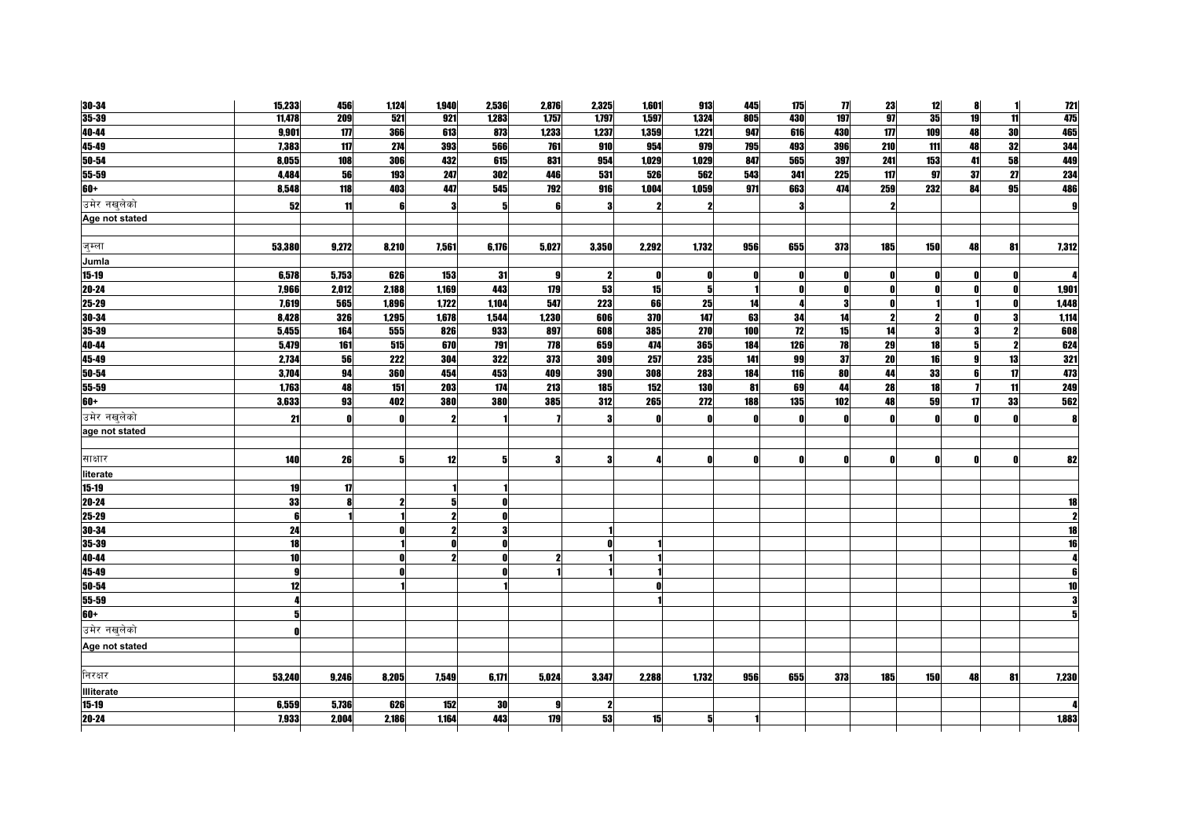| $30 - 34$         | 15,233 | 456          | 1,124 | 1,940 | 2,536        | 2,876        | 2,325        | 1,601 | 913   | 445 | 175 | $\boldsymbol{\eta}$ | 23                  | 12  | 8        | 1               | <u>121</u> |
|-------------------|--------|--------------|-------|-------|--------------|--------------|--------------|-------|-------|-----|-----|---------------------|---------------------|-----|----------|-----------------|------------|
| $35 - 39$         | 11,478 | 209          | 521   | 921   | 1,283        | 1,757        | 1,797        | 1,597 | 1,324 | 805 | 430 | 197                 | $\overline{g}$      | 35  | 19       | $\overline{11}$ | 475        |
| 40-44             | 9,901  | 177          | 366   | 613   | 873          | 1,233        | 1,237        | 1,359 | 1,221 | 947 | 616 | 430                 | 177                 | 109 | 48       | 30              | 465        |
| 45-49             | 7,383  | 117          | 274   | 393   | 566          | 761          | 910          | 954   | 979   | 795 | 493 | 396                 | 210                 | 111 | 48       | 32              | 344        |
| $50 - 54$         | 8,055  | 108          | 306   | 432   | 615          | 831          | 954          | 1,029 | 1,029 | 847 | 565 | 397                 | 241                 | 153 | 41       | 58              | 449        |
| 55-59             | 4,484  | 56           | 193   | 247   | 302          | 446          | 531          | 526   | 562   | 543 | 341 | 225                 | 117                 | 97  | 37       | 27              | 234        |
| $60+$             | 8,548  | 118          | 403   | 447   | 545          | 792          | 916          | 1,004 | 1,059 | 971 | 663 | 474                 | 259                 | 232 | 84       | 95              | 486        |
| उमेर नखलेको       | 52     | 11           |       |       | 5            | 6            | 3            |       |       |     |     |                     | $\boldsymbol{\eta}$ |     |          |                 |            |
| Age not stated    |        |              |       |       |              |              |              |       |       |     |     |                     |                     |     |          |                 |            |
|                   |        |              |       |       |              |              |              |       |       |     |     |                     |                     |     |          |                 |            |
| जुम्ला            | 53,380 | 9,272        | 8,210 | 7,561 | 6,176        | 5,027        | 3,350        | 2,292 | 1,732 | 956 | 655 | 373                 | 185                 | 150 | 48       | 81              | 7,312      |
| Jumla             |        |              |       |       |              |              |              |       |       |     |     |                     |                     |     |          |                 |            |
| $15 - 19$         | 6,578  | 5,753        | 626   | 153   | 31           | 9            | $\mathbf{2}$ | O     | Λ     | Λ   | n   | O                   | $\mathbf{0}$        | Λ   | n        | n               |            |
| $20 - 24$         | 7,966  | 2,012        | 2,188 | 1,169 | 443          | 179          | 53           | 15    | 51    |     |     | n                   | $\mathbf{0}$        | n   | n        | n               | 1,901      |
| $25 - 29$         | 7.619  | 565          | 1.896 | 1.722 | 1.104        | 547          | 223          | 66    | 25    | 14  |     | 3                   | $\mathbf{r}$        |     |          |                 | 1,448      |
| 30-34             | 8,428  | 326          | 1,295 | 1,678 | 1,544        | 1,230        | 606          | 370   | 147   | 63  | 34  | 14                  | -2                  |     |          | 3               | 1,114      |
| 35-39             | 5,455  | 164          | 555   | 826   | 933          | 897          | 608          | 385   | 270   | 100 | 12  | 15                  | 14                  |     | 3        |                 | 608        |
| 40-44             | 5,479  | 161          | 515   | 670   | 791          | 778          | 659          | 474   | 365   | 184 | 126 | 78                  | 29                  | 18  | 5        |                 | 624        |
| 45-49             | 2,734  | 56           | 222   | 304   | 322          | 373          | 309          | 257   | 235   | 141 | 99  | 37                  | 20                  | 16  | <b>g</b> | 13              | 321        |
| 50-54             | 3,704  | 94           | 360   | 454   | 453          | 409          | <b>390</b>   | 308   | 283   | 184 | 116 | 80                  | 44                  | 33  | 6        | 17              | 473        |
| $55 - 59$         | 1,763  | 48           | 151   | 203   | 174          | 213          | 185          | 152   | 130   | 81  | 69  | 44                  | 28                  | 18  |          | 11              | 249        |
| $60+$             | 3,633  | 93           | 402   | 380   | 380          | 385          | 312          | 265   | 272   | 188 | 135 | 102                 | 48                  | 59  | 17       | 33              | 562        |
| उमेर नखुलेको      | 21     | O            |       |       |              |              | 3            |       |       |     |     | O                   | - 0                 |     |          |                 | 8          |
| age not stated    |        |              |       |       |              |              |              |       |       |     |     |                     |                     |     |          |                 |            |
|                   |        |              |       |       |              |              |              |       |       |     |     |                     |                     |     |          |                 |            |
| साक्षार           | 140    | 26           | 5     | 12    | 5            | 3            | 3            |       | Λ     | Ω   | n   | Λ                   | - 0                 |     | Λ        |                 | 82         |
| literate          |        |              |       |       |              |              |              |       |       |     |     |                     |                     |     |          |                 |            |
| $15 - 19$         | 19     | $\mathbf{u}$ |       |       |              |              |              |       |       |     |     |                     |                     |     |          |                 |            |
| $20 - 24$         | 33     | $\mathbf{a}$ |       |       | n            |              |              |       |       |     |     |                     |                     |     |          |                 | 18         |
| $25 - 29$         | 6      |              |       | 9     | $\mathbf{r}$ |              |              |       |       |     |     |                     |                     |     |          |                 | 2          |
| $30 - 34$         | 24     |              |       |       |              |              |              |       |       |     |     |                     |                     |     |          |                 | 18         |
| $35 - 39$         | 18     |              |       |       | n            |              | 0            |       |       |     |     |                     |                     |     |          |                 | 16         |
| 40-44             | 10     |              |       |       | $\mathbf{0}$ | 2            |              |       |       |     |     |                     |                     |     |          |                 |            |
| 45-49             | 9      |              |       |       |              |              |              |       |       |     |     |                     |                     |     |          |                 |            |
| 50-54             | 12     |              |       |       |              |              |              |       |       |     |     |                     |                     |     |          |                 | 10         |
| $55 - 59$         |        |              |       |       |              |              |              |       |       |     |     |                     |                     |     |          |                 |            |
| $60+$             |        |              |       |       |              |              |              |       |       |     |     |                     |                     |     |          |                 |            |
| उमेर नखुलेको      |        |              |       |       |              |              |              |       |       |     |     |                     |                     |     |          |                 |            |
| Age not stated    |        |              |       |       |              |              |              |       |       |     |     |                     |                     |     |          |                 |            |
|                   |        |              |       |       |              |              |              |       |       |     |     |                     |                     |     |          |                 |            |
| निरक्षर           | 53,240 | 9,246        | 8,205 | 7,549 | 6,171        | 5,024        | 3,347        | 2,288 | 1,732 | 956 | 655 | 373                 | 185                 | 150 | 48       | 81              | 7,230      |
| <b>Illiterate</b> |        |              |       |       |              |              |              |       |       |     |     |                     |                     |     |          |                 |            |
| $15-19$           | 6,559  | 5,736        | 626   | 152   | 30           | $\mathbf{q}$ | $\mathbf{2}$ |       |       |     |     |                     |                     |     |          |                 |            |
| 20-24             | 7,933  | 2.004        | 2,186 | 1.164 | 443          | 179          | 53           | 15    |       |     |     |                     |                     |     |          |                 | 1,883      |
|                   |        |              |       |       |              |              |              |       |       |     |     |                     |                     |     |          |                 |            |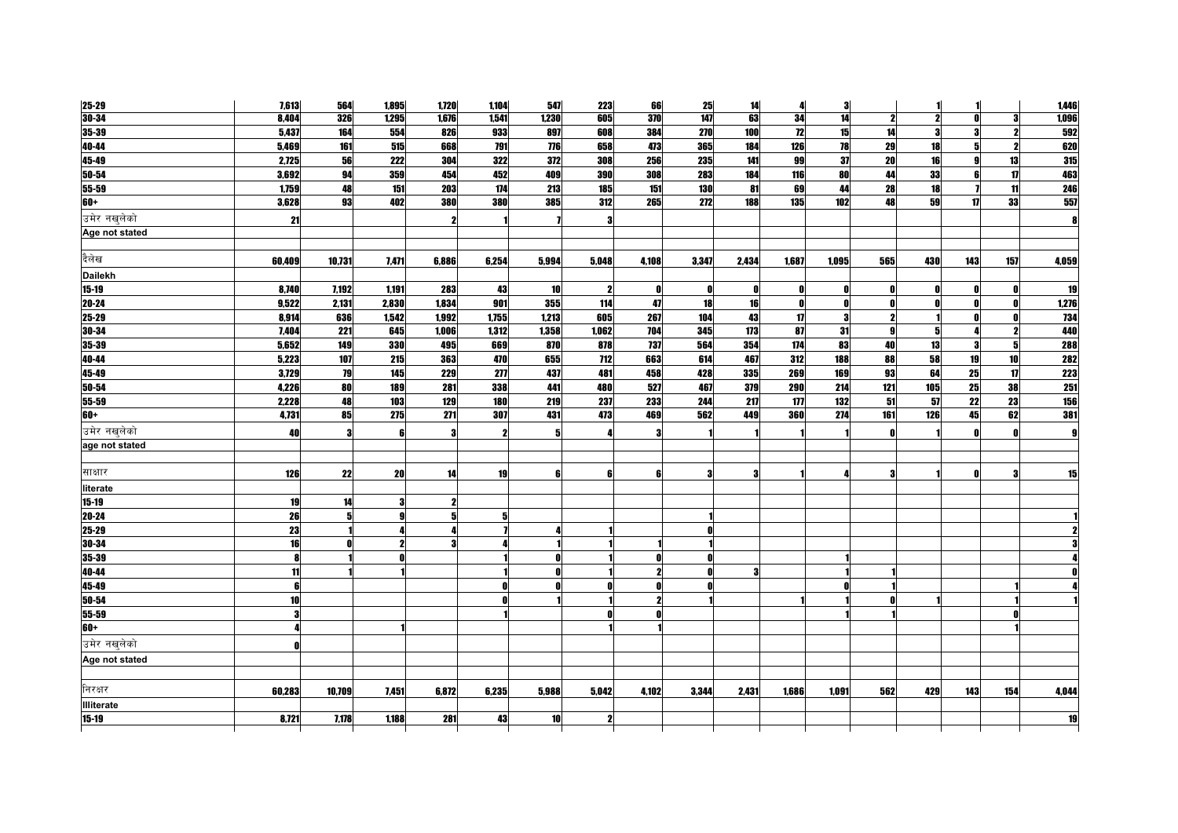| $25 - 29$         | 7,613           | 564    | 1,895 | 1,720 | 1,104 | 547             | 223          | 66    | 25         | 14    | 4     | 3     |              |     |              |     | 1,446      |
|-------------------|-----------------|--------|-------|-------|-------|-----------------|--------------|-------|------------|-------|-------|-------|--------------|-----|--------------|-----|------------|
| $30 - 34$         | 8,404           | 326    | 1,295 | 1,676 | 1,541 | 1,230           | 605          | 370   | 147        | 63    | 34    | 14    | 2            |     |              |     | 1,096      |
| 35-39             | 5,437           | 164    | 554   | 826   | 933   | 897             | 608          | 384   | <b>270</b> | 100   | 72    | 15    | 14           |     |              |     | 592        |
| 40-44             | 5,469           | 161    | 515   | 668   | 791   | 776             | 658          | 473   | 365        | 184   | 126   | 78    | 29           | 18  |              |     | 620        |
| 45-49             | 2,725           | 56     | 222   | 304   | 322   | 372             | 308          | 256   | 235        | 141   | 99    | 37    | 20           | 16  |              | 13  | 315        |
| 50-54             | 3,692           | 94     | 359   | 454   | 452   | 409             | 390          | 308   | 283        | 184   | 116   | 80    | 44           | 33  |              | 17  | 463        |
| 55-59             | 1,759           | 48     | 151   | 203   | 174   | 213             | 185          | 151   | 130        | 81    | 69    | 44    | 28           | 18  |              | 11  | 246        |
| $60+$             | 3,628           | 93     | 402   | 380   | 380   | 385             | 312          | 265   | 272        | 188   | 135   | 102   | 48           | 59  | 17           | 33  | 557        |
| उमेर नखलेको       | 21              |        |       |       |       |                 | 3            |       |            |       |       |       |              |     |              |     | 8          |
| Age not stated    |                 |        |       |       |       |                 |              |       |            |       |       |       |              |     |              |     |            |
|                   |                 |        |       |       |       |                 |              |       |            |       |       |       |              |     |              |     |            |
| दैलेख             | 60,409          | 10,731 | 7,471 | 6,886 | 6,254 | 5,994           | 5,048        | 4,108 | 3,347      | 2,434 | 1,687 | 1,095 | 565          | 430 | 143          | 157 | 4,059      |
| <b>Dailekh</b>    |                 |        |       |       |       |                 |              |       |            |       |       |       |              |     |              |     |            |
| $15 - 19$         | 8,740           | 7,192  | 1,191 | 283   | 43    | 10              | $\mathbf{2}$ | O     | 0          | O     | n     | n     | - 0          | Λ   | n            | n   | 19         |
| $20 - 24$         | 9,522           | 2,131  | 2,830 | 1,834 | 901   | 355             | 114          | 47    | 18         | 16    | 0     | n     | $\mathbf{r}$ |     |              |     | 1,276      |
| 25-29             | 8,914           | 636    | 1,542 | 1,992 | 1,755 | 1,213           | 605          | 267   | 104        | 43    | 17    | 3     | -2           |     |              |     | 734        |
| 30-34             | 7,404           | 221    | 645   | 1,006 | 1,312 | 1,358           | 1,062        | 704   | 345        | 173   | 87    | 31    | 9            | 5   |              |     | 440        |
| 35-39             | 5,652           | 149    | 330   | 495   | 669   | 870             | 878          | 737   | 564        | 354   | 174   | 83    | 40           | 13  | 3            | 5   | <b>288</b> |
| 40-44             | 5,223           | 107    | 215   | 363   | 470   | 655             | 712          | 663   | 614        | 467   | 312   | 188   | 88           | 58  | 19           | 10  | <b>282</b> |
| 45-49             | 3,729           | 79     | 145   | 229   | 277   | 437             | 481          | 458   | 428        | 335   | 269   | 169   | 93           | 64  | 25           | 17  | <b>223</b> |
| 50-54             | 4,226           | 80     | 189   | 281   | 338   | 441             | 480          | 527   | 467        | 379   | 290   | 214   | 121          | 105 | 25           | 38  | 251        |
| $55 - 59$         | 2,228           | 48     | 103   | 129   | 180   | 219             | 237          | 233   | 244        | 217   | 177   | 132   | 51           | 57  | 22           | 23  | <b>156</b> |
| $60+$             | 4,731           | 85     | 275   | 271   | 307   | 431             | 473          | 469   | 562        | 449   | 360   | 274   | 161          | 126 | 45           | 62  | 381        |
| उमेर नखलेको       | 40              | 3      |       |       | 2     | 5               |              |       |            |       |       |       | $\mathbf{r}$ |     |              |     | g          |
| age not stated    |                 |        |       |       |       |                 |              |       |            |       |       |       |              |     |              |     |            |
|                   |                 |        |       |       |       |                 |              |       |            |       |       |       |              |     |              |     |            |
| साक्षार           | 126             | 22     | 20    | 14    | 19    | 6               | 6            | R     | 3          | 3     |       | л     | 3            |     | $\mathbf{r}$ | З   | 15         |
| literate          |                 |        |       |       |       |                 |              |       |            |       |       |       |              |     |              |     |            |
| $15-19$           | 19              | 14     |       |       |       |                 |              |       |            |       |       |       |              |     |              |     |            |
| 20-24             | 26              | 5      | a     |       | 5     |                 |              |       |            |       |       |       |              |     |              |     |            |
| 25-29             | 23              |        |       |       |       |                 |              |       |            |       |       |       |              |     |              |     |            |
| 30-34             | 16              |        |       |       |       |                 |              |       |            |       |       |       |              |     |              |     |            |
| $35 - 39$         | 8               |        |       |       |       |                 |              |       |            |       |       |       |              |     |              |     |            |
| 40-44             | 11              |        |       |       |       |                 |              |       |            | 3     |       |       |              |     |              |     |            |
| 45-49             | 6               |        |       |       |       |                 | n            |       |            |       |       |       |              |     |              |     |            |
| $50 - 54$         | 10 <sup>1</sup> |        |       |       |       |                 |              |       |            |       |       |       |              |     |              |     |            |
| 55-59             | 3               |        |       |       |       |                 |              |       |            |       |       |       |              |     |              |     |            |
| $60+$             |                 |        |       |       |       |                 |              |       |            |       |       |       |              |     |              |     |            |
| उमेर नखुलेको      |                 |        |       |       |       |                 |              |       |            |       |       |       |              |     |              |     |            |
| Age not stated    |                 |        |       |       |       |                 |              |       |            |       |       |       |              |     |              |     |            |
|                   |                 |        |       |       |       |                 |              |       |            |       |       |       |              |     |              |     |            |
| निरक्षर           | 60,283          | 10,709 | 7,451 | 6,872 | 6,235 | 5,988           | 5,042        | 4,102 | 3,344      | 2,431 | 1,686 | 1,091 | 562          | 429 | 143          | 154 | 4,044      |
| <b>Illiterate</b> |                 |        |       |       |       |                 |              |       |            |       |       |       |              |     |              |     |            |
| $15-19$           | 8.721           | 7.178  | 1.188 | 281   | 43    | 10 <sup>1</sup> | $\mathbf{z}$ |       |            |       |       |       |              |     |              |     | 19         |
|                   |                 |        |       |       |       |                 |              |       |            |       |       |       |              |     |              |     |            |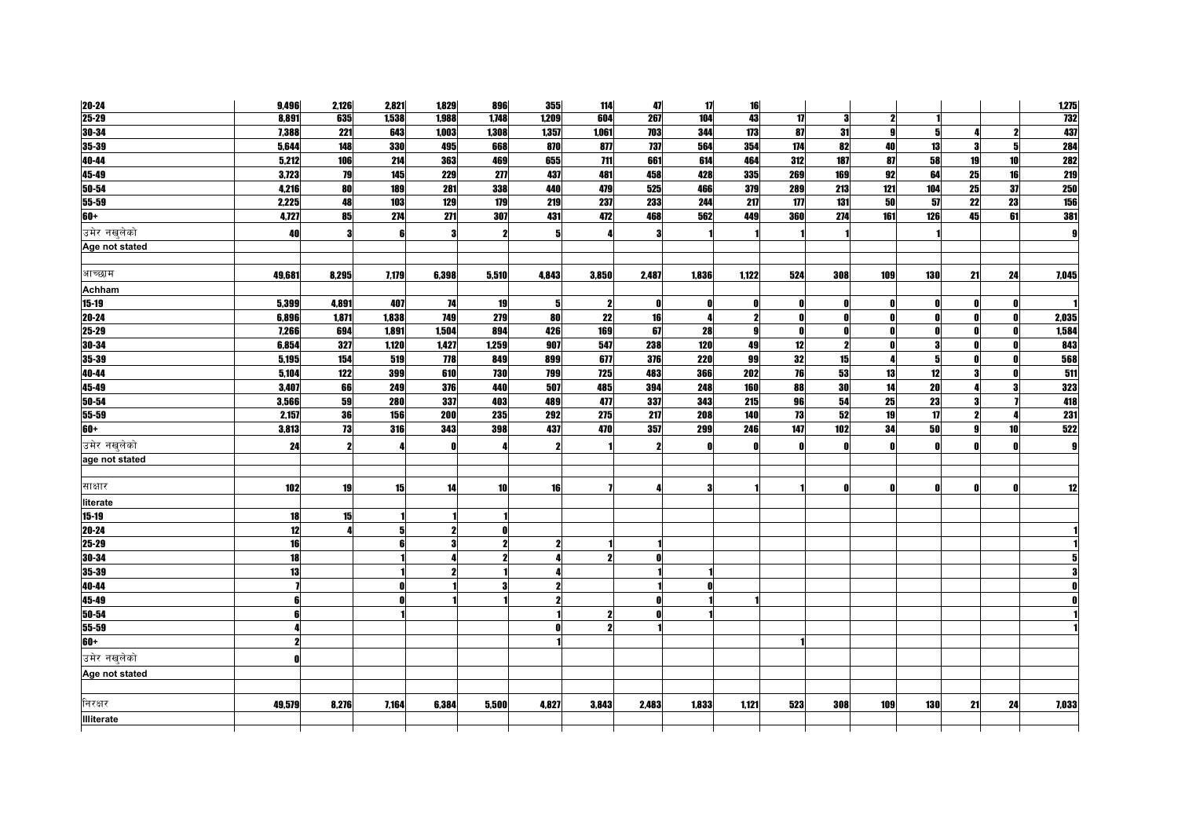| $20 - 24$         | 9,496  | 2,126 | 2,821      | 1,829 | 896   | 355   | 114                 | 47    | 17    | 16           |     |     |              |            |    |    | 1,275      |
|-------------------|--------|-------|------------|-------|-------|-------|---------------------|-------|-------|--------------|-----|-----|--------------|------------|----|----|------------|
| $25 - 29$         | 8,891  | 635   | 1,538      | 1,988 | 1,748 | 1,209 | 604                 | 267   | 104   | 43           | 17  | 3   | -2           |            |    |    | <b>732</b> |
| $30 - 34$         | 7,388  | 221   | 643        | 1,003 | 1,308 | 1,357 | 1,061               | 703   | 344   | 173          | 87  | 31  | g            |            |    |    | 437        |
| 35-39             | 5,644  | 148   | 330        | 495   | 668   | 870   | 877                 | 737   | 564   | 354          | 174 | 82  | 40           | 13         |    |    | 284        |
| 40-44             | 5,212  | 106   | 214        | 363   | 469   | 655   | 711                 | 661   | 614   | 464          | 312 | 187 | 87           | 58         | 19 | 10 | <b>282</b> |
| 45-49             | 3,723  | 79    | 145        | 229   | 277   | 437   | 481                 | 458   | 428   | 335          | 269 | 169 | 92           | 64         | 25 | 16 | <b>219</b> |
| $50 - 54$         | 4,216  | 80    | 189        | 281   | 338   | 440   | 479                 | 525   | 466   | 379          | 289 | 213 | 121          | 104        | 25 | 37 | <b>250</b> |
| 55-59             | 2,225  | 48    | 103        | 129   | 179   | 219   | 237                 | 233   | 244   | 217          | 177 | 131 | 50           | -57        | 22 | 23 | <b>156</b> |
| $60+$             | 4,727  | 85    | 274        | 271   | 307   | 431   | 472                 | 468   | 562   | 449          | 360 | 274 | 161          | 126        | 45 | 61 | 381        |
| उमेर नखुलेको      | 40     | 3     |            |       | 2     |       |                     |       |       |              |     |     |              |            |    |    |            |
| Age not stated    |        |       |            |       |       |       |                     |       |       |              |     |     |              |            |    |    |            |
|                   |        |       |            |       |       |       |                     |       |       |              |     |     |              |            |    |    |            |
| आच्छाम            | 49,681 | 8,295 | 7,179      | 6,398 | 5,510 | 4,843 | 3,850               | 2,487 | 1,836 | 1,122        | 524 | 308 | 109          | 130        | 21 | 24 | 7,045      |
| Achham            |        |       |            |       |       |       |                     |       |       |              |     |     |              |            |    |    |            |
| $15 - 19$         | 5,399  | 4,891 | 407        | 74    | 19    | 5     | 2                   | Λ     |       |              |     |     |              |            |    |    |            |
| 20-24             | 6,896  | 1,871 | 1,838      | 749   | 279   | 80    | 22                  | 16    |       | 2            |     |     | - 0          |            |    |    | 2,035      |
| 25-29             | 7,266  | 694   | 1,891      | 1,504 | 894   | 426   | 169                 | 67    | 28    | $\mathbf{g}$ | n   |     | 0            |            |    |    | 1,584      |
| $30 - 34$         | 6,854  | 327   | 1,120      | 1,427 | 1,259 | 907   | 547                 | 238   | 120   | 49           | 12  | 7   | n            |            |    |    | 843        |
| 35-39             | 5,195  | 154   | 519        | 778   | 849   | 899   | 677                 | 376   | 220   | 99           | 32  | 15  | Д            | 5          |    |    | 568        |
| 40-44             | 5,104  | 122   | 399        | 610   | 730   | 799   | 725                 | 483   | 366   | 202          | 76  | 53  | 13           | 12         |    |    | 511        |
| 45-49             | 3,407  | 66    | 249        | 376   | 440   | 507   | 485                 | 394   | 248   | 160          | 88  | 30  | 14           | 20         |    |    | 323        |
| 50-54             | 3,566  | 59    | <b>280</b> | 337   | 403   | 489   | 477                 | 337   | 343   | 215          | 96  | 54  | 25           | 23         | 3  |    | 418        |
| 55-59             | 2,157  | 36    | 156        | 200   | 235   | 292   | 275                 | 217   | 208   | 140          | 73  | 52  | 19           | 17         | 2  |    | 231        |
| 60+               | 3,813  | 73    | 316        | 343   | 398   | 437   | 470                 | 357   | 299   | 246          | 147 | 102 | 34           | 50         | a  | 10 | 522        |
| उमेर नखलेको       | 24     | 2     |            |       |       |       |                     |       |       |              |     | Ω   | $\mathbf{r}$ |            |    |    | g          |
| age not stated    |        |       |            |       |       |       |                     |       |       |              |     |     |              |            |    |    |            |
|                   |        |       |            |       |       |       |                     |       |       |              |     |     |              |            |    |    |            |
| साक्षार           | 102    | 19    | 15         | 14    | 10    | 16    |                     |       |       |              |     | Λ   | $\mathbf{0}$ |            |    |    | 12         |
| literate          |        |       |            |       |       |       |                     |       |       |              |     |     |              |            |    |    |            |
| $15 - 19$         | 18     | 15    |            |       |       |       |                     |       |       |              |     |     |              |            |    |    |            |
| $20 - 24$         | 12     |       | 5          |       | A     |       |                     |       |       |              |     |     |              |            |    |    |            |
| 25-29             | 16     |       |            |       |       |       |                     |       |       |              |     |     |              |            |    |    |            |
| $30 - 34$         | 18     |       |            |       | 2     |       | $\boldsymbol{\eta}$ |       |       |              |     |     |              |            |    |    |            |
| 35-39             | 13     |       |            |       |       |       |                     |       |       |              |     |     |              |            |    |    |            |
| 40-44             |        |       |            |       |       |       |                     |       |       |              |     |     |              |            |    |    |            |
| 45-49             | R      |       |            |       |       |       |                     |       |       |              |     |     |              |            |    |    |            |
| $50 - 54$         |        |       |            |       |       |       | 2                   |       |       |              |     |     |              |            |    |    |            |
| 55-59             |        |       |            |       |       |       | 2                   |       |       |              |     |     |              |            |    |    |            |
| $60+$             |        |       |            |       |       |       |                     |       |       |              |     |     |              |            |    |    |            |
| उमेर नखलेको       |        |       |            |       |       |       |                     |       |       |              |     |     |              |            |    |    |            |
| Age not stated    |        |       |            |       |       |       |                     |       |       |              |     |     |              |            |    |    |            |
|                   |        |       |            |       |       |       |                     |       |       |              |     |     |              |            |    |    |            |
| निरक्षर           | 49,579 | 8,276 | 7,164      | 6,384 | 5,500 | 4,827 | 3,843               | 2,483 | 1,833 | 1,121        | 523 | 308 | 109          | <b>130</b> | 21 | 24 | 7,033      |
| <b>Illiterate</b> |        |       |            |       |       |       |                     |       |       |              |     |     |              |            |    |    |            |
|                   |        |       |            |       |       |       |                     |       |       |              |     |     |              |            |    |    |            |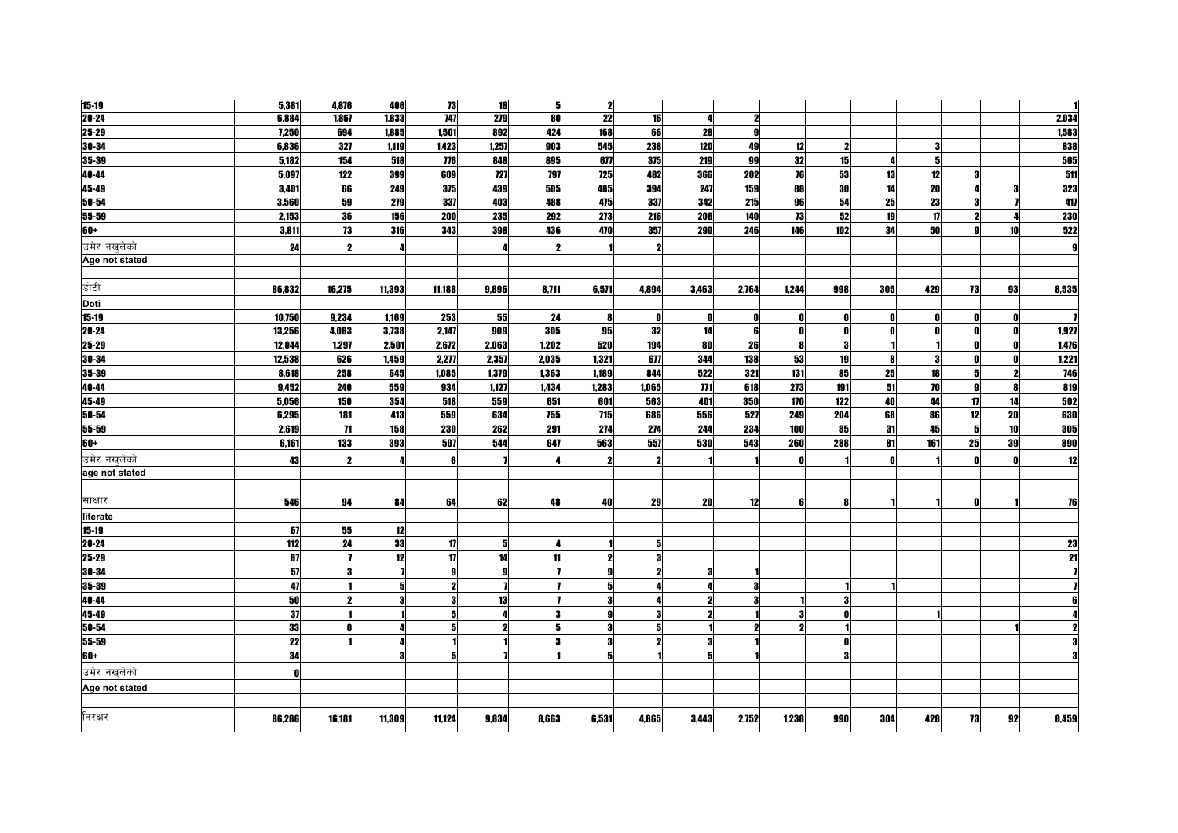| $15 - 19$      | 5,381        | 4,876        | 406    | 73               | 18    | 5     | $\mathbf{z}$        |       |       |              |       |     |              |     |              |                 |                 |
|----------------|--------------|--------------|--------|------------------|-------|-------|---------------------|-------|-------|--------------|-------|-----|--------------|-----|--------------|-----------------|-----------------|
| $20 - 24$      | 6,884        | 1,867        | 1,833  | $\overline{147}$ | 279   | 80    | 22                  | 16    | Δ     | 2            |       |     |              |     |              |                 | 2,034           |
| 25-29          | 7,250        | 694          | 1,885  | 1,501            | 892   | 424   | 168                 | 66    | 28    | $\mathbf{g}$ |       |     |              |     |              |                 | 1,583           |
| $30 - 34$      | 6,836        | 327          | 1,119  | 1,423            | 1,257 | 903   | 545                 | 238   | 120   | 49           | 12    | 2   |              |     |              |                 | 838             |
| 35-39          | 5,182        | 154          | 518    | 776              | 848   | 895   | 677                 | 375   | 219   | 99           | 32    | 15  |              | 5   |              |                 | 565             |
| 40-44          | 5,097        | 122          | 399    | 609              | 727   | 797   | <b>725</b>          | 482   | 366   | 202          | 76    | 53  | 13           | 12  |              |                 | 511             |
| 45-49          | 3,401        | 66           | 249    | 375              | 439   | 505   | 485                 | 394   | 247   | 159          | 88    | 30  | 14           | 20  |              |                 | 323             |
| $50 - 54$      | 3,560        | 59           | 279    | 337              | 403   | 488   | 475                 | 337   | 342   | 215          | 96    | 54  | 25           | 23  |              |                 | 417             |
| 55-59          | 2,153        | 36           | 156    | 200              | 235   | 292   | 273                 | 216   | 208   | 140          | 73    | 52  | 19           | 17  | 2            |                 | <b>230</b>      |
| $60+$          | 3,811        | 73           | 316    | 343              | 398   | 436   | 470                 | 357   | 299   | 246          | 146   | 102 | 34           | 50  | $\mathbf{q}$ | 10 <sup>1</sup> | 522             |
| उमेर नखलेको    | 24           | 2            |        |                  |       | 2     |                     | 2     |       |              |       |     |              |     |              |                 | g               |
| Age not stated |              |              |        |                  |       |       |                     |       |       |              |       |     |              |     |              |                 |                 |
|                |              |              |        |                  |       |       |                     |       |       |              |       |     |              |     |              |                 |                 |
| डोटी           | 86,832       | 16,275       | 11,393 | 11,188           | 9,896 | 8,711 | 6,571               | 4,894 | 3,463 | 2,764        | 1,244 | 998 | 305          | 429 | 73           | 93              | 8,535           |
| Doti           |              |              |        |                  |       |       |                     |       |       |              |       |     |              |     |              |                 |                 |
| $15 - 19$      | 10,750       | 9,234        | 1,169  | 253              | 55    | 24    | 8                   | O     | Ω     | O            | n     |     | 0            |     | 0            | $\mathbf{r}$    |                 |
| $20 - 24$      | 13,256       | 4,083        | 3,738  | 2,147            | 909   | 305   | 95                  | 32    | 14    | 6            | n     | 0   | $\mathbf{0}$ |     | n            | 0               | 1,927           |
| 25-29          | 12,044       | 1,297        | 2,501  | 2,672            | 2,063 | 1,202 | 520                 | 194   | 80    | 26           | 8     | 3   |              |     |              |                 | 1,476           |
| $30 - 34$      | 12,538       | 626          | 1,459  | 2,277            | 2,357 | 2,035 | 1,321               | 677   | 344   | 138          | 53    | 19  | 8            |     |              |                 | 1,221           |
| 35-39          | 8,618        | 258          | 645    | 1,085            | 1,379 | 1,363 | 1,189               | 844   | 522   | 321          | 131   | 85  | 25           | 18  | 5            |                 | <b>746</b>      |
| 40-44          | 9,452        | <b>240</b>   | 559    | 934              | 1,127 | 1,434 | 1,283               | 1,065 | 771   | 618          | 273   | 191 | 51           | 70  | 9            | 8               | 819             |
| 45-49          | 5,056        | 150          | 354    | 518              | 559   | 651   | 601                 | 563   | 401   | 350          | 170   | 122 | 40           | 44  | 17           | 14              | 502             |
| $50 - 54$      | 6,295        | 181          | 413    | 559              | 634   | 755   | 715                 | 686   | 556   | 527          | 249   | 204 | 68           | 86  | 12           | 20              | 630             |
| 55-59          | 2,619        | 71           | 158    | <b>230</b>       | 262   | 291   | 274                 | 274   | 244   | 234          | 100   | 85  | 31           | 45  | 5            | 10              | <b>305</b>      |
| $60+$          | 6,161        | 133          | 393    | 507              | 544   | 647   | 563                 | 557   | 530   | 543          | 260   | 288 | 81           | 161 | 25           | 39              | 890             |
| उमेर नखुलेको   | 43           | $\mathbf{2}$ |        |                  |       |       | $\boldsymbol{\eta}$ | 2     |       |              |       |     | $\mathbf{a}$ |     |              |                 | 12              |
| age not stated |              |              |        |                  |       |       |                     |       |       |              |       |     |              |     |              |                 |                 |
|                |              |              |        |                  |       |       |                     |       |       |              |       |     |              |     |              |                 |                 |
| साक्षार        | 546          | 94           | 84     | 64               | 62    | 48    | 40                  | 29    | 20    | 12           | ĥ     | 8   |              |     |              |                 | 76              |
| literate       |              |              |        |                  |       |       |                     |       |       |              |       |     |              |     |              |                 |                 |
| $15 - 19$      | 67           | 55           | 12     |                  |       |       |                     |       |       |              |       |     |              |     |              |                 |                 |
| $20 - 24$      | 112          | 24           | 33     | 17               | 5     |       |                     | 5     |       |              |       |     |              |     |              |                 | 23              |
| $25 - 29$      | 87           |              | 12     | 17               | 14    | 11    | $\boldsymbol{\eta}$ | 3     |       |              |       |     |              |     |              |                 | $\overline{21}$ |
| $30 - 34$      | 57           | 3            |        |                  | 9     |       |                     |       |       |              |       |     |              |     |              |                 |                 |
| 35-39          | 47           |              | 51     |                  |       |       | 5                   |       |       | 3            |       |     |              |     |              |                 |                 |
| 40-44          | 50           |              | 3      |                  | 13    |       | 3                   |       |       |              |       |     |              |     |              |                 |                 |
| 45-49          | 37           |              |        |                  |       |       |                     |       |       |              |       |     |              |     |              |                 |                 |
| $50 - 54$      | 33           |              |        |                  |       | 5     | 3                   |       |       |              |       |     |              |     |              |                 |                 |
| 55-59          | 22           |              |        |                  |       |       | 3                   |       |       |              |       |     |              |     |              |                 |                 |
| $60+$          | 34           |              |        |                  |       |       | 5                   |       |       |              |       |     |              |     |              |                 |                 |
| उमेर नखलेको    | $\mathbf{0}$ |              |        |                  |       |       |                     |       |       |              |       |     |              |     |              |                 |                 |
| Age not stated |              |              |        |                  |       |       |                     |       |       |              |       |     |              |     |              |                 |                 |
|                |              |              |        |                  |       |       |                     |       |       |              |       |     |              |     |              |                 |                 |
| निरक्षर        | 86,286       | 16,181       | 11,309 | 11,124           | 9,834 | 8,663 | 6,531               | 4,865 | 3,443 | 2,752        | 1,238 | 990 | 304          | 428 | 73           | 92              | 8,459           |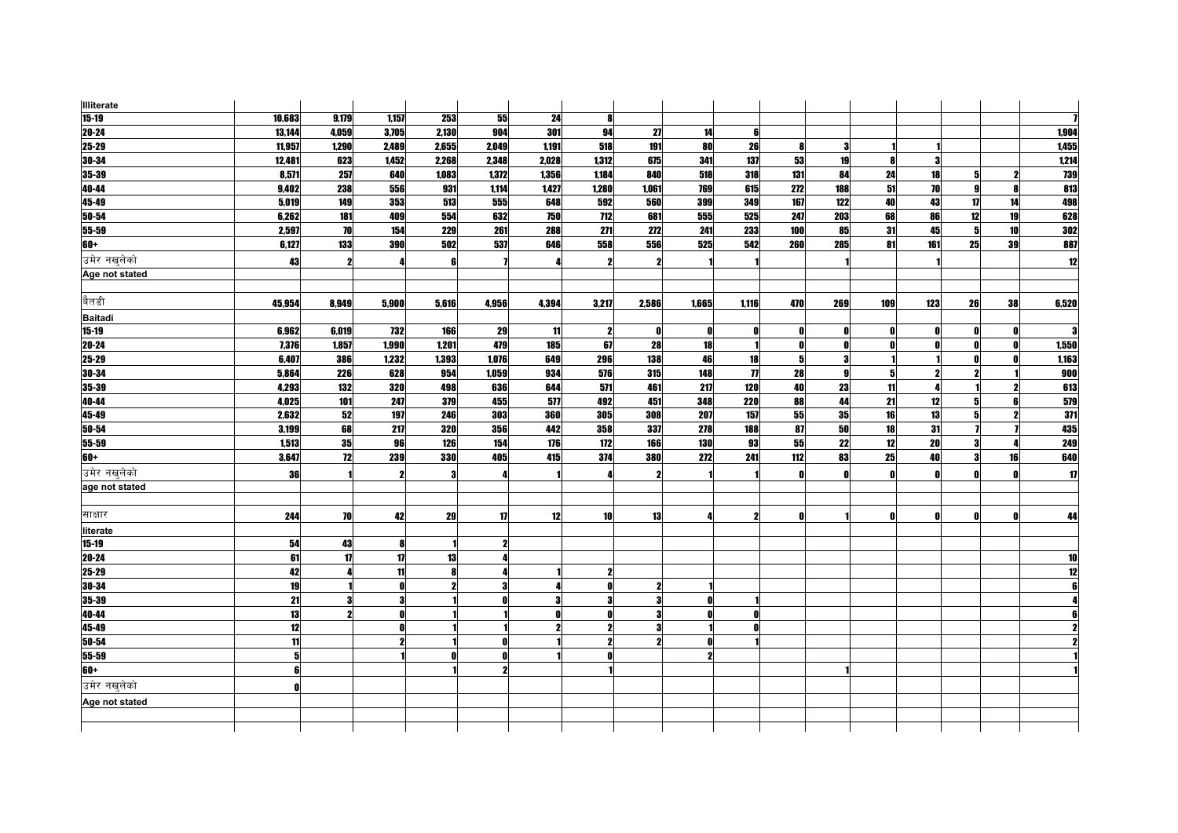| <b>Illiterate</b> |        |              |       |       |              |       |              |       |       |                     |     |              |              |     |          |    |            |
|-------------------|--------|--------------|-------|-------|--------------|-------|--------------|-------|-------|---------------------|-----|--------------|--------------|-----|----------|----|------------|
| $15 - 19$         | 10,683 | 9,179        | 1,157 | 253   | 55           | 24    | 8            |       |       |                     |     |              |              |     |          |    |            |
| $20 - 24$         | 13,144 | 4,059        | 3,705 | 2,130 | 904          | 301   | 94           | 27    | 14    | ĥ                   |     |              |              |     |          |    | 1,904      |
| 25-29             | 11,957 | 1,290        | 2,489 | 2,655 | 2,049        | 1,191 | 518          | 191   | 80    | 26                  |     | 3            |              |     |          |    | 1,455      |
| 30-34             | 12,481 | 623          | 1,452 | 2,268 | 2,348        | 2,028 | 1,312        | 675   | 341   | 137                 | 53  | 19           | -8           | 9   |          |    | 1,214      |
| $35 - 39$         | 8,571  | 257          | 640   | 1,083 | 1,372        | 1,356 | 1,184        | 840   | 518   | 318                 | 131 | 84           | 24           | 18  |          |    | 739        |
| 40-44             | 9,402  | 238          | 556   | 931   | 1,114        | 1,427 | 1,280        | 1,061 | 769   | 615                 | 272 | 188          | 51           | 70  | <b>g</b> |    | 813        |
| 45-49             | 5,019  | 149          | 353   | 513   | 555          | 648   | 592          | 560   | 399   | 349                 | 167 | 122          | 40           | 43  | 17       | 14 | 498        |
| 50-54             | 6,262  | 181          | 409   | 554   | 632          | 750   | 712          | 681   | 555   | 525                 | 247 | 203          | 68           | 86  | 12       | 19 | 628        |
| 55-59             | 2,597  | 70           | 154   | 229   | 261          | 288   | 271          | 272   | 241   | 233                 | 100 | 85           | 31           | 45  | 5        | 10 | <b>302</b> |
| $60+$             | 6,127  | 133          | 390   | 502   | 537          | 646   | 558          | 556   | 525   | 542                 | 260 | 285          | 81           | 161 | 25       | 39 | 887        |
| उमेर नखुलेको      | 43     | 2            |       |       |              |       | $\mathbf{2}$ | 2     |       |                     |     |              |              |     |          |    | 12         |
| Age not stated    |        |              |       |       |              |       |              |       |       |                     |     |              |              |     |          |    |            |
|                   |        |              |       |       |              |       |              |       |       |                     |     |              |              |     |          |    |            |
| बैतडी             | 45.954 | 8.949        | 5.900 | 5.616 | 4,956        | 4,394 | 3,217        | 2,586 | 1,665 | 1,116               | 470 | 269          | 109          | 123 | 26       | 38 | 6,520      |
| <b>Baitadi</b>    |        |              |       |       |              |       |              |       |       |                     |     |              |              |     |          |    |            |
| $15-19$           | 6,962  | 6,019        | 732   | 166   | 29           | -11   | $\mathbf{2}$ | O     |       | Λ                   |     | Λ            | n            |     |          |    |            |
| 20-24             | 7,376  | 1,857        | 1,990 | 1,201 | 479          | 185   | 67           | 28    | 18    |                     | n   | n            | - 0          |     | O.       |    | 1,550      |
| 25-29             | 6,407  | 386          | 1,232 | 1,393 | 1,076        | 649   | 296          | 138   | 46    | 18                  |     | Я            |              |     |          |    | 1,163      |
| 30-34             | 5,864  | 226          | 628   | 954   | 1,059        | 934   | 576          | 315   | 148   | $\boldsymbol{\eta}$ | 28  | 9            | 5            |     |          |    | 900        |
| 35-39             | 4,293  | 132          | 320   | 498   | 636          | 644   | 571          | 461   | 217   | 120                 | 40  | 23           | 11           |     |          |    | 613        |
| 40-44             | 4,025  | 101          | 247   | 379   | 455          | 577   | 492          | 451   | 348   | 220                 | 88  | 44           | 21           | 12  | 51       |    | 579        |
| 45-49             | 2,632  | 52           | 197   | 246   | 303          | 360   | 305          | 308   | 207   | 157                 | 55  | 35           | 16           | 13  | 5        |    | 311        |
| 50-54             | 3,199  | 68           | 217   | 320   | 356          | 442   | 358          | 337   | 278   | 188                 | 87  | 50           | 18           | 31  |          |    | 435        |
| 55-59             | 1,513  | 35           | 96    | 126   | 154          | 176   | 172          | 166   | 130   | 93                  | 55  | 22           | 12           | 20  | 3        |    | 249        |
| $60+$             | 3,647  | 12           | 239   | 330   | 405          | 415   | 374          | 380   | 272   | 241                 | 112 | 83           | 25           | 40  | 3        | 16 | 640        |
| उमेर नखलेको       | 36     |              |       |       |              |       | 4            | 2     |       |                     | n   | $\mathbf{0}$ | $\mathbf{0}$ |     |          |    | 17         |
| age not stated    |        |              |       |       |              |       |              |       |       |                     |     |              |              |     |          |    |            |
|                   |        |              |       |       |              |       |              |       |       |                     |     |              |              |     |          |    |            |
| साक्षार           | 244    | 70           | 42    | 29    | 17           | 12    | 10           | 13    |       | 2                   | n   |              | 0            |     | O        |    | 44         |
| literate          |        |              |       |       |              |       |              |       |       |                     |     |              |              |     |          |    |            |
| $15 - 19$         | 54     | 43           |       |       |              |       |              |       |       |                     |     |              |              |     |          |    |            |
| 20-24             | 61     | $\mathbf{u}$ | 17    | 13    |              |       |              |       |       |                     |     |              |              |     |          |    | 10         |
| 25-29             | 42     |              | 11    |       |              |       | $\mathbf{2}$ |       |       |                     |     |              |              |     |          |    | 12         |
| 30-34             | 19     |              |       |       | 3            |       | 0            |       |       |                     |     |              |              |     |          |    |            |
| 35-39             | 21     | 3            |       |       |              |       | 3            |       |       |                     |     |              |              |     |          |    |            |
| 40-44             | 13     |              |       |       |              |       |              |       |       |                     |     |              |              |     |          |    |            |
| 45-49             | 12     |              |       |       |              |       | $\mathbf{2}$ |       |       |                     |     |              |              |     |          |    |            |
| 50-54             | 11     |              |       |       | $\mathbf{0}$ |       | $\mathbf{2}$ |       |       |                     |     |              |              |     |          |    |            |
| $55 - 59$         | 5      |              |       |       | O            |       | ſ            |       |       |                     |     |              |              |     |          |    |            |
| $60+$             | 6      |              |       |       |              |       |              |       |       |                     |     |              |              |     |          |    |            |
| उमेर नखुलेको      |        |              |       |       |              |       |              |       |       |                     |     |              |              |     |          |    |            |
| Age not stated    |        |              |       |       |              |       |              |       |       |                     |     |              |              |     |          |    |            |
|                   |        |              |       |       |              |       |              |       |       |                     |     |              |              |     |          |    |            |
|                   |        |              |       |       |              |       |              |       |       |                     |     |              |              |     |          |    |            |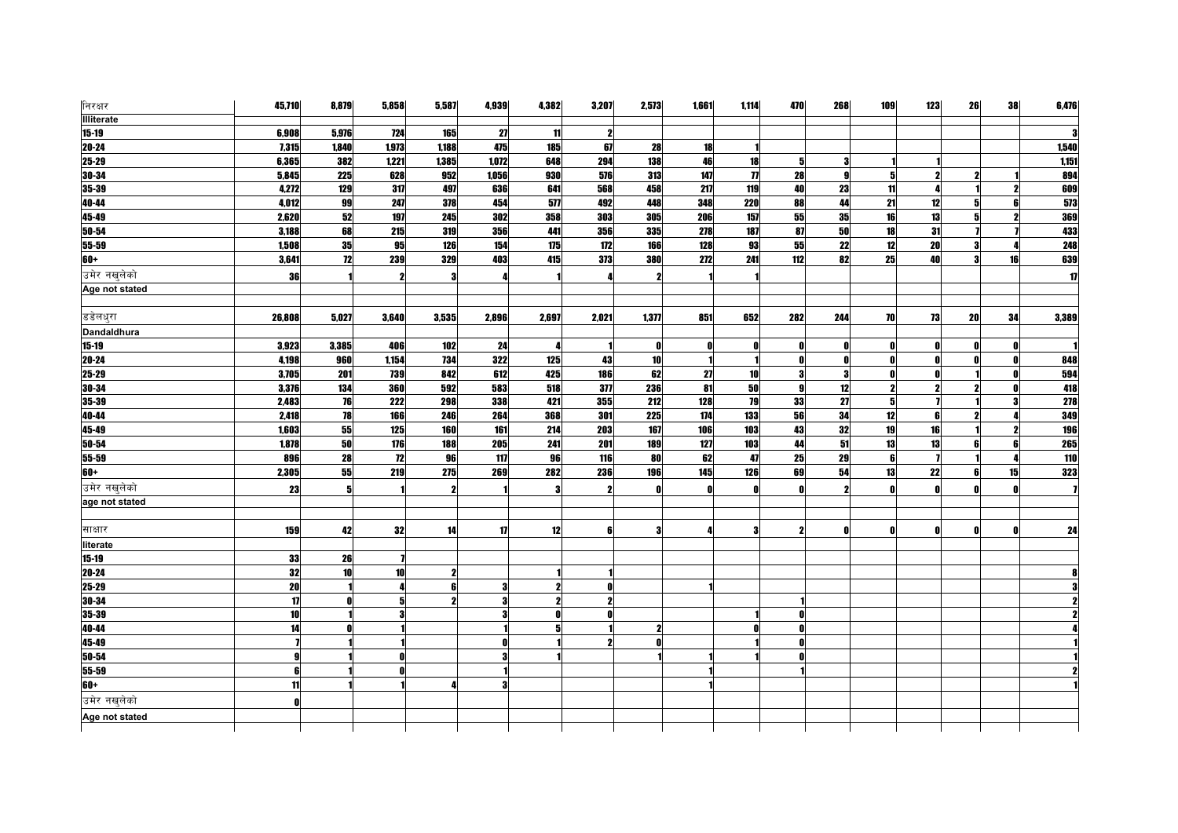| निरक्षर            | 45,710 | 8,879           | 5,858           | 5,587      | 4,939 | 4,382 | 3,207        | 2,573 | 1,661            | 1,114               | 470              | 268 | 109                 | 123 | 26 | 38 | 6,476        |
|--------------------|--------|-----------------|-----------------|------------|-------|-------|--------------|-------|------------------|---------------------|------------------|-----|---------------------|-----|----|----|--------------|
| <b>Illiterate</b>  |        |                 |                 |            |       |       |              |       |                  |                     |                  |     |                     |     |    |    |              |
| $15 - 19$          | 6,908  | 5,976           | 724             | 165        | 27    | 11    | $\mathbf{2}$ |       |                  |                     |                  |     |                     |     |    |    |              |
| $20 - 24$          | 7,315  | 1,840           | 1,973           | 1,188      | 475   | 185   | 67           | 28    | 18               |                     |                  |     |                     |     |    |    | 1,540        |
| $25 - 29$          | 6,365  | 382             | 1,221           | 1,385      | 1,072 | 648   | 294          | 138   | 46               | 18                  | 51               | 3   |                     |     |    |    | 1,151        |
| $30 - 34$          | 5,845  | <b>225</b>      | 628             | 952        | 1,056 | 930   | 576          | 313   | 147              | $\boldsymbol{\eta}$ | 28               | g   | 5                   |     |    |    | 894          |
| 35-39              | 4,272  | 129             | 317             | 497        | 636   | 641   | 568          | 458   | 217              | 119                 | 40               | 23  | 11                  |     |    |    | 609          |
| 40-44              | 4,012  | 99              | 247             | 378        | 454   | 577   | 492          | 448   | 348              | <b>220</b>          | 88               | 44  | 21                  | 12  | 5  |    | 573          |
| 45-49              | 2,620  | 52              | 197             | 245        | 302   | 358   | 303          | 305   | 206              | 157                 | 55               | 35  | $\overline{16}$     | 13  |    |    | 369          |
| 50-54              | 3,188  | 68              | 215             | 319        | 356   | 441   | 356          | 335   | 278              | 187                 | 87               | 50  | 18                  | 31  |    |    | 433          |
| 55-59              | 1,508  | 35              | 95              | 126        | 154   | 175   | 172          | 166   | 128              | 93                  | 55               | 22  | 12                  | 20  |    |    | 248          |
| $60+$              | 3,641  | $\overline{12}$ | 239             | 329        | 403   | 415   | 373          | 380   | 272              | 241                 | $\overline{112}$ | 82  | 25                  | 40  |    | 16 | 639          |
| उमेर नखुलेको       | 36     |                 |                 |            |       |       |              |       |                  |                     |                  |     |                     |     |    |    | $\mathbf{u}$ |
| Age not stated     |        |                 |                 |            |       |       |              |       |                  |                     |                  |     |                     |     |    |    |              |
|                    |        |                 |                 |            |       |       |              |       |                  |                     |                  |     |                     |     |    |    |              |
| डडेलधुरा           | 26,808 | 5,027           | 3,640           | 3,535      | 2,896 | 2,697 | 2,021        | 1,377 | 851              | 652                 | 282              | 244 | 70                  | 73  | 20 | 34 | 3,389        |
| <b>Dandaldhura</b> |        |                 |                 |            |       |       |              |       |                  |                     |                  |     |                     |     |    |    |              |
| $15 - 19$          | 3,923  | 3,385           | 406             | 102        | 24    |       |              | 0     |                  | Λ                   | n                |     | n                   |     |    |    |              |
| $20 - 24$          | 4,198  | 960             | 1,154           | 734        | 322   | 125   | 43           | 10    |                  |                     |                  |     | $\mathbf{r}$        |     |    |    | 848          |
| $25 - 29$          | 3,705  | 201             | 739             | 842        | 612   | 425   | 186          | 62    | 27               | <b>10</b>           | 3                | 3   | 0                   |     |    |    | 594          |
| 30-34              | 3,376  | 134             | 360             | 592        | 583   | 518   | 377          | 236   | 81               | 50                  | $\mathbf{g}$     | 12  | $\boldsymbol{\eta}$ |     |    |    | 418          |
| 35-39              | 2,483  | 76              | 222             | 298        | 338   | 421   | 355          | 212   | 128              | 79                  | 33               | 27  | 5                   |     |    |    | 278          |
| 40-44              | 2,418  | 78              | 166             | 246        | 264   | 368   | 301          | 225   | $\overline{174}$ | 133                 | 56               | 34  | 12                  | R   |    |    | 349          |
| 45-49              | 1,603  | 55              | 125             | <b>160</b> | 161   | 214   | 203          | 167   | 106              | 103                 | 43               | 32  | 19                  | 16  |    |    | <b>196</b>   |
| 50-54              | 1,878  | 50              | 176             | 188        | 205   | 241   | 201          | 189   | 127              | 103                 | 44               | 51  | 13                  | 13  |    |    | 265          |
| 55-59              | 896    | 28              | 72              | 96         | 117   | 96    | 116          | 80    | 62               | 47                  | 25               | 29  | 6                   |     |    |    | 110          |
| $60+$              | 2,305  | 55              | 219             | 275        | 269   | 282   | 236          | 196   | 145              | 126                 | 69               | 54  | 13                  | 22  | R  | 15 | 323          |
| उमेर नखुलेको       | 23     | 5               |                 |            |       | -3    |              |       |                  |                     |                  |     | - 0                 |     |    |    |              |
| age not stated     |        |                 |                 |            |       |       |              |       |                  |                     |                  |     |                     |     |    |    |              |
|                    |        |                 |                 |            |       |       |              |       |                  |                     |                  |     |                     |     |    |    |              |
| साक्षार            | 159    | 42              | 32              | 14         | 17    | 12    | ß            |       |                  |                     |                  |     |                     |     |    |    | 24           |
| literate           |        |                 |                 |            |       |       |              |       |                  |                     |                  |     |                     |     |    |    |              |
| $15 - 19$          | 33     | 26              |                 |            |       |       |              |       |                  |                     |                  |     |                     |     |    |    |              |
| $20 - 24$          | 32     | 10              | 10 <sup>1</sup> |            |       |       |              |       |                  |                     |                  |     |                     |     |    |    |              |
| 25-29              | 20     |                 |                 |            | 3     | 2     | n            |       |                  |                     |                  |     |                     |     |    |    |              |
| $30 - 34$          | 17     |                 |                 |            | 3     |       | $\mathbf{2}$ |       |                  |                     |                  |     |                     |     |    |    |              |
| 35-39              | 10     |                 |                 |            | я     |       |              |       |                  |                     |                  |     |                     |     |    |    |              |
| 40-44              | 14     |                 |                 |            |       |       |              |       |                  |                     |                  |     |                     |     |    |    |              |
| $45-49$            |        |                 |                 |            |       |       | 2            |       |                  |                     |                  |     |                     |     |    |    |              |
| $50 - 54$          |        |                 |                 |            |       |       |              |       |                  |                     |                  |     |                     |     |    |    |              |
| 55-59              |        |                 |                 |            |       |       |              |       |                  |                     |                  |     |                     |     |    |    |              |
| $60+$              | 11     |                 |                 |            |       |       |              |       |                  |                     |                  |     |                     |     |    |    |              |
| उमेर नखलेको        | n      |                 |                 |            |       |       |              |       |                  |                     |                  |     |                     |     |    |    |              |
| Age not stated     |        |                 |                 |            |       |       |              |       |                  |                     |                  |     |                     |     |    |    |              |
|                    |        |                 |                 |            |       |       |              |       |                  |                     |                  |     |                     |     |    |    |              |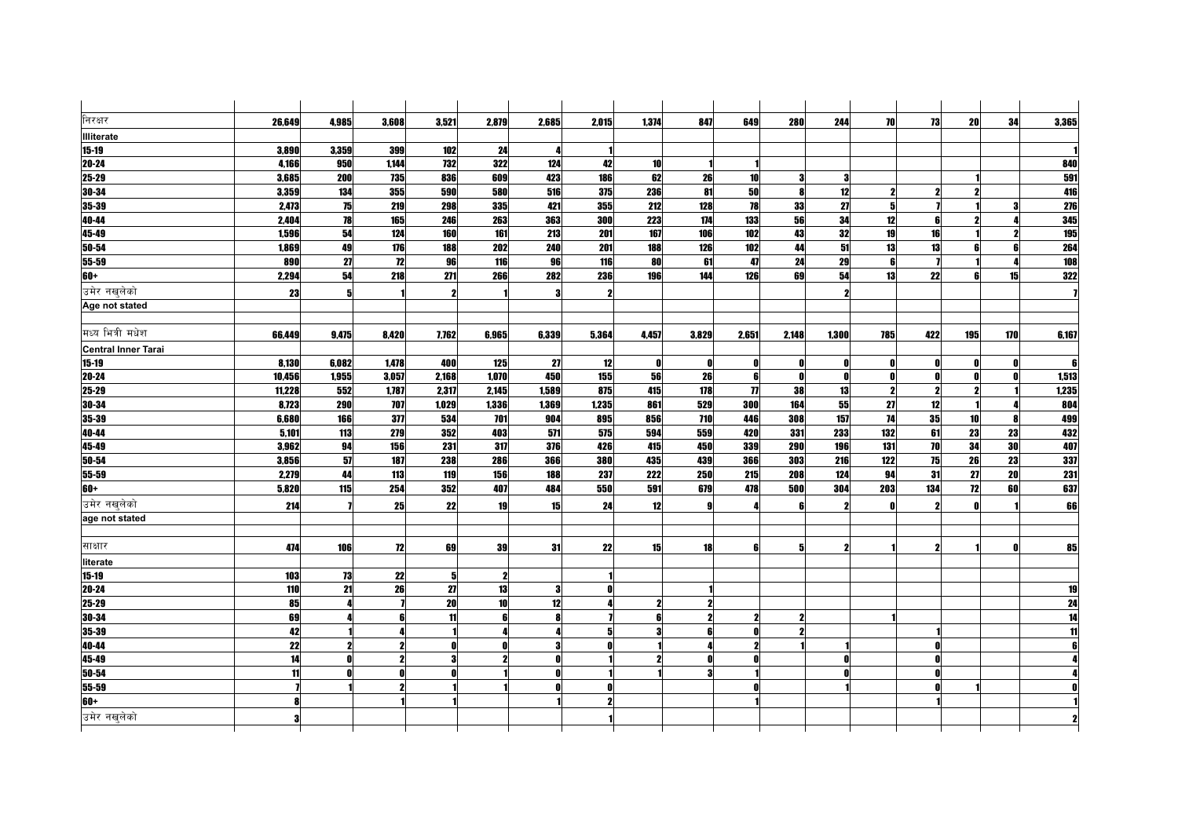| निरक्षर                    | 26.649 | 4,985 | 3,608 | 3,521                   | 2,879               | 2.685        | 2.015 | 1,374        | 847          | 649                 | 280                     | 244   | 70                      | 73           | 20              | 34  | 3,365 |
|----------------------------|--------|-------|-------|-------------------------|---------------------|--------------|-------|--------------|--------------|---------------------|-------------------------|-------|-------------------------|--------------|-----------------|-----|-------|
| <b>Illiterate</b>          |        |       |       |                         |                     |              |       |              |              |                     |                         |       |                         |              |                 |     |       |
| $15 - 19$                  | 3,890  | 3,359 | 399   | 102                     | 24                  |              |       |              |              |                     |                         |       |                         |              |                 |     |       |
| 20-24                      | 4,166  | 950   | 1,144 | 732                     | 322                 | 124          | 42    | 10           |              |                     |                         |       |                         |              |                 |     | 840   |
| 25-29                      | 3,685  | 200   | 735   | 836                     | 609                 | 423          | 186   | 62           | 26           | 10                  | $\bf{3}$                | 3     |                         |              |                 |     | 591   |
| 30-34                      | 3,359  | 134   | 355   | 590                     | 580                 | 516          | 375   | 236          | 81           | 50                  | $\mathbf{a}$            | 12    |                         |              |                 |     | 416   |
| 35-39                      | 2,473  | 75    | 219   | 298                     | 335                 | 421          | 355   | 212          | 128          | 78                  | 33                      | 27    | 5                       |              |                 |     | 276   |
| 40-44                      | 2.404  | 78    | 165   | 246                     | 263                 | 363          | 300   | 223          | 174          | 133                 | 56                      | 34    | 12                      | 6            |                 |     | 345   |
| 45-49                      | 1,596  | 54    | 124   | 160                     | 161                 | 213          | 201   | 167          | 106          | <b>102</b>          | 43                      | 32    | 19                      | 16           |                 |     | 195   |
| 50-54                      | 1,869  | 49    | 176   | 188                     | 202                 | 240          | 201   | 188          | 126          | 102                 | 44                      | 51    | 13                      | 13           |                 |     | 264   |
| 55-59                      | 890    | 27    | 12    | 96                      | 116                 | 96           | 116   | 80           | 61           | 47                  | 24                      | 29    | ĥ                       |              |                 |     | 108   |
| 60+                        | 2,294  | 54    | 218   | 271                     | 266                 | 282          | 236   | 196          | 144          | 126                 | 69                      | 54    | 13                      | 22           |                 | 15  | 322   |
| उमेर नखुलेक <mark>ो</mark> | 23     | 5     |       | 2                       |                     | 3            |       |              |              |                     |                         |       |                         |              |                 |     |       |
| Age not stated             |        |       |       |                         |                     |              |       |              |              |                     |                         |       |                         |              |                 |     |       |
|                            |        |       |       |                         |                     |              |       |              |              |                     |                         |       |                         |              |                 |     |       |
| मध्य भित्री मधेश           | 66,449 | 9,475 | 8,420 | 7,762                   | 6,965               | 6,339        | 5,364 | 4,457        | 3,829        | 2,651               | 2,148                   | 1,300 | 785                     | 422          | 195             | 170 | 6,167 |
| <b>Central Inner Tarai</b> |        |       |       |                         |                     |              |       |              |              |                     |                         |       |                         |              |                 |     |       |
| $15-19$                    | 8,130  | 6.082 | 1.478 | 400                     | 125                 | 27           | 12    | <sup>0</sup> | $\mathbf{u}$ | $\mathbf{a}$        | $\mathbf{0}$            | n     |                         | $\mathbf{r}$ |                 |     | ß     |
| 20-24                      | 10,456 | 1,955 | 3,057 | 2,168                   | 1,070               | 450          | 155   | 56           | 26           | 6                   | $\mathbf{0}$            |       | n                       | O            |                 | n   | 1,513 |
| 25-29                      | 11,228 | 552   | 1,787 | 2,317                   | 2,145               | 1,589        | 875   | 415          | 178          | $\boldsymbol{\eta}$ | 38                      | 13    | $\overline{\mathbf{z}}$ | $\mathbf{2}$ |                 |     | 1,235 |
| 30-34                      | 8,723  | 290   | 707   | 1,029                   | 1,336               | 1,369        | 1,235 | 861          | 529          | 300                 | 164                     | 55    | 27                      | 12           |                 |     | 804   |
| 35-39                      | 6,680  | 166   | 377   | 534                     | 701                 | 904          | 895   | 856          | 710          | 446                 | 308                     | 157   | 74                      | 35           | 10              | R   | 499   |
| 40-44                      | 5,101  | 113   | 279   | 352                     | 403                 | 571          | 575   | 594          | 559          | 420                 | 331                     | 233   | 132                     | 61           | $\overline{23}$ | 23  | 432   |
| 45-49                      | 3,962  | 94    | 156   | 231                     | 317                 | 376          | 426   | 415          | 450          | 339                 | 290                     | 196   | 131                     | 70           | 34              | 30  | 407   |
| 50-54                      | 3,856  | 57    | 187   | 238                     | 286                 | 366          | 380   | 435          | 439          | 366                 | 303                     | 216   | 122                     | 75           | 26              | 23  | 337   |
| 55-59                      | 2,279  | 44    | 113   | 119                     | 156                 | 188          | 237   | 222          | 250          | 215                 | 208                     | 124   | 94                      | 31           | 27              | 20  | 231   |
| 60+                        | 5,820  | 115   | 254   | 352                     | 407                 | 484          | 550   | 591          | 679          | 478                 | 500                     | 304   | 203                     | 134          | 12              | 60  | 637   |
| उमेर नखलेको                | 214    |       | 25    | 22                      | 19                  | 15           | 24    | 12           | -9           |                     | 6                       |       | n                       | 2            |                 |     | 66    |
| age not stated             |        |       |       |                         |                     |              |       |              |              |                     |                         |       |                         |              |                 |     |       |
|                            |        |       |       |                         |                     |              |       |              |              |                     |                         |       |                         |              |                 |     |       |
| साक्षार                    | 474    | 106   | 72    | 69                      | 39                  | 31           | 22    | 15           | 18           | ß                   | 5                       |       |                         | 2            |                 |     | 85    |
| literate                   |        |       |       |                         |                     |              |       |              |              |                     |                         |       |                         |              |                 |     |       |
| $15-19$                    | 103    | 73    | 22    | 5 <sup>1</sup>          | $\boldsymbol{\eta}$ |              |       |              |              |                     |                         |       |                         |              |                 |     |       |
| 20-24                      | 110    | 21    | 26    | 27                      | 13                  | 3            |       |              |              |                     |                         |       |                         |              |                 |     | 19    |
| 25-29                      | 85     |       |       | $\overline{20}$         | 10                  | 12           |       | ,            |              |                     |                         |       |                         |              |                 |     | 24    |
| 30-34                      | 69     |       |       | 11                      | 6                   |              |       |              |              |                     | 2                       |       |                         |              |                 |     | 14    |
| 35-39                      | 42     |       |       |                         | $\mathbf{r}$        |              | 5     | 3            |              |                     | $\overline{\mathbf{z}}$ |       |                         |              |                 |     | 11    |
| 40-44                      | 22     | 2     |       |                         | $\mathbf{r}$        | 3            |       |              |              |                     |                         |       |                         |              |                 |     |       |
| 45-49                      | 14     | n     |       | $\overline{\mathbf{3}}$ | $\boldsymbol{\eta}$ | Ω            |       | 2            |              |                     |                         |       |                         | n            |                 |     |       |
| $50 - 54$                  | 11     |       |       | n                       |                     | $\mathbf{0}$ |       |              |              |                     |                         |       |                         | $\mathbf{0}$ |                 |     |       |
| 55-59                      |        |       |       |                         |                     |              |       |              |              |                     |                         |       |                         |              |                 |     |       |
| 60+                        |        |       |       |                         |                     |              |       |              |              |                     |                         |       |                         |              |                 |     |       |
| उमेर नखलेको                |        |       |       |                         |                     |              |       |              |              |                     |                         |       |                         |              |                 |     |       |
|                            |        |       |       |                         |                     |              |       |              |              |                     |                         |       |                         |              |                 |     |       |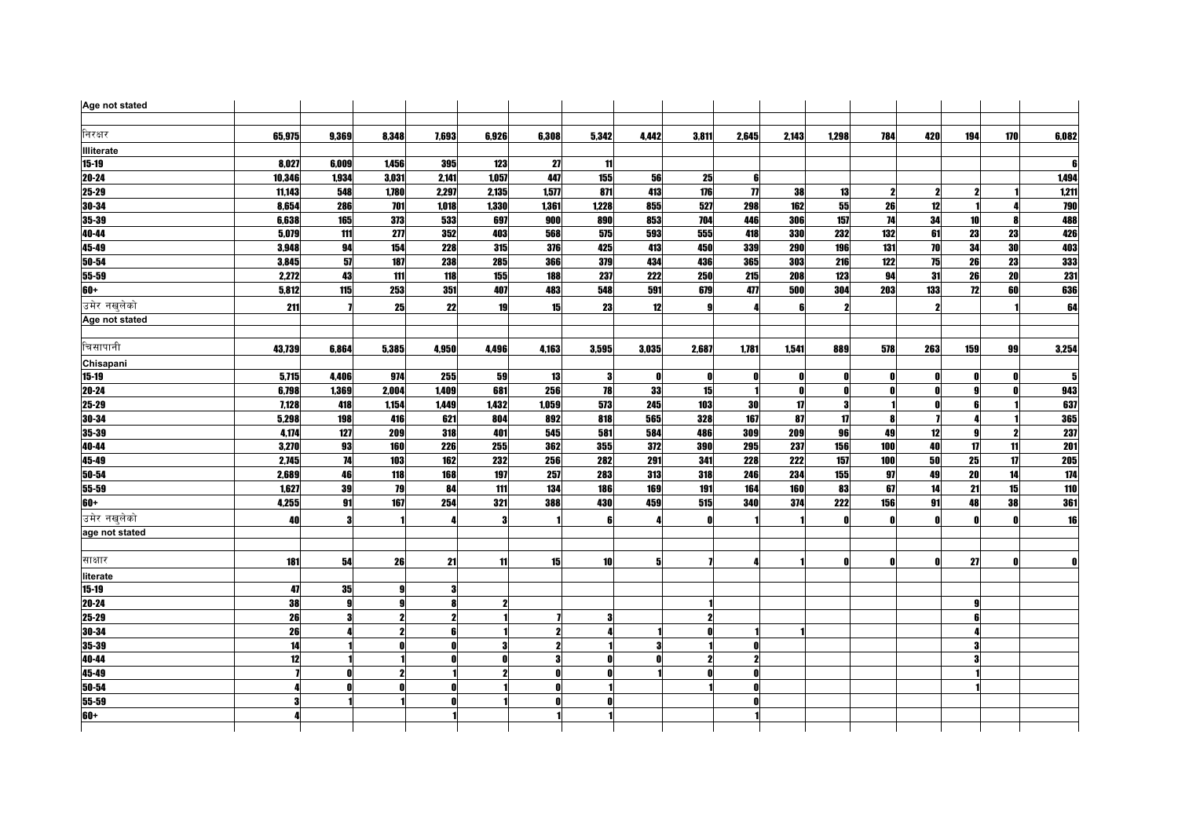| Age not stated    |        |       |                   |       |       |       |            |                  |       |                     |       |              |              |     |                 |     |            |
|-------------------|--------|-------|-------------------|-------|-------|-------|------------|------------------|-------|---------------------|-------|--------------|--------------|-----|-----------------|-----|------------|
| निरक्षर           | 65,975 | 9,369 | 8,348             | 7,693 | 6,926 | 6,308 | 5,342      | 4,442            | 3,811 | 2,645               | 2,143 | 1,298        | 784          | 420 | 194             | 170 | 6,082      |
| <b>Illiterate</b> |        |       |                   |       |       |       |            |                  |       |                     |       |              |              |     |                 |     |            |
| $15 - 19$         | 8,027  | 6,009 | 1,456             | 395   | 123   | 27    | 11         |                  |       |                     |       |              |              |     |                 |     | ß          |
| 20-24             | 10,346 | 1,934 | 3.031             | 2,141 | 1,057 | 447   | 155        | 56               | 25    | 6                   |       |              |              |     |                 |     | 1,494      |
| $25 - 29$         | 11,143 | 548   | 1,780             | 2,297 | 2,135 | 1,577 | 871        | 413              | 176   | $\boldsymbol{\eta}$ | 38    | 13           | 2            |     |                 |     | 1,211      |
| 30-34             | 8,654  | 286   | 701               | 1,018 | 1,330 | 1,361 | 1,228      | 855              | 527   | 298                 | 162   | $55\,$       | 26           | 12  |                 |     | 790        |
| 35-39             | 6,638  | 165   | 373               | 533   | 697   | 900   | 890        | 853              | 704   | 446                 | 306   | 157          | 74           | 34  | 10              |     | 488        |
| 40-44             | 5,079  | 111   | $\overline{2\pi}$ | 352   | 403   | 568   | 575        | 593              | 555   | 418                 | 330   | 232          | 132          | 61  | $\overline{23}$ | 23  | 426        |
| 45-49             | 3,948  | 94    | 154               | 228   | 315   | 376   | 425        | 413              | 450   | 339                 | 290   | 196          | 131          | 70  | 34              | 30  | 403        |
| 50-54             | 3,845  | 57    | 187               | 238   | 285   | 366   | <b>379</b> | 434              | 436   | <b>365</b>          | 303   | 216          | 122          | 75  | 26              | 23  | 333        |
| 55-59             | 2,272  | 43    | 111               | 118   | 155   | 188   | 237        | $\overline{222}$ | 250   | 215                 | 208   | 123          | 94           | 31  | 26              | 20  | <b>231</b> |
| $60+$             | 5,812  | 115   | 253               | 351   | 407   | 483   | 548        | 591              | 679   | 477                 | 500   | 304          | 203          | 133 | 72              | 60  | 636        |
| उमेर नखलेको       | 211    |       | 25                | 22    | 19    | 15    | 23         | 12               |       |                     |       | 2            |              |     |                 |     | 64         |
| Age not stated    |        |       |                   |       |       |       |            |                  |       |                     |       |              |              |     |                 |     |            |
| चिसापानी          | 43,739 | 6,864 | 5,385             | 4,950 | 4,496 | 4,163 | 3,595      | 3,035            | 2,687 | 1,781               | 1.541 | 889          | 578          | 263 | 159             | 99  | 3,254      |
| Chisapani         |        |       |                   |       |       |       |            |                  |       |                     |       |              |              |     |                 |     |            |
| $15-19$           | 5,715  | 4,406 | 974               | 255   | 59    | 13    | 3          | O                | 0     | Λ                   |       | Λ            | - 0          |     |                 |     | 5          |
| 20-24             | 6,798  | 1,369 | 2,004             | 1,409 | 681   | 256   | 78         | 33               | 15    |                     | n     | N            | - 0          |     | a               |     | 943        |
| 25-29             | 7,128  | 418   | 1,154             | 1,449 | 1,432 | 1,059 | 573        | 245              | 103   | 30                  | 17    | 3            |              |     |                 |     | 637        |
| 30-34             | 5,298  | 198   | 416               | 621   | 804   | 892   | 818        | 565              | 328   | 167                 | 87    | 17           | R            |     |                 |     | 365        |
| 35-39             | 4,174  | 127   | 209               | 318   | 401   | 545   | 581        | 584              | 486   | 309                 | 209   | 96           | 49           | 12  | <b>g</b>        |     | 237        |
| 40-44             | 3,270  | 93    | 160               | 226   | 255   | 362   | 355        | 372              | 390   | 295                 | 237   | 156          | 100          | 40  | 17              | 11  | <b>201</b> |
| 45-49             | 2,745  | 74    | 103               | 162   | 232   | 256   | <b>282</b> | 291              | 341   | 228                 | 222   | 157          | 100          | 50  | 25              | 17  | <b>205</b> |
| 50-54             | 2,689  | 46    | 118               | 168   | 197   | 257   | 283        | 313              | 318   | 246                 | 234   | 155          | 97           | 49  | 20              | 14  | 174        |
| 55-59             | 1,627  | 39    | 79                | 84    | 111   | 134   | <b>186</b> | 169              | 191   | 164                 | 160   | 83           | 67           | 14  | 21              | 15  | 110        |
| $60+$             | 4,255  | 91    | 167               | 254   | 321   | 388   | 430        | 459              | 515   | <b>340</b>          | 374   | 222          | 156          | 91  | 48              | 38  | 361        |
| उमेर नखलेको       | 40     | 3     |                   |       | 3     |       | 6          |                  | Λ     |                     |       | $\mathbf{0}$ | $\mathbf{0}$ | Λ   | n               | n   | 16         |
| age not stated    |        |       |                   |       |       |       |            |                  |       |                     |       |              |              |     |                 |     |            |
| साक्षार           | 181    | 54    | 26                | 21    | 11    | 15    | 10         | 5                |       |                     |       | Λ            | $\mathbf{0}$ |     | 27              |     | O          |
| literate          |        |       |                   |       |       |       |            |                  |       |                     |       |              |              |     |                 |     |            |
| $15 - 19$         | 47     | 35    |                   |       |       |       |            |                  |       |                     |       |              |              |     |                 |     |            |
| 20-24             | 38     |       |                   |       |       |       |            |                  |       |                     |       |              |              |     |                 |     |            |
| $25 - 29$         | 26     | 3     |                   |       |       |       | 3          |                  |       |                     |       |              |              |     |                 |     |            |
| 30-34             | 26     |       |                   |       |       |       |            |                  |       |                     |       |              |              |     |                 |     |            |
| 35-39             | 14     |       |                   |       |       |       |            |                  |       |                     |       |              |              |     |                 |     |            |
| 40-44             | 12     |       |                   |       | 0     | 3     | Û          |                  |       |                     |       |              |              |     |                 |     |            |
| 45-49             |        | n     |                   |       |       | Λ     | n          |                  |       |                     |       |              |              |     |                 |     |            |
| 50-54             |        |       |                   |       |       | Λ     |            |                  |       | Λ                   |       |              |              |     |                 |     |            |
| 55-59             | 3      |       |                   |       |       | O     | Û          |                  |       | n                   |       |              |              |     |                 |     |            |
| $60+$             |        |       |                   |       |       |       |            |                  |       |                     |       |              |              |     |                 |     |            |
|                   |        |       |                   |       |       |       |            |                  |       |                     |       |              |              |     |                 |     |            |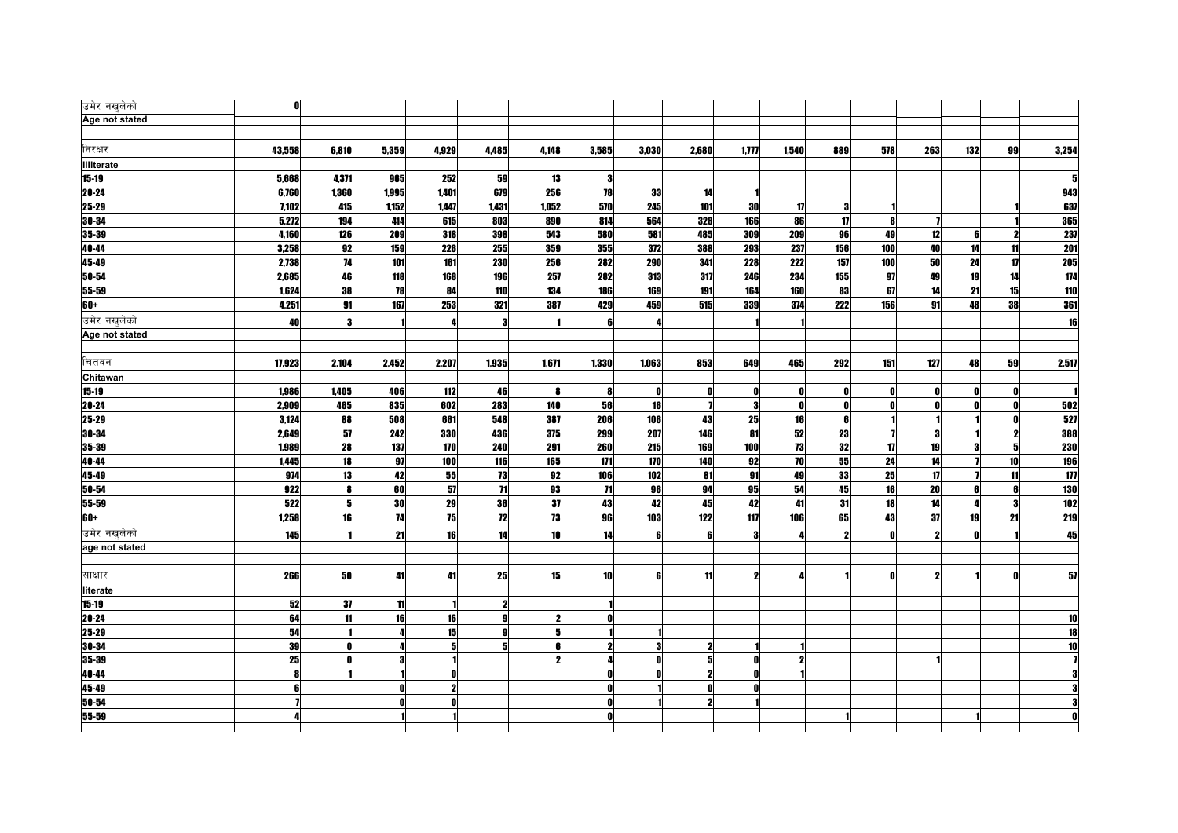| उमेर नखुलेको   | 0      |       |           |       |                 |       |            |              |                     |              |       |                         |              |     |     |              |                  |
|----------------|--------|-------|-----------|-------|-----------------|-------|------------|--------------|---------------------|--------------|-------|-------------------------|--------------|-----|-----|--------------|------------------|
| Age not stated |        |       |           |       |                 |       |            |              |                     |              |       |                         |              |     |     |              |                  |
| निरक्षर        |        |       |           |       |                 |       |            |              |                     |              |       |                         |              |     |     |              |                  |
|                | 43,558 | 6,810 | 5,359     | 4,929 | 4,485           | 4,148 | 3,585      | 3,030        | 2,680               | 1,777        | 1,540 | 889                     | 578          | 263 | 132 | 99           | 3,254            |
| Illiterate     |        |       |           |       |                 |       |            |              |                     |              |       |                         |              |     |     |              |                  |
| $15 - 19$      | 5,668  | 4,371 | 965       | 252   | 59              | 13    | 3          |              |                     |              |       |                         |              |     |     |              |                  |
| $20 - 24$      | 6,760  | 1,360 | 1,995     | 1,401 | 679             | 256   | 78         | 33           | 14                  |              |       |                         |              |     |     |              | 943              |
| 25-29          | 7,102  | 415   | 1,152     | 1,447 | 1,431           | 1,052 | 570        | 245          | 101                 | 30           | 17    | 3                       |              |     |     |              | 637              |
| 30-34          | 5,272  | 194   | 414       | 615   | 803             | 890   | 814        | 564          | 328                 | 166          | 86    | 17                      | -81          |     |     |              | 365              |
| $35 - 39$      | 4.160  | 126   | 209       | 318   | 398             | 543   | <b>580</b> | 581          | 485                 | 309          | 209   | 96                      | 49           | 12  | ĥ   |              | 237              |
| 40-44          | 3,258  | 92    | 159       | 226   | 255             | 359   | 355        | 372          | 388                 | 293          | 237   | 156                     | 100          | 40  | 14  | 11           | 201              |
| 45-49          | 2,738  | 74    | 101       | 161   | <b>230</b>      | 256   | 282        | <b>290</b>   | 341                 | 228          | 222   | 157                     | 100          | 50  | 24  | $\mathbf{u}$ | <b>205</b>       |
| $50 - 54$      | 2,685  | 46    | 118       | 168   | 196             | 257   | 282        | 313          | 317                 | 246          | 234   | 155                     | 97           | 49  | 19  | 14           | 174              |
| 55-59          | 1,624  | 38    | 78        | 84    | 110             | 134   | 186        | 169          | 191                 | 164          | 160   | 83                      | 67           | 14  | 21  | 15           | 110              |
| 60+            | 4,251  | 91    | 167       | 253   | 321             | 387   | 429        | 459          | 515                 | 339          | 374   | 222                     | 156          | 91  | 48  | 38           | 361              |
| उमेर नखुलेको   | 40     | 3     |           |       | 3               |       | 6          |              |                     |              |       |                         |              |     |     |              | 16               |
| Age not stated |        |       |           |       |                 |       |            |              |                     |              |       |                         |              |     |     |              |                  |
|                |        |       |           |       |                 |       |            |              |                     |              |       |                         |              |     |     |              |                  |
| चितवन          | 17,923 | 2,104 | 2,452     | 2,207 | 1,935           | 1,671 | 1,330      | 1,063        | 853                 | 649          | 465   | 292                     | 151          | 127 | 48  | 59           | 2,517            |
| Chitawan       |        |       |           |       |                 |       |            |              |                     |              |       |                         |              |     |     |              |                  |
| $15-19$        | 1.986  | 1,405 | 406       | 112   | 46              | 8     | -8         | $\mathbf{r}$ | 0                   | n            | 0     | O                       | O            | Ω   | Λ   |              |                  |
| $20 - 24$      | 2.909  | 465   | 835       | 602   | 283             | 140   | 56         | 16           |                     | $\mathbf{3}$ | O     | <sup>0</sup>            | O            | Λ   | Λ   |              | 502              |
| $25 - 29$      | 3,124  | 88    | 508       | 661   | 548             | 387   | 206        | 106          | 43                  | 25           | 16    | 6                       |              |     |     |              | 527              |
| 30-34          | 2,649  | 57    | 242       | 330   | 436             | 375   | 299        | 207          | 146                 | 81           | 52    | 23                      |              | 3   |     | $\mathbf{2}$ | 388              |
| 35-39          | 1,989  | 28    | 137       | 170   | 240             | 291   | 260        | 215          | 169                 | 100          | 73    | 32                      | 17           | 19  | 3   |              | <b>230</b>       |
| 40-44          | 1,445  | 18    | 97        | 100   | 116             | 165   | 171        | 170          | 140                 | 92           | 70    | 55                      | 24           | 14  |     | 10           | 196              |
| $45 - 49$      | 974    | 13    | 42        | 55    | 73              | 92    | 106        | 102          | 81                  | 91           | 49    | 33                      | 25           | 17  |     | 11           | $\overline{1}$   |
| 50-54          | 922    | 8     | 60        | 57    | $\overline{11}$ | 93    | 71         | 96           | 94                  | 95           | 54    | 45                      | 16           | 20  | 6   | 6            | <b>130</b>       |
| $55 - 59$      | 522    | 5     | <b>30</b> | 29    | 36              | 37    | 43         | 42           | 45                  | 42           | 41    | 31                      | 18           | 14  |     |              | 102              |
| 60+            | 1,258  | 16    | 74        | 75    | 12              | 73    | 96         | 103          | 122                 | 117          | 106   | 65                      | 43           | 37  | 19  | 21           | $\overline{219}$ |
| उमेर नखलेको    | 145    |       | 21        | 16    | 14              | 10    | 14         | 6            | 6                   | 3            |       | $\overline{\mathbf{z}}$ | $\mathbf{r}$ |     |     |              | 45               |
| age not stated |        |       |           |       |                 |       |            |              |                     |              |       |                         |              |     |     |              |                  |
|                |        |       |           |       |                 |       |            |              |                     |              |       |                         |              |     |     |              |                  |
| साक्षार        | 266    | 50    | 41        | 41    | 25              | 15    | 10         | 6            | 11                  | 2            |       |                         | $\mathbf{0}$ |     |     | n            | 57               |
| literate       |        |       |           |       |                 |       |            |              |                     |              |       |                         |              |     |     |              |                  |
| $15 - 19$      | 52     | 37    | 11        |       |                 |       |            |              |                     |              |       |                         |              |     |     |              |                  |
| $20 - 24$      | 64     | 11    | 16        | 16    | g               |       | 0          |              |                     |              |       |                         |              |     |     |              | 10               |
| 25-29          | 54     |       |           | 15    | g               | 5     |            |              |                     |              |       |                         |              |     |     |              | 18               |
| 30-34          | 39     |       |           |       |                 |       |            |              | $\mathbf{2}$        |              |       |                         |              |     |     |              |                  |
| $35 - 39$      | 25     |       |           |       |                 |       |            |              | 5                   |              |       |                         |              |     |     |              |                  |
| 40-44          |        |       |           |       |                 |       |            |              | $\boldsymbol{\eta}$ |              |       |                         |              |     |     |              |                  |
| $45 - 49$      |        |       |           |       |                 |       |            |              |                     |              |       |                         |              |     |     |              |                  |
| 50-54          |        |       |           |       |                 |       |            |              |                     |              |       |                         |              |     |     |              |                  |
| 55-59          |        |       |           |       |                 |       |            |              |                     |              |       |                         |              |     |     |              |                  |
|                |        |       |           |       |                 |       |            |              |                     |              |       |                         |              |     |     |              |                  |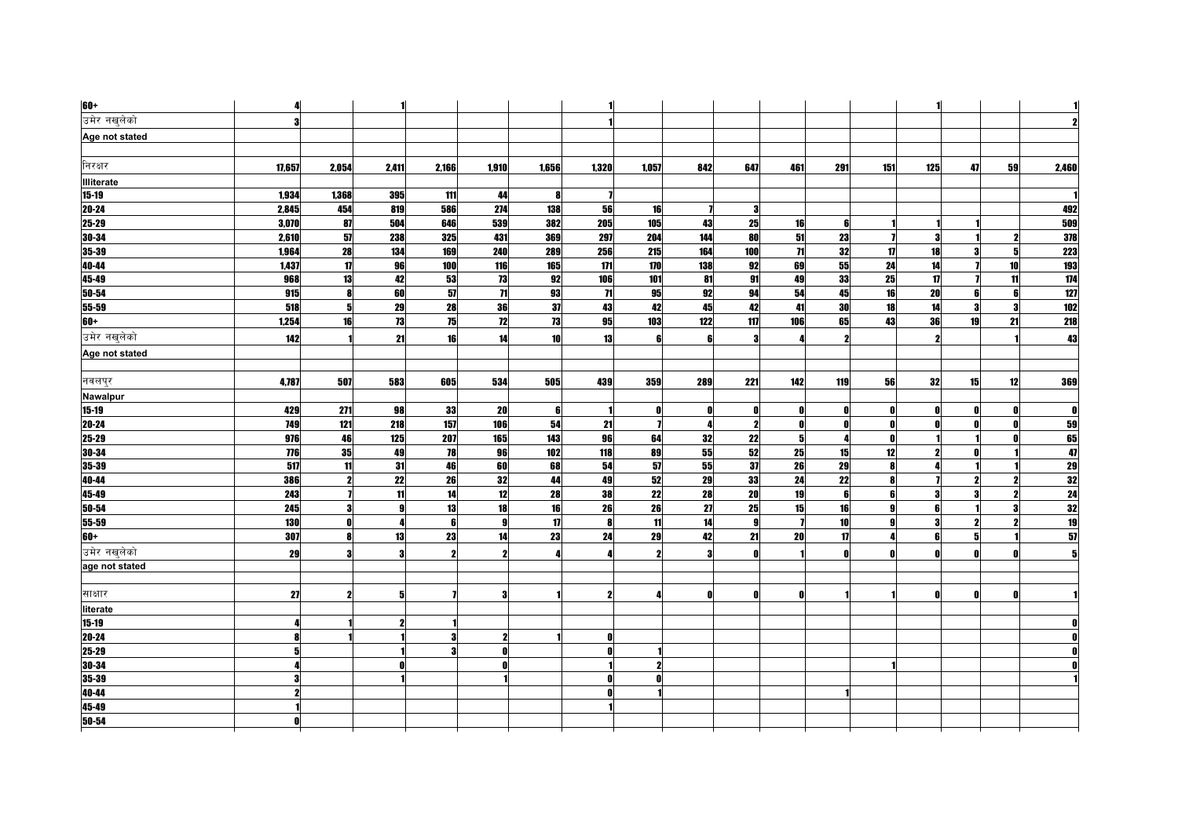| $60+$             | 4          |                         |                  |       |                         |       |                 |                 |     |                 |                 |              |              |                         |    |    |                 |
|-------------------|------------|-------------------------|------------------|-------|-------------------------|-------|-----------------|-----------------|-----|-----------------|-----------------|--------------|--------------|-------------------------|----|----|-----------------|
| उमेर नखलेको       | 3          |                         |                  |       |                         |       |                 |                 |     |                 |                 |              |              |                         |    |    |                 |
| Age not stated    |            |                         |                  |       |                         |       |                 |                 |     |                 |                 |              |              |                         |    |    |                 |
|                   |            |                         |                  |       |                         |       |                 |                 |     |                 |                 |              |              |                         |    |    |                 |
| निरक्षर           | 17,657     | 2,054                   | 2,411            | 2,166 | 1,910                   | 1,656 | 1,320           | 1,057           | 842 | 647             | 461             | 291          | 151          | 125                     | 47 | 59 | 2,460           |
| <b>Illiterate</b> |            |                         |                  |       |                         |       |                 |                 |     |                 |                 |              |              |                         |    |    |                 |
| $15 - 19$         | 1,934      | 1,368                   | 395              | 111   | 44                      | 8     |                 |                 |     |                 |                 |              |              |                         |    |    |                 |
| $20 - 24$         | 2,845      | 454                     | 819              | 586   | 274                     | 138   | 56              | 16              |     | 3               |                 |              |              |                         |    |    | 492             |
| 25-29             | 3,070      | 87                      | 504              | 646   | 539                     | 382   | 205             | 105             | 43  | 25              | 16              | 6            |              |                         |    |    | 509             |
| 30-34             | 2,610      | 57                      | 238              | 325   | 431                     | 369   | 297             | 204             | 144 | 80              | 51              | 23           |              | 3                       |    |    | 378             |
| 35-39             | 1,964      | 28                      | 134              | 169   | 240                     | 289   | 256             | 215             | 164 | 100             | $\overline{11}$ | 32           | 17           | 18                      |    |    | <b>223</b>      |
| 40-44             | 1,437      | $\mathbf{u}$            | 96               | 100   | 116                     | 165   | 171             | 170             | 138 | 92              | 69              | 55           | 24           | 14                      |    | 10 | 193             |
| 45-49             | 968        | 13                      | 42               | 53    | 73                      | 92    | 106             | 101             | 81  | 91              | 49              | $\bf 33$     | 25           | $\mathbf{u}$            |    | 11 | 174             |
| $50 - 54$         | 915        | 8                       | 60               | 57    | $\overline{\mathbf{r}}$ | 93    | $\overline{11}$ | 95              | 92  | 94              | 54              | 45           | 16           | 20                      | ĥ  |    | 127             |
| 55-59             | 518        | 5                       | 29               | 28    | 36                      | 37    | 43              | 42              | 45  | 42              | 41              | 30           | 18           | 14                      | 3  |    | 102             |
| 60+               | 1,254      | 16                      | 73               | 75    | 12                      | 73    | 95              | 103             | 122 | 117             | 106             | 65           | 43           | 36                      | 19 | 21 | <b>218</b>      |
| उमेर नखुलेको      | 142        |                         | 21               | 16    | 14                      | 10    | 13              | 6               | ĥ   | 3               |                 |              |              |                         |    |    | 43              |
| Age not stated    |            |                         |                  |       |                         |       |                 |                 |     |                 |                 |              |              |                         |    |    |                 |
|                   |            |                         |                  |       |                         |       |                 |                 |     |                 |                 |              |              |                         |    |    |                 |
| नवलपुर            | 4,787      | 507                     | 583              | 605   | 534                     | 505   | 439             | 359             | 289 | 221             | 142             | 119          | 56           | 32                      | 15 | 12 | 369             |
| Nawalpur          |            |                         |                  |       |                         |       |                 |                 |     |                 |                 |              |              |                         |    |    |                 |
| $15 - 19$         | 429        | 271                     | 98               | 33    | 20                      | 6     |                 | O               | Λ   | Û               |                 | $\mathbf{0}$ | $\mathbf{0}$ | Λ                       | Ω  |    | $\mathbf{0}$    |
| $20 - 24$         | 749        | 121                     | 218              | 157   | 106                     | 54    | 21              |                 |     | $\mathbf{2}$    |                 | Λ            | $\mathbf{0}$ |                         |    |    | 59              |
| 25-29             | 976        | 46                      | 125              | 207   | 165                     | 143   | 96              | 64              | 32  | 22              | 5               |              | $\mathbf{0}$ |                         |    |    | 65              |
| 30-34             | 776        | 35                      | 49               | 78    | 96                      | 102   | 118             | 89              | 55  | 52              | 25              | 15           | 12           | 2                       |    |    | 47              |
| 35-39             | 517        | 11                      | 31               | 46    | 60                      | 68    | 54              | ${\bf 57}$      | 55  | 37              | 26              | 29           | 8            |                         |    |    | 29              |
| 40-44             | 386        | $\overline{\mathbf{2}}$ | 22               | 26    | 32                      | 44    | 49              | 52              | 29  | 33              | 24              | 22           | 8            |                         | 2  |    |                 |
| 45-49             | 243        |                         | 11               | 14    | 12                      | 28    | 38              | $\overline{22}$ | 28  | $\overline{20}$ | 19              | 6            | 6            | 3                       | 3  |    | $\frac{32}{24}$ |
| $50 - 54$         | 245        | 3                       | $\boldsymbol{9}$ | 13    | 18                      | 16    | 26              | 26              | 27  | 25              | 15              | 16           | 9            | ĥ                       |    |    | 32              |
| $55 - 59$         | <b>130</b> | 0                       | 4                | 6     | 9                       | 17    | 8               | 11              | 14  | $\mathbf{g}$    | $\mathbf{z}$    | 10           | 9            | $\overline{\mathbf{3}}$ | 2  |    | 19              |
| $60+$             | 307        | 8                       | 13               | 23    | 14                      | 23    | 24              | 29              | 42  | 21              | 20              | 17           | $\mathbf{a}$ | ĥ                       | 51 |    | 51              |
| उमेर नखुलेको      | 29         | 3                       | 3                |       | 2                       |       |                 |                 | 3   | ſ               |                 | $\mathbf{a}$ | $\mathbf{a}$ |                         |    |    | 5               |
| age not stated    |            |                         |                  |       |                         |       |                 |                 |     |                 |                 |              |              |                         |    |    |                 |
| साक्षार           | 27         | 2                       | 5 <sub>l</sub>   |       | я                       |       | $\mathbf{2}$    |                 | Λ   | Ω               | n               |              |              |                         |    |    |                 |
| literate          |            |                         |                  |       |                         |       |                 |                 |     |                 |                 |              |              |                         |    |    |                 |
| $15 - 19$         | Д          |                         | 2                |       |                         |       |                 |                 |     |                 |                 |              |              |                         |    |    |                 |
| $20 - 24$         | Я          |                         |                  |       | 9                       |       | 0               |                 |     |                 |                 |              |              |                         |    |    |                 |
| 25-29             | 5          |                         |                  |       | $\mathbf{0}$            |       | $\mathbf{0}$    |                 |     |                 |                 |              |              |                         |    |    |                 |
| $30 - 34$         |            |                         |                  |       |                         |       |                 |                 |     |                 |                 |              |              |                         |    |    |                 |
| 35-39             |            |                         |                  |       |                         |       | n               |                 |     |                 |                 |              |              |                         |    |    |                 |
| 40-44             | 2          |                         |                  |       |                         |       | $\mathbf{r}$    |                 |     |                 |                 |              |              |                         |    |    |                 |
| 45-49             |            |                         |                  |       |                         |       |                 |                 |     |                 |                 |              |              |                         |    |    |                 |
| 50-54             |            |                         |                  |       |                         |       |                 |                 |     |                 |                 |              |              |                         |    |    |                 |
|                   |            |                         |                  |       |                         |       |                 |                 |     |                 |                 |              |              |                         |    |    |                 |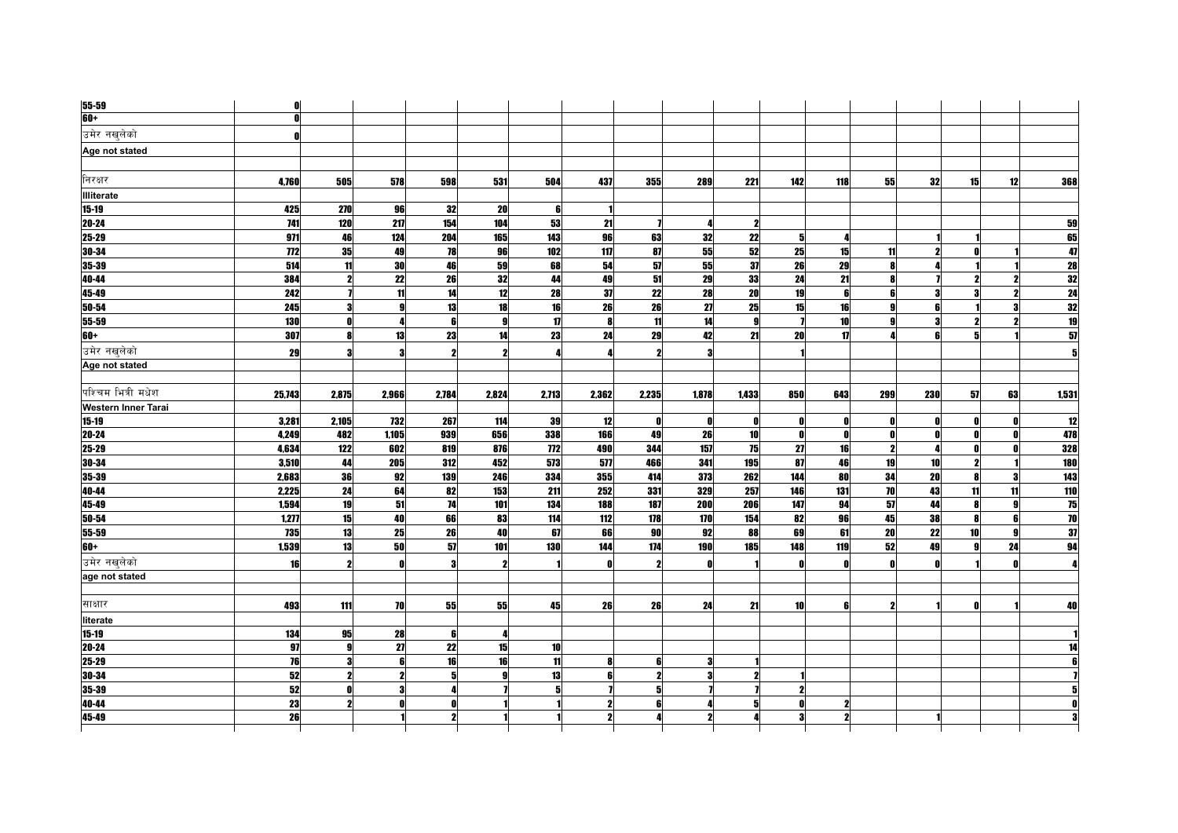| 55-59                      | 0            |                     |                         |       |       |       |              |       |              |                     |     |            |                  |     |                 |    |                 |
|----------------------------|--------------|---------------------|-------------------------|-------|-------|-------|--------------|-------|--------------|---------------------|-----|------------|------------------|-----|-----------------|----|-----------------|
| 60+                        | $\mathbf{0}$ |                     |                         |       |       |       |              |       |              |                     |     |            |                  |     |                 |    |                 |
| उमेर नखुलेको               | 0            |                     |                         |       |       |       |              |       |              |                     |     |            |                  |     |                 |    |                 |
| Age not stated             |              |                     |                         |       |       |       |              |       |              |                     |     |            |                  |     |                 |    |                 |
|                            |              |                     |                         |       |       |       |              |       |              |                     |     |            |                  |     |                 |    |                 |
| निरक्षर                    | 4,760        | 505                 | 578                     | 598   | 531   | 504   | 437          | 355   | <b>289</b>   | 221                 | 142 | <b>118</b> | 55               | 32  | 15 <sup>1</sup> | 12 | 368             |
| <b>Illiterate</b>          |              |                     |                         |       |       |       |              |       |              |                     |     |            |                  |     |                 |    |                 |
| $15 - 19$                  | 425          | 270                 | 96                      | 32    | 20    | 6     |              |       |              |                     |     |            |                  |     |                 |    |                 |
| $20 - 24$                  | 741          | 120                 | 217                     | 154   | 104   | 53    | 21           |       | л            | $\mathbf{2}$        |     |            |                  |     |                 |    | 59              |
| 25-29                      | 971          | 46                  | 124                     | 204   | 165   | 143   | 96           | 63    | 32           | 22                  |     |            |                  |     |                 |    | 65              |
| 30-34                      | 772          | 35                  | 49                      | 78    | 96    | 102   | 117          | 87    | 55           | 52                  | 25  | 15         | 11               |     |                 |    | 47              |
| 35-39                      | 514          | 11                  | 30                      | 46    | 59    | 68    | 54           | 51    | 55           | 37                  | 26  | 29         | 8                |     |                 |    | $\overline{28}$ |
| 40-44                      | 384          | $\boldsymbol{\eta}$ | 22                      | 26    | 32    | 44    | 49           | 51    | 29           | 33                  | 24  | 21         | -8               |     |                 |    | 32              |
| 45-49                      | 242          |                     | 11                      | 14    | 12    | 28    | 37           | 22    | 28           | 20                  | 19  | 6          | 6                |     |                 |    | 24              |
| 50-54                      | 245          | 3                   | $\boldsymbol{g}$        | 13    | 18    | 16    | 26           | 26    | 21           | 25                  | 15  | 16         | $\mathbf{g}$     | ĥ   |                 |    | 32              |
| 55-59                      | <b>130</b>   | 0                   |                         | 6     | g     | 17    | 8            | 11    | 14           | 9                   |     | 10         | я                | 3   |                 |    | 19              |
| 60+                        | 307          | 8                   | 13                      | 23    | 14    | 23    | 24           | 29    | 42           | 21                  | 20  | 17         |                  |     |                 |    | $\overline{57}$ |
| उमेर नखलेको                | 29           | з                   |                         | 2     |       |       |              |       |              |                     |     |            |                  |     |                 |    |                 |
| Age not stated             |              |                     |                         |       |       |       |              |       |              |                     |     |            |                  |     |                 |    |                 |
|                            |              |                     |                         |       |       |       |              |       |              |                     |     |            |                  |     |                 |    |                 |
| पश्चिम भित्री मधेश         | 25,743       | 2,875               | 2,966                   | 2.784 | 2,824 | 2,713 | 2,362        | 2,235 | 1.878        | 1,433               | 850 | 643        | 299              | 230 | 57              | 63 | 1,531           |
| <b>Western Inner Tarai</b> |              |                     |                         |       |       |       |              |       |              |                     |     |            |                  |     |                 |    |                 |
| 15-19                      | 3,281        | 2,105               | 732                     | 267   | 114   | 39    | 12           | 0     | n            | 0                   | n   | 0          | $\mathbf{0}$     |     | O.              | n  | 12              |
| $20 - 24$                  | 4,249        | 482                 | 1,105                   | 939   | 656   | 338   | 166          | 49    | 26           | 10                  | n   | 0          | $\mathbf{0}$     | Λ   | n               |    | 478             |
| 25-29                      | 4,634        | 122                 | 602                     | 819   | 876   | 772   | 490          | 344   | 157          | 75                  | 27  | 16         | $\boldsymbol{2}$ | Д   | n               | n  | 328             |
| 30-34                      | 3,510        | 44                  | 205                     | 312   | 452   | 573   | 577          | 466   | 341          | <b>195</b>          | 87  | 46         | 19               | 10  | 2               |    | <b>180</b>      |
| 35-39                      | 2,683        | 36                  | 92                      | 139   | 246   | 334   | 355          | 414   | 373          | 262                 | 144 | 80         | 34               | 20  | Я               |    | 143             |
| 40-44                      | 2,225        | 24                  | 64                      | 82    | 153   | 211   | 252          | 331   | 329          | 257                 | 146 | 131        | 70               | 43  | 11              | 11 | 110             |
| 45-49                      | 1,594        | 19                  | 51                      | 74    | 101   | 134   | 188          | 187   | 200          | 206                 | 147 | 94         | 57               | 44  | R               | g  | 75              |
| 50-54                      | 1,277        | 15                  | 40                      | 66    | 83    | 114   | 112          | 178   | 170          | 154                 | 82  | 96         | 45               | 38  | R               | ĥ  | 70              |
| 55-59                      | 735          | 13                  | 25                      | 26    | 40    | 67    | 66           | 90    | 92           | 88                  | 69  | 61         | 20               | 22  | 10              | 9  | 37              |
| 60+                        | 1,539        | 13                  | 50                      | 57    | 101   | 130   | 144          | 174   | <b>190</b>   | 185                 | 148 | 119        | 52               | 49  | <b>g</b>        | 24 | 94              |
| उमेर नखलेको                | 16           | 2                   |                         |       | 2     |       |              |       |              |                     |     |            | $\mathbf{0}$     |     |                 |    |                 |
| age not stated             |              |                     |                         |       |       |       |              |       |              |                     |     |            |                  |     |                 |    |                 |
|                            |              |                     |                         |       |       |       |              |       |              |                     |     |            |                  |     |                 |    |                 |
| साक्षार                    | 493          | 111                 | <b>70</b>               | 55    | 55    | 45    | 26           | 26    | 24           | 21                  | 10  | 6          | 2                |     |                 |    | 40              |
| literate                   |              |                     |                         |       |       |       |              |       |              |                     |     |            |                  |     |                 |    |                 |
| $15 - 19$                  | 134          | 95                  | 28                      | R     |       |       |              |       |              |                     |     |            |                  |     |                 |    |                 |
| 20-24                      | 97           | $\mathbf{g}$        | 27                      | 22    | 15    | 10    |              |       |              |                     |     |            |                  |     |                 |    |                 |
| 25-29                      | 76           | 3                   | 6                       | 16    | 16    | 11    | 8            | 6     | 3            |                     |     |            |                  |     |                 |    |                 |
| 30-34                      | 52           | 2                   | $\overline{2}$          | 5     | g     | 13    | 6            |       | $\mathbf{a}$ | $\boldsymbol{\eta}$ |     |            |                  |     |                 |    |                 |
| 35-39                      | 52           | $\mathbf{0}$        | $\overline{\mathbf{3}}$ | л     |       | 5     |              |       |              |                     | 2   |            |                  |     |                 |    |                 |
| 40-44                      | 23           | 2                   |                         | n     |       |       | $\mathbf{2}$ |       |              | 5                   |     | 2          |                  |     |                 |    |                 |
| 45-49                      | 26           |                     |                         |       |       |       | 2            |       |              |                     |     |            |                  |     |                 |    |                 |
|                            |              |                     |                         |       |       |       |              |       |              |                     |     |            |                  |     |                 |    |                 |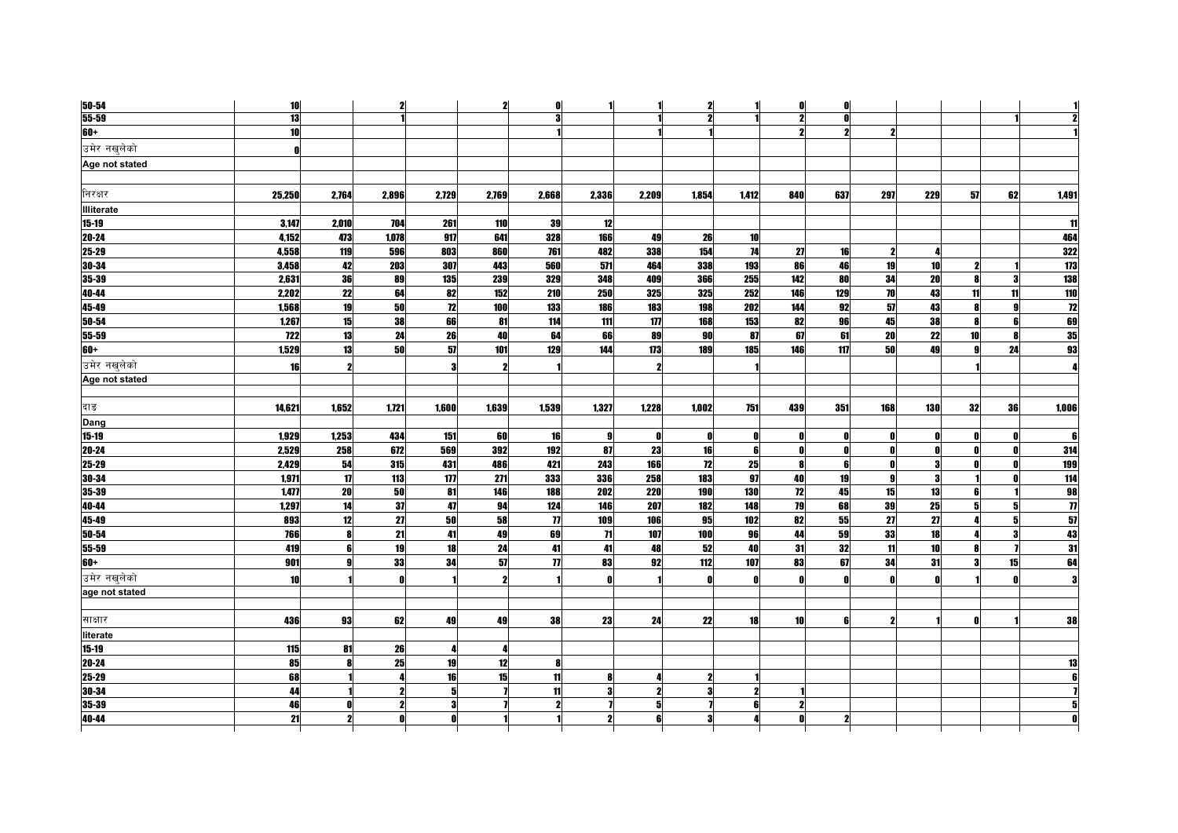| 50-54             | 10               |                 | $\mathbf{2}$        |            | $\mathbf{2}$ | 0                   |                 |              | $\mathbf{z}$ |            | 0            | n            |                     |                         |                  |              |                             |
|-------------------|------------------|-----------------|---------------------|------------|--------------|---------------------|-----------------|--------------|--------------|------------|--------------|--------------|---------------------|-------------------------|------------------|--------------|-----------------------------|
| $55 - 59$         | 13               |                 |                     |            |              | 3                   |                 |              | 2            |            |              | n            |                     |                         |                  |              |                             |
| $60+$             | 10               |                 |                     |            |              |                     |                 |              |              |            |              |              | 2                   |                         |                  |              |                             |
| उमेर नखलेको       | O                |                 |                     |            |              |                     |                 |              |              |            |              |              |                     |                         |                  |              |                             |
| Age not stated    |                  |                 |                     |            |              |                     |                 |              |              |            |              |              |                     |                         |                  |              |                             |
|                   |                  |                 |                     |            |              |                     |                 |              |              |            |              |              |                     |                         |                  |              |                             |
| निरक्षर           | 25,250           | 2,764           | 2,896               | 2,729      | 2,769        | 2,668               | 2,336           | 2,209        | 1,854        | 1,412      | 840          | 637          | 297                 | 229                     | 57               | 62           | 1,491                       |
| <b>Illiterate</b> |                  |                 |                     |            |              |                     |                 |              |              |            |              |              |                     |                         |                  |              |                             |
| $15 - 19$         | 3,147            | 2,010           | 704                 | 261        | 110          | 39                  | 12              |              |              |            |              |              |                     |                         |                  |              | 11                          |
| 20-24             | 4,152            | 473             | 1,078               | 917        | 641          | 328                 | 166             | 49           | 26           | 10         |              |              |                     |                         |                  |              | 464                         |
| $25 - 29$         | 4,558            | 119             | 596                 | 803        | 860          | 761                 | 482             | 338          | 154          | 74         | 27           | 16           | $\mathbf{2}$        |                         |                  |              | 322                         |
| $30 - 34$         | 3,458            | 42              | 203                 | 307        | 443          | 560                 | 571             | 464          | 338          | 193        | 86           | 46           | 19                  | 10                      | $\boldsymbol{2}$ |              | 173                         |
| 35-39             | 2,631            | 36              | 89                  | 135        | 239          | 329                 | 348             | 409          | 366          | 255        | 142          | 80           | 34                  | 20                      | 8                | 3            | 138                         |
| 40-44             | 2,202            | $\overline{22}$ | 64                  | 82         | 152          | 210                 | 250             | 325          | 325          | 252        | 146          | 129          | $\overline{10}$     | 43                      | 11               | 11           | 110                         |
| 45-49             | 1,568            | 19              | 50                  | 72         | 100          | 133                 | 186             | 183          | 198          | 202        | 144          | 92           | 57                  | 43                      |                  |              | 12                          |
| 50-54             | 1,267            | 15              | 38                  | 66         | 81           | 114                 | 111             | 11T          | 168          | 153        | 82           | 96           | 45                  | 38                      | R                | ĥ            | 69                          |
| 55-59             | $\overline{122}$ | 13              | 24                  | 26         | 40           | 64                  | 66              | 89           | 90           | 87         | 67           | 61           | $\overline{20}$     | $\overline{22}$         | 10 <sup>1</sup>  |              | 35                          |
| $60+$             | 1,529            | 13              | 50                  | 57         | 101          | 129                 | 144             | 173          | 189          | 185        | 146          | 117          | 50                  | 49                      | al               | 24           | 93                          |
| उमेर नखुलेको      | 16               | 2               |                     |            |              |                     |                 |              |              |            |              |              |                     |                         |                  |              |                             |
| Age not stated    |                  |                 |                     |            |              |                     |                 |              |              |            |              |              |                     |                         |                  |              |                             |
|                   |                  |                 |                     |            |              |                     |                 |              |              |            |              |              |                     |                         |                  |              |                             |
| दाङ               | 14,621           | 1,652           | 1,721               | 1,600      | 1,639        | 1,539               | 1,327           | 1,228        | 1,002        | 751        | 439          | 351          | 168                 | 130                     | 32               | 36           | 1,006                       |
| Dang              |                  |                 |                     |            |              |                     |                 |              |              |            |              |              |                     |                         |                  |              |                             |
| $15 - 19$         | 1,929            | 1,253           | 434                 | 151        | 60           | 16                  | 9               | $\mathbf{0}$ | Λ            | O          |              | n            | $\mathbf{0}$        |                         |                  |              | ß                           |
| $20 - 24$         | 2,529            | 258             | 672                 | 569        | 392          | 192                 | 87              | 23           | 16           | 6          | $\mathbf{u}$ | n            | $\mathbf{0}$        | Λ                       |                  | $\mathbf{r}$ | 314                         |
| 25-29             | 2,429            | 54              | 315                 | 431        | 486          | 421                 | 243             | 166          | 12           | 25         | R            | 6            | O                   | $\overline{\mathbf{3}}$ |                  |              | <b>199</b>                  |
| 30-34             | 1,971            | $\mathbf{17}$   | 113                 | 177        | 271          | 333                 | 336             | 258          | 183          | 97         | 40           | 19           | 9                   | 3                       |                  |              | $\frac{1}{114}$             |
| 35-39             | 1,477            | 20              | 50                  | 81         | 146          | 188                 | 202             | 220          | 190          | <b>130</b> | 12           | 45           | 15                  | 13                      | 6                |              | 98                          |
| 40-44             | 1,297            | 14              | 37                  | 47         | 94           | 124                 | 146             | 207          | 182          | 148        | 79           | 68           | 39                  | 25                      | 51               |              | $\overline{\boldsymbol{n}}$ |
| 45-49             | 893              | 12              | 27                  | ${\bf 50}$ | 58           | $\boldsymbol{\eta}$ | 109             | 106          | 95           | 102        | 82           | 55           | 27                  | 27                      |                  |              | $\overline{\mathbf{57}}$    |
| $50 - 54$         | 766              | 8               | 21                  | 41         | 49           | 69                  | $\overline{11}$ | 107          | 100          | 96         | 44           | 59           | 33                  | 18                      |                  | 3            | 43                          |
| 55-59             | 419              | 6               | 19                  | 18         | 24           | 41                  | 41              | 48           | 52           | 40         | 31           | 32           | 11                  | 10                      |                  |              | 31                          |
| 60+               | 901              | $\mathbf{a}$    | 33                  | 34         | 57           | $\overline{1}$      | 83              | 92           | 112          | 107        | 83           | 67           | 34                  | 31                      | 3                | 15           | 64                          |
| उमेर नखलेको       | 10               |                 |                     |            |              |                     | $\mathbf{r}$    |              | n            | O          | $\mathbf{r}$ | $\mathbf{a}$ | $\mathbf{u}$        |                         |                  |              | 3                           |
| age not stated    |                  |                 |                     |            |              |                     |                 |              |              |            |              |              |                     |                         |                  |              |                             |
| साक्षार           | 436              | 93              | 62                  | 49         | 49           | 38                  | 23              | 24           | 22           | <b>18</b>  | 10           | 6            | $\boldsymbol{\eta}$ |                         |                  |              | 38                          |
| literate          |                  |                 |                     |            |              |                     |                 |              |              |            |              |              |                     |                         |                  |              |                             |
| $15 - 19$         | 115              | 81              | 26                  |            |              |                     |                 |              |              |            |              |              |                     |                         |                  |              |                             |
| 20-24             | 85               |                 | 25                  | 19         | 12           |                     |                 |              |              |            |              |              |                     |                         |                  |              |                             |
| 25-29             | 68               |                 |                     | 16         | 15           | 11                  | 8               |              |              |            |              |              |                     |                         |                  |              |                             |
| 30-34             | 44               |                 | $\boldsymbol{\eta}$ | 5          |              | 11                  | 3               |              | 3            |            |              |              |                     |                         |                  |              |                             |
| 35-39             | 46               |                 | $\mathbf{z}$        |            |              |                     |                 |              |              | ĥ          |              |              |                     |                         |                  |              |                             |
| 40-44             | 21               |                 |                     |            |              |                     |                 |              |              |            |              |              |                     |                         |                  |              |                             |
|                   |                  |                 |                     |            |              |                     |                 |              |              |            |              |              |                     |                         |                  |              |                             |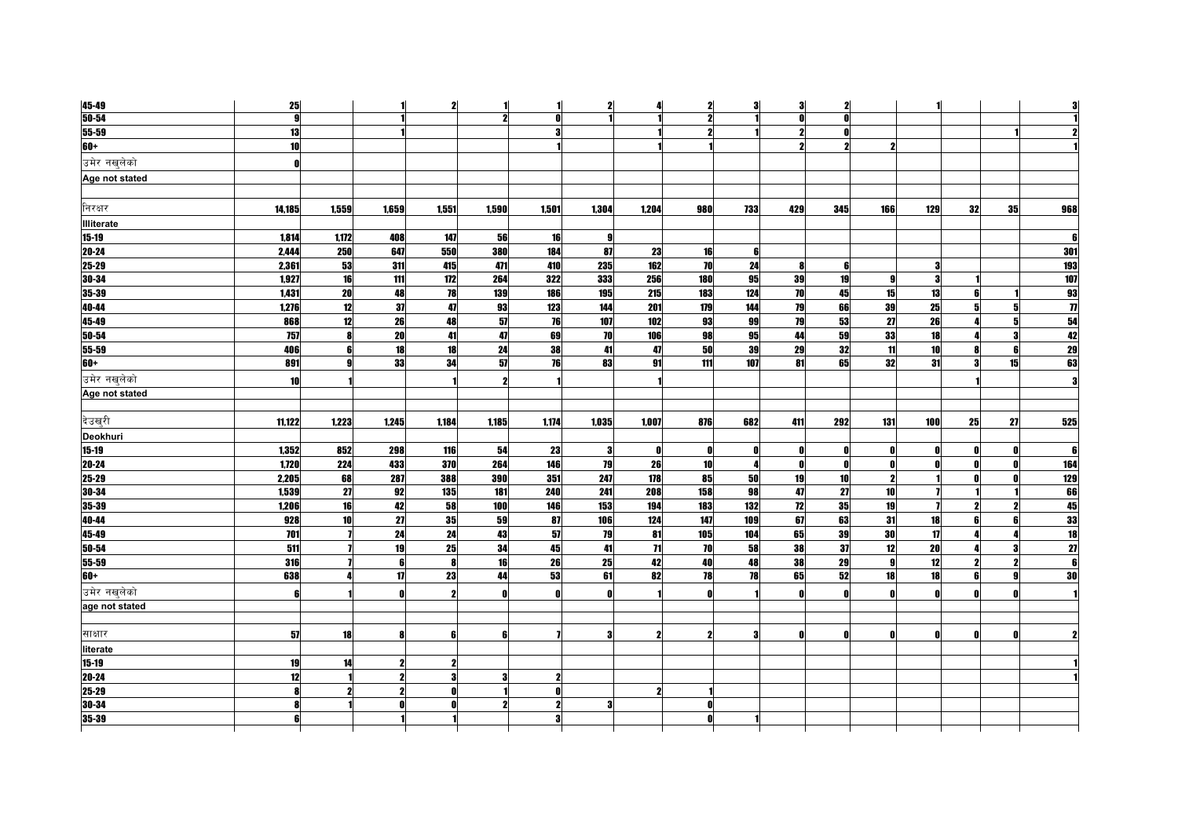| 45-49             | 25                      |                 |       | $\mathbf{2}$ | 1          |              | $\mathbf{2}$ | л                   | $\mathbf{2}$        | 3            | 3                       | $\mathbf{2}$ |              |              |    |    |                |
|-------------------|-------------------------|-----------------|-------|--------------|------------|--------------|--------------|---------------------|---------------------|--------------|-------------------------|--------------|--------------|--------------|----|----|----------------|
| $50 - 54$         | $\overline{\mathbf{g}}$ |                 |       |              | 2          | O            |              |                     | $\boldsymbol{\eta}$ |              | $\mathbf{r}$            |              |              |              |    |    |                |
| $55 - 59$         | 13                      |                 |       |              |            |              |              |                     | 9                   |              | $\overline{\mathbf{z}}$ | O            |              |              |    |    |                |
| 60+               | 10 <sup>1</sup>         |                 |       |              |            |              |              |                     |                     |              | 2                       | 2            |              |              |    |    |                |
| उमेर नखलेको       | n                       |                 |       |              |            |              |              |                     |                     |              |                         |              |              |              |    |    |                |
| Age not stated    |                         |                 |       |              |            |              |              |                     |                     |              |                         |              |              |              |    |    |                |
|                   |                         |                 |       |              |            |              |              |                     |                     |              |                         |              |              |              |    |    |                |
| निरक्षर           | 14,185                  | 1.559           | 1.659 | 1.551        | 1,590      | 1.501        | 1.304        | 1.204               | 980                 | 733          | 429                     | 345          | 166          | 129          | 32 | 35 | 968            |
| <b>Illiterate</b> |                         |                 |       |              |            |              |              |                     |                     |              |                         |              |              |              |    |    |                |
| $15-19$           | 1,814                   | 1,172           | 408   | 147          | 56         | 16           | я            |                     |                     |              |                         |              |              |              |    |    |                |
| 20-24             | 2,444                   | 250             | 647   | 550          | 380        | 184          | 87           | 23                  | 16                  | 6            |                         |              |              |              |    |    | 301            |
| 25-29             | 2,361                   | 53              | 311   | 415          | 471        | 410          | 235          | 162                 | <b>70</b>           | 24           | g                       | -6           |              | 3            |    |    | 193            |
| 30-34             | 1,927                   | 16              | 111   | 172          | 264        | 322          | 333          | 256                 | <b>180</b>          | 95           | 39                      | 19           | o            | 2            |    |    | 107            |
| 35-39             | 1,431                   | 20              | 48    | 78           | 139        | 186          | 195          | 215                 | 183                 | 124          | 70                      | 45           | 15           | 13           |    |    | 93             |
| 40-44             | 1,276                   | 12              | 37    | 47           | 93         | 123          | 144          | <b>201</b>          | 179                 | 144          | 79                      | 66           | 39           | 25           |    |    | $\overline{1}$ |
| 45-49             | 868                     | 12              | 26    | 48           | 57         | 76           | 107          | 102                 | 93                  | 99           | 79                      | 53           | 27           | 26           |    | 5  | 54             |
| 50-54             | 757                     |                 | 20    | 41           | 47         | 69           | 70           | 106                 | 98                  | 95           | 44                      | 59           | 33           | 18           |    | 3  | 42             |
| 55-59             | 406                     |                 | 18    | 18           | 24         | 38           | 41           | 47                  | 50                  | 39           | 29                      | 32           | 11           | 10           |    | f  | 29             |
| 60+               | 891                     |                 | 33    | 34           | 57         | 76           | 83           | 91                  | 111                 | 107          | 81                      | 65           | 32           | 31           |    | 15 | 63             |
| उमेर नखलेको       | 10                      |                 |       |              |            |              |              |                     |                     |              |                         |              |              |              |    |    |                |
| Age not stated    |                         |                 |       |              |            |              |              |                     |                     |              |                         |              |              |              |    |    |                |
|                   |                         |                 |       |              |            |              |              |                     |                     |              |                         |              |              |              |    |    |                |
| देउख्री           | 11,122                  | 1,223           | 1,245 | 1,184        | 1,185      | 1,174        | 1,035        | 1.007               | 876                 | 682          | 411                     | 292          | 131          | 100          | 25 | 27 | 525            |
| Deokhuri          |                         |                 |       |              |            |              |              |                     |                     |              |                         |              |              |              |    |    |                |
| $15 - 19$         | 1,352                   | 852             | 298   | 116          | 54         | 23           | 3            | 0                   | 0                   | $\mathbf{r}$ | O                       | - 0          | n            | O            |    | O  |                |
| $20 - 24$         | 1,720                   | 224             | 433   | 370          | 264        | 146          | 79           | 26                  | <b>10</b>           | I            | O                       | $\mathbf{r}$ |              |              |    | O  | 164            |
| 25-29             | 2,205                   | 68              | 287   | 388          | <b>390</b> | 351          | 247          | 178                 | 85                  | 50           | 19                      | 10           | 2            |              |    | O  | 129            |
| 30-34             | 1,539                   | $\overline{27}$ | 92    | 135          | 181        | 240          | 241          | 208                 | 158                 | 98           | 47                      | 27           | 10           |              |    |    | 66             |
| 35-39             | 1,206                   | 16              | 42    | 58           | 100        | 146          | 153          | 194                 | 183                 | 132          | 12                      | 35           | 19           |              |    | 2  | 45             |
| 40-44             | 928                     | 10 <sup>1</sup> | 27    | 35           | 59         | 87           | 106          | 124                 | 147                 | 109          | 67                      | 63           | 31           | 18           |    | 6  | 33             |
| 45-49             | 701                     |                 | 24    | 24           | 43         | 57           | 79           | 81                  | 105                 | 104          | 65                      | 39           | 30           | 17           |    |    | 18             |
| 50-54             | 511                     |                 | 19    | 25           | 34         | 45           | 41           | $\overline{11}$     | 70                  | 58           | 38                      | 37           | 12           | 20           |    | 3  | 27             |
| 55-59             | 316                     |                 | ĥ     | -8           | 16         | 26           | 25           | 42                  | 40                  | 48           | 38                      | 29           | $\mathbf{a}$ | 12           |    | 2  |                |
| 60+               | 638                     |                 | 17    | 23           | 44         | 53           | 61           | 82                  | <b>78</b>           | 78           | 65                      | 52           | 18           | 18           |    | g  | 30             |
| उमेर नखलेको       | <b>fi</b>               |                 |       | 2            |            | $\mathbf{0}$ | O            |                     |                     |              | O                       | Ω            |              | $\mathbf{a}$ |    | ſ  |                |
| age not stated    |                         |                 |       |              |            |              |              |                     |                     |              |                         |              |              |              |    |    |                |
|                   |                         |                 |       |              |            |              |              |                     |                     |              |                         |              |              |              |    |    |                |
| साक्षार           | 57                      | 18              |       | 6            | 6          |              |              | 2                   |                     | Я            | Ω                       |              |              | $\mathbf{r}$ |    |    |                |
| literate          |                         |                 |       |              |            |              |              |                     |                     |              |                         |              |              |              |    |    |                |
| $15-19$           | 19                      | 14              |       |              |            |              |              |                     |                     |              |                         |              |              |              |    |    |                |
| $20 - 24$         | 12                      |                 |       | 3            | з          |              |              |                     |                     |              |                         |              |              |              |    |    |                |
| 25-29             | 8                       |                 |       | Λ            |            |              |              | $\boldsymbol{\eta}$ |                     |              |                         |              |              |              |    |    |                |
| 30-34             | 8                       |                 |       |              |            |              |              |                     | Ω                   |              |                         |              |              |              |    |    |                |
|                   |                         |                 |       |              |            |              |              |                     |                     |              |                         |              |              |              |    |    |                |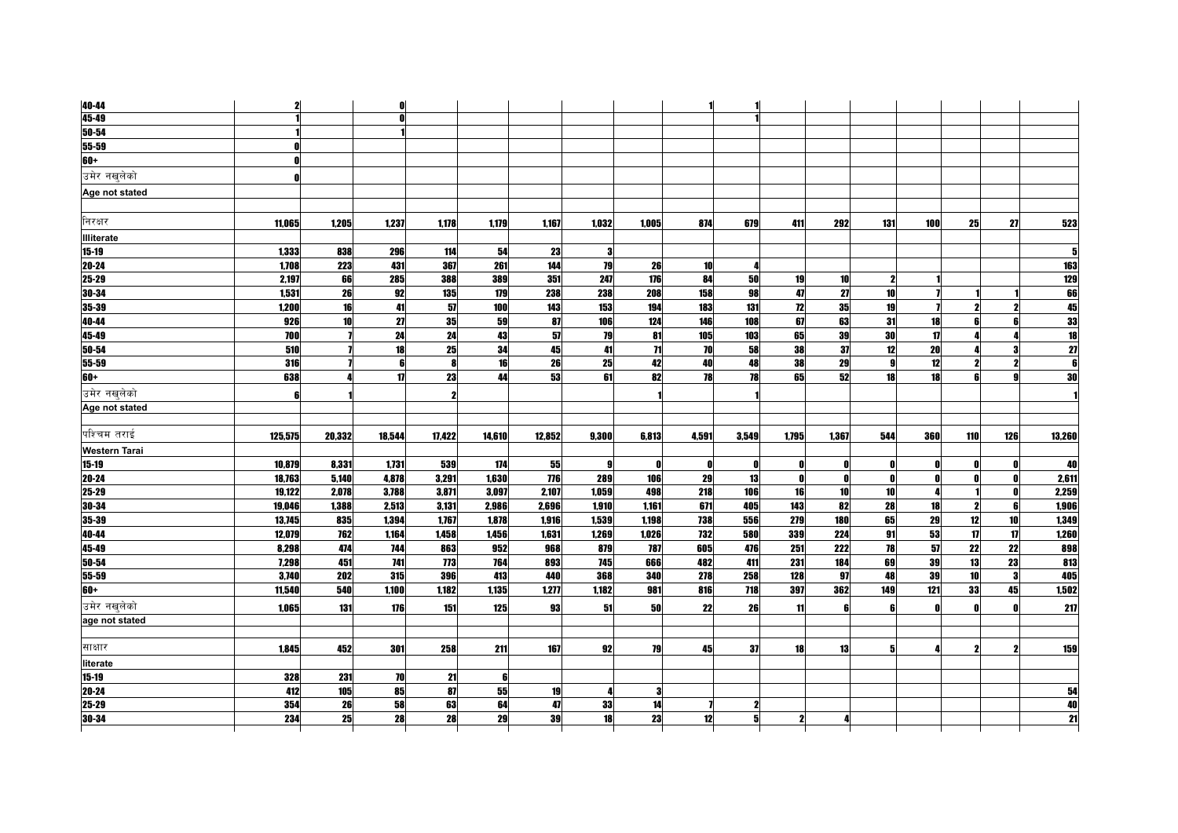| $40 - 44$             | $\mathbf{2}$ |        | O      |            |        |        |       |              | 1     |       |              |            |              |              |              |                     |                         |
|-----------------------|--------------|--------|--------|------------|--------|--------|-------|--------------|-------|-------|--------------|------------|--------------|--------------|--------------|---------------------|-------------------------|
| 45-49                 |              |        | 0      |            |        |        |       |              |       |       |              |            |              |              |              |                     |                         |
| $50 - 54$             |              |        |        |            |        |        |       |              |       |       |              |            |              |              |              |                     |                         |
| $55 - 59$             |              |        |        |            |        |        |       |              |       |       |              |            |              |              |              |                     |                         |
| 60+                   |              |        |        |            |        |        |       |              |       |       |              |            |              |              |              |                     |                         |
| उमेर नखलेको           |              |        |        |            |        |        |       |              |       |       |              |            |              |              |              |                     |                         |
| Age not stated        |              |        |        |            |        |        |       |              |       |       |              |            |              |              |              |                     |                         |
|                       |              |        |        |            |        |        |       |              |       |       |              |            |              |              |              |                     |                         |
| निरक्षर               | 11,065       | 1,205  | 1,237  | 1,178      | 1,179  | 1,167  | 1,032 | 1,005        | 874   | 679   | 411          | <b>292</b> | 131          | 100          | 25           | 27                  | 523                     |
| <b>Illiterate</b>     |              |        |        |            |        |        |       |              |       |       |              |            |              |              |              |                     |                         |
| $15 - 19$             | 1.333        | 838    | 296    | 114        | 54     | 23     | 3     |              |       |       |              |            |              |              |              |                     | 5                       |
| $20 - 24$             | 1,708        | 223    | 431    | 367        | 261    | 144    | 79    | 26           | 10    | л     |              |            |              |              |              |                     | <b>163</b>              |
| 25-29                 | 2,197        | 66     | 285    | 388        | 389    | 351    | 247   | 176          | 84    | 50    | 19           | 10         | $\mathbf 2$  |              |              |                     | 129                     |
| 30-34                 | 1,531        | 26     | 92     | 135        | 179    | 238    | 238   | 208          | 158   | 98    | 47           | 27         | 10           |              |              |                     | 66                      |
| $35 - 39$             | 1,200        | 16     | 41     | 57         | 100    | 143    | 153   | 194          | 183   | 131   | 12           | 35         | 19           |              |              |                     |                         |
| 40-44                 | 926          | 10     | 27     | 35         | 59     | 87     | 106   | 124          | 146   | 108   | 67           | 63         | 31           | 18           | 61           |                     | $\frac{33}{18}$         |
| $45 - 49$             | 700          |        | 24     | 24         | 43     | 57     | 79    | 81           | 105   | 103   | 65           | 39         | 30           | $\mathbf{u}$ |              |                     |                         |
| $50 - 54$             | 510          |        | 18     | 25         | 34     | 45     | 41    | 71           | 70    | 58    | 38           | 37         | 12           | 20           |              |                     | $\overline{\mathbf{z}}$ |
| 55-59                 | 316          |        | 6      |            | 16     | 26     | 25    | 42           | 40    | 48    | 38           | 29         | 9            | 12           | 2            | $\boldsymbol{\eta}$ | 6                       |
| 60+                   | 638          |        | 17     | 23         | 44     | 53     | 61    | 82           | 78    | 78    | 65           | 52         | 18           | 18           |              |                     | $\overline{\bf{30}}$    |
| उमेर नखलेको           | A            |        |        |            |        |        |       |              |       |       |              |            |              |              |              |                     |                         |
| Age not stated        |              |        |        |            |        |        |       |              |       |       |              |            |              |              |              |                     |                         |
|                       |              |        |        |            |        |        |       |              |       |       |              |            |              |              |              |                     |                         |
| पश्चिम तराई           | 125,575      | 20,332 | 18,544 | 17,422     | 14,610 | 12,852 | 9,300 | 6,813        | 4,591 | 3,549 | 1,795        | 1,367      | 544          | <b>360</b>   | 110          | 126                 | 13,260                  |
| <b>Western Tarai</b>  |              |        |        |            |        |        |       |              |       |       |              |            |              |              |              |                     |                         |
| $15 - 19$             | 10,879       | 8,331  | 1,731  | 539        | 174    | 55     | 9     | $\mathbf{0}$ | 0     | n     | 0            | 0          | 0            |              |              |                     | 40                      |
| $20 - 24$             | 18,763       | 5,140  | 4,878  | 3,291      | 1,630  | 776    | 289   | 106          | 29    | 13    |              |            | $\mathbf{0}$ |              |              |                     | 2,611                   |
| $25 - 29$             | 19,122       | 2,078  | 3,788  | 3,871      | 3,097  | 2,107  | 1,059 | 498          | 218   | 106   | 16           | 10         | 10           |              |              |                     | 2,259                   |
| 30-34                 | 19.046       | 1,388  | 2,513  | 3,131      | 2,986  | 2,696  | 1,910 | 1,161        | 671   | 405   | 143          | 82         | 28           | 18           | $\mathbf{2}$ | 6                   | 1,906                   |
| $35 - 39$             | 13,745       | 835    | 1,394  | 1,767      | 1,878  | 1,916  | 1,539 | 1,198        | 738   | 556   | 279          | 180        | 65           | 29           | 12           | 10                  | 1,349                   |
| 40-44                 | 12,079       | 762    | 1,164  | 1,458      | 1,456  | 1,631  | 1,269 | 1,026        | 732   | 580   | 339          | 224        | 91           | 53           | 17           | 17                  | 1,260                   |
| 45-49                 | 8,298        | 474    | 744    | 863        | 952    | 968    | 879   | 787          | 605   | 476   | 251          | 222        | 78           | 57           | 22           | 22                  | 898                     |
| $50 - 54$             | 7.298        | 451    | 741    | <b>773</b> | 764    | 893    | 745   | 666          | 482   | 411   | 231          | 184        | 69           | 39           | 13           | 23                  | 813                     |
| $55 - 59$             | 3,740        | 202    | 315    | 396        | 413    | 440    | 368   | 340          | 278   | 258   | 128          | 97         | 48           | 39           | 10           | 3                   | 405                     |
| $60+$                 | 11,540       | 540    | 1,100  | 1,182      | 1,135  | 1,277  | 1,182 | 981          | 816   | 718   | 397          | 362        | 149          | 121          | 33           | 45                  | 1,502                   |
| उमेर नखुलेको          | 1,065        | 131    | 176    | 151        | 125    | 93     | 51    | 50           | 22    | 26    | 11           | 6          | 6            |              |              |                     | 217                     |
| age not stated        |              |        |        |            |        |        |       |              |       |       |              |            |              |              |              |                     |                         |
| साक्षार               |              |        |        |            |        |        |       |              |       |       |              |            | 5            |              | 2            |                     |                         |
|                       | 1,845        | 452    | 301    | 258        | 211    | 167    | 92    | 79           | 45    | 37    | 18           | 13         |              |              |              |                     | 159                     |
| literate<br>$15 - 19$ | 328          | 231    | 70     | 21         | 6      |        |       |              |       |       |              |            |              |              |              |                     |                         |
| $20 - 24$             | 412          | 105    | 85     | 87         | 55     | 19     | 4     | 3            |       |       |              |            |              |              |              |                     | 54                      |
| $25 - 29$             | 354          | 26     | 58     | 63         | 64     | 47     | 33    | 14           |       | 9     |              |            |              |              |              |                     | 40                      |
| 30-34                 | 234          | 25     | 28     | 28         | 29     | 39     | 18    | 23           | 12    | 5     | $\mathbf{2}$ | 4          |              |              |              |                     | 21                      |
|                       |              |        |        |            |        |        |       |              |       |       |              |            |              |              |              |                     |                         |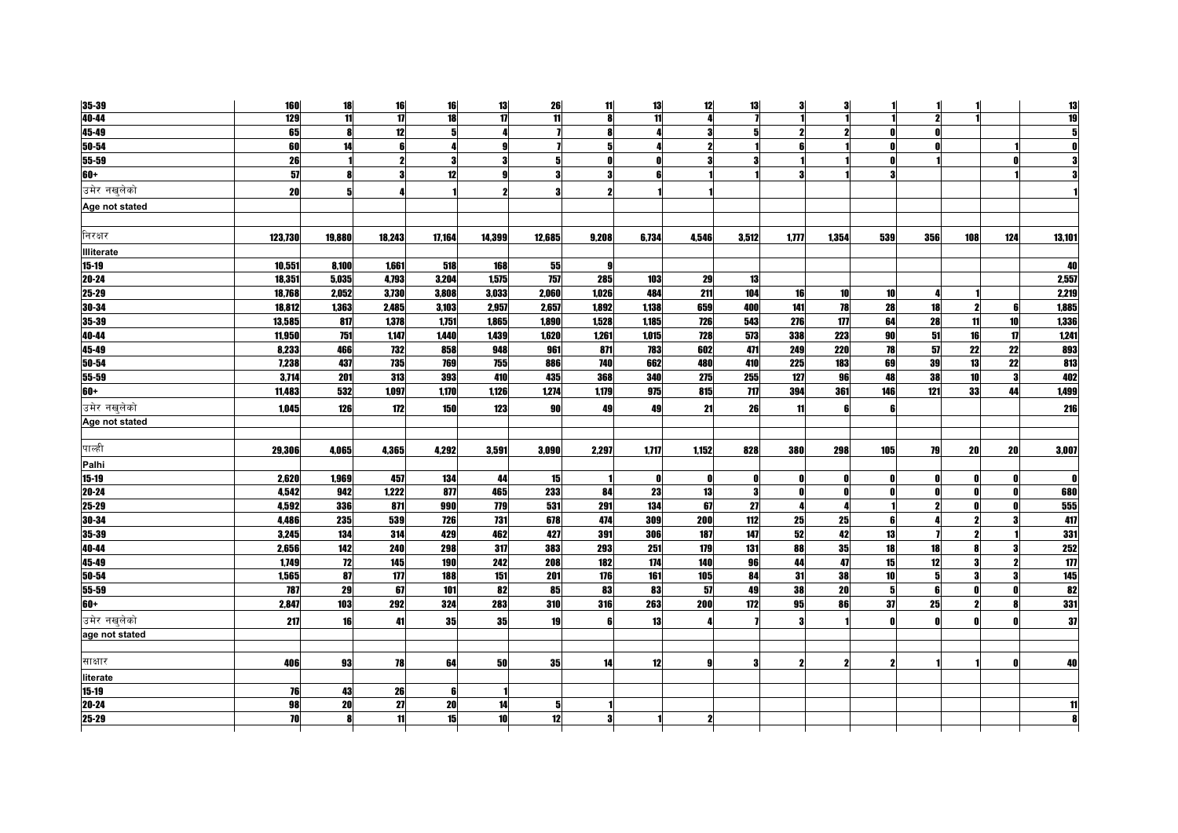| 35-39                                                       | <b>160</b> | 18              | 16     | 16     | 13         | 26     | 11           | 13           | 12    | 13              | 3     | З     |     |              |     |     | 13     |
|-------------------------------------------------------------|------------|-----------------|--------|--------|------------|--------|--------------|--------------|-------|-----------------|-------|-------|-----|--------------|-----|-----|--------|
| 40-44                                                       | 129        | $\overline{11}$ | 17     | 18     | 17         | 11     | R            | 11           | л     |                 |       |       |     |              |     |     | 19     |
| 45-49                                                       | 65         |                 | 12     |        |            |        |              |              | 3     |                 | 2     |       |     |              |     |     |        |
| 50-54                                                       | 60         | 14              |        |        | g          |        |              |              |       |                 | ĥ     |       |     |              |     |     |        |
| 55-59                                                       | 26         |                 |        | 9      | я          |        | $\mathbf{r}$ | $\mathbf{r}$ | 2     |                 |       |       |     |              |     | ſ   |        |
| 60+                                                         | 57         | R               |        | 12     |            |        | 3            | £            |       |                 | 3     |       |     |              |     |     |        |
| उमेर नखुलेको                                                | <b>20</b>  |                 |        |        |            | я      |              |              |       |                 |       |       |     |              |     |     |        |
| Age not stated                                              |            |                 |        |        |            |        |              |              |       |                 |       |       |     |              |     |     |        |
|                                                             |            |                 |        |        |            |        |              |              |       |                 |       |       |     |              |     |     |        |
| निरक्षर                                                     | 123.730    | 19,880          | 18,243 | 17,164 | 14,399     | 12,685 | 9.208        | 6,734        | 4.546 | 3.512           | 1,777 | 1,354 | 539 | 356          | 108 | 124 | 13,101 |
| <b>Illiterate</b>                                           |            |                 |        |        |            |        |              |              |       |                 |       |       |     |              |     |     |        |
| $15-19$                                                     | 10,551     | 8,100           | 1,661  | 518    | 168        | 55     |              |              |       |                 |       |       |     |              |     |     | 40     |
| 20-24                                                       | 18,351     | 5,035           | 4,793  | 3.204  | 1,575      | 757    | 285          | 103          | 29    | 13              |       |       |     |              |     |     | 2,557  |
| 25-29                                                       | 18,768     | 2,052           | 3,730  | 3,808  | 3,033      | 2,060  | 1,026        | 484          | 211   | 104             | 16    | 10    | 10  |              |     |     | 2,219  |
| 30-34                                                       | 18,812     | 1,363           | 2,485  | 3,103  | 2.957      | 2.657  | 1.892        | 1.138        | 659   | 400             | 141   | 78    | 28  | 18           |     | 6   | 1.885  |
| 35-39                                                       | 13,585     | 817             | 1,378  | 1,751  | 1,865      | 1,890  | 1,528        | 1,185        | 726   | 543             | 276   | 177   | 64  | 28           | 11  | 10  | 1,336  |
| 40-44                                                       | 11,950     | 751             | 1,147  | 1,440  | 1,439      | 1,620  | 1,261        | 1,015        | 728   | 573             | 338   | 223   | 90  | 51           | 16  | 17  | 1,241  |
| 45-49                                                       | 8,233      | 466             | 732    | 858    | 948        | 961    | 871          | 783          | 602   | 471             | 249   | 220   | 78  | 57           | 22  | 22  | 893    |
| 50-54                                                       | 7.238      | 437             | 735    | 769    | 755        | 886    | 740          | 662          | 480   | 410             | 225   | 183   | 69  | 39           | 13  | 22  | 813    |
| 55-59                                                       | 3,714      | 201             | 313    | 393    | 410        | 435    | 368          | 340          | 275   | 255             | 127   | 96    | 48  | 38           | 10  | 3   | 402    |
| 60+                                                         | 11,483     | 532             | 1,097  | 1,170  | 1,126      | 1,274  | 1,179        | 975          | 815   | $\overline{11}$ | 394   | 361   | 146 | 121          | 33  | 44  | 1,499  |
| उमेर नखलेको                                                 | 1.045      | 126             | 172    | 150    | 123        | 90     | 49           | 49           | 21    | 26              | 11    |       |     |              |     |     | 216    |
| Age not stated                                              |            |                 |        |        |            |        |              |              |       |                 |       |       |     |              |     |     |        |
|                                                             |            |                 |        |        |            |        |              |              |       |                 |       |       |     |              |     |     |        |
| पाल्ही                                                      | 29,306     | 4,065           | 4,365  | 4,292  | 3,591      | 3,090  | 2,297        | 1,717        | 1,152 | 828             | 380   | 298   | 105 | 79           | 20  | 20  | 3,007  |
| Palhi                                                       |            |                 |        |        |            |        |              |              |       |                 |       |       |     |              |     |     |        |
| $15-19$                                                     | 2.620      | 1.969           | 457    | 134    | 44         | 15     |              | - 0          | Ω     | O               | O     |       |     | O            |     | O   |        |
| 20-24                                                       | 4,542      | 942             | 1,222  | 877    | 465        | 233    | 84           | 23           | 13    | 3               | O     | O     |     | $\mathbf{r}$ |     | ſ   | 680    |
| 25-29                                                       | 4,592      | 336             | 871    | 990    | 779        | 531    | 291          | 134          | 67    | 27              | Д     |       |     |              |     | ſ   | 555    |
| 30-34                                                       | 4,486      | 235             | 539    | 726    | 731        | 678    | 474          | 309          | 200   | $112$           | 25    | 25    | ĥ   |              | 2   | 3   | 417    |
| 35-39                                                       | 3.245      | 134             | 314    | 429    | 462        | 427    | 391          | <b>306</b>   | 187   | 147             | 52    | 42    | 13  |              |     |     | 331    |
| 40-44                                                       | 2,656      | 142             | 240    | 298    | 317        | 383    | 293          | 251          | 179   | 131             | 88    | 35    | 18  | 18           |     | 3   | 252    |
| 45-49                                                       | 1.749      | 12              | 145    | 190    | 242        | 208    | 182          | 174          | 140   | 96              | 44    | 47    | 15  | 12           |     | 9   | 177    |
| 50-54                                                       | 1,565      | 87              | 177    | 188    | 151        | 201    | 176          | 161          | 105   | 84              | 31    | 38    | 10  | 5            |     | Я   | 145    |
| 55-59                                                       | 787        | 29              | 67     | 101    | 82         | 85     | 83           | 83           | 57    | 49              | 38    | 20    | 5   | 6            |     | O   | 82     |
| 60+                                                         | 2.847      | 103             | 292    | 324    | <b>283</b> | 310    | 316          | 263          | 200   | 172             | 95    | 86    | 37  | 25           |     | Я   | 331    |
| उमेर नखलेको                                                 | 217        | 16              | 41     | 35     | 35         | 19     | 6            | 13           |       |                 |       |       |     |              |     |     | 37     |
|                                                             |            |                 |        |        |            |        |              |              |       |                 |       |       |     |              |     |     |        |
|                                                             |            |                 |        |        |            |        |              |              |       |                 |       |       |     |              |     |     |        |
|                                                             |            |                 |        |        |            |        |              |              |       |                 |       |       |     |              |     |     |        |
|                                                             | 406        | 93              | 78     | 64     | 50         | 35     | 14           | 12           |       | я               |       |       |     |              |     | ſ   | 40     |
|                                                             |            |                 |        |        |            |        |              |              |       |                 |       |       |     |              |     |     |        |
|                                                             | 76         | 43              | 26     | ĥ      |            |        |              |              |       |                 |       |       |     |              |     |     |        |
| age not stated<br>साक्षार<br>literate<br>15-19<br>$20 - 24$ | 98         | $\overline{20}$ | 27     | 20     | 14         | 5      |              |              |       |                 |       |       |     |              |     |     |        |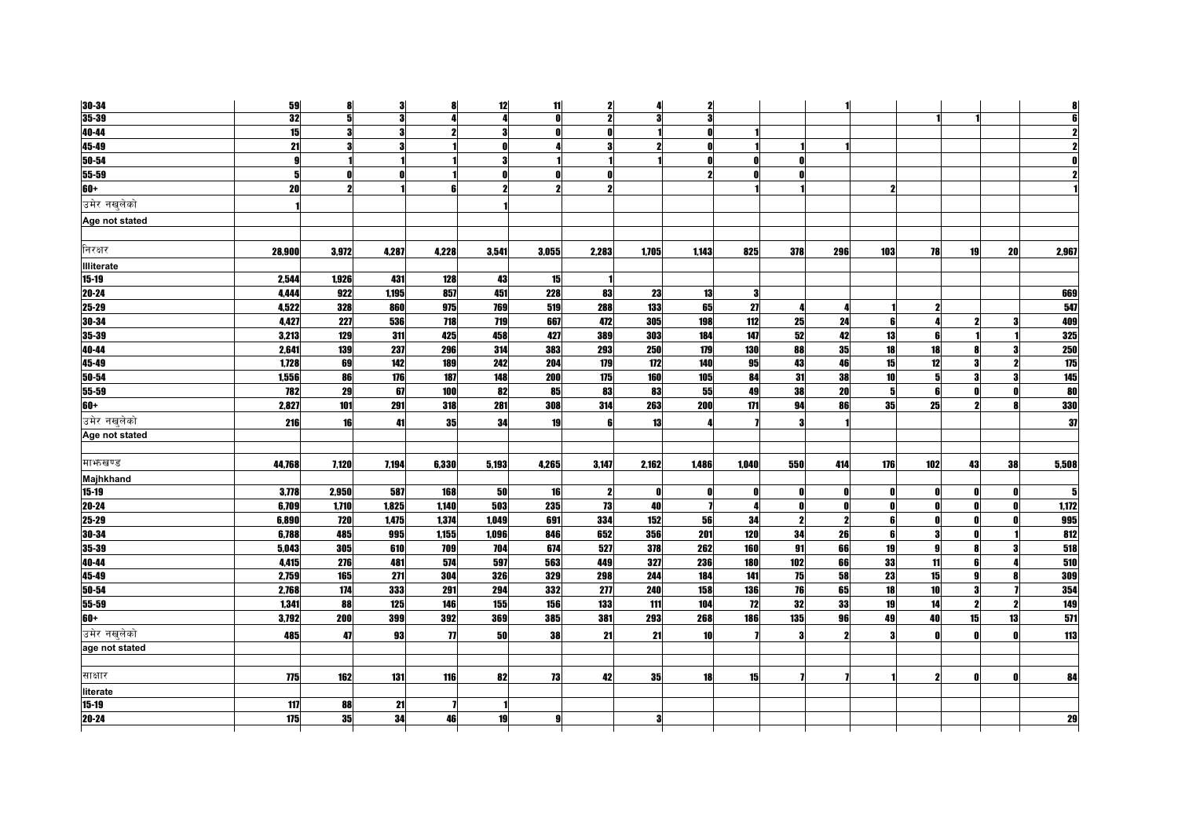| 30-34             | 59           | 8                   | 3            | 8            | 12         | 11           | $\mathbf{2}$ | Д                   | $\mathbf{2}$ |                  |                |                         |                 |              |    |              |                  |
|-------------------|--------------|---------------------|--------------|--------------|------------|--------------|--------------|---------------------|--------------|------------------|----------------|-------------------------|-----------------|--------------|----|--------------|------------------|
| $35 - 39$         | 32           | 5                   | $\mathbf{a}$ |              | л          | $\mathbf{r}$ | 2            | 2                   | $\mathbf{a}$ |                  |                |                         |                 |              |    |              |                  |
| 40-44             | 15           |                     |              |              |            |              |              |                     |              |                  |                |                         |                 |              |    |              |                  |
| 45-49             | 21           |                     |              |              | Λ          |              |              | $\boldsymbol{\eta}$ | Λ            |                  |                |                         |                 |              |    |              |                  |
| 50-54             | $\mathbf{g}$ |                     |              |              | 3          |              |              |                     | Λ            |                  |                |                         |                 |              |    |              |                  |
| 55-59             | 5            |                     |              |              |            |              |              |                     | 2            |                  | O              |                         |                 |              |    |              |                  |
| $60+$             | 20           | $\boldsymbol{\eta}$ |              | ĥ            |            |              |              |                     |              |                  |                |                         | 2               |              |    |              |                  |
| उमेर नखलेको       |              |                     |              |              |            |              |              |                     |              |                  |                |                         |                 |              |    |              |                  |
| Age not stated    |              |                     |              |              |            |              |              |                     |              |                  |                |                         |                 |              |    |              |                  |
| निरक्षर           | 28.900       | 3,972               | 4,287        | 4,228        | 3,541      | 3,055        | 2.283        | 1,705               | 1.143        | 825              | 378            | 296                     | 103             | 78           | 19 | 20           | 2,967            |
| <b>Illiterate</b> |              |                     |              |              |            |              |              |                     |              |                  |                |                         |                 |              |    |              |                  |
| 15-19             | 2,544        | 1,926               | 431          | 128          | 43         | 15           |              |                     |              |                  |                |                         |                 |              |    |              |                  |
| 20-24             | 4.444        | 922                 | 1.195        | 857          | 451        | 228          | 83           | 23                  | 13           | 3                |                |                         |                 |              |    |              | 669              |
| 25-29             | 4,522        | 328                 | 860          | 975          | 769        | 519          | 288          | 133                 | 65           | 27               | Л              |                         |                 | 2            |    |              | 547              |
| 30-34             | 4.427        | 227                 | 536          | 718          | 719        | 667          | 472          | 305                 | 198          | 112              | 25             | 24                      |                 |              |    |              | 409              |
| 35-39             | 3,213        | 129                 | 311          | 425          | 458        | 427          | 389          | 303                 | 184          | 147              | 52             | 42                      | 13              |              |    |              | 325              |
| 40-44             | 2.641        | 139                 | 237          | 296          | 314        | 383          | 293          | <b>250</b>          | 179          | 130              | 88             | 35                      | 18              | 18           |    |              | 250              |
| 45-49             | 1,728        | 69                  | 142          | 189          | 242        | 204          | 179          | 172                 | 140          | 95               | 43             | 46                      | 15              | 12           |    |              | $\overline{175}$ |
| 50-54             | 1,556        | 86                  | 176          | 187          | 148        | 200          | 175          | 160                 | 105          | 84               | 31             | 38                      | 10 <sup>1</sup> | 5            |    | Я            | 145              |
| 55-59             | 782          | 29                  | 67           | 100          | 82         | 85           | 83           | 83                  | 55           | 49               | 38             | 20                      | 5               | 6            |    | ſ            | 80               |
| 60+               | 2,827        | 101                 | 291          | 318          | 281        | 308          | 314          | 263                 | 200          | 171              | 94             | 86                      | 35              | 25           |    |              | 330              |
| उमेर नखलेको       | 216          | 16                  | 41           | 35           | 34         | 19           |              | 13                  |              |                  |                |                         |                 |              |    |              | 37               |
| Age not stated    |              |                     |              |              |            |              |              |                     |              |                  |                |                         |                 |              |    |              |                  |
| माभाखण्ड          | 44,768       | 7.120               | 7.194        | 6,330        | 5,193      | 4,265        | 3.147        | 2,162               | 1.486        | 1,040            | 550            | 414                     | 176             | 102          | 43 | 38           | 5.508            |
| Majhkhand         |              |                     |              |              |            |              |              |                     |              |                  |                |                         |                 |              |    |              |                  |
| $15-19$           | 3,778        | 2,950               | 587          | 168          | 50         | 16           | 2            | - 01                |              | O                | Λ              |                         |                 |              |    | n            |                  |
| 20-24             | 6,709        | 1,710               | 1,825        | 1,140        | 503        | 235          | 73           | 40                  |              | Л                | O              | $\mathbf{0}$            |                 | $\mathbf{r}$ |    | $\mathbf{0}$ | 1,172            |
| 25-29             | 6,890        | 720                 | 1,475        | 1.374        | 1.049      | 691          | 334          | 152                 | 56           | 34               | $\overline{2}$ | $\overline{\mathbf{z}}$ | ĥ               | 0            |    | O            | 995              |
| 30-34             | 6,788        | 485                 | 995          | 1,155        | 1,096      | 846          | 652          | 356                 | 201          | $\overline{120}$ | 34             | 26                      | ĥ               |              |    |              | 812              |
| 35-39             | 5,043        | 305                 | 610          | 709          | 704        | 674          | 527          | 378                 | 262          | 160              | 91             | 66                      | 19              | $\mathbf{Q}$ |    | 3            | 518              |
| 40-44             | 4,415        | 276                 | 481          | 574          | 597        | 563          | 449          | 327                 | 236          | 180              | 102            | 66                      | 33              | 11           |    |              | 510              |
| 45-49             | 2.759        | 165                 | 271          | 304          | <b>326</b> | 329          | 298          | 244                 | 184          | 141              | 75             | 58                      | 23              | 15           |    |              | 309              |
| 50-54             | 2,768        | $\overline{174}$    | 333          | 291          | 294        | 332          | 277          | 240                 | 158          | <b>136</b>       | 76             | 65                      | 18              | 10           |    |              | 354              |
| 55-59             | 1,341        | 88                  | 125          | 146          | 155        | 156          | 133          | 111                 | 104          | 12               | 32             | 33                      | 19              | 14           |    | -2           | 149              |
| <b>60+</b>        | 3,792        | 200                 | 399          | 392          | 369        | 385          | 381          | 293                 | 268          | <b>186</b>       | 135            | 96                      | 49              | 40           | 15 | 13           | 571              |
| उमेर नखलेको       | 485          | 47                  | 93           | $\mathbf{u}$ | <b>50</b>  | 38           | 21           | 21                  | <b>10</b>    |                  | 3              |                         |                 | $\mathbf{r}$ |    |              | 113              |
| age not stated    |              |                     |              |              |            |              |              |                     |              |                  |                |                         |                 |              |    |              |                  |
| साक्षार           | 775          | 162                 | 131          | 116          | 82         | 73           | 42           | 35                  | 18           | 15               |                |                         |                 | 2            |    | O            | 84               |
| literate          |              |                     |              |              |            |              |              |                     |              |                  |                |                         |                 |              |    |              |                  |
| $15 - 19$         | 117          | 88                  | 21           |              |            |              |              |                     |              |                  |                |                         |                 |              |    |              |                  |
| 20-24             | 175          | 35                  | 34           | 46           | 19         | g            |              | 3                   |              |                  |                |                         |                 |              |    |              | 29               |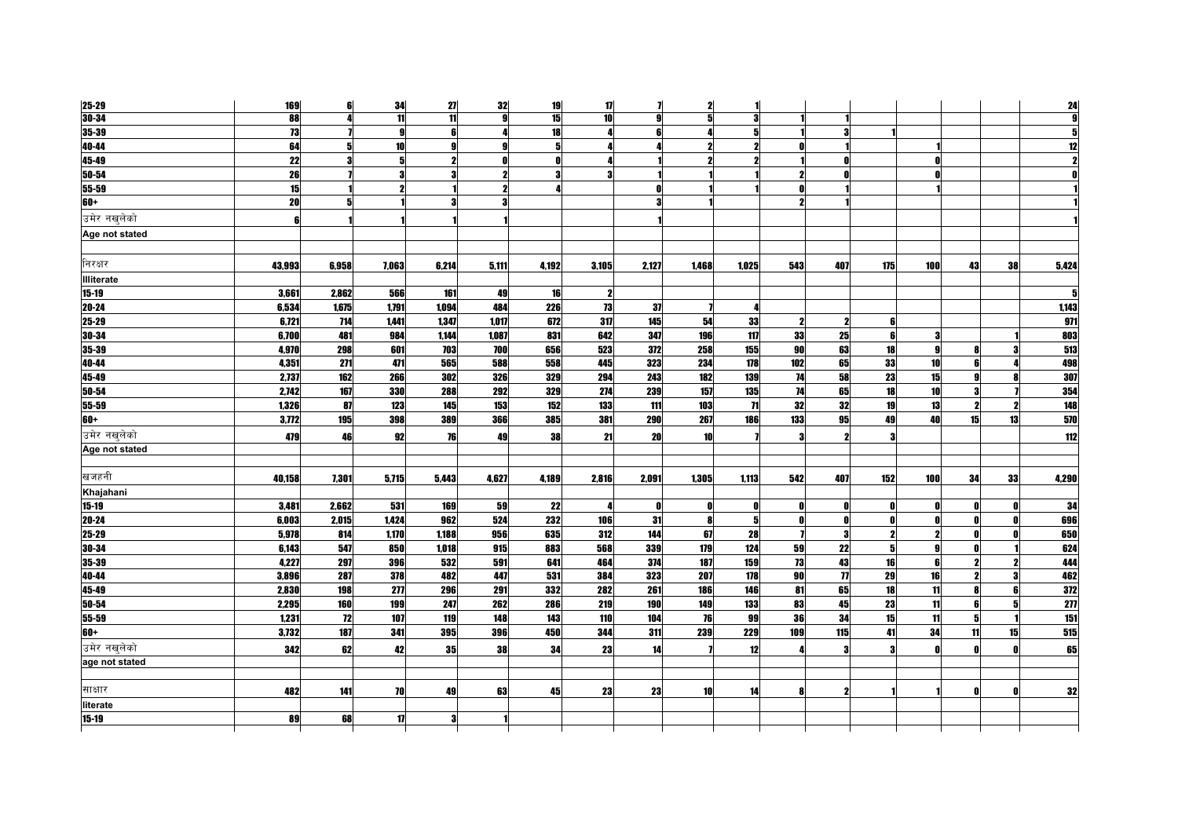| 25-29          | 169    | 6     | 34                      | 27    | 32           | 19    | 17                      | 7            | $\mathbf{z}$        | 11                  |     |                     |              |                 |              |    | 24               |
|----------------|--------|-------|-------------------------|-------|--------------|-------|-------------------------|--------------|---------------------|---------------------|-----|---------------------|--------------|-----------------|--------------|----|------------------|
| $30 - 34$      | 88     |       | 11                      | 11    | g            | 15    | 10                      | g            | 5                   | 3                   |     |                     |              |                 |              |    |                  |
| $35 - 39$      | 73     |       |                         |       |              | 18    |                         |              |                     | 5                   |     |                     |              |                 |              |    |                  |
| 40-44          | 64     | 5     | 10                      | g     | g            | 5     | Д                       |              | 2                   | $\boldsymbol{\eta}$ |     |                     |              |                 |              |    | 12               |
| 45-49          | 22     | 3     | 5                       | 2     | $\mathbf{0}$ | O     | 4                       |              | $\boldsymbol{\eta}$ | $\boldsymbol{\eta}$ |     |                     |              |                 |              |    |                  |
| $50 - 54$      | 26     |       | $\overline{\mathbf{a}}$ |       |              |       | $\overline{\mathbf{3}}$ |              |                     |                     |     |                     |              |                 |              |    |                  |
| 55-59          | 15     |       | $\boldsymbol{\eta}$     |       | 2            |       |                         |              |                     |                     |     |                     |              |                 |              |    |                  |
| $60+$          | 20     | 5     |                         | 3     | 3            |       |                         |              |                     |                     | 2   |                     |              |                 |              |    |                  |
| उमेर नखुलेको   | 6      |       |                         |       |              |       |                         |              |                     |                     |     |                     |              |                 |              |    |                  |
| Age not stated |        |       |                         |       |              |       |                         |              |                     |                     |     |                     |              |                 |              |    |                  |
| निरक्षर        | 43,993 | 6,958 | 7,063                   | 6,214 | 5,111        | 4,192 | 3,105                   | 2,127        | 1,468               | 1,025               | 543 | 407                 | 175          | 100             | 43           | 38 | 5,424            |
| Illiterate     |        |       |                         |       |              |       |                         |              |                     |                     |     |                     |              |                 |              |    |                  |
| $15 - 19$      | 3,661  | 2,862 | 566                     | 161   | 49           | 16    | $\mathbf{2}$            |              |                     |                     |     |                     |              |                 |              |    | 5                |
| $20 - 24$      | 6,534  | 1,675 | 1,791                   | 1,094 | 484          | 226   | 73                      | 37           |                     | 4                   |     |                     |              |                 |              |    | 1,143            |
| 25-29          | 6,721  | 714   | 1,441                   | 1,347 | 1,017        | 672   | 317                     | 145          | 54                  | 33                  |     | 2                   | 6            |                 |              |    | 971              |
| 30-34          | 6,700  | 481   | 984                     | 1,144 | 1,087        | 831   | 642                     | 347          | 196                 | 117                 | 33  | 25                  | 6            |                 |              |    | 803              |
| 35-39          | 4,970  | 298   | 601                     | 703   | 700          | 656   | 523                     | 372          | 258                 | 155                 | 90  | 63                  | 18           |                 |              |    | 513              |
| 40-44          | 4,351  | 271   | 471                     | 565   | 588          | 558   | 445                     | 323          | 234                 | 178                 | 102 | 65                  | 33           | 10 <sup>1</sup> | ĥ            |    | 498              |
| 45-49          | 2,737  | 162   | 266                     | 302   | 326          | 329   | 294                     | 243          | 182                 | 139                 | 74  | 58                  | 23           | 15              |              |    | 307              |
| $50 - 54$      | 2,742  | 167   | 330                     | 288   | 292          | 329   | 274                     | 239          | 157                 | 135                 | 74  | 65                  | 18           | 10 <sup>1</sup> |              |    | 354              |
| 55-59          | 1,326  | 87    | 123                     | 145   | 153          | 152   | 133                     | 111          | 103                 | 71                  | 32  | 32                  | 19           | 13              | 2            |    | 148              |
| $60+$          | 3,772  | 195   | 398                     | 389   | 366          | 385   | 381                     | 290          | 267                 | 186                 | 133 | 95                  | 49           | 40              | 15           | 13 | 570              |
| उमेर नखुलेको   | 479    | 46    | 92                      | 76    | 49           | 38    | 21                      | 20           | 10                  |                     |     | 2                   | 3            |                 |              |    | 112              |
| Age not stated |        |       |                         |       |              |       |                         |              |                     |                     |     |                     |              |                 |              |    |                  |
|                |        |       |                         |       |              |       |                         |              |                     |                     |     |                     |              |                 |              |    |                  |
| खजहनी          | 40,158 | 7,301 | 5,715                   | 5,443 | 4,627        | 4,189 | 2,816                   | 2,091        | 1,305               | 1,113               | 542 | 407                 | 152          | 100             | 34           | 33 | 4,290            |
| Khajahani      |        |       |                         |       |              |       |                         |              |                     |                     |     |                     |              |                 |              |    |                  |
| $15 - 19$      | 3,481  | 2,662 | 531                     | 169   | 59           | 22    | Д                       | $\mathbf{0}$ | $\mathbf{0}$        | O                   | n   | 0                   | $\mathbf{0}$ | Λ               | n            | n  | 34               |
| $20 - 24$      | 6,003  | 2,015 | 1,424                   | 962   | 524          | 232   | 106                     | 31           | $\bf{8}$            | 5                   | O   |                     | $\mathbf{0}$ |                 |              |    | 696              |
| $25 - 29$      | 5,978  | 814   | 1,170                   | 1,188 | 956          | 635   | 312                     | 144          | 67                  | 28                  |     | 3                   | $\mathbf{2}$ |                 |              |    | 650              |
| 30-34          | 6,143  | 547   | 850                     | 1,018 | 915          | 883   | 568                     | 339          | 179                 | 124                 | 59  | 22                  | 5            | g               | $\mathbf{0}$ |    | 624              |
| 35-39          | 4.227  | 297   | 396                     | 532   | 591          | 641   | 464                     | 374          | 187                 | 159                 | 73  | 43                  | 16           |                 | 2            |    | 444              |
| 40-44          | 3,896  | 287   | 378                     | 482   | 447          | 531   | 384                     | 323          | 207                 | 178                 | 90  | $\boldsymbol{\eta}$ | 29           | 16              | $\mathbf{2}$ | З  | 462              |
| 45-49          | 2,830  | 198   | 277                     | 296   | 291          | 332   | 282                     | 261          | 186                 | 146                 | 81  | 65                  | 18           | 11              | 8            | 6  | 372              |
| $50 - 54$      | 2,295  | 160   | 199                     | 247   | 262          | 286   | 219                     | 190          | 149                 | 133                 | 83  | 45                  | 23           | 11              | <b>G</b>     |    | $\overline{277}$ |
| 55-59          | 1,231  | 72    | 107                     | 119   | 148          | 143   | 110                     | 104          | <b>76</b>           | 99                  | 36  | 34                  | 15           | 11              | 5            |    | 151              |
| $60+$          | 3,732  | 187   | 341                     | 395   | 396          | 450   | 344                     | 311          | 239                 | 229                 | 109 | 115                 | 41           | 34              | 11           | 15 | $515$            |
| उमेर नखुलेको   | 342    | 62    | 42                      | 35    | 38           | 34    | 23                      | 14           |                     | 12                  |     | Я                   | 3            |                 |              |    | 65               |
| age not stated |        |       |                         |       |              |       |                         |              |                     |                     |     |                     |              |                 |              |    |                  |
|                |        |       |                         |       |              |       |                         |              |                     |                     |     |                     |              |                 |              |    |                  |
| साक्षार        | 482    | 141   | 70                      | 49    | 63           | 45    | 23                      | 23           | 10                  | 14                  | Я   | 2                   |              |                 |              |    | 32               |
| literate       |        |       |                         |       |              |       |                         |              |                     |                     |     |                     |              |                 |              |    |                  |
| $15 - 19$      | 89     | 68    | 17                      | 3     |              |       |                         |              |                     |                     |     |                     |              |                 |              |    |                  |
|                |        |       |                         |       |              |       |                         |              |                     |                     |     |                     |              |                 |              |    |                  |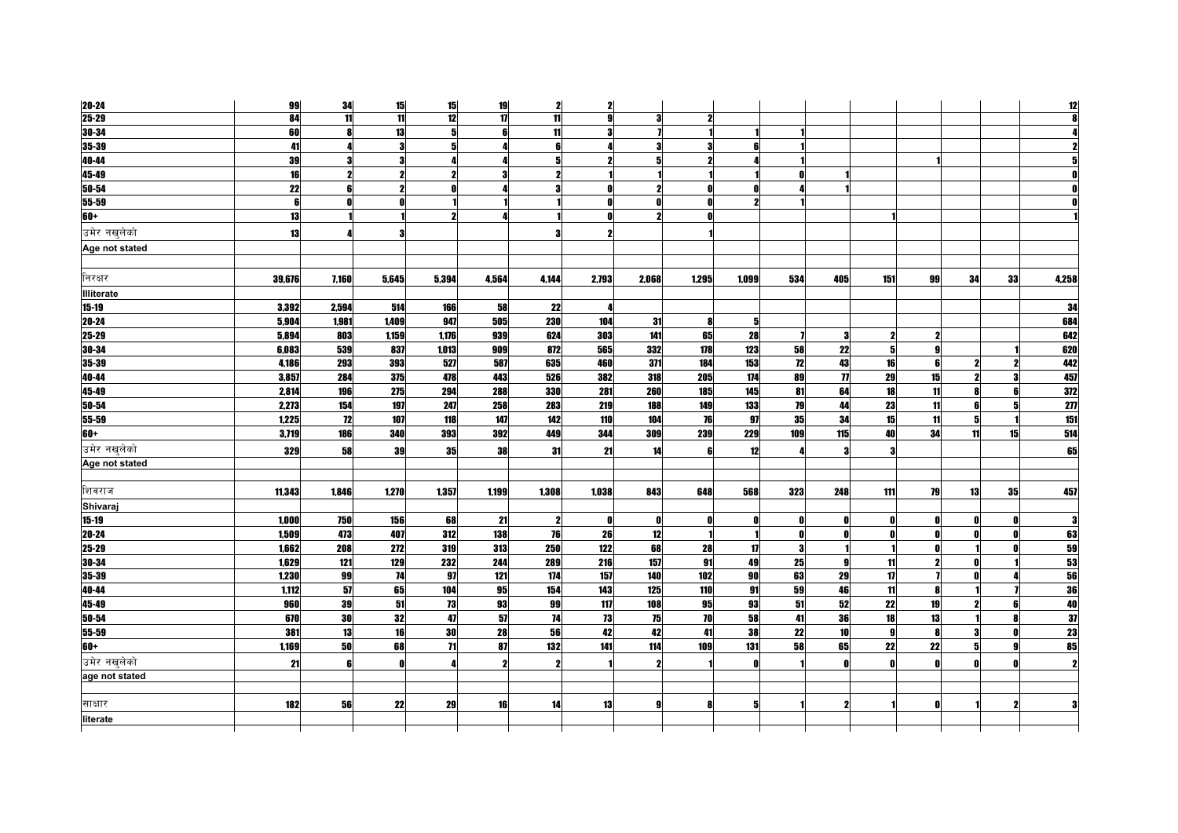| 20-24             | 99              | 34              | 15              | 15              | 19           | 2               | $\mathbf{2}$     |                  |              |                         |     |                     |     |    |                     |              | 12             |
|-------------------|-----------------|-----------------|-----------------|-----------------|--------------|-----------------|------------------|------------------|--------------|-------------------------|-----|---------------------|-----|----|---------------------|--------------|----------------|
| $25 - 29$         | 84              | $\overline{11}$ | $\overline{11}$ | 12              | $\mathbf{u}$ | $\overline{11}$ | $\boldsymbol{g}$ | 3                | $\mathbf{z}$ |                         |     |                     |     |    |                     |              |                |
| $30 - 34$         | 60              |                 | 13              |                 |              | 11              | 3                |                  |              |                         |     |                     |     |    |                     |              |                |
| 35-39             | 41              |                 | $\bf{3}$        | 5               |              | 6               | 4                | я                | 3            | 6                       |     |                     |     |    |                     |              |                |
| 40-44             | 39              | 3               | $\bf{3}$        |                 |              | 5               | $\mathbf{2}$     |                  | $\mathbf{2}$ |                         |     |                     |     |    |                     |              |                |
| 45-49             | $\overline{16}$ |                 | $\overline{2}$  |                 |              | 2               |                  |                  |              |                         |     |                     |     |    |                     |              |                |
| 50-54             | 22              | ĥ               | $\mathbf{2}$    |                 |              | 3               | O                |                  | 0            | n                       |     |                     |     |    |                     |              |                |
| 55-59             | 6               |                 | $\mathbf{0}$    |                 |              |                 | $\mathbf{0}$     | $\mathbf{r}$     | O            | $\overline{\mathbf{z}}$ |     |                     |     |    |                     |              |                |
| $60+$             | 13              |                 |                 |                 |              |                 | <sup>0</sup>     |                  |              |                         |     |                     |     |    |                     |              |                |
| उमेर नखलेको       | 13              |                 | 3               |                 |              | Я               |                  |                  |              |                         |     |                     |     |    |                     |              |                |
| Age not stated    |                 |                 |                 |                 |              |                 |                  |                  |              |                         |     |                     |     |    |                     |              |                |
| निरक्षर           | 39,676          | 7,160           | 5,645           | 5,394           | 4,564        | 4,144           | 2,793            | 2,068            | 1,295        | 1,099                   | 534 | 405                 | 151 | 99 | 34                  | 33           | 4,258          |
| <b>Illiterate</b> |                 |                 |                 |                 |              |                 |                  |                  |              |                         |     |                     |     |    |                     |              |                |
| $15 - 19$         | 3,392           | 2,594           | 514             | 166             | 58           | 22              | 4                |                  |              |                         |     |                     |     |    |                     |              | 34             |
| 20-24             | 5,904           | 1,981           | 1,409           | 947             | 505          | 230             | 104              | 31               | 8            | 5                       |     |                     |     |    |                     |              | 684            |
| 25-29             | 5.894           | 803             | 1,159           | 1,176           | 939          | 624             | 303              | 141              | 65           | 28                      |     | 3                   | 2   |    |                     |              | 642            |
| 30-34             | 6,083           | 539             | 837             | 1,013           | 909          | 872             | 565              | 332              | 178          | 123                     | 58  | 22                  | 5   | Q  |                     |              | 620            |
| 35-39             | 4,186           | 293             | 393             | 527             | 587          | 635             | 460              | 371              | 184          | 153                     | 12  | 43                  | 16  | ĥ  | $\boldsymbol{\eta}$ |              | 442            |
| 40-44             | 3,857           | 284             | 375             | 478             | 443          | 526             | 382              | 318              | 205          | 174                     | 89  | $\boldsymbol{\eta}$ | 29  | 15 |                     |              | 457            |
| 45-49             | 2,814           | 196             | 275             | 294             | 288          | 330             | 281              | 260              | 185          | 145                     | 81  | 64                  | 18  | 11 |                     |              | 372            |
| 50-54             | 2,273           | 154             | 197             | 247             | 258          | 283             | 219              | 188              | 149          | 133                     | 79  | 44                  | 23  | 11 | R                   |              | $\overline{2}$ |
| 55-59             | 1,225           | 12              | 107             | 118             | 147          | 142             | 110              | 104              | 76           | 97                      | 35  | 34                  | 15  | 11 | 5                   |              | 151            |
| $60+$             | 3,719           | 186             | 340             | 393             | 392          | 449             | 344              | 309              | 239          | 229                     | 109 | 115                 | 40  | 34 | 11                  | 15           | 514            |
| उमेर नखलेको       | 329             | 58              | 39              | 35              | 38           | -31             | 21               | 14               | 6            | 12                      |     | я                   | Я   |    |                     |              | 65             |
| Age not stated    |                 |                 |                 |                 |              |                 |                  |                  |              |                         |     |                     |     |    |                     |              |                |
| शिवराज            | 11,343          | 1,846           | 1,270           | 1,357           | 1,199        | 1,308           | 1,038            | 843              | 648          | 568                     | 323 | 248                 | 111 | 79 | 13                  | 35           | 457            |
| Shivaraj          |                 |                 |                 |                 |              |                 |                  |                  |              |                         |     |                     |     |    |                     |              |                |
| $15 - 19$         | 1,000           | 750             | 156             | 68              | 21           | 2               | $\mathbf{0}$     |                  |              | Ω                       |     |                     |     |    |                     |              |                |
| 20-24             | 1,509           | 473             | 407             | 312             | 138          | 76              | 26               | 12               |              | 1                       | n   |                     | O   |    |                     | n            | 63             |
| 25-29             | 1,662           | 208             | 272             | 319             | 313          | 250             | 122              | 68               | 28           | 17                      | 3   |                     |     |    |                     |              | 59             |
| 30-34             | 1,629           | 121             | 129             | 232             | 244          | 289             | 216              | 157              | 91           | 49                      | 25  |                     | 11  | ,  |                     |              | 53             |
| 35-39             | 1,230           | 99              | 74              | 97              | 121          | 174             | 157              | 140              | 102          | 90                      | 63  | 29                  | 17  |    |                     |              | 56             |
| 40-44             | 1,112           | 57              | 65              | 104             | 95           | 154             | 143              | 125              | 110          | 91                      | 59  | 46                  | 11  |    |                     |              | 36             |
| 45-49             | 960             | 39              | 51              | 73              | 93           | 99              | 117              | $\overline{108}$ | 95           | 93                      | 51  | 52                  | 22  | 19 |                     |              | 40             |
| $50 - 54$         | 670             | 30              | 32              | 47              | 57           | 74              | 73               | 75               | 70           | 58                      | 41  | 36                  | 18  | 13 |                     |              | 37             |
| 55-59             | 381             | 13              | 16              | 30              | 28           | 56              | 42               | 42               | 41           | 38                      | 22  | 10                  | 9   | 8  |                     | $\mathbf{r}$ | 23             |
| $60+$             | 1,169           | 50              | 68              | $\overline{11}$ | 87           | 132             | 141              | 114              | 109          | 131                     | 58  | 65                  | 22  | 22 |                     |              | 85             |
| उमेर नखुलेको      | 21              | 6               | $\mathbf{0}$    |                 | 2            | 2               |                  |                  |              | O                       |     | Ω                   | Λ   |    |                     |              |                |
| age not stated    |                 |                 |                 |                 |              |                 |                  |                  |              |                         |     |                     |     |    |                     |              |                |
|                   |                 |                 |                 |                 |              |                 |                  |                  |              |                         |     |                     |     |    |                     |              |                |
| साक्षार           | 182             | 56              | 22              | 29              | 16           | 14              | 13               | o                | R            | 5                       |     |                     |     |    |                     |              |                |
| literate          |                 |                 |                 |                 |              |                 |                  |                  |              |                         |     |                     |     |    |                     |              |                |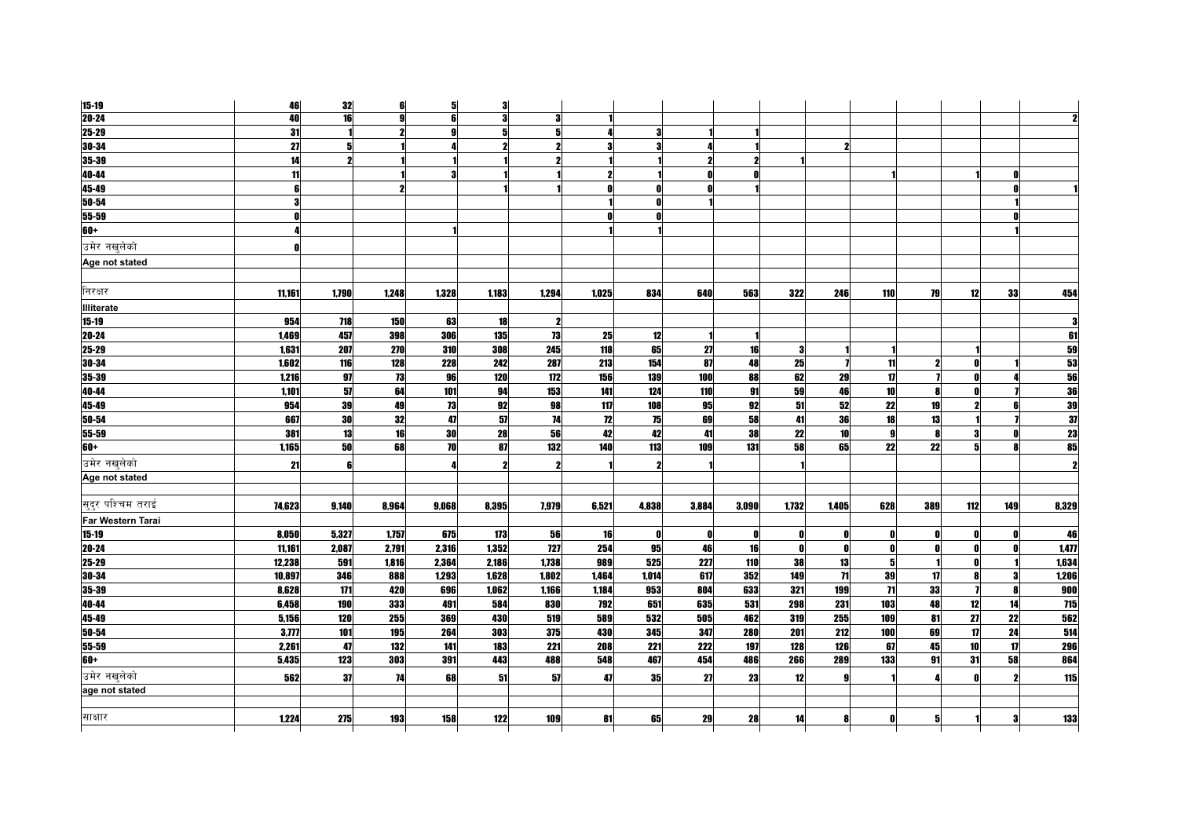| $15 - 19$                | 46             | 32         | 6            | 5     | 3          |                     |       |              |            |              |              |                 |                 |              |     |     |       |
|--------------------------|----------------|------------|--------------|-------|------------|---------------------|-------|--------------|------------|--------------|--------------|-----------------|-----------------|--------------|-----|-----|-------|
| $20 - 24$                | 40             | 16         | $\mathbf{a}$ |       | 3          | 3                   |       |              |            |              |              |                 |                 |              |     |     |       |
| 25-29                    | 31             |            |              |       |            |                     |       |              |            |              |              |                 |                 |              |     |     |       |
| 30-34                    | 27             |            |              |       |            |                     |       | 3            |            |              |              |                 |                 |              |     |     |       |
| 35-39                    | 14             |            |              |       |            |                     |       |              |            |              |              |                 |                 |              |     |     |       |
| 40-44                    | 11             |            |              |       |            |                     |       |              | Ω          |              |              |                 |                 |              |     |     |       |
| 45-49                    | 6 <sup>1</sup> |            |              |       |            |                     |       | n            |            |              |              |                 |                 |              |     |     |       |
| 50-54                    | 3              |            |              |       |            |                     |       |              |            |              |              |                 |                 |              |     |     |       |
| 55-59                    | $\mathbf{0}$   |            |              |       |            |                     |       | n            |            |              |              |                 |                 |              |     |     |       |
| 60+                      | $\mathbf{a}$   |            |              |       |            |                     |       |              |            |              |              |                 |                 |              |     |     |       |
| उमेर नखलेको              | n              |            |              |       |            |                     |       |              |            |              |              |                 |                 |              |     |     |       |
| Age not stated           |                |            |              |       |            |                     |       |              |            |              |              |                 |                 |              |     |     |       |
|                          |                |            |              |       |            |                     |       |              |            |              |              |                 |                 |              |     |     |       |
| निरक्षर                  | 11.161         | 1.790      | 1,248        | 1.328 | 1.183      | 1,294               | 1.025 | 834          | 640        | 563          | 322          | 246             | 110             | 79           | 12  | 33  | 454   |
| <b>Illiterate</b>        |                |            |              |       |            |                     |       |              |            |              |              |                 |                 |              |     |     |       |
| 15-19                    | 954            | 718        | 150          | 63    | 18         |                     |       |              |            |              |              |                 |                 |              |     |     |       |
| $20 - 24$                | 1,469          | 457        | 398          | 306   | 135        | 73                  | 25    | 12           |            |              |              |                 |                 |              |     |     | 61    |
| 25-29                    | 1.631          | 207        | 270          | 310   | <b>308</b> | 245                 | 118   | 65           | 27         | 16           | 3            |                 |                 |              |     |     | 59    |
| 30-34                    | 1,602          | <b>116</b> | 128          | 228   | 242        | 287                 | 213   | 154          | 87         | 48           | 25           |                 | 11              |              |     |     | 53    |
| 35-39                    | 1,216          | 97         | 73           | 96    | 120        | 172                 | 156   | 139          | 100        | 88           | 62           | 29              | 17              |              |     |     | 56    |
| 40-44                    | 1,101          | 57         | 64           | 101   | 94         | 153                 | 141   | 124          | 110        | 91           | 59           | 46              | 10 <sup>1</sup> | R            |     |     | 36    |
| 45-49                    | 954            | 39         | 49           | 73    | 92         | 98                  | 117   | 108          | 95         | 92           | 51           | 52              | 22              | 19           |     |     | 39    |
| 50-54                    | 667            | 30         | 32           | 47    | 57         | 74                  | 12    | 75           | 69         | 58           | 41           | 36              | 18              | 13           |     |     | 37    |
| 55-59                    | 381            | 13         | 16           | 30    | 28         | 56                  | 42    | 42           | 41         | 38           | 22           | 10              |                 |              |     |     | 23    |
| 60+                      | 1,165          | 50         | 68           | 70    | 87         | 132                 | 140   | 113          | 109        | 131          | 58           | 65              | 22              | 22           |     |     | 85    |
| उमेर नखलेको              | 21             |            |              |       |            | $\boldsymbol{\eta}$ |       | 2            |            |              |              |                 |                 |              |     |     |       |
| Age not stated           |                |            |              |       |            |                     |       |              |            |              |              |                 |                 |              |     |     |       |
|                          |                |            |              |       |            |                     |       |              |            |              |              |                 |                 |              |     |     |       |
| सदर पश्चिम तराई          | 74,623         | 9,140      | 8,964        | 9,068 | 8,395      | 7,979               | 6,521 | 4,838        | 3,884      | 3,090        | 1,732        | 1,405           | 628             | 389          | 112 | 149 | 8,329 |
| <b>Far Western Tarai</b> |                |            |              |       |            |                     |       |              |            |              |              |                 |                 |              |     |     |       |
| $15 - 19$                | 8,050          | 5,327      | 1,757        | 675   | 173        | 56                  | 16    | $\mathbf{0}$ | O          | $\mathbf{0}$ | $\mathbf{0}$ | Ω               |                 |              |     |     | 46    |
| 20-24                    | 11,161         | 2,087      | 2,791        | 2,316 | 1,352      | 727                 | 254   | 95           | 46         | 16           | O            | - 0             | n               | $\mathbf{r}$ |     | O   | 1,477 |
| 25-29                    | 12,238         | 591        | 1,816        | 2,364 | 2,186      | 1,738               | 989   | 525          | 227        | 110          | 38           | 13              | 5               |              |     |     | 1,634 |
| 30-34                    | 10,897         | 346        | 888          | 1.293 | 1.628      | 1.802               | 1.464 | 1.014        | 617        | 352          | <b>149</b>   | $\overline{11}$ | 39              | 17           |     | 3   | 1,206 |
| 35-39                    | 8,628          | 171        | 420          | 696   | 1,062      | 1,166               | 1,184 | 953          | 804        | 633          | 321          | 199             | $\overline{11}$ | 33           |     | 8   | 900   |
| 40-44                    | 6,458          | 190        | 333          | 491   | 584        | 830                 | 792   | 651          | 635        | 531          | 298          | 231             | 103             | 48           | 12  | 14  | 715   |
| 45-49                    | 5,156          | 120        | 255          | 369   | 430        | 519                 | 589   | 532          | 505        | 462          | 319          | 255             | 109             | 81           | 27  | 22  | 562   |
| 50-54                    | 3,777          | 101        | <b>195</b>   | 264   | 303        | 375                 | 430   | 345          | 347        | 280          | 201          | 212             | 100             | 69           | 17  | 24  | 514   |
| 55-59                    | 2.261          | 47         | 132          | 141   | 183        | 221                 | 208   | 221          | <b>222</b> | 197          | 128          | 126             | 67              | 45           | 10  | 17  | 296   |
| 60+                      | 5,435          | 123        | 303          | 391   | 443        | 488                 | 548   | 467          | 454        | 486          | 266          | 289             | 133             | 91           | 31  | 58  | 864   |
| उमेर नखुलेको             |                |            |              |       |            |                     |       |              |            |              |              | Q               |                 |              |     |     |       |
| age not stated           | 562            | 37         | 74           | 68    | 51         | 57                  | 47    | 35           | 27         | 23           | 12           |                 |                 |              |     | 2   | 115   |
|                          |                |            |              |       |            |                     |       |              |            |              |              |                 |                 |              |     |     |       |
| साक्षार                  |                |            |              |       |            |                     |       |              |            |              |              |                 |                 | 5            |     |     |       |
|                          | 1,224          | 275        | 193          | 158   | 122        | 109                 | 81    | 65           | 29         | 28           | 14           |                 |                 |              |     | я   | 133   |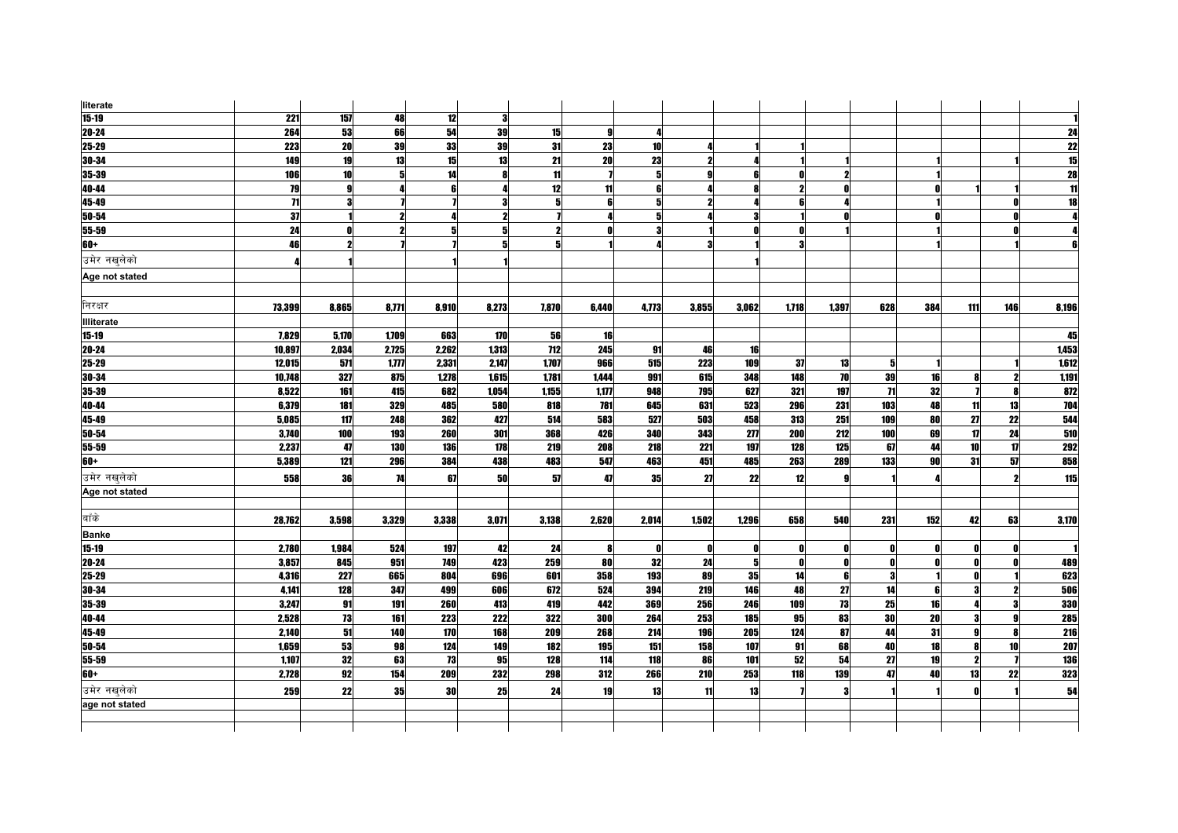| literate          |        |       |                     |                  |       |            |       |       |                     |            |       |       |                 |           |              |              |                          |
|-------------------|--------|-------|---------------------|------------------|-------|------------|-------|-------|---------------------|------------|-------|-------|-----------------|-----------|--------------|--------------|--------------------------|
| $15 - 19$         | 221    | 157   | 48                  | 12               | 3     |            |       |       |                     |            |       |       |                 |           |              |              |                          |
| $20 - 24$         | 264    | 53    | 66                  | 54               | 39    | 15         | 9     | Д     |                     |            |       |       |                 |           |              |              | 24                       |
| 25-29             | 223    | 20    | 39                  | 33               | 39    | 31         | 23    | 10    |                     |            |       |       |                 |           |              |              |                          |
| 30-34             | 149    | 19    | 13                  | 15               | 13    | 21         | 20    | 23    | $\boldsymbol{\eta}$ |            |       |       |                 |           |              |              | $\frac{22}{15}$          |
| 35-39             | 106    | 10    |                     | 14               | Я     | 11         |       | 5     |                     |            |       |       |                 |           |              |              | $\overline{28}$          |
| 40-44             | 79     | g     |                     |                  |       | 12         | 11    |       |                     |            |       |       |                 |           |              |              | $\overline{\mathbf{1}}$  |
| 45-49             | 71     |       |                     |                  | 3     | 5          | 6     |       |                     |            |       |       |                 |           |              |              | $\overline{\mathbf{18}}$ |
| 50-54             | 37     |       |                     |                  | 2     |            |       |       |                     |            |       |       |                 |           |              |              |                          |
| 55-59             | 24     | n     | $\boldsymbol{\eta}$ |                  | 5     |            | n     |       |                     | n          |       |       |                 |           |              |              |                          |
| 60+               | 46     |       |                     |                  | 5     | 5          |       |       |                     |            |       |       |                 |           |              |              |                          |
| उमेर नखलेको       |        |       |                     |                  |       |            |       |       |                     |            |       |       |                 |           |              |              |                          |
| Age not stated    |        |       |                     |                  |       |            |       |       |                     |            |       |       |                 |           |              |              |                          |
|                   |        |       |                     |                  |       |            |       |       |                     |            |       |       |                 |           |              |              |                          |
| निरक्षर           | 73,399 | 8,865 | 8,771               | 8,910            | 8,273 | 7,870      | 6,440 | 4,773 | 3,855               | 3,062      | 1,718 | 1,397 | 628             | 384       | 111          | 146          | 8,196                    |
| <b>Illiterate</b> |        |       |                     |                  |       |            |       |       |                     |            |       |       |                 |           |              |              |                          |
| $15 - 19$         | 7,829  | 5,170 | 1,709               | 663              | 170   | 56         | 16    |       |                     |            |       |       |                 |           |              |              | 45                       |
| $20 - 24$         | 10,897 | 2,034 | 2,725               | 2,262            | 1,313 | <b>712</b> | 245   | 91    | 46                  | 16         |       |       |                 |           |              |              | 1,453                    |
| 25-29             | 12,015 | 571   | 1,777               | 2,331            | 2,147 | 1,707      | 966   | 515   | 223                 | 109        | 37    | 13    | -5              |           |              |              | 1,612                    |
| 30-34             | 10,748 | 327   | 875                 | 1,278            | 1.615 | 1,781      | 1.444 | 991   | 615                 | 348        | 148   | 70    | 39              | 16        |              |              | 1,191                    |
| 35-39             | 8,522  | 161   | 415                 | 682              | 1,054 | 1,155      | 1,177 | 948   | 795                 | 627        | 321   | 197   | $\overline{11}$ | 32        |              |              | 872                      |
| 40-44             | 6,379  | 181   | 329                 | 485              | 580   | 818        | 781   | 645   | 631                 | 523        | 296   | 231   | 103             | 48        | 11           | 13           | 704                      |
| 45-49             | 5,085  | 117   | 248                 | 362              | 427   | 514        | 583   | 527   | 503                 | 458        | 313   | 251   | 109             | 80        | 27           | 22           | 544                      |
| 50-54             | 3,740  | 100   | 193                 | 260              | 301   | 368        | 426   | 340   | 343                 | 277        | 200   | 212   | 100             | 69        | $\mathbf{u}$ | 24           | 510                      |
| $55 - 59$         | 2,237  | 47    | <b>130</b>          | 136              | 178   | 219        | 208   | 218   | 221                 | 197        | 128   | 125   | 67              | 44        | 10           | 17           | <b>292</b>               |
| $60+$             | 5,389  | 121   | <b>296</b>          | 384              | 438   | 483        | 547   | 463   | 451                 | 485        | 263   | 289   | 133             | <b>90</b> | 31           | 57           | 858                      |
| उमेर नखलेको       | 558    | 36    | 74                  | 67               | 50    | 57         | 47    | 35    | 27                  | 22         | 12    | Q     |                 |           |              |              | 115                      |
| Age not stated    |        |       |                     |                  |       |            |       |       |                     |            |       |       |                 |           |              |              |                          |
|                   |        |       |                     |                  |       |            |       |       |                     |            |       |       |                 |           |              |              |                          |
| बाँके             | 28,762 | 3,598 | 3,329               | 3,338            | 3,071 | 3,138      | 2,620 | 2,014 | 1,502               | 1,296      | 658   | 540   | 231             | 152       | 42           | 63           | 3,170                    |
| <b>Banke</b>      |        |       |                     |                  |       |            |       |       |                     |            |       |       |                 |           |              |              |                          |
| $15 - 19$         | 2,780  | 1,984 | 524                 | 197              | 42    | 24         | 8     | n     | n                   | 0          | n     | n     | 0               |           |              |              |                          |
| $20 - 24$         | 3,857  | 845   | 951                 | 749              | 423   | 259        | 80    | 32    | 24                  | 5          |       | n     | $\mathbf{0}$    |           | ΩI           |              | 489                      |
| 25-29             | 4,316  | 227   | 665                 | 804              | 696   | 601        | 358   | 193   | 89                  | 35         | 14    | 6     | 3               |           | ΩI           |              | 623                      |
| 30-34             | 4,141  | 128   | 347                 | 499              | 606   | 672        | 524   | 394   | 219                 | 146        | 48    | 27    | 14              | ĥ         | 3            |              | 506                      |
| 35-39             | 3,247  | 91    | 191                 | 260              | 413   | 419        | 442   | 369   | 256                 | <b>246</b> | 109   | 73    | 25              | 16        |              | З            | 330                      |
| 40-44             | 2,528  | 73    | 161                 | 223              | 222   | 322        | 300   | 264   | 253                 | 185        | 95    | 83    | 30              | 20        | 3            | $\mathbf{Q}$ | 285                      |
| 45-49             | 2,140  | 51    | 140                 | $\overline{170}$ | 168   | 209        | 268   | 214   | 196                 | 205        | 124   | 87    | 44              | 31        | a            | 8            | <b>216</b>               |
| 50-54             | 1,659  | 53    | 98                  | 124              | 149   | 182        | 195   | 151   | 158                 | 107        | 91    | 68    | 40              | 18        | 8            | 10           | 207                      |
| 55-59             | 1,107  | 32    | 63                  | 73               | 95    | 128        | 114   | 118   | 86                  | 101        | 52    | 54    | 27              | 19        | $\mathbf{2}$ |              | <b>136</b>               |
| $60+$             | 2,728  | 92    | 154                 | 209              | 232   | 298        | 312   | 266   | 210                 | 253        | 118   | 139   | 47              | 40        | 13           | 22           | 323                      |
| उमेर नखलेको       | 259    | 22    | 35                  | 30               | 25    | 24         | 19    | 13    | 11                  | 13         |       | 3     |                 |           |              |              | 54                       |
| age not stated    |        |       |                     |                  |       |            |       |       |                     |            |       |       |                 |           |              |              |                          |
|                   |        |       |                     |                  |       |            |       |       |                     |            |       |       |                 |           |              |              |                          |
|                   |        |       |                     |                  |       |            |       |       |                     |            |       |       |                 |           |              |              |                          |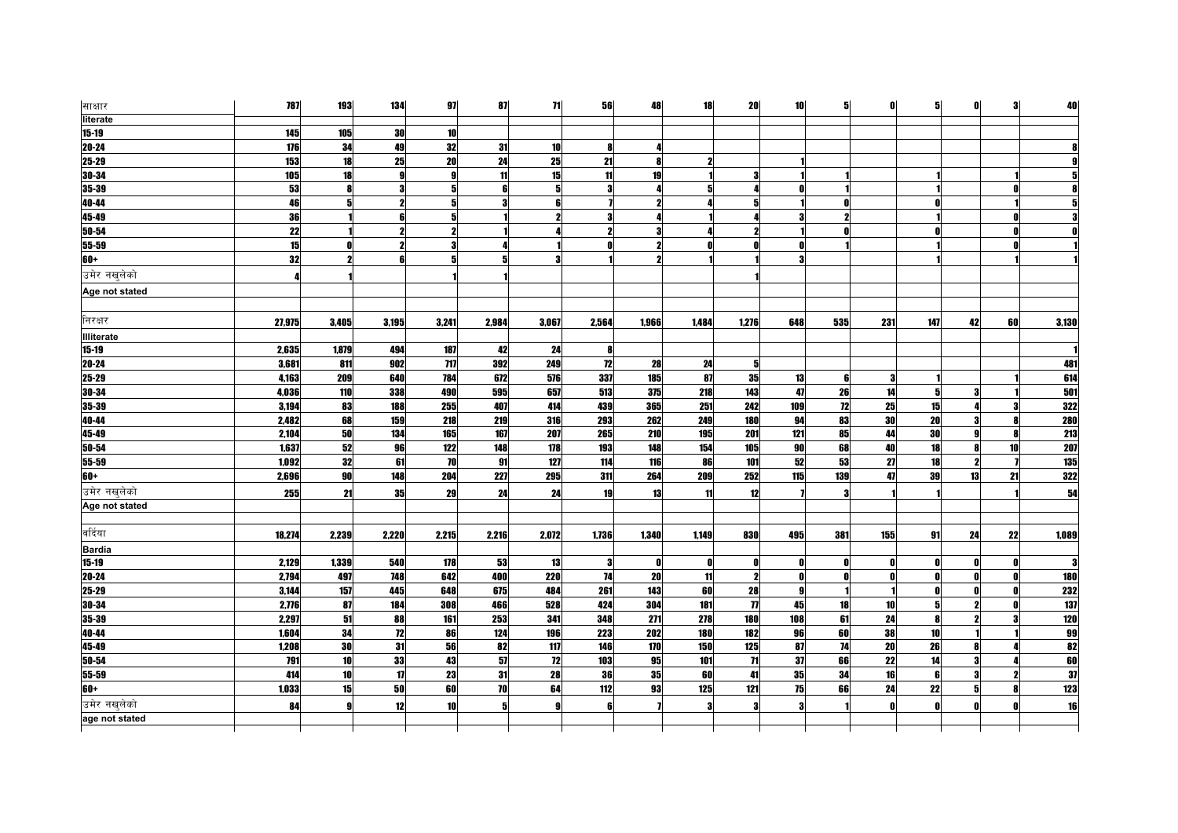| साक्षार           | 787    | 193   | 134   | 97    | 87    | 71         | 56           | 48    | 18    | 20                          | 10       | 5            | 0            | 5   | $\mathbf{0}$        | 3  | 40         |
|-------------------|--------|-------|-------|-------|-------|------------|--------------|-------|-------|-----------------------------|----------|--------------|--------------|-----|---------------------|----|------------|
| literate          |        |       |       |       |       |            |              |       |       |                             |          |              |              |     |                     |    |            |
| $15 - 19$         | 145    | 105   | 30    | 10    |       |            |              |       |       |                             |          |              |              |     |                     |    |            |
| $20 - 24$         | 176    | 34    | 49    | 32    | 31    | 10         | 8            |       |       |                             |          |              |              |     |                     |    |            |
| $25 - 29$         | 153    | 18    | 25    | 20    | 24    | 25         | 21           |       |       |                             |          |              |              |     |                     |    |            |
| 30-34             | 105    | 18    |       |       | 11    | 15         | 11           | 19    |       | 3                           |          |              |              |     |                     |    |            |
| 35-39             | 53     | 8     |       |       | 6     | 5          | 3            |       |       |                             |          |              |              |     |                     |    |            |
| 40-44             | 46     | 5     |       |       | 3     | 6          |              |       |       | 5                           |          |              |              |     |                     |    |            |
| 45-49             | 36     |       |       |       |       |            | 3            |       |       |                             |          |              |              |     |                     |    |            |
| 50-54             | 22     |       |       |       |       |            | $\mathbf{2}$ |       |       |                             |          |              |              |     |                     |    |            |
| 55-59             | 15     | 0     |       |       |       |            | ſ            |       |       | n                           |          |              |              |     |                     |    |            |
| 60+               | 32     |       |       |       | 5     | 2          |              |       |       |                             |          |              |              |     |                     |    |            |
| उमेर नखलेको       |        |       |       |       |       |            |              |       |       |                             |          |              |              |     |                     |    |            |
| Age not stated    |        |       |       |       |       |            |              |       |       |                             |          |              |              |     |                     |    |            |
|                   |        |       |       |       |       |            |              |       |       |                             |          |              |              |     |                     |    |            |
| निरक्षर           | 27,975 | 3,405 | 3,195 | 3,241 | 2,984 | 3,067      | 2,564        | 1,966 | 1,484 | 1,276                       | 648      | 535          | 231          | 147 | 42                  | 60 | 3,130      |
| <b>Illiterate</b> |        |       |       |       |       |            |              |       |       |                             |          |              |              |     |                     |    |            |
| $15 - 19$         | 2,635  | 1,879 | 494   | 187   | 42    | 24         | 8            |       |       |                             |          |              |              |     |                     |    |            |
| $20 - 24$         | 3,681  | 811   | 902   | 717   | 392   | 249        | 12           | 28    | 24    | 5                           |          |              |              |     |                     |    | 481        |
| 25-29             | 4,163  | 209   | 640   | 784   | 672   | 576        | 337          | 185   | 87    | 35                          | 13       | 6            | -3           |     |                     |    | 614        |
| 30-34             | 4,036  | 110   | 338   | 490   | 595   | 657        | 513          | 375   | 218   | 143                         | 47       | 26           | 14           | 5   | 3                   |    | 501        |
| $35 - 39$         | 3,194  | 83    | 188   | 255   | 407   | 414        | 439          | 365   | 251   | 242                         | 109      | 12           | 25           | 15  |                     |    | 322        |
| $40 - 44$         | 2,482  | 68    | 159   | 218   | 219   | 316        | 293          | 262   | 249   | 180                         | 94       | 83           | 30           | 20  |                     |    | <b>280</b> |
| 45-49             | 2,104  | 50    | 134   | 165   | 167   | 207        | 265          | 210   | 195   | 201                         | 121      | 85           | 44           | 30  | Q                   |    | <b>213</b> |
| $50 - 54$         | 1,637  | 52    | 96    | 122   | 148   | 178        | 193          | 148   | 154   | 105                         | 90       | 68           | 40           | 18  |                     | 10 | 207        |
| $55 - 59$         | 1,092  | 32    | 61    | 70    | 91    | 127        | 114          | 116   | 86    | 101                         | 52       | 53           | 27           | 18  | $\boldsymbol{\eta}$ |    | 135        |
| $60+$             | 2,696  | 90    | 148   | 204   | 227   | 295        | 311          | 264   | 209   | 252                         | 115      | 139          | 47           | 39  | 13                  | 21 | 322        |
| उमेर नखुलेको      | 255    | 21    | 35    | 29    | 24    | 24         | 19           | 13    | 11    | 12                          |          | $\mathbf{a}$ |              |     |                     |    | 54         |
| Age not stated    |        |       |       |       |       |            |              |       |       |                             |          |              |              |     |                     |    |            |
|                   |        |       |       |       |       |            |              |       |       |                             |          |              |              |     |                     |    |            |
| वर्दिया           | 18,274 | 2,239 | 2,220 | 2,215 | 2,216 | 2,072      | 1,736        | 1,340 | 1,149 | 830                         | 495      | 381          | 155          | 91  | 24                  | 22 | 1,089      |
| <b>Bardia</b>     |        |       |       |       |       |            |              |       |       |                             |          |              |              |     |                     |    |            |
| $15 - 19$         | 2,129  | 1,339 | 540   | 178   | 53    | 13         | 3            | n     | Λ     | O                           | 01       | N            | - 0          |     | n                   |    | 3          |
| $20 - 24$         | 2,794  | 497   | 748   | 642   | 400   | <b>220</b> | 74           | 20    | 11    | $\overline{2}$              | n        | n            | $\mathbf{0}$ |     | n                   |    | <b>180</b> |
| 25-29             | 3,144  | 157   | 445   | 648   | 675   | 484        | 261          | 143   | 60    | 28                          | <b>g</b> |              |              | n   | n                   | n  | 232        |
| 30-34             | 2,776  | 87    | 184   | 308   | 466   | 528        | 424          | 304   | 181   | $\overline{\boldsymbol{n}}$ | 45       | 18           | 10           | 5   | 2                   |    | 137        |
| 35-39             | 2,297  | 51    | 88    | 161   | 253   | 341        | 348          | 271   | 278   | 180                         | 108      | 61           | 24           | R   | 2                   |    | 120        |
| 40-44             | 1,604  | 34    | 72    | 86    | 124   | 196        | 223          | 202   | 180   | 182                         | 96       | 60           | 38           | 10  |                     |    | 99         |
| 45-49             | 1,208  | 30    | 31    | 56    | 82    | 117        | 146          | 170   | 150   | 125                         | 87       | 74           | 20           | 26  |                     |    | 82         |
| $50 - 54$         | 791    | 10    | 33    | 43    | 57    | 12         | 103          | 95    | 101   | $\overline{11}$             | 37       | 66           | 22           | 14  | 3                   |    | 60         |
| 55-59             | 414    | 10    | 17    | 23    | 31    | 28         | 36           | 35    | 60    | 41                          | 35       | 34           | 16           | 6   | 3                   |    | 37         |
| $60+$             | 1,033  | 15    | 50    | 60    | 70    | 64         | 112          | 93    | 125   | 121                         | 75       | 66           | 24           | 22  | 5                   |    | 123        |
| उमेर नखलेको       | 84     | 9     | 12    | 10    | 5     | g          | R            |       | я     | 3                           |          |              | $\mathbf{r}$ |     |                     |    | 16         |
| age not stated    |        |       |       |       |       |            |              |       |       |                             |          |              |              |     |                     |    |            |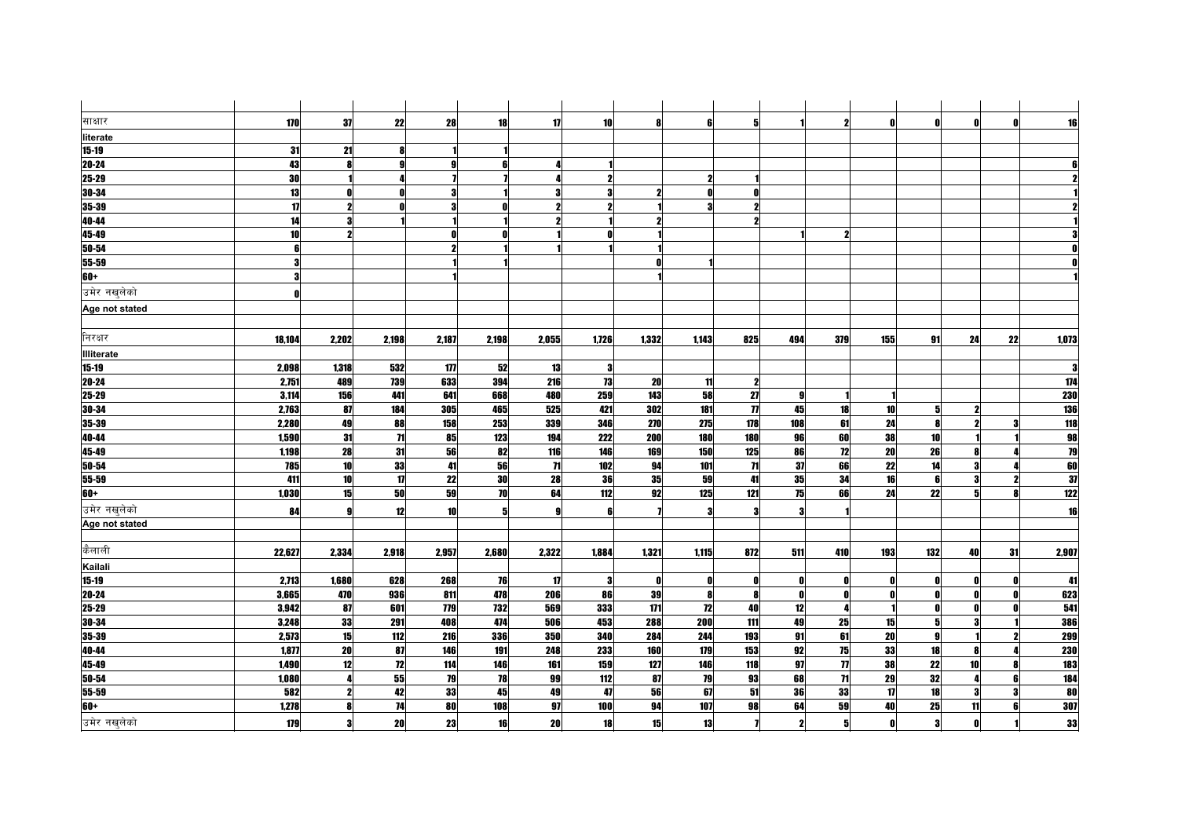| साक्षार           | 170             | 37           | 22           | 28         | 18    | 17              | 10                  | 8      | ĥ            | 5                   |              | 2                 | - O          | Λ               | $\mathbf{r}$ | n  | 16         |
|-------------------|-----------------|--------------|--------------|------------|-------|-----------------|---------------------|--------|--------------|---------------------|--------------|-------------------|--------------|-----------------|--------------|----|------------|
| literate          |                 |              |              |            |       |                 |                     |        |              |                     |              |                   |              |                 |              |    |            |
| $15 - 19$         | 31              | 21           |              |            |       |                 |                     |        |              |                     |              |                   |              |                 |              |    |            |
| $20 - 24$         | 43              |              | $\mathbf{a}$ |            |       |                 |                     |        |              |                     |              |                   |              |                 |              |    |            |
| 25-29             | 30              |              |              |            |       |                 | $\mathbf{2}$        |        | $\mathbf{2}$ |                     |              |                   |              |                 |              |    |            |
| 30-34             | 13              |              |              |            |       |                 | 3                   |        | 0            | n                   |              |                   |              |                 |              |    |            |
| 35-39             | $\overline{17}$ |              |              |            |       |                 | $\boldsymbol{\eta}$ |        |              | 2                   |              |                   |              |                 |              |    |            |
| 40-44             | 14              |              |              |            |       |                 |                     |        |              | 2                   |              |                   |              |                 |              |    |            |
| $45 - 49$         | 10              |              |              |            |       |                 | 0                   |        |              |                     |              | 2                 |              |                 |              |    |            |
| 50-54             |                 |              |              |            |       |                 |                     |        |              |                     |              |                   |              |                 |              |    |            |
| 55-59             |                 |              |              |            |       |                 |                     |        |              |                     |              |                   |              |                 |              |    |            |
| 60+               | 3               |              |              |            |       |                 |                     |        |              |                     |              |                   |              |                 |              |    |            |
| उमेर नखलेको       |                 |              |              |            |       |                 |                     |        |              |                     |              |                   |              |                 |              |    |            |
| Age not stated    |                 |              |              |            |       |                 |                     |        |              |                     |              |                   |              |                 |              |    |            |
|                   |                 |              |              |            |       |                 |                     |        |              |                     |              |                   |              |                 |              |    |            |
| निरक्षर           | 18,104          | 2,202        | 2,198        | 2,187      | 2,198 | 2,055           | 1,726               | 1,332  | 1,143        | 825                 | 494          | 379               | 155          | 91              | 24           | 22 | 1,073      |
| <b>Illiterate</b> |                 |              |              |            |       |                 |                     |        |              |                     |              |                   |              |                 |              |    |            |
| $15 - 19$         | 2,098           | 1,318        | 532          | 177        | 52    | 13              | $\mathbf{3}$        |        |              |                     |              |                   |              |                 |              |    | 3          |
| $20 - 24$         | 2,751           | 489          | 739          | 633        | 394   | 216             | 73                  | 20     | 11           | $\mathbf{2}$        |              |                   |              |                 |              |    | 174        |
| 25-29             | 3,114           | 156          | 441          | 641        | 668   | 480             | 259                 | 143    | 58           | 27                  | q            |                   |              |                 |              |    | <b>230</b> |
| 30-34             | 2,763           | 87           | 184          | 305        | 465   | 525             | 421                 | 302    | 181          | $\boldsymbol{\eta}$ | 45           | 18                | 10           | 5               | 2            |    | <b>136</b> |
| 35-39             | 2,280           | 49           | 88           | 158        | 253   | 339             | 346                 | 270    | 275          | 178                 | 108          | 61                | 24           | R               | 2            |    | <b>118</b> |
| 40-44             | 1,590           | 31           | $\mathbf{H}$ | 85         | 123   | 194             | 222                 | 200    | 180          | 180                 | 96           | 60                | 38           | 10              |              |    | 98         |
| 45-49             | 1,198           | 28           | 31           | 56         | 82    | 116             | 146                 | 169    | 150          | 125                 | 86           | 12                | 20           | 26              |              |    | 79         |
| $50 - 54$         | 785             | 10           | 33           | 41         | 56    | $\overline{11}$ | 102                 | 94     | 101          | $\mathbf{H}$        | 37           | 66                | 22           | 14              |              |    | 60         |
| 55-59             | 411             | 10           | 17           | 22         | 30    | 28              | 36                  | $35\,$ | 59           | 41                  | 35           | 34                | 16           | ĥ               |              |    | 37         |
| $60+$             | 1,030           | 15           | 50           | 59         | 70    | 64              | 112                 | 92     | 125          | 121                 | 75           | 66                | 24           | 22              |              |    | 122        |
| उमेर नखलेको       | 84              | $\mathbf{Q}$ | 12           | 10         | 5     |                 | 6                   |        | 3            | 3                   |              |                   |              |                 |              |    | 16         |
| Age not stated    |                 |              |              |            |       |                 |                     |        |              |                     |              |                   |              |                 |              |    |            |
|                   |                 |              |              |            |       |                 |                     |        |              |                     |              |                   |              |                 |              |    |            |
| कैलाली            | 22,627          | 2,334        | 2,918        | 2,957      | 2,680 | 2,322           | 1,884               | 1,321  | 1,115        | 872                 | 511          | 410               | 193          | 132             | 40           | 31 | 2,907      |
| Kailali           |                 |              |              |            |       |                 |                     |        |              |                     |              |                   |              |                 |              |    |            |
| $15 - 19$         | 2,713           | 1,680        | 628          | 268        | 76    | 17              | 3                   | O      | Λ            | O                   | $\mathbf{u}$ | n                 | $\mathbf{0}$ |                 |              |    | 41         |
| $20 - 24$         | 3,665           | 470          | 936          | 811        | 478   | 206             | 86                  | 39     | 8            | 8                   | n            |                   | $\mathbf{0}$ | Λ               |              |    | 623        |
| $25 - 29$         | 3,942           | 87           | 601          | <b>779</b> | 732   | 569             | 333                 | 171    | 12           | 40                  | 12           | 4                 |              | ΩI              | Ω            |    | 541        |
| $30 - 34$         | 3,248           | 33           | 291          | 408        | 474   | 506             | 453                 | 288    | <b>200</b>   | 111                 | 49           | 25                | 15           | 5               |              |    | 386        |
| 35-39             | 2,573           | 15           | 112          | 216        | 336   | 350             | 340                 | 284    | 244          | 193                 | 91           | 61                | 20           | $\mathbf{q}$    |              |    | 299        |
| 40-44             | 1,877           | 20           | 87           | 146        | 191   | 248             | 233                 | 160    | 179          | 153                 | 92           | 75                | 33           | 18              |              |    | <b>230</b> |
| 45-49             | 1,490           | 12           | 12           | 114        | 146   | 161             | 159                 | 127    | 146          | 118                 | 97           | $\overline{\eta}$ | 38           | $\overline{22}$ | 10           |    | <b>183</b> |
| 50-54             | 1,080           |              | 55           | 79         | 78    | 99              | 112                 | 87     | 79           | 93                  | 68           | $\mathbf{H}$      | 29           | 32              |              |    | 184        |
| 55-59             | 582             | 2            | 42           | 33         | 45    | 49              | 47                  | 56     | 67           | 51                  | 36           | 33                | 17           | 18              | 3            |    | 80         |
| $60+$             | 1,278           |              | 74           | 80         | 108   | 97              | 100                 | 94     | 107          | 98                  | 64           | 59                | 40           | 25              | 11           |    | 307        |
| उमेर नखुलेको      | 179             | 3            | 20           | 23         | 16    | 20              | 18                  | 15     | 13           |                     | $\mathbf{2}$ | 5                 | O            | 3               |              |    | 33         |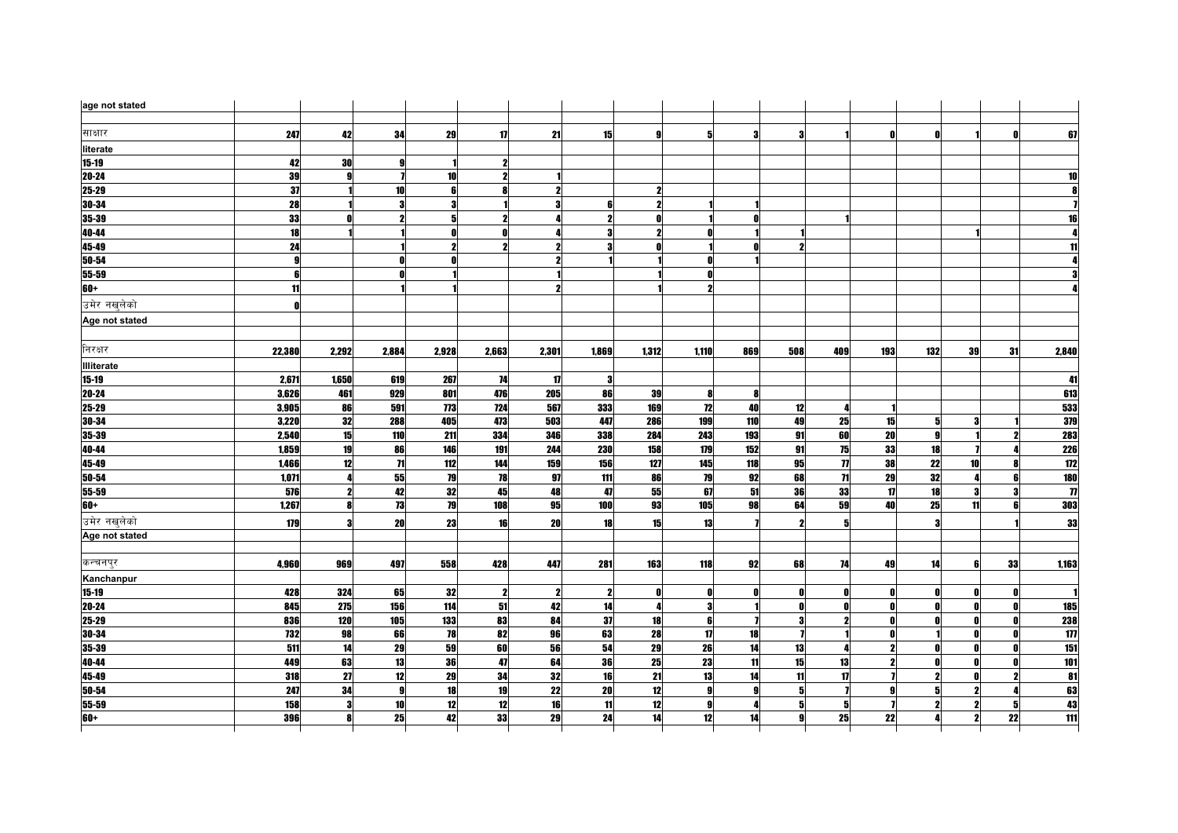| age not stated    |                  |       |                  |                 |       |              |                     |       |                         |                |              |                     |                         |                     |    |    |                             |
|-------------------|------------------|-------|------------------|-----------------|-------|--------------|---------------------|-------|-------------------------|----------------|--------------|---------------------|-------------------------|---------------------|----|----|-----------------------------|
| साक्षार           | 247              | 42    | 34               | 29              | 17    | 21           | 15                  | g     | 5                       | З              | З            |                     | $\mathbf{0}$            |                     |    |    | 67                          |
| literate          |                  |       |                  |                 |       |              |                     |       |                         |                |              |                     |                         |                     |    |    |                             |
| $15 - 19$         | 42               | 30    |                  |                 |       |              |                     |       |                         |                |              |                     |                         |                     |    |    |                             |
| 20-24             | 39               |       |                  | 10 <sup>1</sup> | 2     |              |                     |       |                         |                |              |                     |                         |                     |    |    | 10                          |
| 25-29             | 37               |       | 10               |                 |       |              |                     |       |                         |                |              |                     |                         |                     |    |    |                             |
| $30 - 34$         | $\overline{28}$  |       | 3                |                 |       |              | 6                   |       |                         |                |              |                     |                         |                     |    |    |                             |
| 35-39             | 33               |       | $\mathbf{2}$     |                 |       |              | $\boldsymbol{\eta}$ |       |                         |                |              |                     |                         |                     |    |    |                             |
| 40-44             | $\overline{18}$  |       |                  |                 | ſ     |              | 3                   |       |                         |                |              |                     |                         |                     |    |    |                             |
| 45-49             | 24               |       |                  |                 |       |              | 3                   |       |                         | Ω              |              |                     |                         |                     |    |    |                             |
| $50 - 54$         | $\mathbf{g}$     |       |                  |                 |       |              |                     |       |                         |                |              |                     |                         |                     |    |    |                             |
| 55-59             | 6                |       |                  |                 |       |              |                     |       |                         |                |              |                     |                         |                     |    |    |                             |
| 60+               | 11               |       |                  |                 |       |              |                     |       | $\overline{\mathbf{z}}$ |                |              |                     |                         |                     |    |    |                             |
|                   |                  |       |                  |                 |       |              |                     |       |                         |                |              |                     |                         |                     |    |    |                             |
| उमेर नखलेको       | $\mathbf{0}$     |       |                  |                 |       |              |                     |       |                         |                |              |                     |                         |                     |    |    |                             |
| Age not stated    |                  |       |                  |                 |       |              |                     |       |                         |                |              |                     |                         |                     |    |    |                             |
| निरक्षर           | 22,380           | 2,292 | 2,884            | 2,928           | 2,663 | 2,301        | 1,869               | 1,312 | 1,110                   | 869            | 508          | 409                 | 193                     | 132                 | 39 | 31 | 2,840                       |
| <b>Illiterate</b> |                  |       |                  |                 |       |              |                     |       |                         |                |              |                     |                         |                     |    |    |                             |
| 15-19             | 2,671            | 1,650 | 619              | 267             | 74    | 17           | 3                   |       |                         |                |              |                     |                         |                     |    |    | 41                          |
| 20-24             | 3,626            | 461   | 929              | 801             | 476   | 205          | 86                  | 39    | 8                       | 8              |              |                     |                         |                     |    |    | 613                         |
| 25-29             | 3,905            | 86    | 591              | 773             | 724   | 567          | 333                 | 169   | 12                      | 40             | 12           | 4                   |                         |                     |    |    | 533                         |
| 30-34             | 3,220            | 32    | 288              | 405             | 473   | 503          | 447                 | 286   | 199                     | 110            | 49           | 25                  | 15                      | 51                  |    |    | 379                         |
| 35-39             | 2,540            | 15    | 110              | 211             | 334   | 346          | 338                 | 284   | 243                     | 193            | 91           | 60                  | 20                      | $\mathbf{q}$        |    |    | 283                         |
| 40-44             | 1,859            | 19    | 86               | 146             | 191   | 244          | 230                 | 158   | 179                     | 152            | 91           | 75                  | 33                      | 18                  |    |    | 226                         |
| 45-49             | 1,466            | 12    | $\mathbf{H}$     | 112             | 144   | 159          | 156                 | 127   | 145                     | 118            | 95           | $\boldsymbol{\eta}$ | 38                      | 22                  | 10 |    | 112                         |
| 50-54             | 1,071            |       | 55               | 79              | 78    | 97           | 111                 | 86    | 79                      | 92             | 68           | $\mathbf{H}$        | 29                      | 32                  |    |    | <b>180</b>                  |
| 55-59             | 576              |       | 42               | 32              | 45    | 48           | 47                  | 55    | 67                      | 51             | 36           | 33                  | 17                      | 18                  | 3  |    | $\overline{\boldsymbol{n}}$ |
| $60+$             | 1,267            |       | 73               | 79              | 108   | 95           | 100                 | 93    | 105                     | 98             | 64           | 59                  | 40                      | 25                  | 11 |    | 303                         |
| उमेर नखुलेको      |                  |       |                  |                 |       |              |                     |       |                         |                |              |                     |                         |                     |    |    |                             |
| Age not stated    | 179              | 3     | 20               | 23              | 16    | 20           | 18                  | 15    | 13                      |                |              | 5                   |                         |                     |    |    | 33                          |
|                   |                  |       |                  |                 |       |              |                     |       |                         |                |              |                     |                         |                     |    |    |                             |
| कन्चनपुर          | 4,960            | 969   | 497              | 558             | 428   | 447          | 281                 | 163   | 118                     | 92             | 68           | 74                  | 49                      | 14                  | 6  | 33 | 1,163                       |
| Kanchanpur        |                  |       |                  |                 |       |              |                     |       |                         |                |              |                     |                         |                     |    |    |                             |
| $15 - 19$         | 428              | 324   | 65               | 32              | 2     | $\mathbf{2}$ | $\mathbf{2}$        | 0     | 0                       | Λ              | n            | n                   | 0                       | ſ                   | Λ  |    |                             |
| 20-24             | 845              | 275   | 156              | 114             | 51    | 42           | 14                  | Д     | 3                       | $\blacksquare$ | $\mathbf{0}$ |                     | $\mathbf{0}$            | Λ                   | Ω  |    | 185                         |
| 25-29             | 836              | 120   | 105              | 133             | 83    | 84           | 37                  | 18    | 6                       | $\overline{1}$ | 3            |                     | $\mathbf{0}$            |                     |    |    | <b>238</b>                  |
| 30-34             | 732              | 98    | 66               | 78              | 82    | 96           | 63                  | 28    | 17                      | 18             |              |                     | 0                       |                     |    |    | $\overline{111}$            |
| 35-39             | $\overline{511}$ | 14    | 29               | 59              | 60    | 56           | 54                  | 29    | 26                      | 14             | 13           |                     | $\overline{\mathbf{z}}$ |                     | Ω  |    | 151                         |
| 40-44             | 449              | 63    | 13               | 36              | 47    | 64           | 36                  | 25    | 23                      | 11             | 15           | 13                  | $\boldsymbol{\eta}$     | Λ                   |    |    | 101                         |
| 45-49             | 318              | 27    | 12               | 29              | 34    | 32           | 16                  | 21    | 13                      | 14             | 11           | 17                  |                         | $\boldsymbol{\eta}$ | Ω  |    | 81                          |
| 50-54             | 247              | 34    | $\boldsymbol{9}$ | 18              | 19    | 22           | 20                  | 12    | <b>g</b>                | $\mathbf{g}$   | 5            |                     | 9                       | 51                  | 2  |    | 63                          |
| 55-59             | 158              | 3     | 10               | 12              | 12    | 16           | 11                  | 12    | g                       | $\mathbf{a}$   | 5            | 5                   |                         | 2                   | 2  |    | 43                          |
| $60+$             | 396              | R     | 25               | 42              | 33    | 29           | 24                  | 14    | 12                      | 14             |              | 25                  | 22                      |                     | 2  | 22 | 111                         |
|                   |                  |       |                  |                 |       |              |                     |       |                         |                |              |                     |                         |                     |    |    |                             |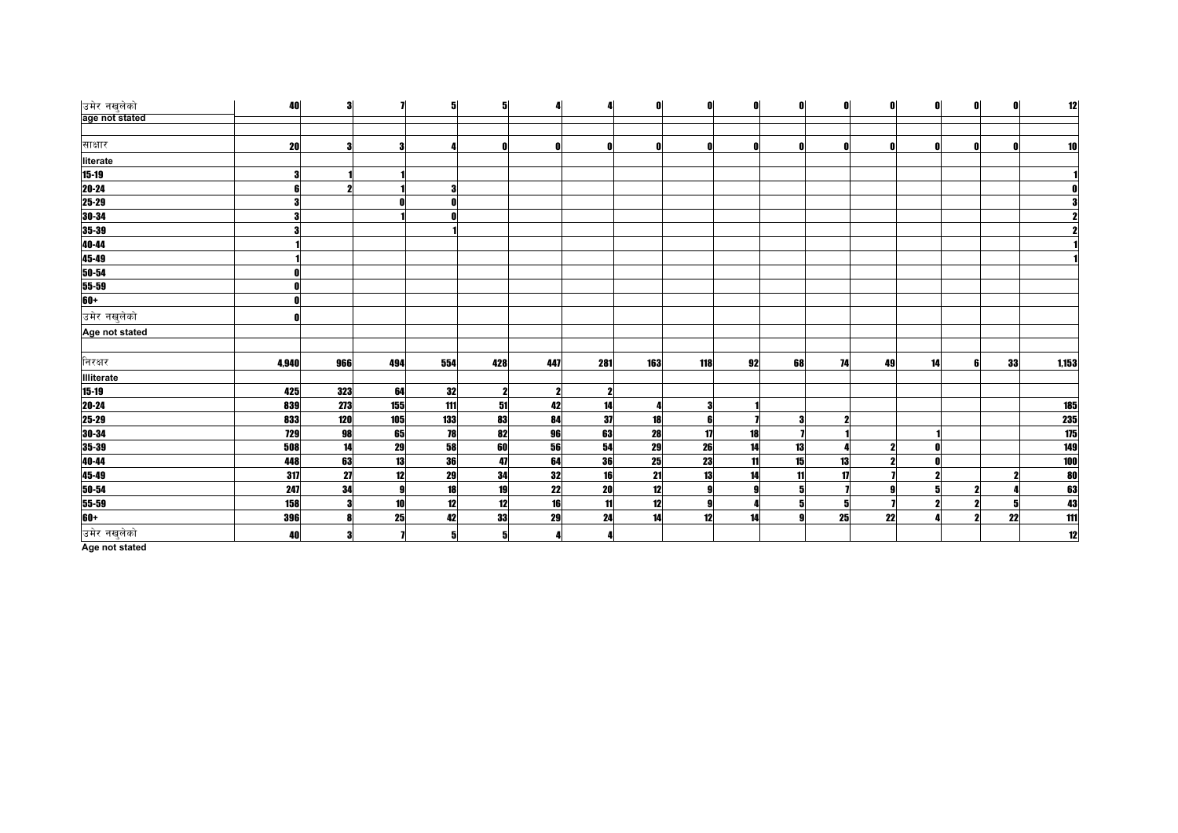| उमेर नखुलेको                                       | $\bf{40}$  | 3   | $\overline{\mathbf{I}}$ | 5   | 5           |     | 4   | ß   | 0        | O  | 0  | O  | 0  | n  | Λ | O  | 12                                                                     |
|----------------------------------------------------|------------|-----|-------------------------|-----|-------------|-----|-----|-----|----------|----|----|----|----|----|---|----|------------------------------------------------------------------------|
| age not stated                                     |            |     |                         |     |             |     |     |     |          |    |    |    |    |    |   |    |                                                                        |
|                                                    |            |     |                         |     |             |     |     |     |          |    |    |    |    |    |   |    |                                                                        |
| साक्षार                                            | 20         | 3   | 3                       |     |             |     | 0   |     |          |    |    |    |    |    |   |    | 10                                                                     |
| literate                                           |            |     |                         |     |             |     |     |     |          |    |    |    |    |    |   |    |                                                                        |
| $15 - 19$                                          | 3          |     |                         |     |             |     |     |     |          |    |    |    |    |    |   |    |                                                                        |
| 20-24<br>25-29<br>30-34                            |            | 2   |                         |     |             |     |     |     |          |    |    |    |    |    |   |    |                                                                        |
|                                                    |            |     | Λ                       |     |             |     |     |     |          |    |    |    |    |    |   |    |                                                                        |
|                                                    |            |     |                         |     |             |     |     |     |          |    |    |    |    |    |   |    |                                                                        |
|                                                    |            |     |                         |     |             |     |     |     |          |    |    |    |    |    |   |    |                                                                        |
|                                                    |            |     |                         |     |             |     |     |     |          |    |    |    |    |    |   |    |                                                                        |
|                                                    |            |     |                         |     |             |     |     |     |          |    |    |    |    |    |   |    |                                                                        |
|                                                    |            |     |                         |     |             |     |     |     |          |    |    |    |    |    |   |    |                                                                        |
| 35-39<br>35-39<br>40-44<br>45-49<br>50-54<br>55-59 |            |     |                         |     |             |     |     |     |          |    |    |    |    |    |   |    |                                                                        |
| $60+$                                              |            |     |                         |     |             |     |     |     |          |    |    |    |    |    |   |    |                                                                        |
| उमेर नखुलेको                                       |            |     |                         |     |             |     |     |     |          |    |    |    |    |    |   |    |                                                                        |
| Age not stated                                     |            |     |                         |     |             |     |     |     |          |    |    |    |    |    |   |    |                                                                        |
|                                                    |            |     |                         |     |             |     |     |     |          |    |    |    |    |    |   |    |                                                                        |
| निरक्षर                                            | 4,940      | 966 | 494                     | 554 | 428         | 447 | 281 | 163 | 118      | 92 | 68 | 74 | 49 | 14 |   | 33 | 1,153                                                                  |
| Illiterate                                         |            |     |                         |     |             |     |     |     |          |    |    |    |    |    |   |    |                                                                        |
| $\frac{15-19}{20-24}$                              | 425        | 323 | 64                      | 32  | $\mathbf 2$ |     | 2   |     |          |    |    |    |    |    |   |    |                                                                        |
|                                                    | 839        | 273 | 155                     | 111 | 51          | 42  | 14  |     | 3        |    |    |    |    |    |   |    |                                                                        |
|                                                    | 833        | 120 | 105                     | 133 | 83          | 84  | 37  | 18  | 61       |    | 3  | 2  |    |    |   |    |                                                                        |
| 25-29<br>30-34<br>35-39                            | <b>729</b> | 98  | 65                      | 78  | 82          | 96  | 63  | 28  | 17       | 18 |    |    |    |    |   |    | $\begin{array}{r}\n 185 \\ \hline\n 235 \\ \hline\n 175\n \end{array}$ |
|                                                    | 508        | 14  | 29                      | 58  | 60          | 56  | 54  | 29  | 26       | 14 | 13 |    | 2  |    |   |    | 149                                                                    |
| 40-44<br>45-49<br>50-54                            | 448        | 63  | 13                      | 36  | 47          | 64  | 36  | 25  | 23       | 11 | 15 | 13 |    |    |   |    |                                                                        |
|                                                    | 317        | 27  | 12                      | 29  | 34          | 32  | 16  | 21  | 13       | 14 | 11 | 17 |    |    |   |    | $\begin{array}{c} 100 \\ 80 \end{array}$                               |
|                                                    | 247        | 34  | 9                       | 18  | 19          | 22  | 20  | 12  | 9        |    | 5  |    |    |    |   |    |                                                                        |
| 55-59<br>60+                                       | 158        | 3   | 10 <sup>1</sup>         | 12  | 12          | 16  | 11  | 12  | <b>g</b> |    | 5  | 5  |    |    |   |    | 13 43 11                                                               |
|                                                    | 396        | 8   | 25                      | 42  | 33          | 29  | 24  | 14  | 12       | 14 | g  | 25 | 22 |    |   | 22 |                                                                        |
| उमेर नखुलेको                                       | 40         | 3   |                         | 5   |             |     | 4   |     |          |    |    |    |    |    |   |    | 12                                                                     |
|                                                    |            |     |                         |     |             |     |     |     |          |    |    |    |    |    |   |    |                                                                        |

**Age not stated**